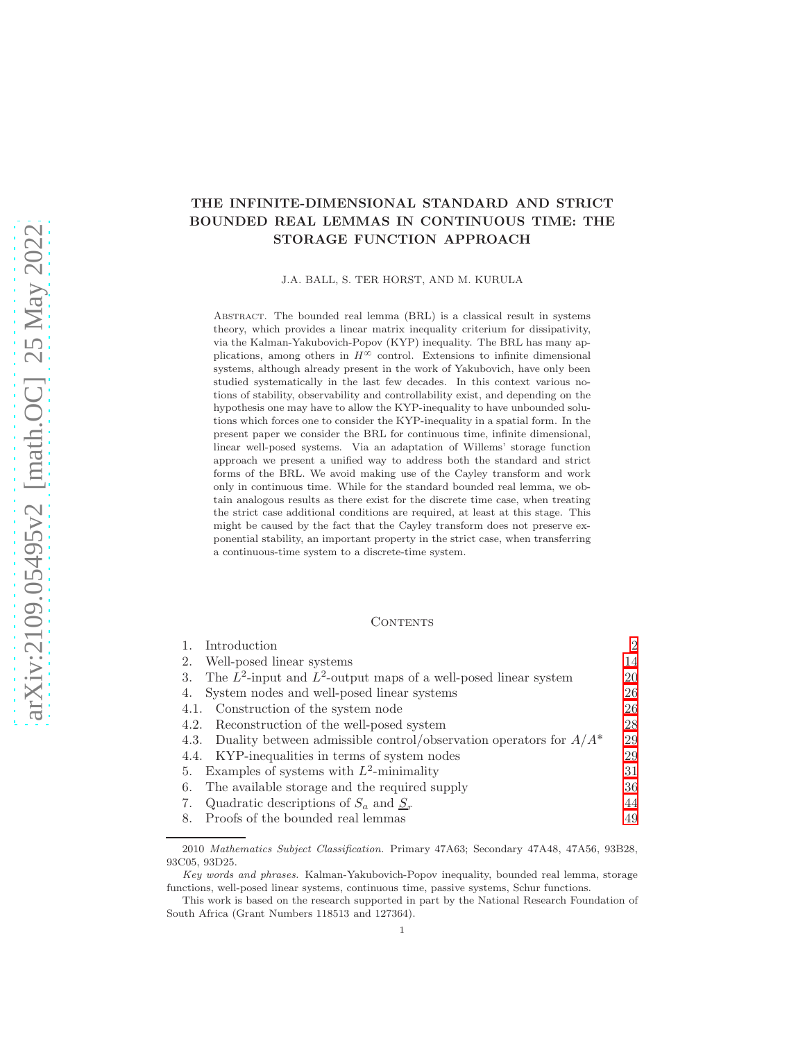# THE INFINITE-DIMENSIONAL STANDARD AND STRICT BOUNDED REAL LEMMAS IN CONTINUOUS TIME: THE STORAGE FUNCTION APPROACH

J.A. BALL, S. TER HORST, AND M. KURULA

Abstract. The bounded real lemma (BRL) is a classical result in systems theory, which provides a linear matrix inequality criterium for dissipativity, via the Kalman-Yakubovich-Popov (KYP) inequality. The BRL has many applications, among others in  $H^{\infty}$  control. Extensions to infinite dimensional systems, although already present in the work of Yakubovich, have only been studied systematically in the last few decades. In this context various notions of stability, observability and controllability exist, and depending on the hypothesis one may have to allow the KYP-inequality to have unbounded solutions which forces one to consider the KYP-inequality in a spatial form. In the present paper we consider the BRL for continuous time, infinite dimensional, linear well-posed systems. Via an adaptation of Willems' storage function approach we present a unified way to address both the standard and strict forms of the BRL. We avoid making use of the Cayley transform and work only in continuous time. While for the standard bounded real lemma, we obtain analogous results as there exist for the discrete time case, when treating the strict case additional conditions are required, at least at this stage. This might be caused by the fact that the Cayley transform does not preserve exponential stability, an important property in the strict case, when transferring a continuous-time system to a discrete-time system.

## CONTENTS

| Introduction                                                                | $\overline{2}$ |
|-----------------------------------------------------------------------------|----------------|
| Well-posed linear systems<br>2.                                             | 14             |
| The $L^2$ -input and $L^2$ -output maps of a well-posed linear system<br>3. | 20             |
| System nodes and well-posed linear systems<br>4.                            | 26             |
| 4.1. Construction of the system node                                        | 26             |
| 4.2. Reconstruction of the well-posed system                                | 28             |
| 4.3. Duality between admissible control/observation operators for $A/A^*$   | 29             |
| 4.4. KYP-inequalities in terms of system nodes                              | 29             |
| Examples of systems with $L^2$ -minimality<br>5.                            | 31             |
| The available storage and the required supply<br>6.                         | 36             |
| Quadratic descriptions of $S_a$ and $S_r$<br>7.                             | 44             |
| Proofs of the bounded real lemmas<br>8.                                     | 49             |

2010 *Mathematics Subject Classification.* Primary 47A63; Secondary 47A48, 47A56, 93B28, 93C05, 93D25.

*Key words and phrases.* Kalman-Yakubovich-Popov inequality, bounded real lemma, storage functions, well-posed linear systems, continuous time, passive systems, Schur functions.

This work is based on the research supported in part by the National Research Foundation of South Africa (Grant Numbers 118513 and 127364).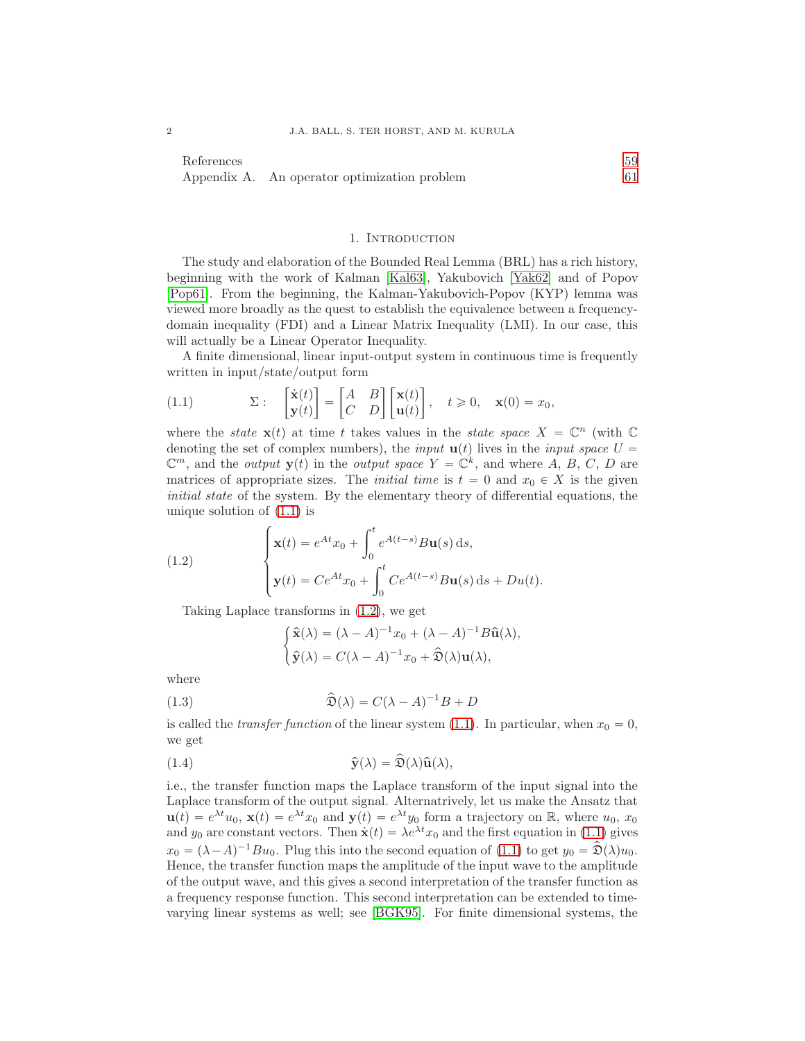References [59](#page-58-0)

## 1. INTRODUCTION

<span id="page-1-0"></span>The study and elaboration of the Bounded Real Lemma (BRL) has a rich history, beginning with the work of Kalman [\[Kal63\]](#page-59-0), Yakubovich [\[Yak62\]](#page-60-1) and of Popov [\[Pop61\]](#page-60-2). From the beginning, the Kalman-Yakubovich-Popov (KYP) lemma was viewed more broadly as the quest to establish the equivalence between a frequencydomain inequality (FDI) and a Linear Matrix Inequality (LMI). In our case, this will actually be a Linear Operator Inequality.

A finite dimensional, linear input-output system in continuous time is frequently written in input/state/output form

<span id="page-1-1"></span>(1.1) 
$$
\Sigma: \begin{bmatrix} \dot{\mathbf{x}}(t) \\ \mathbf{y}(t) \end{bmatrix} = \begin{bmatrix} A & B \\ C & D \end{bmatrix} \begin{bmatrix} \mathbf{x}(t) \\ \mathbf{u}(t) \end{bmatrix}, \quad t \ge 0, \quad \mathbf{x}(0) = x_0,
$$

where the *state*  $\mathbf{x}(t)$  at time t takes values in the *state space*  $X = \mathbb{C}^n$  (with  $\mathbb{C}$ denoting the set of complex numbers), the *input*  $\mathbf{u}(t)$  lives in the *input space*  $U =$  $\mathbb{C}^m$ , and the *output*  $\mathbf{y}(t)$  in the *output space*  $Y = \mathbb{C}^k$ , and where A, B, C, D are matrices of appropriate sizes. The *initial time* is  $t = 0$  and  $x_0 \in X$  is the given initial state of the system. By the elementary theory of differential equations, the unique solution of [\(1.1\)](#page-1-1) is

(1.2) 
$$
\begin{cases} \mathbf{x}(t) = e^{At}x_0 + \int_0^t e^{A(t-s)}B\mathbf{u}(s) ds, \\ \mathbf{y}(t) = Ce^{At}x_0 + \int_0^t Ce^{A(t-s)}B\mathbf{u}(s) ds + Du(t). \end{cases}
$$

Taking Laplace transforms in [\(1.2\)](#page-1-2), we get

<span id="page-1-4"></span><span id="page-1-3"></span><span id="page-1-2"></span>
$$
\begin{cases} \widehat{\mathbf{x}}(\lambda) = (\lambda - A)^{-1}x_0 + (\lambda - A)^{-1}B\widehat{\mathbf{u}}(\lambda), \\ \widehat{\mathbf{y}}(\lambda) = C(\lambda - A)^{-1}x_0 + \widehat{\mathfrak{D}}(\lambda)\mathbf{u}(\lambda), \end{cases}
$$

where

(1.3) 
$$
\widehat{\mathfrak{D}}(\lambda) = C(\lambda - A)^{-1}B + D
$$

is called the *transfer function* of the linear system [\(1.1\)](#page-1-1). In particular, when  $x_0 = 0$ , we get

(1.4) 
$$
\widehat{\mathbf{y}}(\lambda) = \widehat{\mathfrak{D}}(\lambda)\widehat{\mathbf{u}}(\lambda),
$$

i.e., the transfer function maps the Laplace transform of the input signal into the Laplace transform of the output signal. Alternatrively, let us make the Ansatz that  $\mathbf{u}(t) = e^{\lambda t}u_0, \mathbf{x}(t) = e^{\lambda t}x_0 \text{ and } \mathbf{y}(t) = e^{\lambda t}y_0 \text{ form a trajectory on } \mathbb{R}, \text{ where } u_0, x_0$ and  $y_0$  are constant vectors. Then  $\dot{\mathbf{x}}(t) = \lambda e^{\lambda t}x_0$  and the first equation in [\(1.1\)](#page-1-1) gives  $x_0 = (\lambda - A)^{-1}Bu_0$ . Plug this into the second equation of [\(1.1\)](#page-1-1) to get  $y_0 = \mathfrak{D}(\lambda)u_0$ . Hence, the transfer function maps the amplitude of the input wave to the amplitude of the output wave, and this gives a second interpretation of the transfer function as a frequency response function. This second interpretation can be extended to timevarying linear systems as well; see [\[BGK95\]](#page-59-1). For finite dimensional systems, the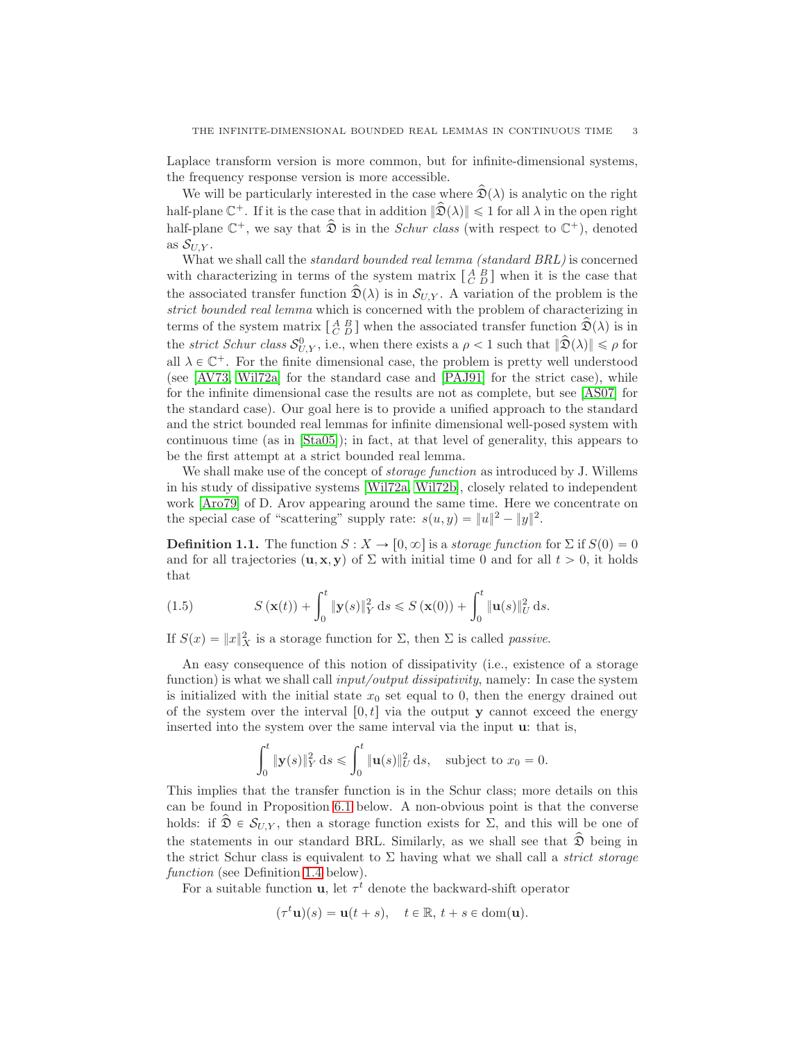Laplace transform version is more common, but for infinite-dimensional systems, the frequency response version is more accessible.

We will be particularly interested in the case where  $\mathcal{D}(\lambda)$  is analytic on the right half-plane  $\mathbb{C}^+$ . If it is the case that in addition  $\|\widehat{\mathfrak{D}}(\lambda)\| \leq 1$  for all  $\lambda$  in the open right half-plane  $\mathbb{C}^+$ , we say that  $\widehat{\mathfrak{D}}$  is in the *Schur class* (with respect to  $\mathbb{C}^+$ ), denoted as  $S_{U,Y}$ .

What we shall call the *standard bounded real lemma (standard BRL)* is concerned with characterizing in terms of the system matrix  $\begin{bmatrix} A & B \\ C & D \end{bmatrix}$  when it is the case that the associated transfer function  $\hat{\mathfrak{D}}(\lambda)$  is in  $\mathcal{S}_{U,Y}$ . A variation of the problem is the strict bounded real lemma which is concerned with the problem of characterizing in terms of the system matrix  $\begin{bmatrix} A & B \\ C & D \end{bmatrix}$  when the associated transfer function  $\hat{\mathfrak{D}}(\lambda)$  is in the *strict Schur class*  $S_{U,Y}^0$ , i.e., when there exists a  $\rho < 1$  such that  $\|\hat{\mathfrak{D}}(\lambda)\| \leq \rho$  for all  $\lambda \in \mathbb{C}^+$ . For the finite dimensional case, the problem is pretty well understood (see [\[AV73,](#page-59-2) [Wil72a\]](#page-60-3) for the standard case and [\[PAJ91\]](#page-59-3) for the strict case), while for the infinite dimensional case the results are not as complete, but see [\[AS07\]](#page-59-4) for the standard case). Our goal here is to provide a unified approach to the standard and the strict bounded real lemmas for infinite dimensional well-posed system with continuous time (as in [\[Sta05\]](#page-60-4)); in fact, at that level of generality, this appears to be the first attempt at a strict bounded real lemma.

We shall make use of the concept of *storage function* as introduced by J. Willems in his study of dissipative systems [\[Wil72a,](#page-60-3) [Wil72b\]](#page-60-5), closely related to independent work [\[Aro79\]](#page-58-1) of D. Arov appearing around the same time. Here we concentrate on the special case of "scattering" supply rate:  $s(u, y) = ||u||^2 - ||y||^2$ .

<span id="page-2-1"></span>**Definition 1.1.** The function  $S : X \to [0, \infty]$  is a storage function for  $\Sigma$  if  $S(0) = 0$ and for all trajectories  $(\mathbf{u}, \mathbf{x}, \mathbf{y})$  of  $\Sigma$  with initial time 0 and for all  $t > 0$ , it holds that

<span id="page-2-0"></span>(1.5) 
$$
S(\mathbf{x}(t)) + \int_0^t \|\mathbf{y}(s)\|_Y^2 ds \leq S(\mathbf{x}(0)) + \int_0^t \|\mathbf{u}(s)\|_U^2 ds.
$$

If  $S(x) = ||x||_X^2$  is a storage function for  $\Sigma$ , then  $\Sigma$  is called *passive*.

An easy consequence of this notion of dissipativity (i.e., existence of a storage function) is what we shall call *input/output dissipativity*, namely: In case the system is initialized with the initial state  $x_0$  set equal to 0, then the energy drained out of the system over the interval  $[0, t]$  via the output y cannot exceed the energy inserted into the system over the same interval via the input u: that is,

$$
\int_0^t \|\mathbf{y}(s)\|_Y^2 ds \le \int_0^t \|\mathbf{u}(s)\|_U^2 ds, \text{ subject to } x_0 = 0.
$$

This implies that the transfer function is in the Schur class; more details on this can be found in Proposition [6.1](#page-36-0) below. A non-obvious point is that the converse holds: if  $\mathfrak{D} \in \mathcal{S}_{U,Y}$ , then a storage function exists for  $\Sigma$ , and this will be one of the statements in our standard BRL. Similarly, as we shall see that  $\hat{\mathfrak{D}}$  being in the strict Schur class is equivalent to  $\Sigma$  having what we shall call a *strict storage* function (see Definition [1.4](#page-4-0) below).

For a suitable function **u**, let  $\tau^t$  denote the backward-shift operator

$$
(\tau^t \mathbf{u})(s) = \mathbf{u}(t+s), \quad t \in \mathbb{R}, t+s \in \text{dom}(\mathbf{u}).
$$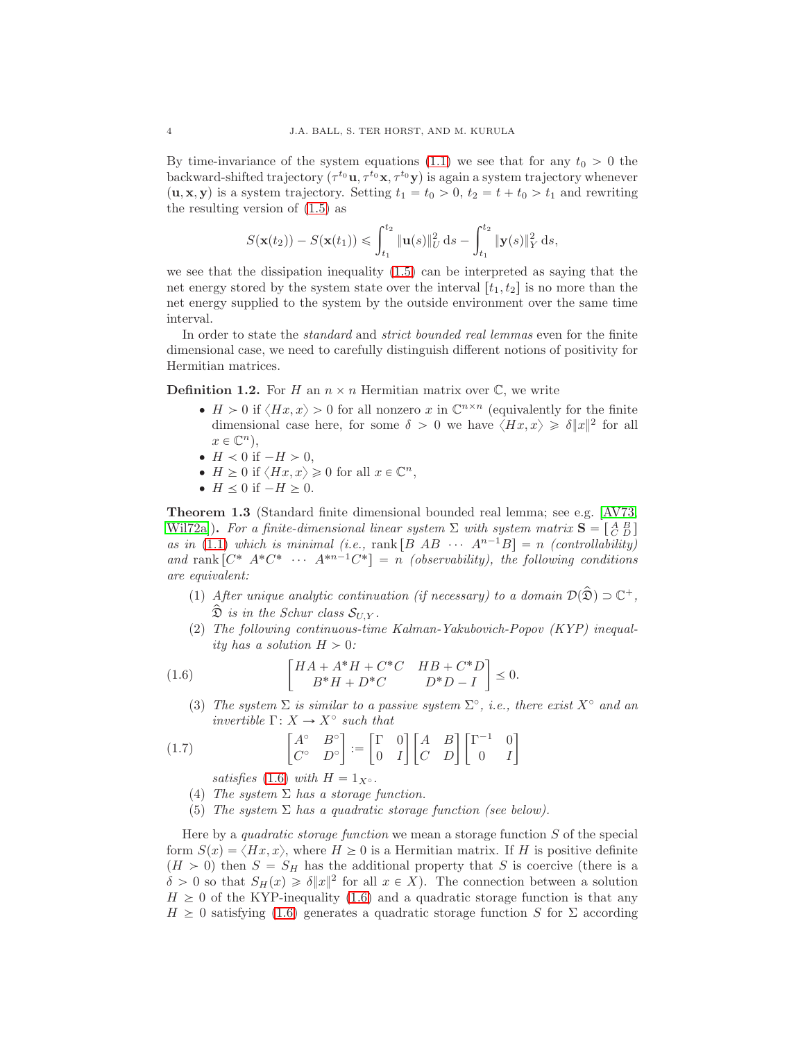By time-invariance of the system equations [\(1.1\)](#page-1-1) we see that for any  $t_0 > 0$  the backward-shifted trajectory  $(\tau^{t_0} \mathbf{u}, \tau^{t_0} \mathbf{x}, \tau^{t_0} \mathbf{y})$  is again a system trajectory whenever  $(\mathbf{u}, \mathbf{x}, \mathbf{y})$  is a system trajectory. Setting  $t_1 = t_0 > 0$ ,  $t_2 = t + t_0 > t_1$  and rewriting the resulting version of [\(1.5\)](#page-2-0) as

$$
S(\mathbf{x}(t_2)) - S(\mathbf{x}(t_1)) \leq \int_{t_1}^{t_2} \|\mathbf{u}(s)\|_{U}^{2} ds - \int_{t_1}^{t_2} \|\mathbf{y}(s)\|_{Y}^{2} ds,
$$

we see that the dissipation inequality [\(1.5\)](#page-2-0) can be interpreted as saying that the net energy stored by the system state over the interval  $[t_1, t_2]$  is no more than the net energy supplied to the system by the outside environment over the same time interval.

In order to state the standard and strict bounded real lemmas even for the finite dimensional case, we need to carefully distinguish different notions of positivity for Hermitian matrices.

<span id="page-3-2"></span>**Definition 1.2.** For H an  $n \times n$  Hermitian matrix over  $\mathbb{C}$ , we write

- $H > 0$  if  $\langle Hx, x \rangle > 0$  for all nonzero x in  $\mathbb{C}^{n \times n}$  (equivalently for the finite dimensional case here, for some  $\delta > 0$  we have  $\langle Hx, x \rangle \geq \delta ||x||^2$  for all  $x \in \mathbb{C}^n$ ,
- $\bullet$   $H \prec 0$  if  $-H \succ 0$ ,
- $H \geq 0$  if  $\langle Hx, x \rangle \geq 0$  for all  $x \in \mathbb{C}^n$ ,
- $H \leq 0$  if  $-H \geq 0$ .

Theorem 1.3 (Standard finite dimensional bounded real lemma; see e.g. [\[AV73,](#page-59-2) [Wil72a\]](#page-60-3)). For a finite-dimensional linear system  $\Sigma$  with system matrix  $\mathbf{S} = \begin{bmatrix} A & B \\ C & D \end{bmatrix}$ as in [\(1.1\)](#page-1-1) which is minimal (i.e., rank  $[B \ AB \ \cdots \ A^{n-1}B] = n$  (controllability) and rank  $\begin{bmatrix} C^* & A^*C^* & \cdots & A^{*n-1}C^* \end{bmatrix} = n$  (observability), the following conditions are equivalent:

- (1) After unique analytic continuation (if necessary) to a domain  $\mathcal{D}(\widehat{\mathfrak{D}}) \supset \mathbb{C}^+$ ,  $\widehat{\mathfrak{D}}$  is in the Schur class  $\mathcal{S}_{U,Y}$ .
- (2) The following continuous-time Kalman-Yakubovich-Popov (KYP) inequality has a solution  $H > 0$ :

(1.6) 
$$
\begin{bmatrix} H A + A^* H + C^* C & H B + C^* D \\ B^* H + D^* C & D^* D - I \end{bmatrix} \leq 0.
$$

<span id="page-3-0"></span>(3) The system  $\Sigma$  is similar to a passive system  $\Sigma^{\circ}$ , i.e., there exist  $X^{\circ}$  and an invertible  $\Gamma: X \to X^{\circ}$  such that

(1.7) 
$$
\begin{bmatrix} A^{\circ} & B^{\circ} \\ C^{\circ} & D^{\circ} \end{bmatrix} := \begin{bmatrix} \Gamma & 0 \\ 0 & I \end{bmatrix} \begin{bmatrix} A & B \\ C & D \end{bmatrix} \begin{bmatrix} \Gamma^{-1} & 0 \\ 0 & I \end{bmatrix}
$$

<span id="page-3-1"></span>satisfies [\(1.6\)](#page-3-0) with  $H = 1_{X^{\circ}}$ .

- (4) The system  $\Sigma$  has a storage function.
- (5) The system  $\Sigma$  has a quadratic storage function (see below).

Here by a *quadratic storage function* we mean a storage function S of the special form  $S(x) = \langle Hx, x \rangle$ , where  $H \geq 0$  is a Hermitian matrix. If H is positive definite  $(H > 0)$  then  $S = S_H$  has the additional property that S is coercive (there is a  $\delta > 0$  so that  $S_H(x) \geq \delta ||x||^2$  for all  $x \in X$ ). The connection between a solution  $H \geq 0$  of the KYP-inequality [\(1.6\)](#page-3-0) and a quadratic storage function is that any  $H \geq 0$  satisfying [\(1.6\)](#page-3-0) generates a quadratic storage function S for  $\Sigma$  according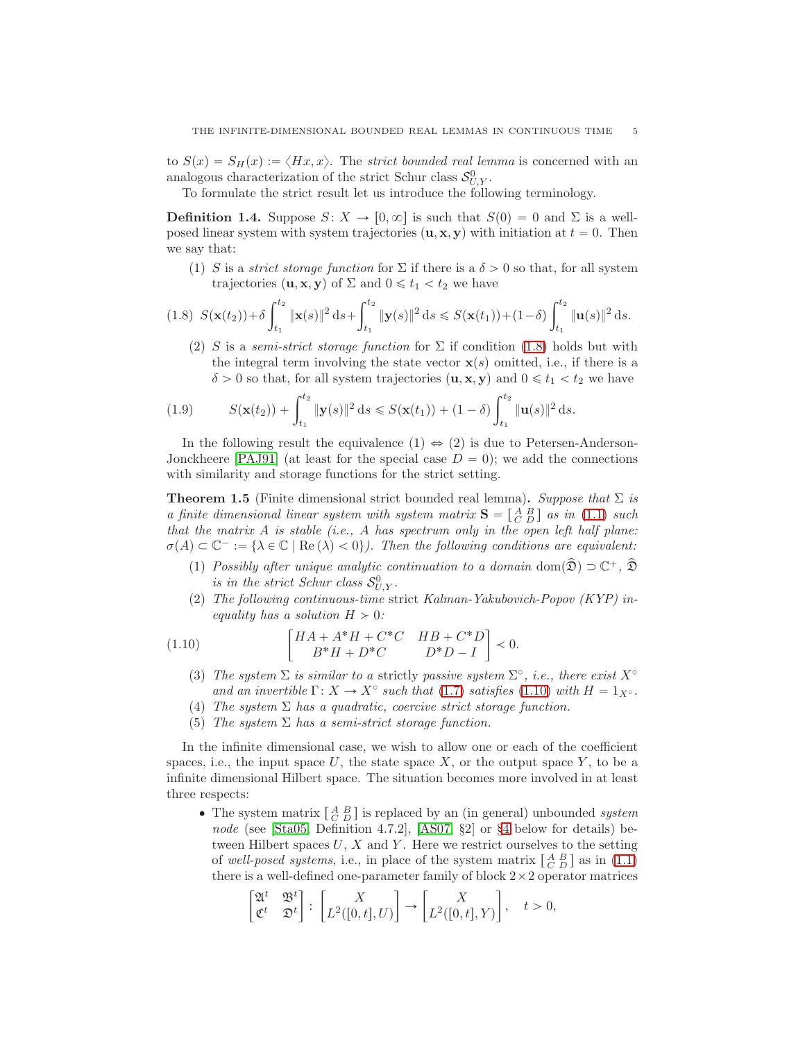to  $S(x) = S_H(x) := \langle Hx, x \rangle$ . The *strict bounded real lemma* is concerned with an analogous characterization of the strict Schur class  $\mathcal{S}_{U,Y}^0$ .

To formulate the strict result let us introduce the following terminology.

<span id="page-4-0"></span>**Definition 1.4.** Suppose  $S: X \to [0, \infty]$  is such that  $S(0) = 0$  and  $\Sigma$  is a wellposed linear system with system trajectories  $(\mathbf{u}, \mathbf{x}, \mathbf{y})$  with initiation at  $t = 0$ . Then we say that:

(1) S is a *strict storage function* for  $\Sigma$  if there is a  $\delta > 0$  so that, for all system trajectories  $(\mathbf{u}, \mathbf{x}, \mathbf{y})$  of  $\Sigma$  and  $0 \le t_1 < t_2$  we have

<span id="page-4-1"></span>
$$
(1.8) \ S(\mathbf{x}(t_2)) + \delta \int_{t_1}^{t_2} ||\mathbf{x}(s)||^2 \, ds + \int_{t_1}^{t_2} ||\mathbf{y}(s)||^2 \, ds \leq S(\mathbf{x}(t_1)) + (1 - \delta) \int_{t_1}^{t_2} ||\mathbf{u}(s)||^2 \, ds.
$$

(2) S is a semi-strict storage function for  $\Sigma$  if condition [\(1.8\)](#page-4-1) holds but with the integral term involving the state vector  $\mathbf{x}(s)$  omitted, i.e., if there is a  $\delta > 0$  so that, for all system trajectories  $(\mathbf{u}, \mathbf{x}, \mathbf{y})$  and  $0 \le t_1 < t_2$  we have

<span id="page-4-3"></span>(1.9) 
$$
S(\mathbf{x}(t_2)) + \int_{t_1}^{t_2} ||\mathbf{y}(s)||^2 ds \leq S(\mathbf{x}(t_1)) + (1 - \delta) \int_{t_1}^{t_2} ||\mathbf{u}(s)||^2 ds.
$$

In the following result the equivalence  $(1) \Leftrightarrow (2)$  is due to Petersen-Anderson-Jonckheere [\[PAJ91\]](#page-59-3) (at least for the special case  $D = 0$ ); we add the connections with similarity and storage functions for the strict setting.

**Theorem 1.5** (Finite dimensional strict bounded real lemma). Suppose that  $\Sigma$  is a finite dimensional linear system with system matrix  $S = \begin{bmatrix} A & B \\ C & D \end{bmatrix}$  as in [\(1.1\)](#page-1-1) such that the matrix  $A$  is stable (i.e.,  $A$  has spectrum only in the open left half plane:  $\sigma(A) \subset \mathbb{C}^- := \{ \lambda \in \mathbb{C} \mid \text{Re}(\lambda) < 0 \}.$  Then the following conditions are equivalent:

- (1) Possibly after unique analytic continuation to a domain dom $(\widehat{\mathfrak{D}}) \supset \mathbb{C}^+$ ,  $\widehat{\mathfrak{D}}$ is in the strict Schur class  $\mathcal{S}_{U,Y}^0$ .
- (2) The following continuous-time strict Kalman-Yakubovich-Popov (KYP) inequality has a solution  $H > 0$ :

(1.10) 
$$
\begin{bmatrix} H A + A^* H + C^* C & H B + C^* D \\ B^* H + D^* C & D^* D - I \end{bmatrix} \leq 0.
$$

- <span id="page-4-2"></span>(3) The system  $\Sigma$  is similar to a strictly passive system  $\Sigma^{\circ}$ , i.e., there exist  $X^{\circ}$ and an invertible  $\Gamma: X \to X^{\circ}$  such that [\(1.7\)](#page-3-1) satisfies [\(1.10\)](#page-4-2) with  $H = 1_{X^{\circ}}$ .
- (4) The system  $\Sigma$  has a quadratic, coercive strict storage function.
- (5) The system  $\Sigma$  has a semi-strict storage function.

In the infinite dimensional case, we wish to allow one or each of the coefficient spaces, i.e., the input space U, the state space X, or the output space Y, to be a infinite dimensional Hilbert space. The situation becomes more involved in at least three respects:

• The system matrix  $\begin{bmatrix} A & B \\ C & D \end{bmatrix}$  is replaced by an (in general) unbounded system node (see [\[Sta05,](#page-60-4) Definition [4](#page-25-0).7.2],  $[AS07, §2]$  or §4 below for details) between Hilbert spaces  $U, X$  and  $Y$ . Here we restrict ourselves to the setting of well-posed systems, i.e., in place of the system matrix  $\begin{bmatrix} A & B \\ C & D \end{bmatrix}$  as in [\(1.1\)](#page-1-1) there is a well-defined one-parameter family of block  $2\times 2$  operator matrices

$$
\begin{bmatrix} \mathfrak A^t & \mathfrak B^t \\ \mathfrak C^t & \mathfrak D^t \end{bmatrix} \colon \begin{bmatrix} X \\ L^2([0,t],U) \end{bmatrix} \to \begin{bmatrix} X \\ L^2([0,t],Y) \end{bmatrix}, \quad t > 0,
$$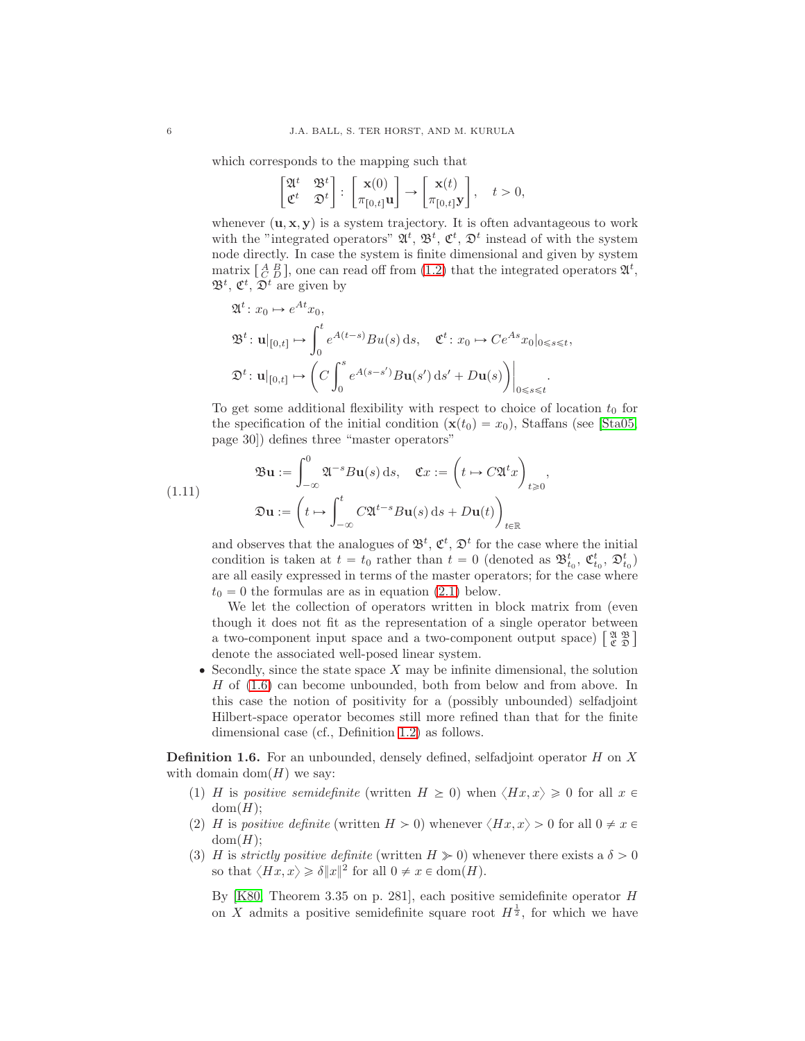which corresponds to the mapping such that

$$
\begin{bmatrix} \mathfrak A^t & \mathfrak B^t \\ \mathfrak C^t & \mathfrak D^t \end{bmatrix} \colon \begin{bmatrix} {\mathbf x}(0) \\ \pi_{[0,t]} {\mathbf u} \end{bmatrix} \to \begin{bmatrix} {\mathbf x}(t) \\ \pi_{[0,t]} {\mathbf y} \end{bmatrix}, \quad t > 0,
$$

whenever  $(\mathbf{u}, \mathbf{x}, \mathbf{y})$  is a system trajectory. It is often advantageous to work with the "integrated operators"  $\mathfrak{A}^t$ ,  $\mathfrak{B}^t$ ,  $\mathfrak{C}^t$ ,  $\mathfrak{D}^t$  instead of with the system node directly. In case the system is finite dimensional and given by system matrix  $\begin{bmatrix} A & B \\ C & D \end{bmatrix}$ , one can read off from [\(1.2\)](#page-1-2) that the integrated operators  $\mathfrak{A}^t$ ,  $\mathfrak{B}^t$ ,  $\mathfrak{C}^t$ ,  $\mathfrak{D}^t$  are given by

$$
\mathfrak{A}^{t}: x_{0} \mapsto e^{At}x_{0},
$$
  

$$
\mathfrak{B}^{t}: \mathbf{u}|_{[0,t]} \mapsto \int_{0}^{t} e^{A(t-s)}Bu(s) ds, \quad \mathfrak{C}^{t}: x_{0} \mapsto Ce^{As}x_{0}|_{0 \leq s \leq t},
$$
  

$$
\mathfrak{D}^{t}: \mathbf{u}|_{[0,t]} \mapsto \left(C \int_{0}^{s} e^{A(s-s')}Bu(s') ds' + Du(s)\right)|_{0 \leq s \leq t}.
$$

To get some additional flexibility with respect to choice of location  $t_0$  for the specification of the initial condition  $(\mathbf{x}(t_0) = x_0)$ , Staffans (see [\[Sta05,](#page-60-4) page 30]) defines three "master operators"

$$
\mathfrak{B}\mathbf{u} := \int_{-\infty}^{0} \mathfrak{A}^{-s} B\mathbf{u}(s) \, \mathrm{d}s, \quad \mathfrak{C}x := \left( t \mapsto C \mathfrak{A}^{t} x \right)_{t \geq 0},
$$
  
.11)  

$$
\mathfrak{D}\mathbf{u} := \left( t \mapsto \int_{-\infty}^{t} C \mathfrak{A}^{t-s} B\mathbf{u}(s) \, \mathrm{d}s + D\mathbf{u}(t) \right)_{t \in \mathbb{R}}
$$

<span id="page-5-0"></span>and observes that the analogues of  $\mathfrak{B}^t$ ,  $\mathfrak{C}^t$ ,  $\mathfrak{D}^t$  for the case where the initial condition is taken at  $t = t_0$  rather than  $t = 0$  (denoted as  $\mathfrak{B}_{t_0}^t$ ,  $\mathfrak{C}_{t_0}^t$ ,  $\mathfrak{D}_{t_0}^t$ ) are all easily expressed in terms of the master operators; for the case where  $t_0 = 0$  the formulas are as in equation [\(2.1\)](#page-14-0) below.

We let the collection of operators written in block matrix from (even though it does not fit as the representation of a single operator between a two-component input space and a two-component output space)  $\begin{bmatrix} \mathfrak{A} & \mathfrak{B} \\ \mathfrak{C} & \mathfrak{D} \end{bmatrix}$ denote the associated well-posed linear system.

 $\bullet$  Secondly, since the state space X may be infinite dimensional, the solution H of [\(1.6\)](#page-3-0) can become unbounded, both from below and from above. In this case the notion of positivity for a (possibly unbounded) selfadjoint Hilbert-space operator becomes still more refined than that for the finite dimensional case (cf., Definition [1.2\)](#page-3-2) as follows.

**Definition 1.6.** For an unbounded, densely defined, selfadjoint operator H on X with domain dom $(H)$  we say:

- (1) H is positive semidefinite (written  $H \geq 0$ ) when  $\langle Hx, x \rangle \geq 0$  for all  $x \in$  $dom(H)$ ;
- (2) H is positive definite (written  $H > 0$ ) whenever  $\langle Hx, x \rangle > 0$  for all  $0 \neq x \in$  $dom(H);$
- (3) H is strictly positive definite (written  $H \geq 0$ ) whenever there exists a  $\delta > 0$ so that  $\langle Hx, x \rangle \geq \delta ||x||^2$  for all  $0 \neq x \in \text{dom}(H)$ .

By [\[K80,](#page-59-5) Theorem 3.35 on p. 281], each positive semidefinite operator H on X admits a positive semidefinite square root  $H^{\frac{1}{2}}$ , for which we have

 $(1)$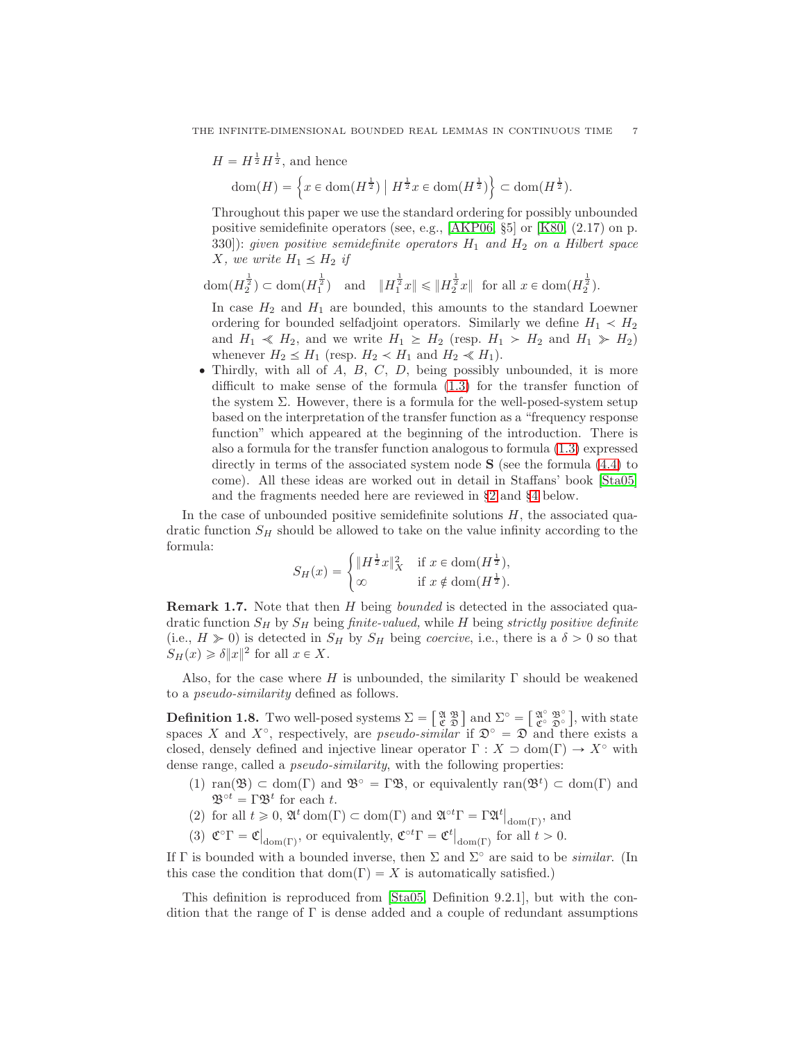$H = H^{\frac{1}{2}} H^{\frac{1}{2}}$ , and hence

$$
\text{dom}(H) = \left\{ x \in \text{dom}(H^{\frac{1}{2}}) \mid H^{\frac{1}{2}} x \in \text{dom}(H^{\frac{1}{2}}) \right\} \subset \text{dom}(H^{\frac{1}{2}}).
$$

Throughout this paper we use the standard ordering for possibly unbounded positive semidefinite operators (see, e.g., [\[AKP06,](#page-58-2) §5] or [\[K80,](#page-59-5) (2.17) on p. 330]): given positive semidefinite operators  $H_1$  and  $H_2$  on a Hilbert space X, we write  $H_1 \leq H_2$  if

 $\text{dom}(H_2^{\frac{1}{2}}) \subset \text{dom}(H_1^{\frac{1}{2}})$  and  $||H_1^{\frac{1}{2}}x|| \le ||H_2^{\frac{1}{2}}x||$  for all  $x \in \text{dom}(H_2^{\frac{1}{2}})$ .

In case  $H_2$  and  $H_1$  are bounded, this amounts to the standard Loewner ordering for bounded selfadjoint operators. Similarly we define  $H_1 \nless H_2$ and  $H_1 \ll H_2$ , and we write  $H_1 \geq H_2$  (resp.  $H_1 > H_2$  and  $H_1 \gg H_2$ ) whenever  $H_2 \leq H_1$  (resp.  $H_2 \prec H_1$  and  $H_2 \ll H_1$ ).

 $\bullet$  Thirdly, with all of A, B, C, D, being possibly unbounded, it is more difficult to make sense of the formula [\(1.3\)](#page-1-3) for the transfer function of the system  $\Sigma$ . However, there is a formula for the well-posed-system setup based on the interpretation of the transfer function as a "frequency response function" which appeared at the beginning of the introduction. There is also a formula for the transfer function analogous to formula [\(1.3\)](#page-1-3) expressed directly in terms of the associated system node  $S$  (see the formula  $(4.4)$  to come). All these ideas are worked out in detail in Staffans' book [\[Sta05\]](#page-60-4) and the fragments needed here are reviewed in §[2](#page-13-0) and §[4](#page-25-0) below.

In the case of unbounded positive semidefinite solutions  $H$ , the associated quadratic function  $S_H$  should be allowed to take on the value infinity according to the formula:

$$
S_H(x) = \begin{cases} \|H^{\frac{1}{2}}x\|_X^2 & \text{if } x \in \text{dom}(H^{\frac{1}{2}}), \\ \infty & \text{if } x \notin \text{dom}(H^{\frac{1}{2}}). \end{cases}
$$

<span id="page-6-1"></span>**Remark 1.7.** Note that then H being bounded is detected in the associated quadratic function  $S_H$  by  $S_H$  being finite-valued, while H being strictly positive definite (i.e.,  $H \gg 0$ ) is detected in  $S_H$  by  $S_H$  being *coercive*, i.e., there is a  $\delta > 0$  so that  $S_H(x) \geq \delta ||x||^2$  for all  $x \in X$ .

Also, for the case where H is unbounded, the similarity  $\Gamma$  should be weakened to a pseudo-similarity defined as follows.

<span id="page-6-0"></span>**Definition 1.8.** Two well-posed systems  $\Sigma = \begin{bmatrix} \mathfrak{A} & \mathfrak{B} \\ \mathfrak{C} & \mathfrak{D} \end{bmatrix}$  and  $\Sigma^{\circ} = \begin{bmatrix} \mathfrak{A}^{\circ} & \mathfrak{B}^{\circ} \\ \mathfrak{C}^{\circ} & \mathfrak{D}^{\circ} \end{bmatrix}$ , with state spaces X and  $X^{\circ}$ , respectively, are *pseudo-similar* if  $\mathfrak{D}^{\circ} = \mathfrak{D}$  and there exists a closed, densely defined and injective linear operator  $\Gamma : X \supset \text{dom}(\Gamma) \to X^{\circ}$  with dense range, called a *pseudo-similarity*, with the following properties:

- (1) ran( $\mathfrak{B}$ )  $\subset$  dom( $\Gamma$ ) and  $\mathfrak{B}^{\circ} = \Gamma \mathfrak{B}$ , or equivalently ran( $\mathfrak{B}^t$ )  $\subset$  dom( $\Gamma$ ) and  $\mathfrak{B}^{\circ t} = \Gamma \mathfrak{B}^t$  for each t.
- (2) for all  $t \geq 0$ ,  $\mathfrak{A}^t$  dom $(\Gamma) \subset \text{dom}(\Gamma)$  and  $\mathfrak{A}^{\circ t}\Gamma = \Gamma \mathfrak{A}^t \big|_{\text{dom}(\Gamma)}$ , and
- (3)  $\mathfrak{C}^{\circ}\Gamma = \mathfrak{C}\big|_{\text{dom}(\Gamma)}$ , or equivalently,  $\mathfrak{C}^{\circ t}\Gamma = \mathfrak{C}^{t}\big|_{\text{dom}(\Gamma)}$  for all  $t > 0$ .

If  $\Gamma$  is bounded with a bounded inverse, then  $\Sigma$  and  $\Sigma^{\circ}$  are said to be *similar*. (In this case the condition that  $dom(\Gamma) = X$  is automatically satisfied.)

This definition is reproduced from [\[Sta05,](#page-60-4) Definition 9.2.1], but with the condition that the range of  $\Gamma$  is dense added and a couple of redundant assumptions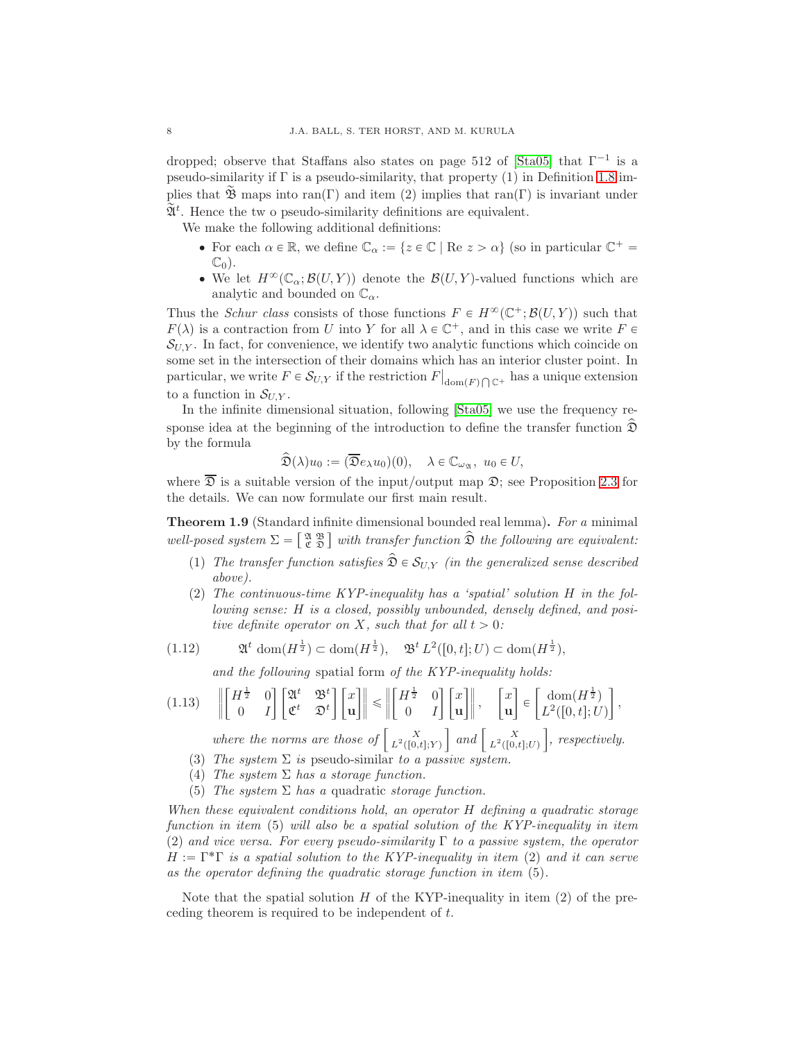dropped; observe that Staffans also states on page 512 of [\[Sta05\]](#page-60-4) that  $\Gamma^{-1}$  is a pseudo-similarity if  $\Gamma$  is a pseudo-similarity, that property (1) in Definition [1.8](#page-6-0) implies that  $\mathfrak{B}$  maps into ran(Γ) and item (2) implies that ran(Γ) is invariant under  $\widetilde{\mathfrak{A}}^t$ . Hence the two pseudo-similarity definitions are equivalent.

We make the following additional definitions:

- For each  $\alpha \in \mathbb{R}$ , we define  $\mathbb{C}_{\alpha} := \{z \in \mathbb{C} \mid \text{Re } z > \alpha\}$  (so in particular  $\mathbb{C}^+$  =  $\mathbb{C}_0$ ).
- We let  $H^{\infty}(\mathbb{C}_{\alpha}; \mathcal{B}(U, Y))$  denote the  $\mathcal{B}(U, Y)$ -valued functions which are analytic and bounded on  $\mathbb{C}_{\alpha}$ .

Thus the Schur class consists of those functions  $F \in H^{\infty}(\mathbb{C}^+;\mathcal{B}(U,Y))$  such that  $F(\lambda)$  is a contraction from U into Y for all  $\lambda \in \mathbb{C}^+$ , and in this case we write  $F \in$  $\mathcal{S}_{U,Y}$ . In fact, for convenience, we identify two analytic functions which coincide on some set in the intersection of their domains which has an interior cluster point. In particular, we write  $F \in \mathcal{S}_{U,Y}$  if the restriction  $F|_{\text{dom}(F) \bigcap \mathbb{C}^+}$  has a unique extension to a function in  $S_{U,Y}$ .

In the infinite dimensional situation, following [\[Sta05\]](#page-60-4) we use the frequency response idea at the beginning of the introduction to define the transfer function  $\mathfrak{D}$ by the formula

$$
\widehat{\mathfrak{D}}(\lambda)u_0 := (\overline{\mathfrak{D}}e_{\lambda}u_0)(0), \quad \lambda \in \mathbb{C}_{\omega_{\mathfrak{A}}}, \ u_0 \in U,
$$

where  $\overline{D}$  is a suitable version of the input/output map  $\overline{D}$ ; see Proposition [2.3](#page-16-0) for the details. We can now formulate our first main result.

<span id="page-7-0"></span>Theorem 1.9 (Standard infinite dimensional bounded real lemma). For a minimal well-posed system  $\Sigma = \begin{bmatrix} \mathfrak{A} & \mathfrak{B} \\ \mathfrak{C} & \mathfrak{D} \end{bmatrix}$  with transfer function  $\widehat{\mathfrak{D}}$  the following are equivalent:

- (1) The transfer function satisfies  $\widehat{\mathfrak{D}} \in \mathcal{S}_{U,Y}$  (in the generalized sense described above).
- (2) The continuous-time KYP-inequality has a 'spatial' solution H in the following sense: H is a closed, possibly unbounded, densely defined, and positive definite operator on X, such that for all  $t > 0$ :

(1.12) 
$$
\mathfrak{A}^t \text{ dom}(H^{\frac{1}{2}}) \subset \text{dom}(H^{\frac{1}{2}}), \quad \mathfrak{B}^t L^2([0,t];U) \subset \text{dom}(H^{\frac{1}{2}}),
$$

<span id="page-7-2"></span><span id="page-7-1"></span>and the following spatial form of the KYP-inequality holds:

$$
(1.13) \quad \left\| \begin{bmatrix} H^{\frac{1}{2}} & 0 \\ 0 & I \end{bmatrix} \begin{bmatrix} \mathfrak{A}^{t} & \mathfrak{B}^{t} \\ \mathfrak{C}^{t} & \mathfrak{D}^{t} \end{bmatrix} \begin{bmatrix} x \\ \mathbf{u} \end{bmatrix} \right\| \leq \left\| \begin{bmatrix} H^{\frac{1}{2}} & 0 \\ 0 & I \end{bmatrix} \begin{bmatrix} x \\ \mathbf{u} \end{bmatrix} \right\|, \quad \left[ \begin{bmatrix} x \\ \mathbf{u} \end{bmatrix} \in \begin{bmatrix} \text{dom}(H^{\frac{1}{2}}) \\ L^{2}([0, t]; U) \end{bmatrix},
$$

where the norms are those of  $\begin{bmatrix} X \\ L^2([0,t];Y) \end{bmatrix}$  and  $\begin{bmatrix} X \\ L^2([0,t];U) \end{bmatrix}$ , respectively.

- (3) The system  $\Sigma$  is pseudo-similar to a passive system.
- (4) The system  $\Sigma$  has a storage function.
- (5) The system  $\Sigma$  has a quadratic storage function.

When these equivalent conditions hold, an operator H defining a quadratic storage function in item (5) will also be a spatial solution of the KYP-inequality in item (2) and vice versa. For every pseudo-similarity  $\Gamma$  to a passive system, the operator  $H := \Gamma^* \Gamma$  is a spatial solution to the KYP-inequality in item (2) and it can serve as the operator defining the quadratic storage function in item (5).

Note that the spatial solution  $H$  of the KYP-inequality in item (2) of the preceding theorem is required to be independent of t.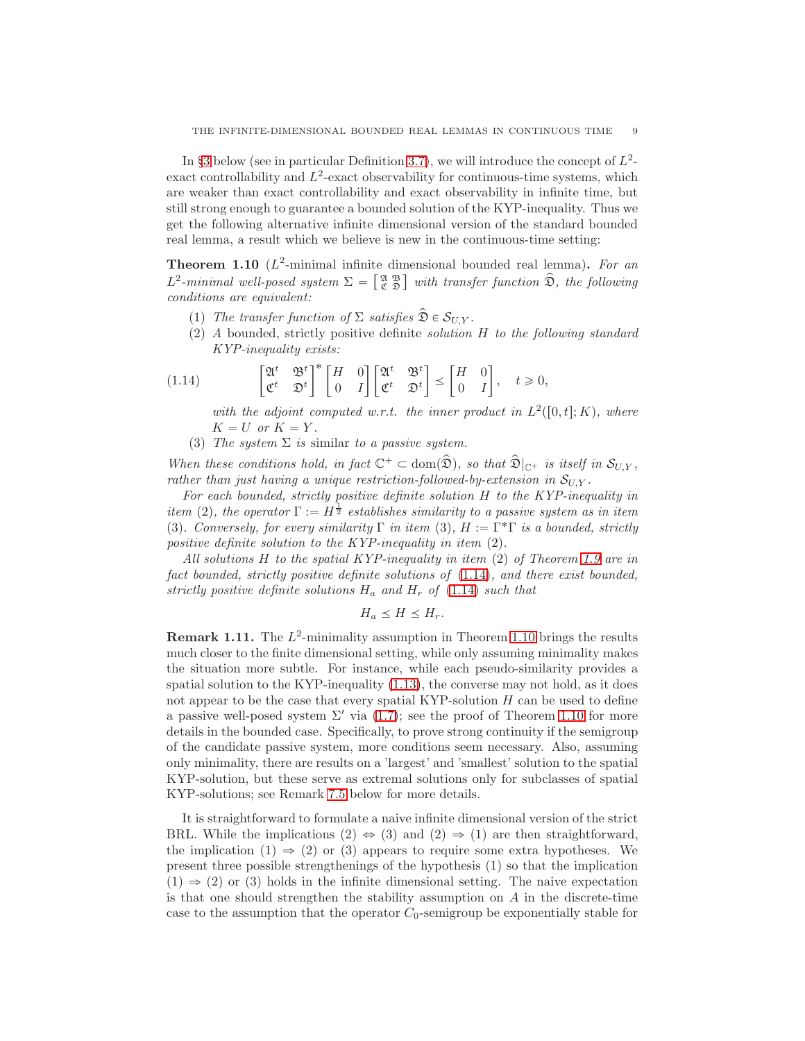In §[3](#page-19-0) below (see in particular Definition [3.7\)](#page-24-0), we will introduce the concept of  $L^2$ exact controllability and  $L^2$ -exact observability for continuous-time systems, which are weaker than exact controllability and exact observability in infinite time, but still strong enough to guarantee a bounded solution of the KYP-inequality. Thus we get the following alternative infinite dimensional version of the standard bounded real lemma, a result which we believe is new in the continuous-time setting:

<span id="page-8-1"></span>**Theorem 1.10** ( $L^2$ -minimal infinite dimensional bounded real lemma). For an  $L^2$ -minimal well-posed system  $\Sigma = \begin{bmatrix} \mathfrak{A} & \mathfrak{B} \\ \mathfrak{C} & \mathfrak{D} \end{bmatrix}$  with transfer function  $\widehat{\mathfrak{D}}$ , the following conditions are equivalent:

- (1) The transfer function of  $\Sigma$  satisfies  $\widehat{\mathfrak{D}} \in \mathcal{S}_{U,Y}$ .
- (2) A bounded, strictly positive definite solution H to the following standard KYP-inequality exists:

(1.14) 
$$
\begin{bmatrix} \mathfrak{A}^t & \mathfrak{B}^t \\ \mathfrak{C}^t & \mathfrak{D}^t \end{bmatrix}^* \begin{bmatrix} H & 0 \\ 0 & I \end{bmatrix} \begin{bmatrix} \mathfrak{A}^t & \mathfrak{B}^t \\ \mathfrak{C}^t & \mathfrak{D}^t \end{bmatrix} \preceq \begin{bmatrix} H & 0 \\ 0 & I \end{bmatrix}, \quad t \ge 0,
$$

<span id="page-8-0"></span>with the adjoint computed w.r.t. the inner product in  $L^2([0,t];K)$ , where  $K = U$  or  $K = Y$ .

(3) The system  $\Sigma$  is similar to a passive system.

When these conditions hold, in fact  $\mathbb{C}^+ \subset \text{dom}(\widehat{\mathfrak{D}})$ , so that  $\widehat{\mathfrak{D}}|_{\mathbb{C}^+}$  is itself in  $\mathcal{S}_{U,Y}$ , rather than just having a unique restriction-followed-by-extension in  $S_{UX}$ .

For each bounded, strictly positive definite solution H to the KYP-inequality in item (2), the operator  $\Gamma := H^{\frac{1}{2}}$  establishes similarity to a passive system as in item (3). Conversely, for every similarity  $\Gamma$  in item (3),  $H := \Gamma^* \Gamma$  is a bounded, strictly positive definite solution to the KYP-inequality in item (2).

All solutions H to the spatial KYP-inequality in item (2) of Theorem [1.9](#page-7-0) are in fact bounded, strictly positive definite solutions of  $(1.14)$ , and there exist bounded, strictly positive definite solutions  $H_a$  and  $H_r$  of [\(1.14\)](#page-8-0) such that

$$
H_a\preceq H\preceq H_r.
$$

**Remark 1.11.** The  $L^2$ -minimality assumption in Theorem [1.10](#page-8-1) brings the results much closer to the finite dimensional setting, while only assuming minimality makes the situation more subtle. For instance, while each pseudo-similarity provides a spatial solution to the KYP-inequality [\(1.13\)](#page-7-1), the converse may not hold, as it does not appear to be the case that every spatial KYP-solution  $H$  can be used to define a passive well-posed system  $\Sigma'$  via [\(1.7\)](#page-3-1); see the proof of Theorem [1.10](#page-8-1) for more details in the bounded case. Specifically, to prove strong continuity if the semigroup of the candidate passive system, more conditions seem necessary. Also, assuming only minimality, there are results on a 'largest' and 'smallest' solution to the spatial KYP-solution, but these serve as extremal solutions only for subclasses of spatial KYP-solutions; see Remark [7.5](#page-47-0) below for more details.

It is straightforward to formulate a naive infinite dimensional version of the strict BRL. While the implications (2)  $\Leftrightarrow$  (3) and (2)  $\Rightarrow$  (1) are then straightforward, the implication  $(1) \Rightarrow (2)$  or  $(3)$  appears to require some extra hypotheses. We present three possible strengthenings of the hypothesis (1) so that the implication  $(1) \Rightarrow (2)$  or  $(3)$  holds in the infinite dimensional setting. The naive expectation is that one should strengthen the stability assumption on A in the discrete-time case to the assumption that the operator  $C_0$ -semigroup be exponentially stable for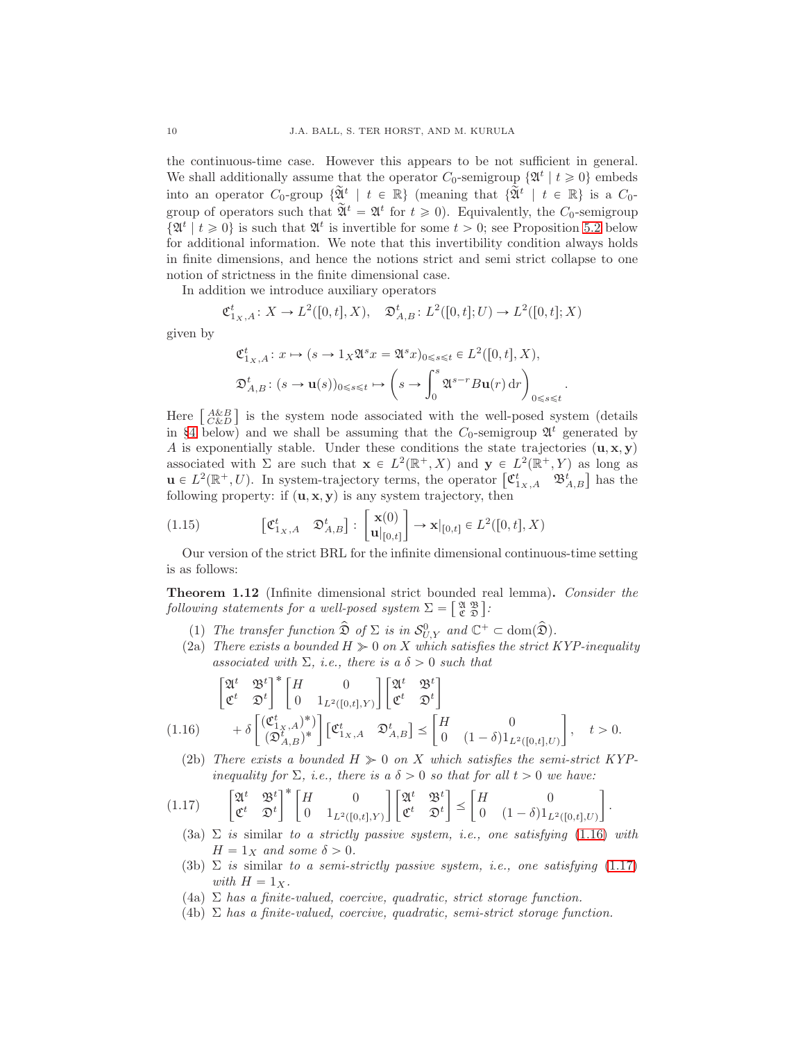the continuous-time case. However this appears to be not sufficient in general. We shall additionally assume that the operator  $C_0$ -semigroup  $\{\mathfrak{A}^t \mid t \geq 0\}$  embeds into an operator  $C_0$ -group  $\{\widetilde{\mathfrak{A}}^t \mid t \in \mathbb{R}\}$  (meaning that  $\{\widetilde{\mathfrak{A}}^t \mid t \in \mathbb{R}\}$  is a  $C_0$ group of operators such that  $\tilde{\mathfrak{A}}^t = \mathfrak{A}^t$  for  $t \geq 0$ . Equivalently, the  $C_0$ -semigroup  $\{\mathfrak{A}^t \mid t \geq 0\}$  is such that  $\mathfrak{A}^t$  is invertible for some  $t > 0$ ; see Proposition [5.2](#page-31-0) below for additional information. We note that this invertibility condition always holds in finite dimensions, and hence the notions strict and semi strict collapse to one notion of strictness in the finite dimensional case.

In addition we introduce auxiliary operators

$$
\mathfrak{C}_{1_X,A}^t \colon X \to L^2([0,t],X), \quad \mathfrak{D}_{A,B}^t \colon L^2([0,t];U) \to L^2([0,t];X)
$$

given by

$$
\mathfrak{C}^t_{1_X,A}: x \mapsto (s \to 1_X \mathfrak{A}^s x = \mathfrak{A}^s x)_{0 \le s \le t} \in L^2([0,t],X),
$$
  

$$
\mathfrak{D}^t_{A,B}: (s \to \mathbf{u}(s))_{0 \le s \le t} \mapsto \left(s \to \int_0^s \mathfrak{A}^{s-r} B\mathbf{u}(r) dr\right)_{0 \le s \le t}
$$

.

Here  $\begin{bmatrix} A\& B \\ C\& D \end{bmatrix}$  is the system node associated with the well-posed system (details in §[4](#page-25-0) below) and we shall be assuming that the  $C_0$ -semigroup  $\mathfrak{A}^t$  generated by A is exponentially stable. Under these conditions the state trajectories  $(\mathbf{u}, \mathbf{x}, \mathbf{y})$ associated with  $\Sigma$  are such that  $\mathbf{x} \in L^2(\mathbb{R}^+, X)$  and  $\mathbf{y} \in L^2(\mathbb{R}^+, Y)$  as long as  $\mathbf{u} \in L^2(\mathbb{R}^+, U)$ . In system-trajectory terms, the operator  $\left[\mathfrak{C}^t_{1_X, A} \quad \mathfrak{B}^t_{A,B}\right]$  has the following property: if  $(\mathbf{u}, \mathbf{x}, \mathbf{y})$  is any system trajectory, then

<span id="page-9-3"></span>(1.15) 
$$
\begin{bmatrix} \mathfrak{C}^t_{1_X,A} & \mathfrak{D}^t_{A,B} \end{bmatrix} : \begin{bmatrix} \mathbf{x}(0) \\ \mathbf{u}|_{[0,t]} \end{bmatrix} \to \mathbf{x}|_{[0,t]} \in L^2([0,t],X)
$$

Our version of the strict BRL for the infinite dimensional continuous-time setting is as follows:

<span id="page-9-2"></span>Theorem 1.12 (Infinite dimensional strict bounded real lemma). Consider the following statements for a well-posed system  $\Sigma = \begin{bmatrix} \mathfrak{A} & \mathfrak{B} \\ \mathfrak{C} & \mathfrak{D} \end{bmatrix}$ :

- (1) The transfer function  $\widehat{\mathfrak{D}}$  of  $\Sigma$  is in  $\mathcal{S}_{U,Y}^0$  and  $\mathbb{C}^+ \subset \text{dom}(\widehat{\mathfrak{D}})$ .
- (2a) There exists a bounded  $H \gg 0$  on X which satisfies the strict KYP-inequality associated with  $\Sigma$ , i.e., there is a  $\delta > 0$  such that

$$
\begin{bmatrix} \mathfrak{A}^t & \mathfrak{B}^t \\ \mathfrak{C}^t & \mathfrak{D}^t \end{bmatrix}^* \begin{bmatrix} H & 0 \\ 0 & 1_{L^2([0,t],Y)} \end{bmatrix} \begin{bmatrix} \mathfrak{A}^t & \mathfrak{B}^t \\ \mathfrak{C}^t & \mathfrak{D}^t \end{bmatrix}
$$
  
(1.16) 
$$
+ \delta \begin{bmatrix} (\mathfrak{C}^t_{1x,A})^* \\ (\mathfrak{D}^t_{A,B})^* \end{bmatrix} \begin{bmatrix} \mathfrak{C}^t_{1x,A} & \mathfrak{D}^t_{A,B} \end{bmatrix} \leq \begin{bmatrix} H & 0 \\ 0 & (1-\delta)1_{L^2([0,t],U)} \end{bmatrix}, \quad t > 0.
$$

<span id="page-9-0"></span>(2b) There exists a bounded  $H \geq 0$  on X which satisfies the semi-strict KYPinequality for  $\Sigma$ , i.e., there is a  $\delta > 0$  so that for all  $t > 0$  we have:

<span id="page-9-1"></span>
$$
(1.17) \qquad \begin{bmatrix} \mathfrak{A}^t & \mathfrak{B}^t \\ \mathfrak{C}^t & \mathfrak{D}^t \end{bmatrix}^* \begin{bmatrix} H & 0 \\ 0 & 1_{L^2([0,t],Y)} \end{bmatrix} \begin{bmatrix} \mathfrak{A}^t & \mathfrak{B}^t \\ \mathfrak{C}^t & \mathfrak{D}^t \end{bmatrix} \preceq \begin{bmatrix} H & 0 \\ 0 & (1-\delta)1_{L^2([0,t],U)} \end{bmatrix}.
$$

- (3a)  $\Sigma$  is similar to a strictly passive system, i.e., one satisfying [\(1.16\)](#page-9-0) with  $H = 1_X$  and some  $\delta > 0$ .
- (3b)  $\Sigma$  is similar to a semi-strictly passive system, i.e., one satisfying [\(1.17\)](#page-9-1) with  $H = 1_X$ .
- (4a)  $\Sigma$  has a finite-valued, coercive, quadratic, strict storage function.
- (4b)  $\Sigma$  has a finite-valued, coercive, quadratic, semi-strict storage function.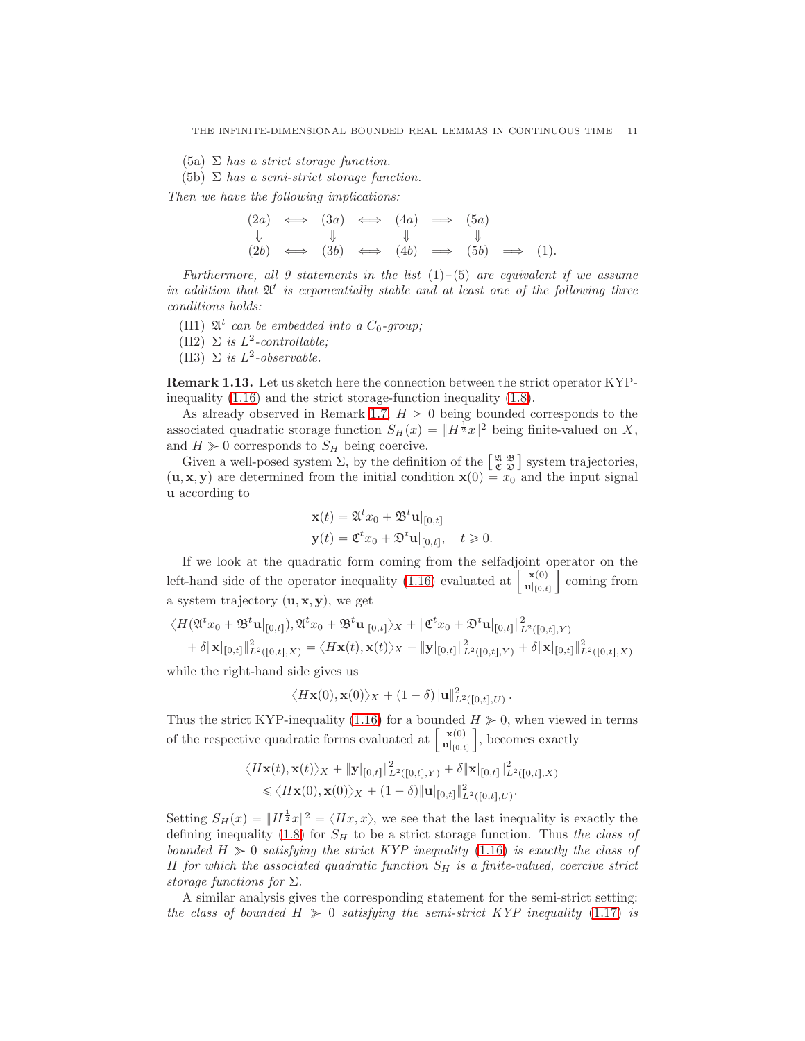- (5a)  $\Sigma$  has a strict storage function.
- (5b)  $\Sigma$  has a semi-strict storage function.

Then we have the following implications:

$$
(2a) \iff (3a) \iff (4a) \implies (5a)
$$
  
\n
$$
\downarrow \qquad \downarrow \qquad \downarrow \qquad \downarrow
$$
  
\n
$$
(2b) \iff (3b) \iff (4b) \implies (5b) \implies (1).
$$

Furthermore, all 9 statements in the list  $(1)$ – $(5)$  are equivalent if we assume in addition that  $\mathfrak{A}^t$  is exponentially stable and at least one of the following three conditions holds:

- (H1)  $\mathfrak{A}^t$  can be embedded into a  $C_0$ -group;
- (H2)  $\Sigma$  is  $L^2$ -controllable;
- (H3)  $\Sigma$  is  $L^2$ -observable.

<span id="page-10-0"></span>Remark 1.13. Let us sketch here the connection between the strict operator KYPinequality [\(1.16\)](#page-9-0) and the strict storage-function inequality [\(1.8\)](#page-4-1).

As already observed in Remark [1.7,](#page-6-1)  $H \geq 0$  being bounded corresponds to the associated quadratic storage function  $S_H(x) = ||H^{\frac{1}{2}}x||^2$  being finite-valued on X, and  $H \gg 0$  corresponds to  $S_H$  being coercive.

Given a well-posed system  $\Sigma$ , by the definition of the  $\begin{bmatrix} \mathfrak{A} & \mathfrak{B} \\ \mathfrak{C} & \mathfrak{D} \end{bmatrix}$  system trajectories,  $(\mathbf{u}, \mathbf{x}, \mathbf{y})$  are determined from the initial condition  $\mathbf{x}(0) = x_0$  and the input signal u according to

$$
\mathbf{x}(t) = \mathfrak{A}^t x_0 + \mathfrak{B}^t \mathbf{u}|_{[0,t]}
$$
  

$$
\mathbf{y}(t) = \mathfrak{C}^t x_0 + \mathfrak{D}^t \mathbf{u}|_{[0,t]}, \quad t \ge 0.
$$

If we look at the quadratic form coming from the selfadjoint operator on the left-hand side of the operator inequality [\(1.16\)](#page-9-0) evaluated at  $\int_{\text{m}}^{x(0)}$  $\mathbf{u}|_{\left[0,t\right]}$ ı coming from a system trajectory  $(\mathbf{u}, \mathbf{x}, \mathbf{y})$ , we get

$$
\langle H(\mathfrak{A}^{t}x_{0}+\mathfrak{B}^{t}\mathbf{u}|_{[0,t]}),\mathfrak{A}^{t}x_{0}+\mathfrak{B}^{t}\mathbf{u}|_{[0,t]}\rangle_{X}+\|\mathfrak{C}^{t}x_{0}+\mathfrak{D}^{t}\mathbf{u}|_{[0,t]}\|_{L^{2}([0,t],Y)}^{2} + \delta\|\mathbf{x}|_{[0,t]}\|_{L^{2}([0,t],X)}^{2}=\langle H\mathbf{x}(t),\mathbf{x}(t)\rangle_{X}+\|\mathbf{y}|_{[0,t]}\|_{L^{2}([0,t],Y)}^{2}+\delta\|\mathbf{x}|_{[0,t]}\|_{L^{2}([0,t],X)}^{2}
$$

while the right-hand side gives us

$$
\langle H\mathbf{x}(0),\mathbf{x}(0)\rangle_X+(1-\delta)\|\mathbf{u}\|_{L^2([0,t],U)}^2.
$$

Thus the strict KYP-inequality [\(1.16\)](#page-9-0) for a bounded  $H \gg 0$ , when viewed in terms of the respective quadratic forms evaluated at  $\begin{bmatrix} \mathbf{x}^{(0)} \\ \mathbf{u} \end{bmatrix}$  $\mathbf{u}|_{\left[0,t\right]}$ ı , becomes exactly

$$
\langle H\mathbf{x}(t), \mathbf{x}(t) \rangle_X + \|\mathbf{y}\|_{[0,t]} \|^2_{L^2([0,t],Y)} + \delta \|\mathbf{x}\|_{[0,t]} \|^2_{L^2([0,t],X)}
$$
  

$$
\leq \langle H\mathbf{x}(0), \mathbf{x}(0) \rangle_X + (1-\delta) \|\mathbf{u}\|_{[0,t]} \|^2_{L^2([0,t],U)}.
$$

Setting  $S_H(x) = ||H^{\frac{1}{2}}x||^2 = \langle Hx, x\rangle$ , we see that the last inequality is exactly the defining inequality [\(1.8\)](#page-4-1) for  $S_H$  to be a strict storage function. Thus the class of bounded  $H \geq 0$  satisfying the strict KYP inequality [\(1.16\)](#page-9-0) is exactly the class of H for which the associated quadratic function  $S_H$  is a finite-valued, coercive strict storage functions for  $\Sigma$ .

A similar analysis gives the corresponding statement for the semi-strict setting: the class of bounded  $H \gg 0$  satisfying the semi-strict KYP inequality [\(1.17\)](#page-9-1) is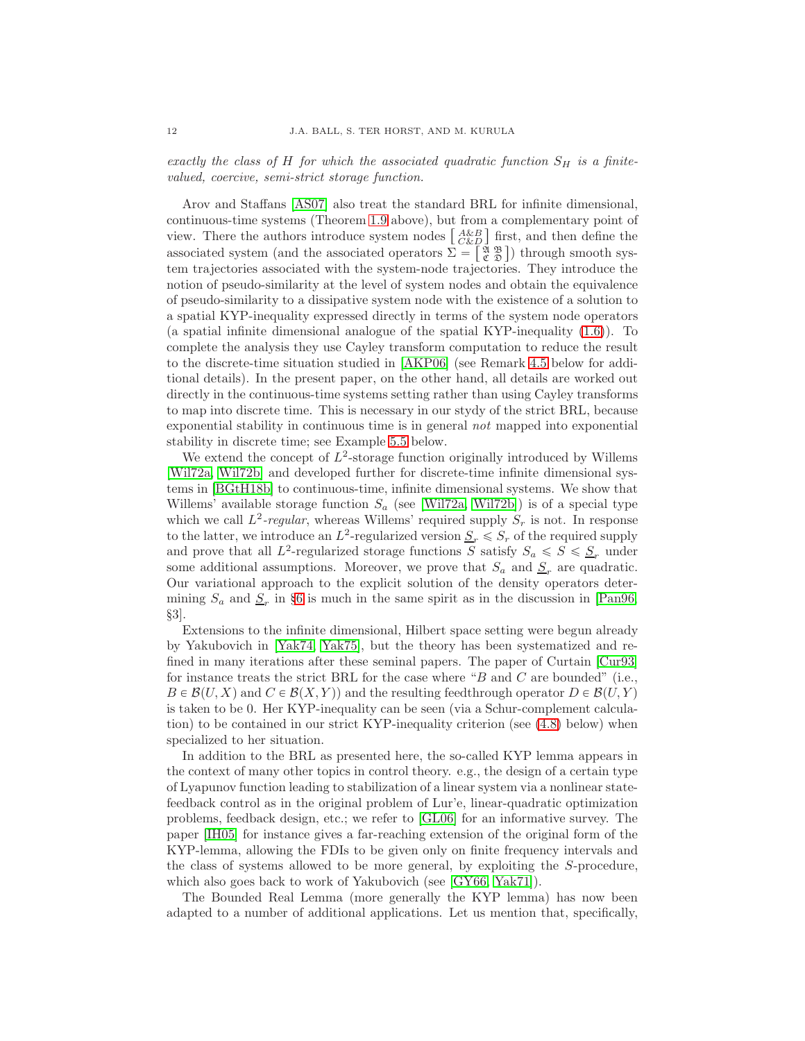exactly the class of H for which the associated quadratic function  $S_H$  is a finitevalued, coercive, semi-strict storage function.

Arov and Staffans [\[AS07\]](#page-59-4) also treat the standard BRL for infinite dimensional, continuous-time systems (Theorem [1.9](#page-7-0) above), but from a complementary point of view. There the authors introduce system nodes  $\begin{bmatrix} A\&B \\ C\&D \end{bmatrix}$  first, and then define the associated system (and the associated operators  $\Sigma = \begin{bmatrix} \frac{\alpha}{2} & \frac{\alpha}{2} \\ \frac{\alpha}{2} & \frac{\alpha}{2} \end{bmatrix}$ ) through smooth system trajectories associated with the system-node trajectories. They introduce the notion of pseudo-similarity at the level of system nodes and obtain the equivalence of pseudo-similarity to a dissipative system node with the existence of a solution to a spatial KYP-inequality expressed directly in terms of the system node operators (a spatial infinite dimensional analogue of the spatial KYP-inequality [\(1.6\)](#page-3-0)). To complete the analysis they use Cayley transform computation to reduce the result to the discrete-time situation studied in [\[AKP06\]](#page-58-2) (see Remark [4.5](#page-30-1) below for additional details). In the present paper, on the other hand, all details are worked out directly in the continuous-time systems setting rather than using Cayley transforms to map into discrete time. This is necessary in our stydy of the strict BRL, because exponential stability in continuous time is in general not mapped into exponential stability in discrete time; see Example [5.5](#page-33-0) below.

We extend the concept of  $L^2$ -storage function originally introduced by Willems [\[Wil72a,](#page-60-3) [Wil72b\]](#page-60-5) and developed further for discrete-time infinite dimensional systems in [\[BGtH18b\]](#page-59-6) to continuous-time, infinite dimensional systems. We show that Willems' available storage function  $S_a$  (see [\[Wil72a,](#page-60-3) [Wil72b\]](#page-60-5)) is of a special type which we call  $L^2$ -regular, whereas Willems' required supply  $S_r$  is not. In response to the latter, we introduce an  $L^2$ -regularized version  $S_r \leq S_r$  of the required supply and prove that all  $L^2$ -regularized storage functions S satisfy  $S_a \leq S \leq S_r$  under some additional assumptions. Moreover, we prove that  $S_a$  and  $S_r$  are quadratic. Our variational approach to the explicit solution of the density operators determining  $S_a$  and  $S_r$  in §[6](#page-35-0) is much in the same spirit as in the discussion in [\[Pan96,](#page-59-7) §3].

Extensions to the infinite dimensional, Hilbert space setting were begun already by Yakubovich in [\[Yak74,](#page-60-6) [Yak75\]](#page-60-7), but the theory has been systematized and refined in many iterations after these seminal papers. The paper of Curtain [\[Cur93\]](#page-59-8) for instance treats the strict BRL for the case where "B and C are bounded" (i.e.,  $B \in \mathcal{B}(U, X)$  and  $C \in \mathcal{B}(X, Y)$  and the resulting feedthrough operator  $D \in \mathcal{B}(U, Y)$ is taken to be 0. Her KYP-inequality can be seen (via a Schur-complement calculation) to be contained in our strict KYP-inequality criterion (see [\(4.8\)](#page-29-0) below) when specialized to her situation.

In addition to the BRL as presented here, the so-called KYP lemma appears in the context of many other topics in control theory. e.g., the design of a certain type of Lyapunov function leading to stabilization of a linear system via a nonlinear statefeedback control as in the original problem of Lur'e, linear-quadratic optimization problems, feedback design, etc.; we refer to [\[GL06\]](#page-59-9) for an informative survey. The paper [\[IH05\]](#page-59-10) for instance gives a far-reaching extension of the original form of the KYP-lemma, allowing the FDIs to be given only on finite frequency intervals and the class of systems allowed to be more general, by exploiting the S-procedure, which also goes back to work of Yakubovich (see [\[GY66,](#page-59-11) [Yak71\]](#page-60-8)).

The Bounded Real Lemma (more generally the KYP lemma) has now been adapted to a number of additional applications. Let us mention that, specifically,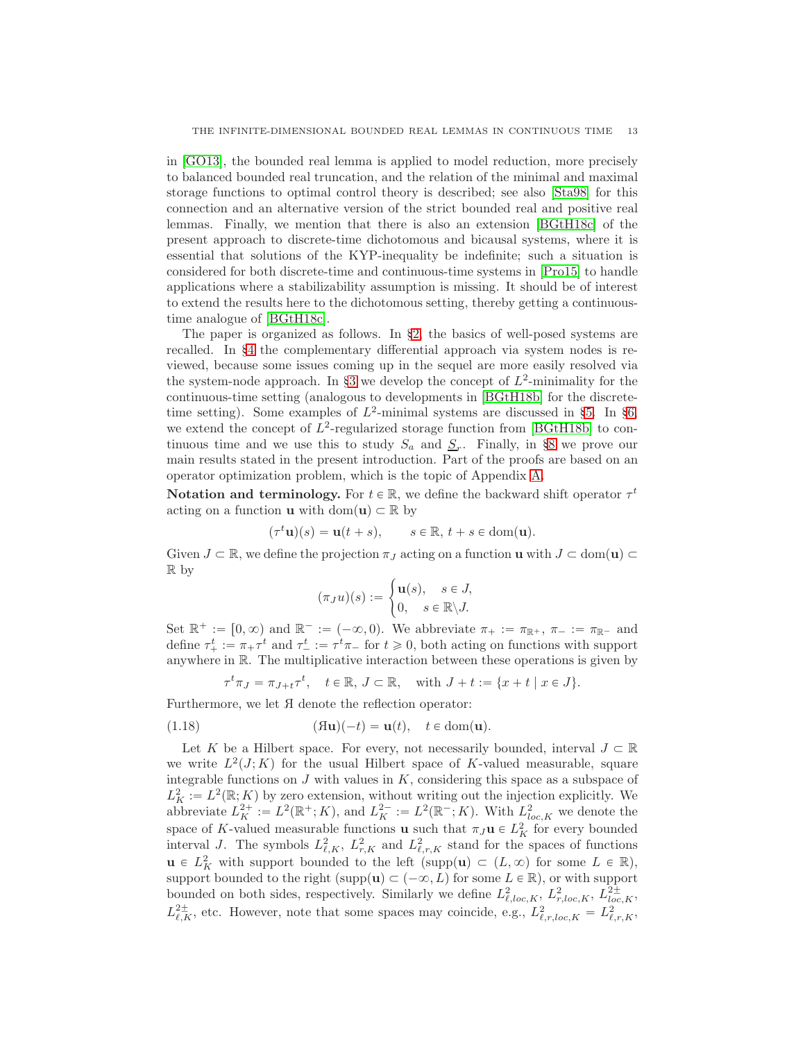in [\[GO13\]](#page-59-12), the bounded real lemma is applied to model reduction, more precisely to balanced bounded real truncation, and the relation of the minimal and maximal storage functions to optimal control theory is described; see also [\[Sta98\]](#page-60-9) for this connection and an alternative version of the strict bounded real and positive real lemmas. Finally, we mention that there is also an extension [\[BGtH18c\]](#page-59-13) of the present approach to discrete-time dichotomous and bicausal systems, where it is essential that solutions of the KYP-inequality be indefinite; such a situation is considered for both discrete-time and continuous-time systems in [\[Pro15\]](#page-60-10) to handle applications where a stabilizability assumption is missing. It should be of interest to extend the results here to the dichotomous setting, thereby getting a continuoustime analogue of [\[BGtH18c\]](#page-59-13).

The paper is organized as follows. In §[2,](#page-13-0) the basics of well-posed systems are recalled. In §[4](#page-25-0) the complementary differential approach via system nodes is reviewed, because some issues coming up in the sequel are more easily resolved via the system-node approach. In §[3](#page-19-0) we develop the concept of  $L^2$ -minimality for the continuous-time setting (analogous to developments in [\[BGtH18b\]](#page-59-6) for the discretetime setting). Some examples of  $L^2$ -minimal systems are discussed in §[5.](#page-30-0) In §[6,](#page-35-0) we extend the concept of  $L^2$ -regularized storage function from [\[BGtH18b\]](#page-59-6) to continuous time and we use this to study  $S_a$  and  $S_c$ . Finally, in §[8](#page-48-0) we prove our main results stated in the present introduction. Part of the proofs are based on an operator optimization problem, which is the topic of Appendix [A.](#page-60-0)

Notation and terminology. For  $t \in \mathbb{R}$ , we define the backward shift operator  $\tau^t$ acting on a function **u** with dom(**u**)  $\subset \mathbb{R}$  by

$$
(\tau^t \mathbf{u})(s) = \mathbf{u}(t+s), \qquad s \in \mathbb{R}, \, t+s \in \text{dom}(\mathbf{u}).
$$

Given  $J \subset \mathbb{R}$ , we define the projection  $\pi_J$  acting on a function u with  $J \subset \text{dom}(\mathbf{u}) \subset$ R by

$$
(\pi_J u)(s) := \begin{cases} \mathbf{u}(s), & s \in J, \\ 0, & s \in \mathbb{R} \setminus J. \end{cases}
$$

Set  $\mathbb{R}^+ := [0, \infty)$  and  $\mathbb{R}^- := (-\infty, 0)$ . We abbreviate  $\pi_+ := \pi_{\mathbb{R}^+}$ ,  $\pi_- := \pi_{\mathbb{R}^-}$  and define  $\tau^t_+ := \pi_+ \tau^t$  and  $\tau^t_- := \tau^t \pi_-$  for  $t \geq 0$ , both acting on functions with support anywhere in R. The multiplicative interaction between these operations is given by

<span id="page-12-0"></span>
$$
\tau^t \pi_J = \pi_{J+t} \tau^t, \quad t \in \mathbb{R}, \ J \subset \mathbb{R}, \quad \text{with } J+t := \{x+t \mid x \in J\}.
$$

Furthermore, we let  $\pi$  denote the reflection operator:

(1.18) 
$$
(\mathbf{H}\mathbf{u})(-t) = \mathbf{u}(t), \quad t \in \text{dom}(\mathbf{u}).
$$

Let K be a Hilbert space. For every, not necessarily bounded, interval  $J \subset \mathbb{R}$ we write  $L^2(J; K)$  for the usual Hilbert space of K-valued measurable, square integrable functions on  $J$  with values in  $K$ , considering this space as a subspace of  $L_K^2 := L^2(\mathbb{R}; K)$  by zero extension, without writing out the injection explicitly. We abbreviate  $L_K^{2+} := L^2(\mathbb{R}^+; K)$ , and  $L_K^{2-} := L^2(\mathbb{R}^-; K)$ . With  $L^2_{loc,K}$  we denote the space of K-valued measurable functions **u** such that  $\pi_J$ **u**  $\in L^2$ <sub>K</sub> for every bounded interval J. The symbols  $L^2_{\ell,K}$ ,  $L^2_{r,K}$  and  $L^2_{\ell,r,K}$  stand for the spaces of functions  $\mathbf{u} \in L^2_K$  with support bounded to the left  $(\text{supp}(\mathbf{u}) \subset (L, \infty))$  for some  $L \in \mathbb{R}$ , support bounded to the right (supp $(\mathbf{u}) \subset (-\infty, L)$  for some  $L \in \mathbb{R}$ ), or with support bounded on both sides, respectively. Similarly we define  $L^2_{\ell,loc,K}$ ,  $L^2_{r,loc,K}$ ,  $L^{2\pm}_{loc,K}$ ,  $L_{\ell,K}^{2\pm}$ , etc. However, note that some spaces may coincide, e.g.,  $L_{\ell,r,loc,K}^2 = L_{\ell,r,K}^2$ ,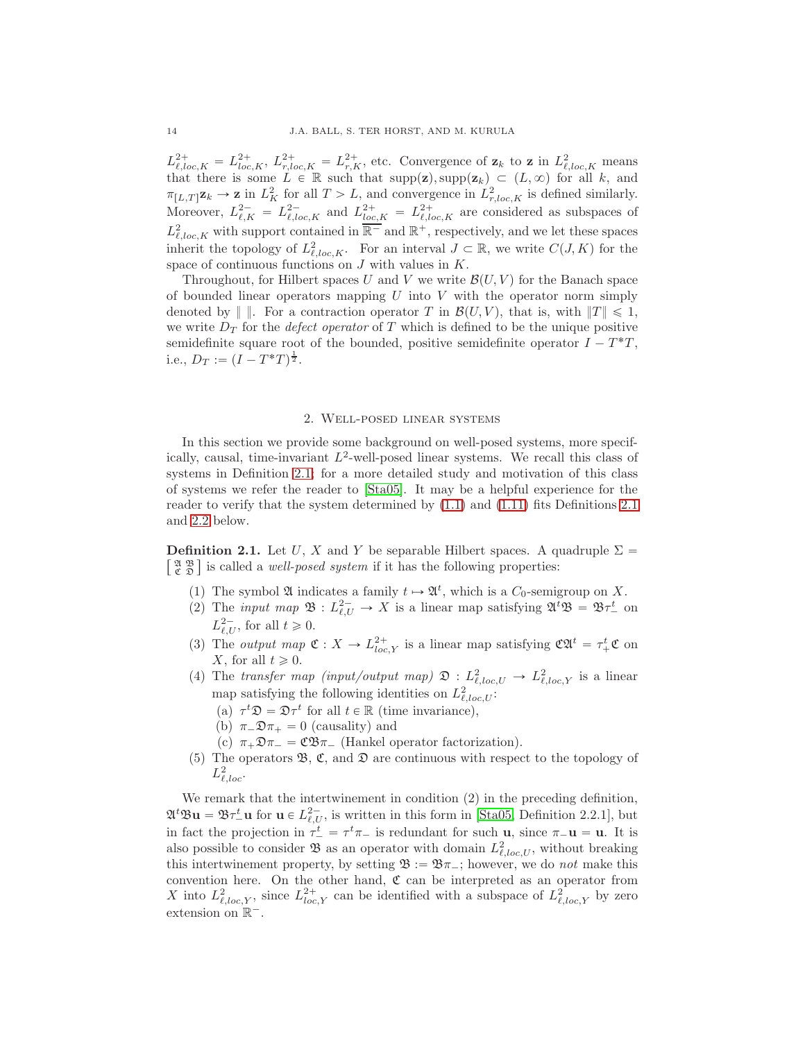$L^{2+}_{\ell,loc,K} = L^{2+}_{loc,K}, L^{2+}_{r,loc,K} = L^{2+}_{r,K}$ , etc. Convergence of  $\mathbf{z}_k$  to  $\mathbf{z}$  in  $L^2_{\ell,loc,K}$  means that there is some  $L \in \mathbb{R}$  such that  $\text{supp}(\mathbf{z}_k) \subset (L, \infty)$  for all k, and  $\pi_{[L,T]} \mathbf{z}_k \to \mathbf{z}$  in  $L_K^2$  for all  $T > L$ , and convergence in  $L_{r,loc,K}^2$  is defined similarly. Moreover,  $L_{\ell,K}^{2-} = L_{\ell,loc,K}^{2-}$  and  $L_{loc,K}^{2+} = L_{\ell,loc,K}^{2+}$  are considered as subspaces of  $L^2_{\ell,loc,K}$  with support contained in  $\overline{\mathbb{R}^-}$  and  $\mathbb{R}^+$ , respectively, and we let these spaces inherit the topology of  $L^2_{\ell,loc,K}$ . For an interval  $J \subset \mathbb{R}$ , we write  $C(J,K)$  for the space of continuous functions on  $J$  with values in  $K$ .

Throughout, for Hilbert spaces U and V we write  $\mathcal{B}(U, V)$  for the Banach space of bounded linear operators mapping  $U$  into  $V$  with the operator norm simply denoted by  $\| \cdot \|$ . For a contraction operator T in  $\mathcal{B}(U, V)$ , that is, with  $\|T\| \leq 1$ , we write  $D_T$  for the *defect operator* of T which is defined to be the unique positive semidefinite square root of the bounded, positive semidefinite operator  $I - T^*T$ , i.e.,  $D_T := (I - T^*T)^{\frac{1}{2}}$ .

## 2. Well-posed linear systems

<span id="page-13-0"></span>In this section we provide some background on well-posed systems, more specifically, causal, time-invariant  $L^2$ -well-posed linear systems. We recall this class of systems in Definition [2.1;](#page-13-1) for a more detailed study and motivation of this class of systems we refer the reader to [\[Sta05\]](#page-60-4). It may be a helpful experience for the reader to verify that the system determined by [\(1.1\)](#page-1-1) and [\(1.11\)](#page-5-0) fits Definitions [2.1](#page-13-1) and [2.2](#page-14-1) below.

<span id="page-13-1"></span> $\left[\begin{smallmatrix} \mathfrak{A} & \mathfrak{B} \\ \mathfrak{C} & \mathfrak{D} \end{smallmatrix}\right]$  is called a *well-posed system* if it has the following properties: **Definition 2.1.** Let U, X and Y be separable Hilbert spaces. A quadruple  $\Sigma$  =

- (1) The symbol  $\mathfrak A$  indicates a family  $t \mapsto \mathfrak A^t$ , which is a  $C_0$ -semigroup on X.
- (2) The *input map*  $\mathfrak{B}: L^{2-}_{\ell,U} \to X$  is a linear map satisfying  $\mathfrak{A}^t \mathfrak{B} = \mathfrak{B} \tau^t_-$  on  $L^{2-}_{\ell,U}$ , for all  $t \geqslant 0$ .
- (3) The *output map*  $\mathfrak{C}: X \to L^{2+}_{loc,Y}$  is a linear map satisfying  $\mathfrak{C}\mathfrak{A}^t = \tau^t_+\mathfrak{C}$  on X, for all  $t \geq 0$ .
- (4) The transfer map (input/output map)  $\mathfrak{D}: L^2_{\ell, loc, U} \to L^2_{\ell, loc, Y}$  is a linear map satisfying the following identities on  $L^2_{\ell,loc,U}$ :
	- (a)  $\tau^t \mathfrak{D} = \mathfrak{D} \tau^t$  for all  $t \in \mathbb{R}$  (time invariance),
	- (b)  $\pi_-\mathfrak{D}\pi_+ = 0$  (causality) and
	- (c)  $\pi_+\mathfrak{D}\pi_- = \mathfrak{C}\mathfrak{B}\pi_-$  (Hankel operator factorization).
- (5) The operators  $\mathfrak{B}, \mathfrak{C},$  and  $\mathfrak{D}$  are continuous with respect to the topology of  $L^2_{\ell,loc}.$

We remark that the intertwinement in condition (2) in the preceding definition,  $\mathfrak{A}^t \mathfrak{B} \mathbf{u} = \mathfrak{B} \tau_-^t \mathbf{u}$  for  $\mathbf{u} \in L^2_{\ell,U}$ , is written in this form in [\[Sta05,](#page-60-4) Definition 2.2.1], but in fact the projection in  $\tau_-^t = \tau^t \pi_-$  is redundant for such  $\mathbf{u}$ , since  $\pi_- \mathbf{u} = \mathbf{u}$ . It is also possible to consider  $\mathfrak{B}$  as an operator with domain  $L^2_{\ell,loc,U}$ , without breaking this intertwinement property, by setting  $\mathfrak{B} := \mathfrak{B}\pi$ , however, we do not make this convention here. On the other hand,  $\mathfrak C$  can be interpreted as an operator from X into  $L^2_{\ell,loc,Y}$ , since  $L^{2+}_{loc,Y}$  can be identified with a subspace of  $L^2_{\ell,loc,Y}$  by zero extension on  $\mathbb{R}^-$ .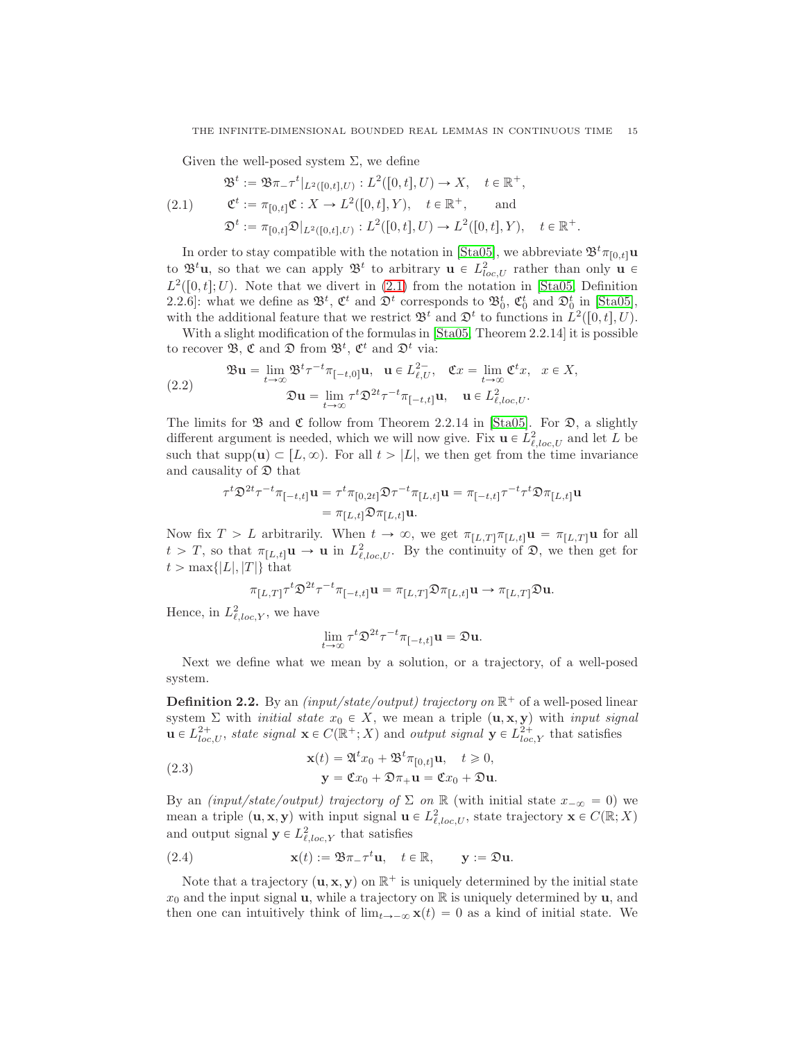<span id="page-14-0"></span>Given the well-posed system  $\Sigma$ , we define

$$
\mathfrak{B}^{t} := \mathfrak{B}\pi_{-}\tau^{t}|_{L^{2}([0,t],U)} : L^{2}([0,t],U) \to X, \quad t \in \mathbb{R}^{+},
$$
  
(2.1) 
$$
\mathfrak{C}^{t} := \pi_{[0,t]} \mathfrak{C} : X \to L^{2}([0,t],Y), \quad t \in \mathbb{R}^{+}, \quad \text{and}
$$

$$
\mathfrak{D}^{t} := \pi_{[0,t]} \mathfrak{D}|_{L^{2}([0,t],U)} : L^{2}([0,t],U) \to L^{2}([0,t],Y), \quad t \in \mathbb{R}^{+}.
$$

In order to stay compatible with the notation in [\[Sta05\]](#page-60-4), we abbreviate  $\mathfrak{B}^t \pi_{[0,t]}$ **u** to  $\mathfrak{B}^t\mathbf{u}$ , so that we can apply  $\mathfrak{B}^t$  to arbitrary  $\mathbf{u} \in L^2_{loc,U}$  rather than only  $\mathbf{u} \in$  $L^2([0, t]; U)$ . Note that we divert in [\(2.1\)](#page-14-0) from the notation in [\[Sta05,](#page-60-4) Definition 2.2.6]: what we define as  $\mathfrak{B}^t$ ,  $\mathfrak{C}^t$  and  $\mathfrak{D}^t$  corresponds to  $\mathfrak{B}_0^t$ ,  $\mathfrak{C}_0^t$  and  $\mathfrak{D}_0^t$  in [\[Sta05\]](#page-60-4), with the additional feature that we restrict  $\mathfrak{B}^t$  and  $\mathfrak{D}^t$  to functions in  $L^2([0,t],U)$ .

With a slight modification of the formulas in [\[Sta05,](#page-60-4) Theorem 2.2.14] it is possible to recover B,  $\mathfrak{C}$  and  $\mathfrak{D}$  from  $\mathfrak{B}^t$ ,  $\mathfrak{C}^t$  and  $\mathfrak{D}^t$  via:

<span id="page-14-2"></span>(2.2) 
$$
\mathfrak{B}\mathbf{u} = \lim_{t \to \infty} \mathfrak{B}^t \tau^{-t} \pi_{[-t,0]}\mathbf{u}, \quad \mathbf{u} \in L^2_{\ell,U}, \quad \mathfrak{C}x = \lim_{t \to \infty} \mathfrak{C}^t x, \quad x \in X,
$$

$$
\mathfrak{D}\mathbf{u} = \lim_{t \to \infty} \tau^t \mathfrak{D}^{2t} \tau^{-t} \pi_{[-t,t]}\mathbf{u}, \quad \mathbf{u} \in L^2_{\ell, loc, U}.
$$

The limits for  $\mathfrak{B}$  and  $\mathfrak{C}$  follow from Theorem 2.2.14 in [\[Sta05\]](#page-60-4). For  $\mathfrak{D}$ , a slightly different argument is needed, which we will now give. Fix  $\mathbf{u} \in L^2_{\ell, loc, U}$  and let L be such that supp $(u) \subset [L, \infty)$ . For all  $t > |L|$ , we then get from the time invariance and causality of  $\mathfrak D$  that

$$
\tau^t \mathfrak{D}^{2t} \tau^{-t} \pi_{[-t,t]} \mathbf{u} = \tau^t \pi_{[0,2t]} \mathfrak{D} \tau^{-t} \pi_{[L,t]} \mathbf{u} = \pi_{[-t,t]} \tau^{-t} \tau^t \mathfrak{D} \pi_{[L,t]} \mathbf{u}
$$

$$
= \pi_{[L,t]} \mathfrak{D} \pi_{[L,t]} \mathbf{u}.
$$

Now fix  $T > L$  arbitrarily. When  $t \to \infty$ , we get  $\pi_{[L,T]}\pi_{[L,t]} \mathbf{u} = \pi_{[L,T]} \mathbf{u}$  for all  $t > T$ , so that  $\pi_{[L,t]} \mathbf{u} \to \mathbf{u}$  in  $L^2_{\ell,loc,U}$ . By the continuity of  $\mathfrak{D}$ , we then get for  $t > \max\{|L|, |T|\}$  that

$$
\pi_{[L,T]}\tau^t \mathfrak{D}^{2t} \tau^{-t} \pi_{[-t,t]} \mathbf{u} = \pi_{[L,T]} \mathfrak{D} \pi_{[L,t]} \mathbf{u} \to \pi_{[L,T]} \mathfrak{D} \mathbf{u}.
$$

Hence, in  $L^2_{\ell,loc,Y}$ , we have

<span id="page-14-4"></span>
$$
\lim_{t\to\infty}\tau^t\mathfrak{D}^{2t}\tau^{-t}\pi_{[-t,t]}u=\mathfrak{D}u.
$$

Next we define what we mean by a solution, or a trajectory, of a well-posed system.

<span id="page-14-1"></span>**Definition 2.2.** By an *(input/state/output)* trajectory on  $\mathbb{R}^+$  of a well-posed linear system  $\Sigma$  with *initial state*  $x_0 \in X$ , we mean a triple  $(\mathbf{u}, \mathbf{x}, \mathbf{y})$  with *input signal*  $\mathbf{u} \in L^{2+}_{loc,U}$ , state signal  $\mathbf{x} \in C(\mathbb{R}^+; X)$  and output signal  $\mathbf{y} \in L^{2+}_{loc,V}$  that satisfies

(2.3) 
$$
\mathbf{x}(t) = \mathfrak{A}^t x_0 + \mathfrak{B}^t \pi_{[0,t]} \mathbf{u}, \quad t \geq 0,
$$

$$
\mathbf{y} = \mathfrak{C} x_0 + \mathfrak{D} \pi_+ \mathbf{u} = \mathfrak{C} x_0 + \mathfrak{D} \mathbf{u}.
$$

By an *(input/state/output)* trajectory of  $\Sigma$  on  $\mathbb R$  (with initial state  $x_{-\infty} = 0$ ) we mean a triple  $(\mathbf{u}, \mathbf{x}, \mathbf{y})$  with input signal  $\mathbf{u} \in L^2_{\ell, loc, U}$ , state trajectory  $\mathbf{x} \in C(\mathbb{R}; X)$ and output signal  $y \in L^2_{\ell, loc, Y}$  that satisfies

<span id="page-14-3"></span>(2.4) 
$$
\mathbf{x}(t) := \mathfrak{B}\pi_{-}\tau^{t}\mathbf{u}, \quad t \in \mathbb{R}, \qquad \mathbf{y} := \mathfrak{D}\mathbf{u}.
$$

Note that a trajectory  $(\mathbf{u}, \mathbf{x}, \mathbf{y})$  on  $\mathbb{R}^+$  is uniquely determined by the initial state  $x_0$  and the input signal **u**, while a trajectory on R is uniquely determined by **u**, and then one can intuitively think of  $\lim_{t\to-\infty} \mathbf{x}(t) = 0$  as a kind of initial state. We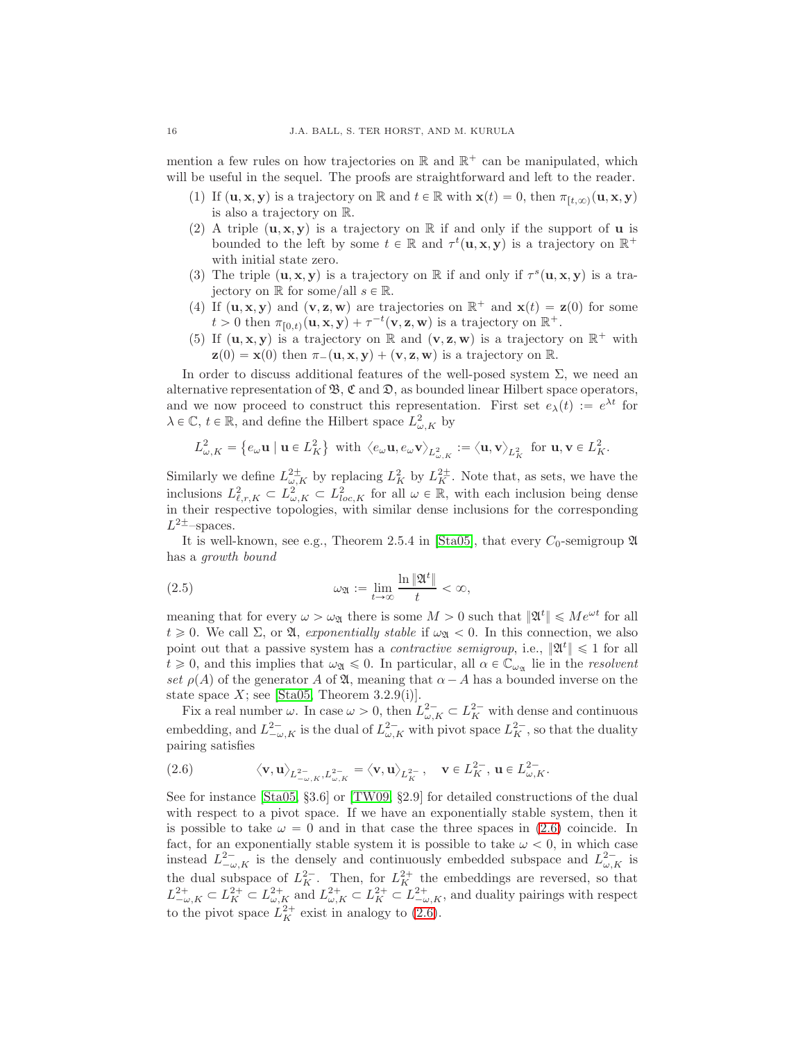mention a few rules on how trajectories on  $\mathbb R$  and  $\mathbb R^+$  can be manipulated, which will be useful in the sequel. The proofs are straightforward and left to the reader.

- (1) If  $(\mathbf{u}, \mathbf{x}, \mathbf{y})$  is a trajectory on R and  $t \in \mathbb{R}$  with  $\mathbf{x}(t) = 0$ , then  $\pi_{[t,\infty)}(\mathbf{u}, \mathbf{x}, \mathbf{y})$ is also a trajectory on R.
- (2) A triple  $(\mathbf{u}, \mathbf{x}, \mathbf{y})$  is a trajectory on R if and only if the support of **u** is bounded to the left by some  $t \in \mathbb{R}$  and  $\tau^t(\mathbf{u}, \mathbf{x}, \mathbf{y})$  is a trajectory on  $\mathbb{R}^+$ with initial state zero.
- (3) The triple  $(\mathbf{u}, \mathbf{x}, \mathbf{y})$  is a trajectory on R if and only if  $\tau^s(\mathbf{u}, \mathbf{x}, \mathbf{y})$  is a trajectory on  $\mathbb R$  for some/all  $s \in \mathbb R$ .
- (4) If  $(\mathbf{u}, \mathbf{x}, \mathbf{y})$  and  $(\mathbf{v}, \mathbf{z}, \mathbf{w})$  are trajectories on  $\mathbb{R}^+$  and  $\mathbf{x}(t) = \mathbf{z}(0)$  for some  $t > 0$  then  $\pi_{[0,t)}(\mathbf{u}, \mathbf{x}, \mathbf{y}) + \tau^{-t}(\mathbf{v}, \mathbf{z}, \mathbf{w})$  is a trajectory on  $\mathbb{R}^+$ .
- (5) If  $(\mathbf{u}, \mathbf{x}, \mathbf{y})$  is a trajectory on R and  $(\mathbf{v}, \mathbf{z}, \mathbf{w})$  is a trajectory on R<sup>+</sup> with  $z(0) = x(0)$  then  $\pi_-(\mathbf{u}, \mathbf{x}, \mathbf{y}) + (\mathbf{v}, \mathbf{z}, \mathbf{w})$  is a trajectory on R.

In order to discuss additional features of the well-posed system  $\Sigma$ , we need an alternative representation of  $\mathfrak{B}, \mathfrak{C}$  and  $\mathfrak{D},$  as bounded linear Hilbert space operators, and we now proceed to construct this representation. First set  $e_{\lambda}(t) := e^{\lambda t}$  for  $\lambda \in \mathbb{C},$   $t \in \mathbb{R},$  and define the Hilbert space  $L^2_{\omega, K}$  by

$$
L^2_{\omega,K} = \left\{ e_{\omega} \mathbf{u} \mid \mathbf{u} \in L^2_K \right\} \text{ with } \left\langle e_{\omega} \mathbf{u}, e_{\omega} \mathbf{v} \right\rangle_{L^2_{\omega,K}} := \left\langle \mathbf{u}, \mathbf{v} \right\rangle_{L^2_K} \text{ for } \mathbf{u}, \mathbf{v} \in L^2_K.
$$

Similarly we define  $L_{\omega,K}^{2\pm}$  by replacing  $L_K^2$  by  $L_K^{2\pm}$ . Note that, as sets, we have the inclusions  $L^2_{\ell,r,K} \subset L^2_{\omega,K} \subset L^2_{loc,K}$  for all  $\omega \in \mathbb{R}$ , with each inclusion being dense in their respective topologies, with similar dense inclusions for the corresponding  $L^{2\pm}$ -spaces.

It is well-known, see e.g., Theorem 2.5.4 in [\[Sta05\]](#page-60-4), that every  $C_0$ -semigroup  $\mathfrak A$ has a growth bound

<span id="page-15-1"></span>(2.5) 
$$
\omega_{\mathfrak{A}} := \lim_{t \to \infty} \frac{\ln \|\mathfrak{A}^t\|}{t} < \infty,
$$

meaning that for every  $\omega > \omega_{\mathfrak{A}}$  there is some  $M > 0$  such that  $\|\mathfrak{A}^t\| \leqslant Me^{\omega t}$  for all  $t \geq 0$ . We call  $\Sigma$ , or  $\mathfrak{A}$ , exponentially stable if  $\omega_{\mathfrak{A}} < 0$ . In this connection, we also point out that a passive system has a *contractive semigroup*, i.e.,  $\|\mathfrak{A}^t\| \leq 1$  for all  $t \geq 0$ , and this implies that  $\omega_{\mathfrak{A}} \leq 0$ . In particular, all  $\alpha \in \mathbb{C}_{\omega_{\mathfrak{A}}}$  lie in the *resolvent* set  $\rho(A)$  of the generator A of  $\mathfrak{A}$ , meaning that  $\alpha - A$  has a bounded inverse on the state space  $X$ ; see [\[Sta05,](#page-60-4) Theorem 3.2.9(i)].

Fix a real number  $\omega$ . In case  $\omega > 0$ , then  $L_{\omega,K}^{2-} \subset L_K^{2-}$  with dense and continuous embedding, and  $L_{-\omega,K}^{2-}$  is the dual of  $L_{\omega,K}^{2-}$  with pivot space  $L_K^{2-}$ , so that the duality pairing satisfies

<span id="page-15-0"></span>(2.6) 
$$
\langle \mathbf{v}, \mathbf{u} \rangle_{L^2_{-\omega, K}, L^{2-}_{\omega, K}} = \langle \mathbf{v}, \mathbf{u} \rangle_{L^{2-}_{K}}, \quad \mathbf{v} \in L^{2-}_{K}, \mathbf{u} \in L^{2-}_{\omega, K}.
$$

See for instance [\[Sta05,](#page-60-4) §3.6] or [\[TW09,](#page-60-11) §2.9] for detailed constructions of the dual with respect to a pivot space. If we have an exponentially stable system, then it is possible to take  $\omega = 0$  and in that case the three spaces in [\(2.6\)](#page-15-0) coincide. In fact, for an exponentially stable system it is possible to take  $\omega < 0$ , in which case instead  $L^{2-}_{-\omega,K}$  is the densely and continuously embedded subspace and  $L^{2-}_{\omega,K}$  is the dual subspace of  $L_K^2$ . Then, for  $L_K^{2+}$  the embeddings are reversed, so that  $L^{2+}_{-\omega,K} \subset L^{2+}_{K} \subset L^{2+}_{\omega,K} \subset L^{2+}_{K} \subset L^{2+}_{-\omega,K}$ , and duality pairings with respect to the pivot space  $L_K^{2+}$  exist in analogy to [\(2.6\)](#page-15-0).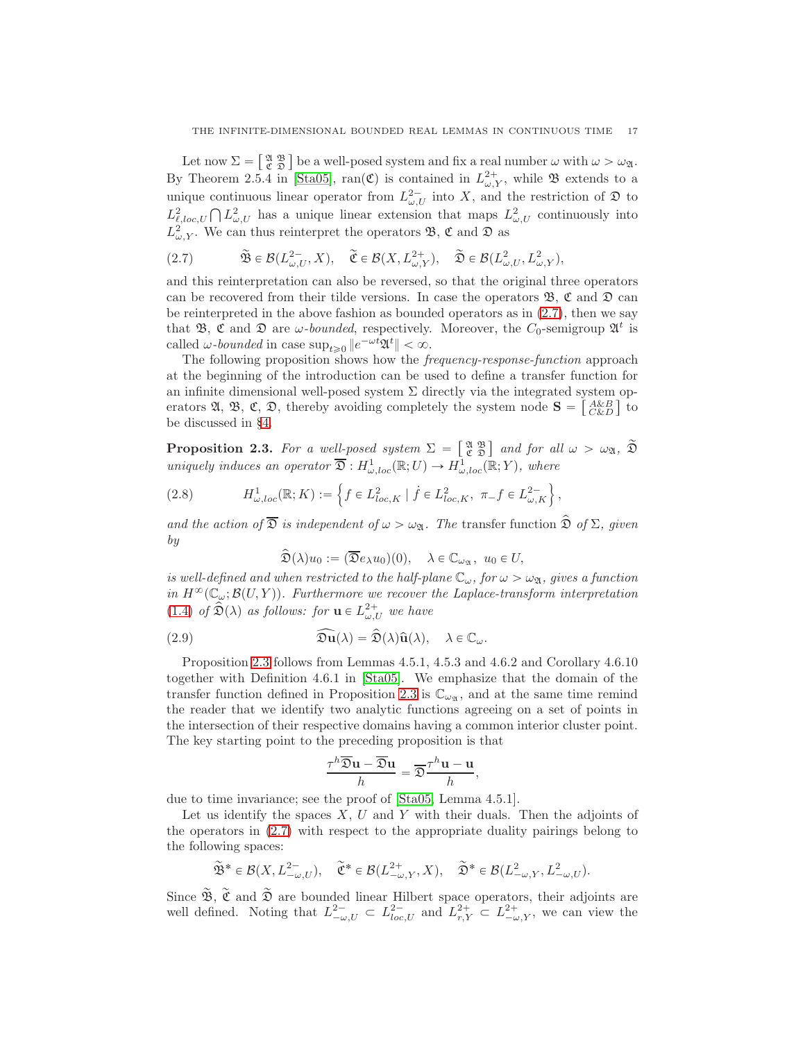Let now  $\Sigma = \begin{bmatrix} \mathfrak{A} & \mathfrak{B} \\ \mathfrak{C} & \mathfrak{D} \end{bmatrix}$  be a well-posed system and fix a real number  $\omega$  with  $\omega > \omega_{\mathfrak{A}}$ . By Theorem 2.5.4 in [\[Sta05\]](#page-60-4), ran(C) is contained in  $L^{2+}_{\omega,Y}$ , while  $\mathfrak{B}$  extends to a unique continuous linear operator from  $L^{2-}_{\omega,U}$  into X, and the restriction of  $\mathfrak D$  to  $L^2_{\ell,loc,U} \bigcap L^2_{\omega,U}$  has a unique linear extension that maps  $L^2_{\omega,U}$  continuously into  $L^2_{\omega,Y}$ . We can thus reinterpret the operators **B**, **C** and **D** as

<span id="page-16-1"></span>(2.7) 
$$
\widetilde{\mathfrak{B}} \in \mathcal{B}(L^{2-}_{\omega,U},X), \quad \widetilde{\mathfrak{C}} \in \mathcal{B}(X, L^{2+}_{\omega,Y}), \quad \widetilde{\mathfrak{D}} \in \mathcal{B}(L^{2}_{\omega,U}, L^{2}_{\omega,Y}),
$$

and this reinterpretation can also be reversed, so that the original three operators can be recovered from their tilde versions. In case the operators  $\mathfrak{B}, \mathfrak{C}$  and  $\mathfrak{D}$  can be reinterpreted in the above fashion as bounded operators as in  $(2.7)$ , then we say that B, C and D are  $\omega$ -bounded, respectively. Moreover, the C<sub>0</sub>-semigroup  $\mathfrak{A}^t$  is called  $\omega$ -bounded in case  $\sup_{t\geq0}||e^{-\omega t}\mathfrak{A}^t||<\infty$ .

The following proposition shows how the *frequency-response-function* approach at the beginning of the introduction can be used to define a transfer function for an infinite dimensional well-posed system  $\Sigma$  directly via the integrated system operators  $\mathfrak{A}, \mathfrak{B}, \mathfrak{C}, \mathfrak{D}$ , thereby avoiding completely the system node  $\mathbf{S} = \begin{bmatrix} A\& B \\ C\& D \end{bmatrix}$  to be discussed in §[4.](#page-25-0)

<span id="page-16-0"></span>**Proposition 2.3.** For a well-posed system  $\Sigma = \begin{bmatrix} \mathfrak{A} & \mathfrak{B} \\ \mathfrak{C} & \mathfrak{D} \end{bmatrix}$  and for all  $\omega > \omega_{\mathfrak{A}}$ ,  $\widetilde{\mathfrak{D}}$ uniquely induces an operator  $\overline{\mathfrak{D}}: H^1_{\omega, loc}(\mathbb{R}; U) \to H^1_{\omega, loc}(\mathbb{R}; Y)$ , where

(2.8) 
$$
H^1_{\omega,loc}(\mathbb{R};K) := \left\{ f \in L^2_{loc,K} \mid \dot{f} \in L^2_{loc,K}, \ \pi_- f \in L^{2-}_{\omega,K} \right\},\
$$

and the action of  $\overline{\mathfrak{D}}$  is independent of  $\omega > \omega_{\mathfrak{A}}$ . The transfer function  $\widehat{\mathfrak{D}}$  of  $\Sigma$ , given by

<span id="page-16-3"></span><span id="page-16-2"></span>
$$
\widehat{\mathfrak{D}}(\lambda)u_0 := (\overline{\mathfrak{D}}e_{\lambda}u_0)(0), \quad \lambda \in \mathbb{C}_{\omega_{\mathfrak{A}}}, \ u_0 \in U,
$$

is well-defined and when restricted to the half-plane  $\mathbb{C}_{\omega}$ , for  $\omega > \omega_{\mathfrak{A}}$ , gives a function in  $H^{\infty}(\mathbb{C}_{\omega}; \mathcal{B}(U, Y))$ . Furthermore we recover the Laplace-transform interpretation [\(1.4\)](#page-1-4) of  $\widehat{\mathfrak{D}}(\lambda)$  as follows: for  $\mathbf{u} \in L^{2+}_{\omega,U}$  we have

(2.9) 
$$
\widehat{\mathfrak{Du}}(\lambda) = \widehat{\mathfrak{D}}(\lambda)\widehat{\mathbf{u}}(\lambda), \quad \lambda \in \mathbb{C}_{\omega}.
$$

Proposition [2.3](#page-16-0) follows from Lemmas 4.5.1, 4.5.3 and 4.6.2 and Corollary 4.6.10 together with Definition 4.6.1 in [\[Sta05\]](#page-60-4). We emphasize that the domain of the transfer function defined in Proposition [2.3](#page-16-0) is  $\mathbb{C}_{\omega_{\mathfrak{A}}}$ , and at the same time remind the reader that we identify two analytic functions agreeing on a set of points in the intersection of their respective domains having a common interior cluster point. The key starting point to the preceding proposition is that

$$
\frac{\tau^h \overline{\mathfrak{D}} \mathbf{u} - \overline{\mathfrak{D}} \mathbf{u}}{h} = \overline{\mathfrak{D}} \frac{\tau^h \mathbf{u} - \mathbf{u}}{h},
$$

due to time invariance; see the proof of [\[Sta05,](#page-60-4) Lemma 4.5.1].

Let us identify the spaces  $X, U$  and Y with their duals. Then the adjoints of the operators in [\(2.7\)](#page-16-1) with respect to the appropriate duality pairings belong to the following spaces:

$$
\widetilde{\mathfrak{B}}^* \in \mathcal{B}(X, L^{2-}_{-\omega,U}), \quad \widetilde{\mathfrak{C}}^* \in \mathcal{B}(L^{2+}_{-\omega,Y}, X), \quad \widetilde{\mathfrak{D}}^* \in \mathcal{B}(L^{2}_{-\omega,Y}, L^{2}_{-\omega,U}).
$$

Since  $\mathfrak{B}, \mathfrak{C}$  and  $\mathfrak{D}$  are bounded linear Hilbert space operators, their adjoints are well defined. Noting that  $L^{2-}_{-\omega,U} \subset L^{2-}_{loc,U}$  and  $L^{2+}_{r,Y} \subset L^{2+}_{-\omega,Y}$ , we can view the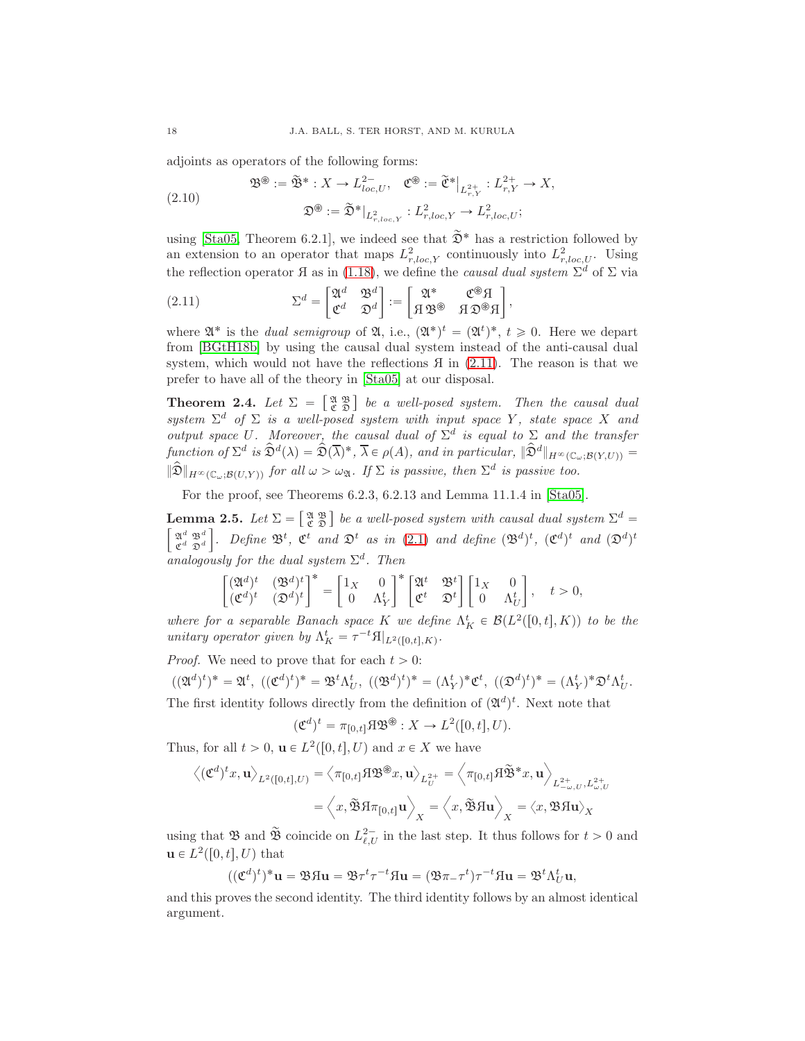adjoints as operators of the following forms:

(2.10) 
$$
\mathfrak{B}^{\circledast} := \widetilde{\mathfrak{B}}^* : X \to L_{loc,U}^{2-}, \quad \mathfrak{C}^{\circledast} := \widetilde{\mathfrak{C}}^*|_{L_{r,Y}^{2+}} : L_{r,Y}^{2+} \to X,
$$

$$
\mathfrak{D}^{\circledast} := \widetilde{\mathfrak{D}}^*|_{L_{r,loc,Y}^2} : L_{r,loc,Y}^2 \to L_{r,loc,U}^2;
$$

using [\[Sta05,](#page-60-4) Theorem 6.2.1], we indeed see that  $\tilde{\mathfrak{D}}^*$  has a restriction followed by an extension to an operator that maps  $L^2_{r,loc,Y}$  continuously into  $L^2_{r,loc,U}$ . Using the reflection operator A as in [\(1.18\)](#page-12-0), we define the *causal dual system*  $\Sigma^d$  of  $\Sigma$  via

<span id="page-17-0"></span>(2.11) 
$$
\Sigma^{d} = \begin{bmatrix} \mathfrak{A}^{d} & \mathfrak{B}^{d} \\ \mathfrak{C}^{d} & \mathfrak{D}^{d} \end{bmatrix} := \begin{bmatrix} \mathfrak{A}^{*} & \mathfrak{C}^{\circledast} \mathfrak{A} \\ \mathfrak{A} \mathfrak{B}^{\circledast} & \mathfrak{A} \mathfrak{D}^{\circledast} \mathfrak{A} \end{bmatrix},
$$

where  $\mathfrak{A}^*$  is the *dual semigroup* of  $\mathfrak{A}$ , i.e.,  $(\mathfrak{A}^*)^t = (\mathfrak{A}^t)^*$ ,  $t \geq 0$ . Here we depart from [\[BGtH18b\]](#page-59-6) by using the causal dual system instead of the anti-causal dual system, which would not have the reflections  $\overline{A}$  in [\(2.11\)](#page-17-0). The reason is that we prefer to have all of the theory in [\[Sta05\]](#page-60-4) at our disposal.

<span id="page-17-2"></span>**Theorem 2.4.** Let  $\Sigma = \begin{bmatrix} \mathfrak{A} & \mathfrak{B} \\ \mathfrak{C} & \mathfrak{D} \end{bmatrix}$  be a well-posed system. Then the causal dual system  $\Sigma^d$  of  $\Sigma$  is a well-posed system with input space Y, state space X and output space U. Moreover, the causal dual of  $\Sigma^d$  is equal to  $\Sigma$  and the transfer function of  $\Sigma^d$  is  $\widehat{\mathfrak{D}}^d(\lambda) = \widehat{\mathfrak{D}}(\overline{\lambda})^*, \overline{\lambda} \in \rho(A)$ , and in particular,  $\|\widehat{\mathfrak{D}}^d\|_{H^\infty(\mathbb{C}_\omega;\mathcal{B}(Y,U))} =$  $\|\widehat{\mathfrak{D}}\|_{H^{\infty}(\mathbb{C}_{\omega};\mathcal{B}(U,Y))}$  for all  $\omega > \omega_{\mathfrak{A}}$ . If  $\Sigma$  is passive, then  $\Sigma^d$  is passive too.

For the proof, see Theorems 6.2.3, 6.2.13 and Lemma 11.1.4 in [\[Sta05\]](#page-60-4).

<span id="page-17-1"></span>**Lemma 2.5.** Let  $\Sigma = \begin{bmatrix} \mathfrak{A} & \mathfrak{B} \\ \mathfrak{C} & \mathfrak{D} \end{bmatrix}$  be a well-posed system with causal dual system  $\Sigma^d = \begin{bmatrix} \mathfrak{A}^d & \mathfrak{B}^d \end{bmatrix}$ . Define  $\mathfrak{R}^d$ ,  $\mathfrak{R}^d$ ,  $\mathfrak{R}^d$ ,  $\mathfrak{R}^d$ ,  $\mathfrak{R}^$  $\mathfrak{A}^{d}$   $\mathfrak{B}^{d}$  $\mathfrak{C}^d$   $\mathfrak{D}^d$ . Define  $\mathfrak{B}^t$ ,  $\mathfrak{C}^t$  and  $\mathfrak{D}^t$  as in [\(2.1\)](#page-14-0) and define  $(\mathfrak{B}^d)^t$ ,  $(\mathfrak{C}^d)^t$  and  $(\mathfrak{D}^d)^t$ analogously for the dual system  $\Sigma^d$ . Then

$$
\begin{bmatrix} (\mathfrak A^d)^t & (\mathfrak B^d)^t \\ (\mathfrak C^d)^t & (\mathfrak D^d)^t \end{bmatrix}^* = \begin{bmatrix} 1_X & 0 \\ 0 & \Lambda_Y^t \end{bmatrix}^* \begin{bmatrix} \mathfrak A^t & \mathfrak B^t \\ \mathfrak C^t & \mathfrak D^t \end{bmatrix} \begin{bmatrix} 1_X & 0 \\ 0 & \Lambda_U^t \end{bmatrix}, \quad t > 0,
$$

where for a separable Banach space K we define  $\Lambda_K^t \in \mathcal{B}(L^2([0,t],K))$  to be the unitary operator given by  $\Lambda_K^t = \tau^{-t} \mathfrak{A}|_{L^2([0,t],K)}$ .

*Proof.* We need to prove that for each  $t > 0$ :

$$
((\mathfrak{A}^d)^t)^* = \mathfrak{A}^t, \ ((\mathfrak{C}^d)^t)^* = \mathfrak{B}^t \Lambda_U^t, \ ((\mathfrak{B}^d)^t)^* = (\Lambda_Y^t)^* \mathfrak{C}^t, \ ((\mathfrak{A}^d)^t)^* = (\Lambda_Y^t)^* \mathfrak{D}^t \Lambda_U^t.
$$

The first identity follows directly from the definition of  $(\mathfrak{A}^d)^t$ . Next note that

$$
(\mathfrak{C}^d)^t = \pi_{[0,t]} \mathfrak{H} \mathfrak{B}^{\circledast} : X \to L^2([0,t],U).
$$

Thus, for all  $t > 0$ ,  $\mathbf{u} \in L^2([0, t], U)$  and  $x \in X$  we have

$$
\begin{aligned} \left\langle (\mathfrak{C}^d)^tx, \mathbf{u} \right\rangle_{L^2([0,t],U)} &= \left\langle \pi_{[0,t]} \mathfrak{A} \mathfrak{B}^{\circledast} x, \mathbf{u} \right\rangle_{L^{2+}_U} = \left\langle \pi_{[0,t]} \mathfrak{A} \widetilde{\mathfrak{B}}^* x, \mathbf{u} \right\rangle_{L^{2+}_{-\omega,U},L^{2+}_{\omega,U}} \\ &= \left\langle x, \widetilde{\mathfrak{B}} \mathfrak{A} \pi_{[0,t]} \mathbf{u} \right\rangle_X = \left\langle x, \widetilde{\mathfrak{B}} \mathfrak{A} \mathbf{u} \right\rangle_X = \left\langle x, \mathfrak{B} \mathfrak{A} \mathbf{u} \right\rangle_X \end{aligned}
$$

using that **B** and  $\widetilde{\mathfrak{B}}$  coincide on  $L^{2-}_{\ell,U}$  in the last step. It thus follows for  $t > 0$  and  $\mathbf{u} \in L^2([0, t], U)$  that

$$
((\mathfrak{C}^d)^t)^* \mathbf{u} = \mathfrak{B} \mathfrak{A} \mathbf{u} = \mathfrak{B} \tau^t \tau^{-t} \mathfrak{A} \mathbf{u} = (\mathfrak{B} \pi - \tau^t) \tau^{-t} \mathfrak{A} \mathbf{u} = \mathfrak{B}^t \Lambda_U^t \mathbf{u},
$$

and this proves the second identity. The third identity follows by an almost identical argument.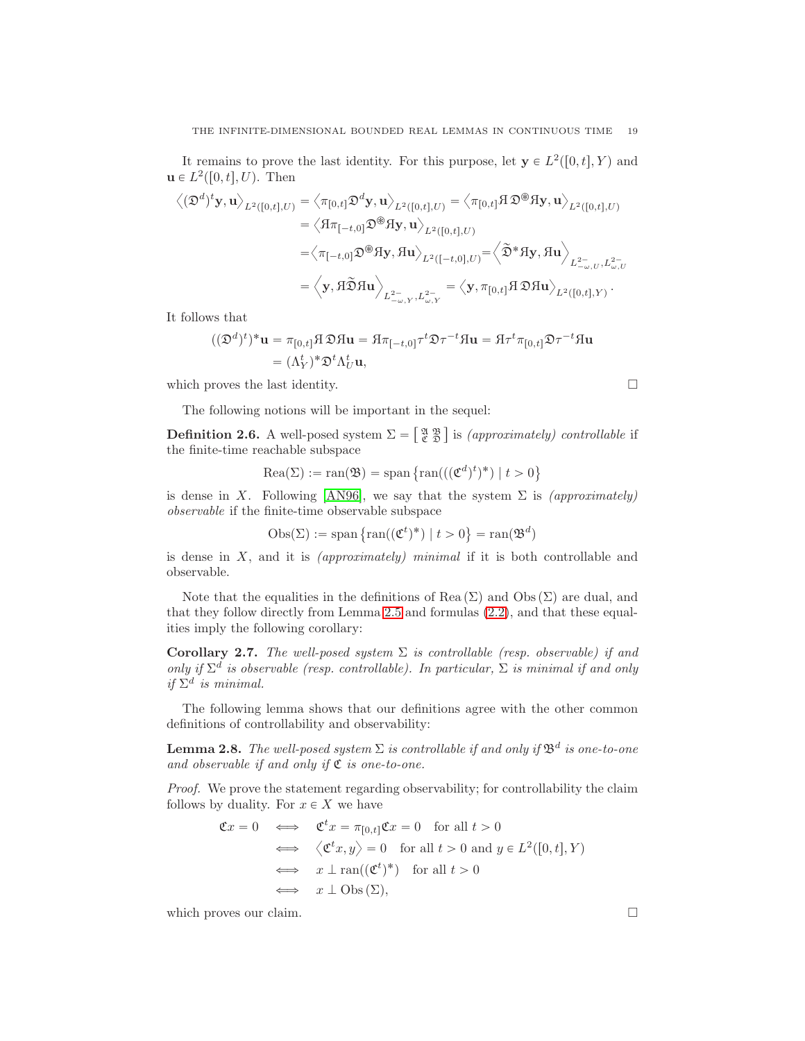It remains to prove the last identity. For this purpose, let  $y \in L^2([0,t], Y)$  and  $\mathbf{u} \in L^2([0, t], U)$ . Then

$$
\begin{aligned} \left\langle (\mathfrak{D}^d)^t \mathbf{y}, \mathbf{u} \right\rangle_{L^2([0,t],U)} &= \left\langle \pi_{[0,t]} \mathfrak{D}^d \mathbf{y}, \mathbf{u} \right\rangle_{L^2([0,t],U)} = \left\langle \pi_{[0,t]} \mathfrak{A} \mathfrak{D}^{\circledast} \mathfrak{A} \mathbf{y}, \mathbf{u} \right\rangle_{L^2([0,t],U)} \\ &= \left\langle \mathfrak{A} \pi_{[-t,0]} \mathfrak{D}^{\circledast} \mathfrak{A} \mathbf{y}, \mathbf{u} \right\rangle_{L^2([0,t],U)} \\ &= \left\langle \pi_{[-t,0]} \mathfrak{D}^{\circledast} \mathfrak{A} \mathbf{y}, \mathfrak{A} \mathbf{u} \right\rangle_{L^2([-t,0],U)} = \left\langle \mathfrak{D}^* \mathfrak{A} \mathbf{y}, \mathfrak{A} \mathbf{u} \right\rangle_{L^2_{-\omega,U},L^2_{\omega,U}} \\ &= \left\langle \mathbf{y}, \mathfrak{A} \mathfrak{D} \mathfrak{A} \mathbf{u} \right\rangle_{L^2_{-\omega,V},L^2_{\omega,Y}} = \left\langle \mathbf{y}, \pi_{[0,t]} \mathfrak{A} \mathfrak{D} \mathfrak{A} \mathbf{u} \right\rangle_{L^2([0,t],Y)} .\end{aligned}
$$

It follows that

$$
((\mathfrak{D}^d)^t)^* \mathbf{u} = \pi_{[0,t]} \mathfrak{A} \mathfrak{D} \mathfrak{A} \mathbf{u} = \mathfrak{A} \pi_{[-t,0]} \tau^t \mathfrak{D} \tau^{-t} \mathfrak{A} \mathbf{u} = \mathfrak{A} \tau^t \pi_{[0,t]} \mathfrak{D} \tau^{-t} \mathfrak{A} \mathbf{u}
$$

$$
= (\Lambda_Y^t)^* \mathfrak{D}^t \Lambda_U^t \mathbf{u},
$$

which proves the last identity.  $\Box$ 

The following notions will be important in the sequel:

<span id="page-18-0"></span>**Definition 2.6.** A well-posed system  $\Sigma = \begin{bmatrix} \mathfrak{A} & \mathfrak{B} \\ \mathfrak{C} & \mathfrak{D} \end{bmatrix}$  is *(approximately) controllable* if the finite-time reachable subspace

$$
\text{Rea}(\Sigma) := \text{ran}(\mathfrak{B}) = \text{span}\left\{ \text{ran}(((\mathfrak{C}^d)^t)^*) \mid t > 0 \right\}
$$

is dense in X. Following [\[AN96\]](#page-58-3), we say that the system  $\Sigma$  is *(approximately)* observable if the finite-time observable subspace

$$
Obs(\Sigma) := span\{ran((\mathfrak{C}^t)^*) \mid t > 0\} = ran(\mathfrak{B}^d)
$$

is dense in  $X$ , and it is  $\textit{(approximately)}$  minimal if it is both controllable and observable.

Note that the equalities in the definitions of Rea  $(\Sigma)$  and Obs  $(\Sigma)$  are dual, and that they follow directly from Lemma [2.5](#page-17-1) and formulas [\(2.2\)](#page-14-2), and that these equalities imply the following corollary:

<span id="page-18-1"></span>Corollary 2.7. The well-posed system  $\Sigma$  is controllable (resp. observable) if and only if  $\Sigma^d$  is observable (resp. controllable). In particular,  $\Sigma$  is minimal if and only if  $\Sigma^d$  is minimal.

The following lemma shows that our definitions agree with the other common definitions of controllability and observability:

**Lemma 2.8.** The well-posed system  $\Sigma$  is controllable if and only if  $\mathfrak{B}^d$  is one-to-one and observable if and only if  $\mathfrak C$  is one-to-one.

Proof. We prove the statement regarding observability; for controllability the claim follows by duality. For  $x \in X$  we have

$$
\mathfrak{C}x = 0 \iff \mathfrak{C}^t x = \pi_{[0,t]} \mathfrak{C}x = 0 \text{ for all } t > 0
$$
  
\n
$$
\iff \langle \mathfrak{C}^t x, y \rangle = 0 \text{ for all } t > 0 \text{ and } y \in L^2([0,t], Y)
$$
  
\n
$$
\iff x \perp \operatorname{ran}((\mathfrak{C}^t)^*) \text{ for all } t > 0
$$
  
\n
$$
\iff x \perp \operatorname{Obs}(\Sigma),
$$

which proves our claim.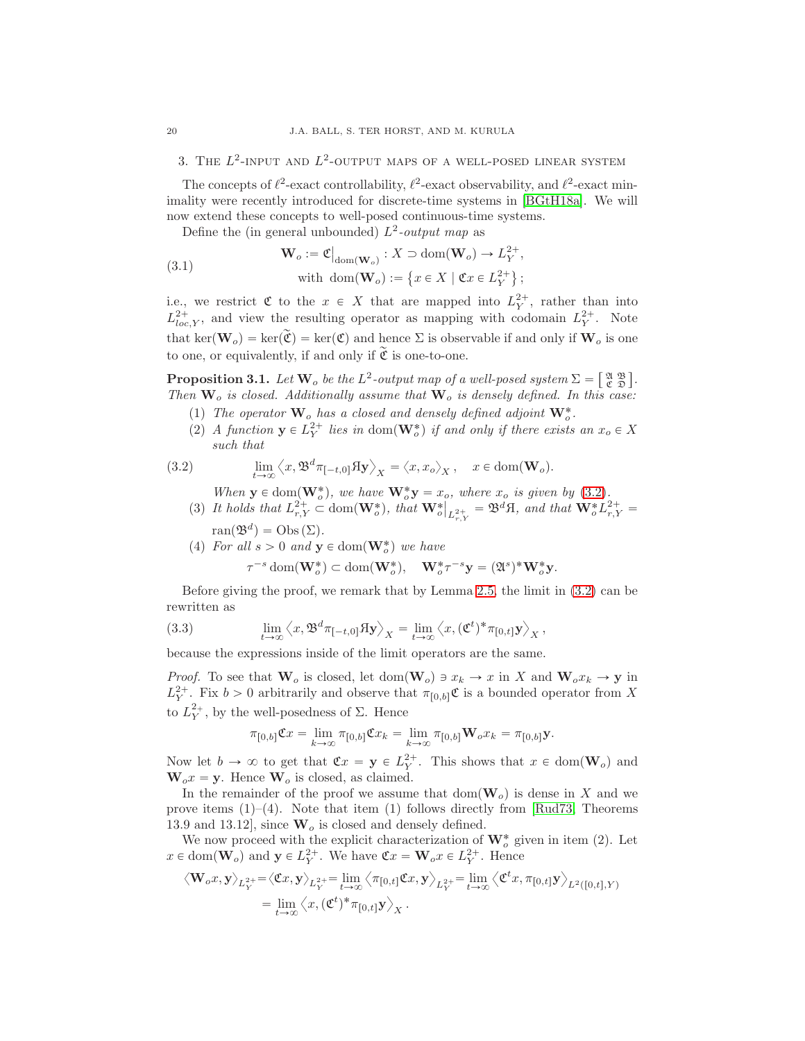3. THE  $L^2$ -INPUT AND  $L^2$ -OUTPUT MAPS OF A WELL-POSED LINEAR SYSTEM

The concepts of  $\ell^2$ -exact controllability,  $\ell^2$ -exact observability, and  $\ell^2$ -exact minimality were recently introduced for discrete-time systems in [\[BGtH18a\]](#page-59-14). We will now extend these concepts to well-posed continuous-time systems.

<span id="page-19-3"></span>Define the (in general unbounded)  $L^2$ -output map as

(3.1) 
$$
\mathbf{W}_o := \mathfrak{C}\big|_{\text{dom}(\mathbf{W}_o)} : X \supset \text{dom}(\mathbf{W}_o) \to L_Y^{2+},
$$
  
with 
$$
\text{dom}(\mathbf{W}_o) := \{x \in X \mid \mathfrak{C}x \in L_Y^{2+}\};
$$

i.e., we restrict  $\mathfrak C$  to the  $x \in X$  that are mapped into  $L_Y^{2+}$ , rather than into  $L^{2+}_{loc,Y}$ , and view the resulting operator as mapping with codomain  $L^{2+}_Y$ . Note that ker $(\mathbf{W}_o) = \ker(\widetilde{\mathfrak{C}}) = \ker(\mathfrak{C})$  and hence  $\Sigma$  is observable if and only if  $\mathbf{W}_o$  is one to one, or equivalently, if and only if  $\tilde{\mathfrak{C}}$  is one-to-one.

<span id="page-19-4"></span>**Proposition 3.1.** Let  $\mathbf{W}_o$  be the  $L^2$ -output map of a well-posed system  $\Sigma = \begin{bmatrix} \mathfrak{A} & \mathfrak{B} \\ \mathfrak{C} & \mathfrak{D} \end{bmatrix}$ . Then  $W_o$  is closed. Additionally assume that  $W_o$  is densely defined. In this case:

- (1) The operator  $\mathbf{W}_o$  has a closed and densely defined adjoint  $\mathbf{W}_o^*$ .
- (2) A function  $y \in L_Y^{2+}$  lies in dom $(\mathbf{W}_o^*)$  if and only if there exists an  $x_o \in X$ such that

(3.2) 
$$
\lim_{t \to \infty} \left\langle x, \mathfrak{B}^d \pi_{[-t,0]} \mathfrak{A} \mathbf{y} \right\rangle_X = \left\langle x, x_o \right\rangle_X, \quad x \in \text{dom}(\mathbf{W}_o).
$$

<span id="page-19-1"></span>When  $\mathbf{y} \in \text{dom}(\mathbf{W}_{o}^{*})$ , we have  $\mathbf{W}_{o}^{*}\mathbf{y} = x_{o}$ , where  $x_{o}$  is given by [\(3.2\)](#page-19-1).

- (3) It holds that  $L_{r,Y}^{2+} \subset \text{dom}(\mathbf{W}_o^*)$ , that  $\mathbf{W}_o^*|_{L_{r,Y}^{2+}} = \mathfrak{B}^d \mathfrak{A}$ , and that  $\mathbf{W}_o^* L_{r,Y}^{2+} =$ ran $(\mathfrak{B}^d) = \mathrm{Obs}(\Sigma).$
- (4) For all  $s > 0$  and  $y \in \text{dom}(\mathbf{W}_o^*)$  we have

<span id="page-19-2"></span>
$$
\tau^{-s}\operatorname{dom}(\mathbf{W}_o^*) \subset \operatorname{dom}(\mathbf{W}_o^*), \quad \mathbf{W}_o^*\tau^{-s}\mathbf{y} = (\mathfrak{A}^s)^* \mathbf{W}_o^*\mathbf{y}.
$$

Before giving the proof, we remark that by Lemma [2.5,](#page-17-1) the limit in [\(3.2\)](#page-19-1) can be rewritten as

(3.3) 
$$
\lim_{t\to\infty}\left\langle x,\mathfrak{B}^d\pi_{[-t,0]} \mathfrak{A} \mathbf{y}\right\rangle_X = \lim_{t\to\infty}\left\langle x, (\mathfrak{C}^t)^* \pi_{[0,t]} \mathbf{y}\right\rangle_X,
$$

because the expressions inside of the limit operators are the same.

*Proof.* To see that  $\mathbf{W}_o$  is closed, let dom $(\mathbf{W}_o) \ni x_k \to x$  in X and  $\mathbf{W}_o x_k \to y$  in  $L_Y^{2+}$ . Fix  $b > 0$  arbitrarily and observe that  $\pi_{[0,b]} \mathfrak{C}$  is a bounded operator from X to  $L_Y^{2+}$ , by the well-posedness of  $\Sigma$ . Hence

$$
\pi_{[0,b]} \mathfrak{C}x = \lim_{k \to \infty} \pi_{[0,b]} \mathfrak{C}x_k = \lim_{k \to \infty} \pi_{[0,b]} \mathbf{W}_o x_k = \pi_{[0,b]} \mathbf{y}.
$$

Now let  $b \to \infty$  to get that  $\mathfrak{C}x = \mathbf{y} \in L^{2+}_Y$ . This shows that  $x \in \text{dom}(\mathbf{W}_o)$  and  $\mathbf{W}_o x = \mathbf{y}$ . Hence  $\mathbf{W}_o$  is closed, as claimed.

In the remainder of the proof we assume that  $dom(\mathbf{W}_o)$  is dense in X and we prove items  $(1)$ – $(4)$ . Note that item  $(1)$  follows directly from [\[Rud73,](#page-60-12) Theorems 13.9 and 13.12], since  $\mathbf{W}_o$  is closed and densely defined.

We now proceed with the explicit characterization of  $\mathbf{W}_o^*$  given in item (2). Let  $x \in \text{dom}(\mathbf{W}_o)$  and  $\mathbf{y} \in L_Y^{2+}$ . We have  $\mathfrak{C}x = \mathbf{W}_o x \in L_Y^{2+}$ . Hence

$$
\langle \mathbf{W}_{o} x, \mathbf{y} \rangle_{L^{2+}_Y} = \langle \mathfrak{C} x, \mathbf{y} \rangle_{L^{2+}_Y} = \lim_{t \to \infty} \langle \pi_{[0,t]} \mathfrak{C} x, \mathbf{y} \rangle_{L^{2+}_Y} = \lim_{t \to \infty} \langle \mathfrak{C}^t x, \pi_{[0,t]} \mathbf{y} \rangle_{L^2([0,t],Y)}
$$
  
= 
$$
\lim_{t \to \infty} \langle x, (\mathfrak{C}^t)^* \pi_{[0,t]} \mathbf{y} \rangle_X.
$$

<span id="page-19-0"></span>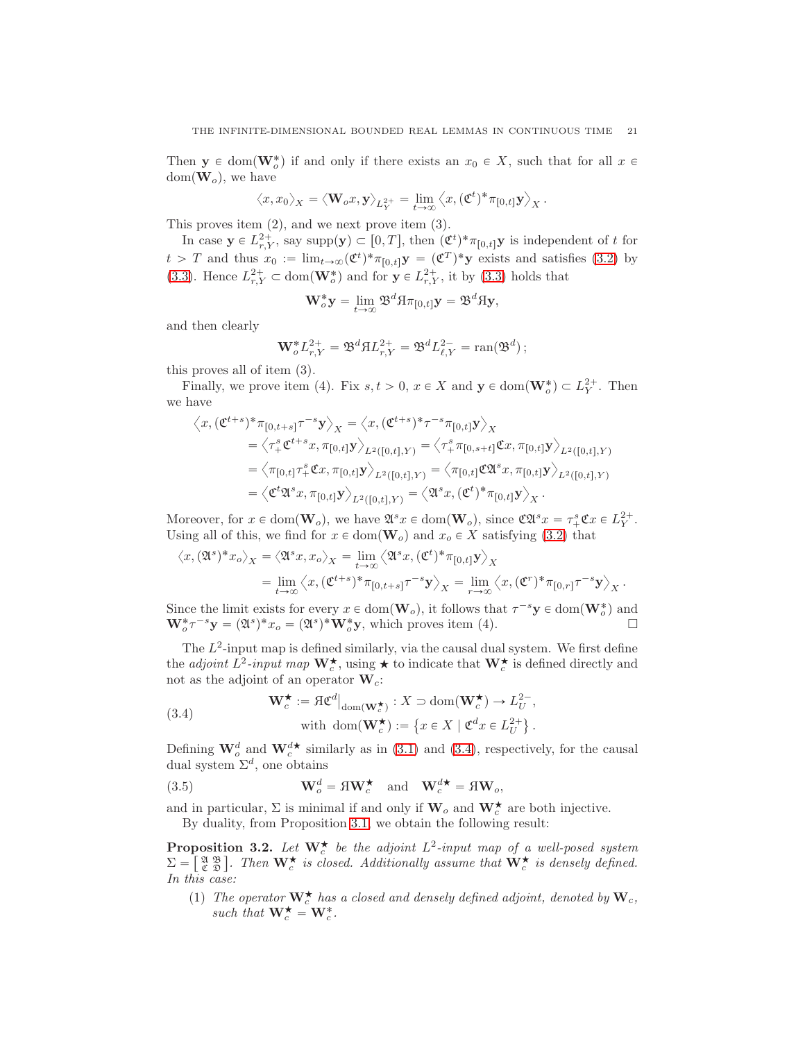Then  $y \in dom(W_o^*)$  if and only if there exists an  $x_0 \in X$ , such that for all  $x \in$  $dom(\mathbf{W}_o)$ , we have

$$
\langle x, x_0 \rangle_X = \langle \mathbf{W}_o x, \mathbf{y} \rangle_{L_Y^{2+}} = \lim_{t \to \infty} \langle x, (\mathfrak{C}^t)^* \pi_{[0,t]} \mathbf{y} \rangle_X.
$$

This proves item (2), and we next prove item (3).

In case  $\mathbf{y} \in L^{2+}_{r,Y}$ , say supp $(\mathbf{y}) \subset [0,T]$ , then  $(\mathfrak{C}^t)^* \pi_{[0,t]} \mathbf{y}$  is independent of t for  $t > T$  and thus  $x_0 := \lim_{t \to \infty} (\mathfrak{C}^t)^* \pi_{[0,t]} \mathbf{y} = (\mathfrak{C}^T)^* \mathbf{y}$  exists and satisfies [\(3.2\)](#page-19-1) by [\(3.3\)](#page-19-2). Hence  $L^{2+}_{r,Y} \subset \text{dom}(\mathbf{W}_o^*)$  and for  $\mathbf{y} \in L^{2+}_{r,Y}$ , it by [\(3.3\)](#page-19-2) holds that

$$
\mathbf{W}_o^* \mathbf{y} = \lim_{t \to \infty} \mathfrak{B}^d \mathbf{H} \pi_{[0,t]} \mathbf{y} = \mathfrak{B}^d \mathbf{H} \mathbf{y},
$$

and then clearly

$$
\mathbf{W}^*_{o} L^{2+}_{r,Y} = \mathfrak{B}^d H^{2+}_{r,Y} = \mathfrak{B}^d L^{2-}_{\ell,Y} = \text{ran}(\mathfrak{B}^d);
$$

this proves all of item (3).

Finally, we prove item (4). Fix  $s, t > 0$ ,  $x \in X$  and  $y \in \text{dom}(\mathbf{W}_o^*) \subset L_Y^{2+}$ . Then we have

$$
\langle x, (\mathfrak{C}^{t+s})^* \pi_{[0,t+s]} \tau^{-s} \mathbf{y} \rangle_X = \langle x, (\mathfrak{C}^{t+s})^* \tau^{-s} \pi_{[0,t]} \mathbf{y} \rangle_X \n= \langle \tau_+^s \mathfrak{C}^{t+s} x, \pi_{[0,t]} \mathbf{y} \rangle_{L^2([0,t],Y)} = \langle \tau_+^s \pi_{[0,s+t]} \mathfrak{C} x, \pi_{[0,t]} \mathbf{y} \rangle_{L^2([0,t],Y)} \n= \langle \pi_{[0,t]} \tau_+^s \mathfrak{C} x, \pi_{[0,t]} \mathbf{y} \rangle_{L^2([0,t],Y)} = \langle \pi_{[0,t]} \mathfrak{C} \mathfrak{A}^s x, \pi_{[0,t]} \mathbf{y} \rangle_{L^2([0,t],Y)} \n= \langle \mathfrak{C}^t \mathfrak{A}^s x, \pi_{[0,t]} \mathbf{y} \rangle_{L^2([0,t],Y)} = \langle \mathfrak{A}^s x, (\mathfrak{C}^t)^* \pi_{[0,t]} \mathbf{y} \rangle_X.
$$

Moreover, for  $x \in \text{dom}(\mathbf{W}_o)$ , we have  $\mathfrak{A}^s x \in \text{dom}(\mathbf{W}_o)$ , since  $\mathfrak{C} \mathfrak{A}^s x = \tau^s_+ \mathfrak{C} x \in L^{2+}_Y$ . Using all of this, we find for  $x \in \text{dom}(\mathbf{W}_o)$  and  $x_o \in X$  satisfying [\(3.2\)](#page-19-1) that

$$
\langle x, (\mathfrak{A}^s)^* x_o \rangle_X = \langle \mathfrak{A}^s x, x_o \rangle_X = \lim_{t \to \infty} \langle \mathfrak{A}^s x, (\mathfrak{C}^t)^* \pi_{[0,t]} \mathbf{y} \rangle_X
$$
  
= 
$$
\lim_{t \to \infty} \langle x, (\mathfrak{C}^{t+s})^* \pi_{[0,t+s]} \tau^{-s} \mathbf{y} \rangle_X = \lim_{r \to \infty} \langle x, (\mathfrak{C}^r)^* \pi_{[0,r]} \tau^{-s} \mathbf{y} \rangle_X.
$$

Since the limit exists for every  $x \in \text{dom}(\mathbf{W}_o)$ , it follows that  $\tau^{-s} \mathbf{y} \in \text{dom}(\mathbf{W}_o^*)$  and  $\mathbf{W}_o^* \tau^{-s} \mathbf{y} = (\mathfrak{A}^s)^* x_o = (\mathfrak{A}^s)^* \mathbf{W}_o^* \mathbf{y}$ , which proves item (4).

The  $L^2$ -input map is defined similarly, via the causal dual system. We first define the *adjoint*  $L^2$ -*input map*  $\mathbf{W}_c^{\star}$ , using  $\star$  to indicate that  $\mathbf{W}_c^{\star}$  is defined directly and not as the adjoint of an operator  $\mathbf{W}_c$ :

<span id="page-20-0"></span>(3.4) 
$$
\mathbf{W}_c^{\star} := \mathfrak{HC}^d|_{\text{dom}(\mathbf{W}_c^{\star})} : X \supset \text{dom}(\mathbf{W}_c^{\star}) \to L_U^{2-},
$$
  
with 
$$
\text{dom}(\mathbf{W}_c^{\star}) := \{x \in X \mid \mathfrak{C}^d x \in L_U^{2+}\}.
$$

Defining  $\mathbf{W}_o^d$  and  $\mathbf{W}_c^{d\star}$  similarly as in [\(3.1\)](#page-19-3) and [\(3.4\)](#page-20-0), respectively, for the causal dual system  $\Sigma^d$ , one obtains

(3.5) 
$$
\mathbf{W}_o^d = A \mathbf{W}_c^{\star} \text{ and } \mathbf{W}_c^{d \star} = A \mathbf{W}_o,
$$

and in particular,  $\Sigma$  is minimal if and only if  $\mathbf{W}_o$  and  $\mathbf{W}_c^{\bigstar}$  are both injective.

<span id="page-20-2"></span>By duality, from Proposition [3.1,](#page-19-4) we obtain the following result:

<span id="page-20-1"></span>**Proposition 3.2.** Let  $\mathbf{W}_{c}^{\star}$  be the adjoint  $L^{2}$ -input map of a well-posed system  $\Sigma = \begin{bmatrix} \mathfrak{A} & \mathfrak{B} \\ \mathfrak{C} & \mathfrak{D} \end{bmatrix}$ . Then  $\mathbf{W}_{c}^{\star}$  is closed. Additionally assume that  $\mathbf{W}_{c}^{\star}$  is densely defined. In this case:

(1) The operator  $\mathbf{W}_{c}^{\star}$  has a closed and densely defined adjoint, denoted by  $\mathbf{W}_{c}$ , such that  $\mathbf{W}_c^{\star} = \mathbf{W}_c^*$ .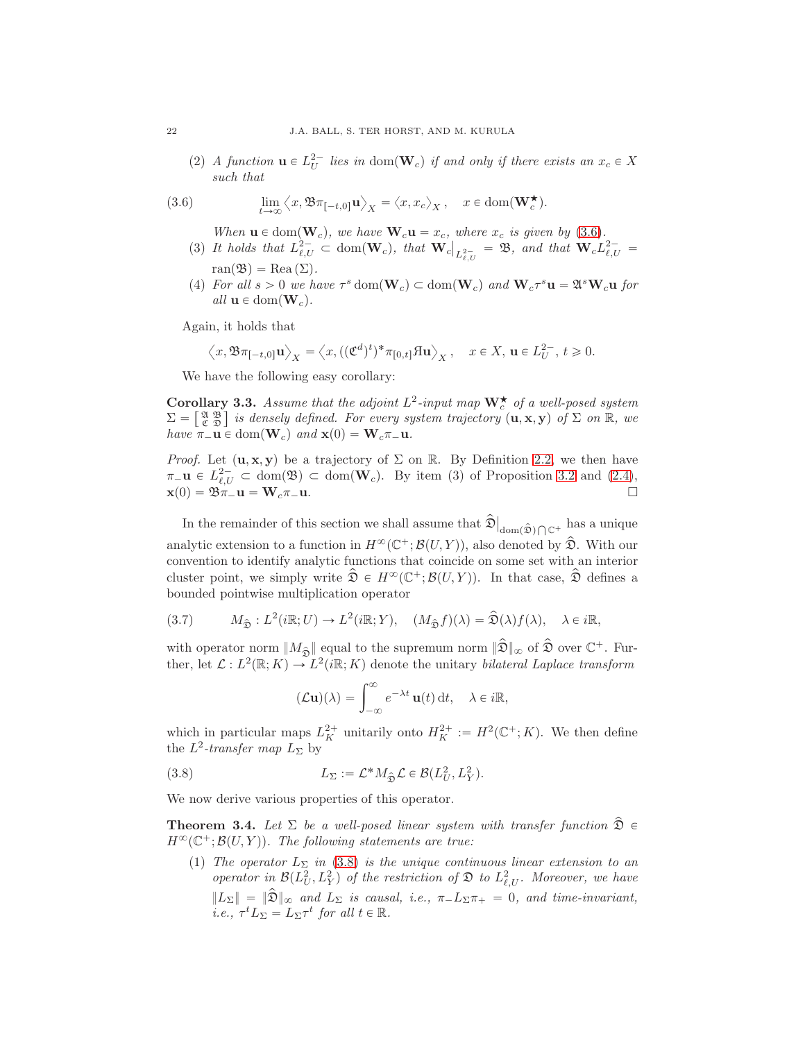(2) A function  $\mathbf{u} \in L^{2-}_{U}$  lies in dom $(\mathbf{W}_c)$  if and only if there exists an  $x_c \in X$ such that

(3.6) 
$$
\lim_{t\to\infty}\langle x,\mathfrak{B}\pi_{[-t,0]}\mathbf{u}\rangle_X=\langle x,x_c\rangle_X,\quad x\in\text{dom}(\mathbf{W}_c^{\star}).
$$

<span id="page-21-0"></span>When  $\mathbf{u} \in \text{dom}(\mathbf{W}_c)$ , we have  $\mathbf{W}_c \mathbf{u} = x_c$ , where  $x_c$  is given by [\(3.6\)](#page-21-0).

- (3) It holds that  $L^2_{\ell,U} \subset \text{dom}(\mathbf{W}_c)$ , that  $\mathbf{W}_c|_{L^2_{\ell,U}} = \mathfrak{B}$ , and that  $\mathbf{W}_c L^2_{\ell,U} =$ ran( $\mathfrak{B}$ ) = Rea  $(\Sigma)$ .
- (4) For all  $s > 0$  we have  $\tau^s$  dom $(\mathbf{W}_c) \subset \text{dom}(\mathbf{W}_c)$  and  $\mathbf{W}_c \tau^s \mathbf{u} = \mathfrak{A}^s \mathbf{W}_c \mathbf{u}$  for all  $\mathbf{u} \in \text{dom}(\mathbf{W}_c)$ .

Again, it holds that

$$
\langle x, \mathfrak{B}\pi_{[-t,0]} \mathbf{u} \rangle_X = \langle x, ((\mathfrak{C}^d)^t)^* \pi_{[0,t]} \mathfrak{A} \mathbf{u} \rangle_X, \quad x \in X, \mathbf{u} \in L^{2-}_{U}, t \geq 0.
$$

We have the following easy corollary:

**Corollary 3.3.** Assume that the adjoint  $L^2$ -input map  $\mathbf{W}_c^{\star}$  of a well-posed system  $\Sigma = \begin{bmatrix} \mathfrak{A} & \mathfrak{B} \\ \mathfrak{C} & \mathfrak{D} \end{bmatrix}$  is densely defined. For every system trajectory  $(\mathbf{u}, \mathbf{x}, \mathbf{y})$  of  $\Sigma$  on  $\mathbb{R}$ , we have  $\pi_{-}\mathbf{u} \in \text{dom}(\mathbf{W}_c)$  and  $\mathbf{x}(0) = \mathbf{W}_c \pi_{-}\mathbf{u}$ .

*Proof.* Let  $(\mathbf{u}, \mathbf{x}, \mathbf{y})$  be a trajectory of  $\Sigma$  on R. By Definition [2.2,](#page-14-1) we then have  $\pi_{-}\mathbf{u} \in L^{2}_{\ell,U} \subset \text{dom}(\mathfrak{B}) \subset \text{dom}(\mathbf{W}_c)$ . By item (3) of Proposition [3.2](#page-20-1) and [\(2.4\)](#page-14-3),  $\mathbf{x}(0) = \mathfrak{B}\pi_{-\mathbf{u}} = \mathbf{W}_c\pi_{-\mathbf{u}}.$ 

In the remainder of this section we shall assume that  $\hat{\mathfrak{D}}|_{\text{dom}(\hat{\mathfrak{D}})\bigcap\mathbb{C}^+}$  has a unique analytic extension to a function in  $H^{\infty}(\mathbb{C}^+;\mathcal{B}(U,Y))$ , also denoted by  $\widehat{\mathfrak{D}}$ . With our convention to identify analytic functions that coincide on some set with an interior cluster point, we simply write  $\hat{\mathfrak{D}} \in H^{\infty}(\mathbb{C}^+;\mathcal{B}(U,Y))$ . In that case,  $\hat{\mathfrak{D}}$  defines a bounded pointwise multiplication operator

<span id="page-21-3"></span>(3.7) 
$$
M_{\hat{\mathfrak{D}}}: L^2(i\mathbb{R}; U) \to L^2(i\mathbb{R}; Y), \quad (M_{\hat{\mathfrak{D}}}f)(\lambda) = \hat{\mathfrak{D}}(\lambda)f(\lambda), \quad \lambda \in i\mathbb{R},
$$

with operator norm  $||M_{\hat{\mathfrak{D}}}||$  equal to the supremum norm  $||\hat{\mathfrak{D}}||_{\infty}$  of  $\hat{\mathfrak{D}}$  over  $\mathbb{C}^+$ . Further, let  $\mathcal{L}: L^2(\mathbb{R}; K) \to L^2(i\mathbb{R}; K)$  denote the unitary *bilateral Laplace transform* 

<span id="page-21-1"></span>
$$
(\mathcal{L}\mathbf{u})(\lambda) = \int_{-\infty}^{\infty} e^{-\lambda t} \mathbf{u}(t) dt, \quad \lambda \in i\mathbb{R},
$$

which in particular maps  $L_K^{2+}$  unitarily onto  $H_K^{2+} := H^2(\mathbb{C}^+; K)$ . We then define the  $L^2$ -transfer map  $L_{\Sigma}$  by

(3.8) 
$$
L_{\Sigma} := \mathcal{L}^* M_{\widehat{\mathfrak{D}}} \mathcal{L} \in \mathcal{B}(L_U^2, L_Y^2).
$$

We now derive various properties of this operator.

<span id="page-21-2"></span>**Theorem 3.4.** Let  $\Sigma$  be a well-posed linear system with transfer function  $\widehat{\mathfrak{D}}$   $\in$  $H^{\infty}(\mathbb{C}^{+}; \mathcal{B}(U, Y)).$  The following statements are true:

(1) The operator  $L_{\Sigma}$  in [\(3.8\)](#page-21-1) is the unique continuous linear extension to an operator in  $\mathcal{B}(L_U^2, L_Y^2)$  of the restriction of  $\mathfrak{D}$  to  $L_{\ell,U}^2$ . Moreover, we have  $||L_{\Sigma}|| = ||\hat{\mathfrak{D}}||_{\infty}$  and  $L_{\Sigma}$  is causal, i.e.,  $\pi_- L_{\Sigma} \pi_+ = 0$ , and time-invariant, *i.e.*,  $\tau^t L_{\Sigma} = L_{\Sigma} \tau^t$  for all  $t \in \mathbb{R}$ .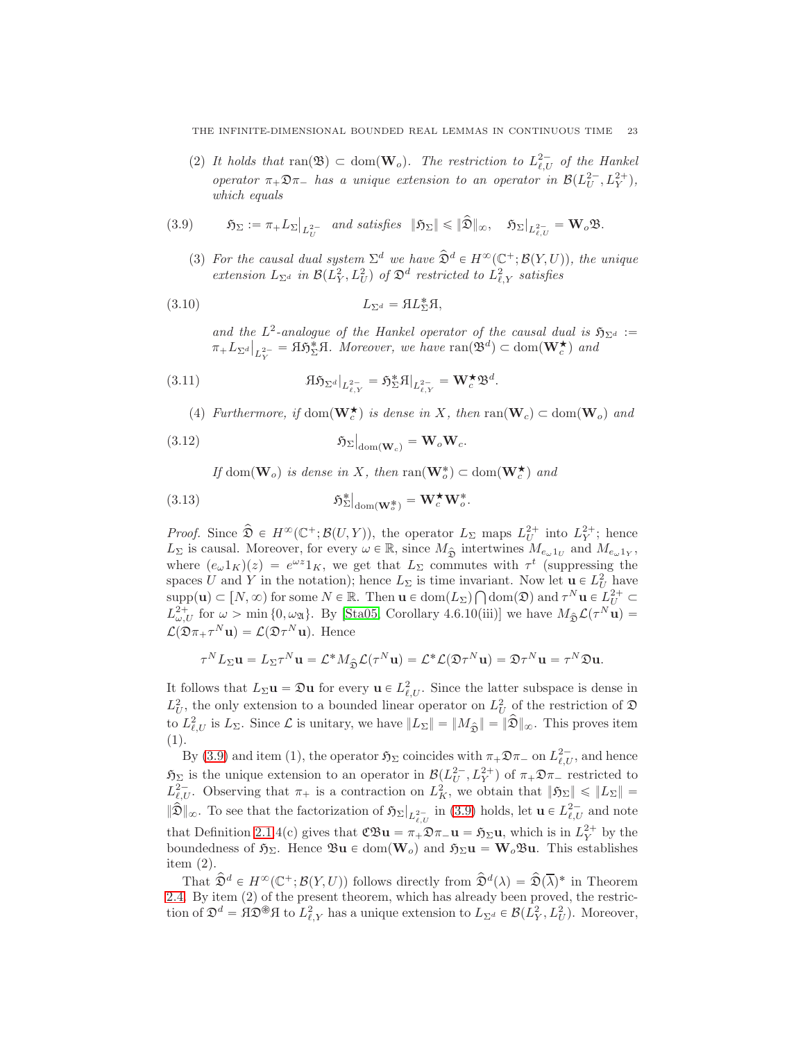(2) It holds that ran( $\mathfrak{B}$ )  $\subset$  dom $(\mathbf{W}_o)$ . The restriction to  $L^{2-}_{\ell,U}$  of the Hankel operator  $\pi_+\mathfrak{D}\pi_-$  has a unique extension to an operator in  $\mathcal{B}(L^{2-}_U, L^{2+}_Y)$ , which equals

(3.9) H<sup>Σ</sup> :" π`L<sup>Σ</sup> ˇ ˇ L 2´ U and satisfies }HΣ} ď }Dp}8, HΣ|<sup>L</sup> 2´ ℓ,U " WoB.

<span id="page-22-0"></span>(3) For the causal dual system  $\Sigma^d$  we have  $\widehat{\mathfrak{D}}^d \in H^\infty(\mathbb{C}^+;\mathcal{B}(Y,U))$ , the unique extension  $L_{\Sigma^d}$  in  $\mathcal{B}(L^2_Y, L^2_U)$  of  $\mathfrak{D}^d$  restricted to  $L^2_{\ell,Y}$  satisfies

(3.10) 
$$
L_{\Sigma^d} = \mathfrak{A}L_{\Sigma}^* \mathfrak{A},
$$

<span id="page-22-4"></span><span id="page-22-1"></span>and the  $L^2$ -analogue of the Hankel operator of the causal dual is  $\mathfrak{H}_{\Sigma^d} :=$  $\pi_+ L_{\Sigma^d}|_{L^{2-}_Y} = \mathcal{H} \mathfrak{H}_{\Sigma}^* \mathcal{H}$ . Moreover, we have  $\text{ran}(\mathfrak{B}^d) \subset \text{dom}(\mathbf{W}_{c}^{\star})$  and

(3.11) 
$$
\mathfrak{H}\mathfrak{H}_{\Sigma^d}|_{L^2_{\ell,Y}} = \mathfrak{H}^*_{\Sigma}\mathfrak{H}|_{L^2_{\ell,Y}} = \mathbf{W}_c^{\star}\mathfrak{B}^d.
$$

(4) Furthermore, if  $\text{dom}(\mathbf{W}_c^{\star})$  is dense in X, then  $\text{ran}(\mathbf{W}_c) \subset \text{dom}(\mathbf{W}_o)$  and

(3.12) 
$$
\tilde{\mathfrak{H}}_{\Sigma}\Big|_{\text{dom}(\mathbf{W}_c)} = \mathbf{W}_o \mathbf{W}_c.
$$

<span id="page-22-3"></span><span id="page-22-2"></span>If dom $(\mathbf{W}_o)$  is dense in X, then  $\text{ran}(\mathbf{W}_o^*) \subset \text{dom}(\mathbf{W}_c^*)$  and

(3.13) 
$$
\mathfrak{H}_{\Sigma}^*|_{\text{dom}(\mathbf{W}_o^*)} = \mathbf{W}_c^{\star} \mathbf{W}_o^*.
$$

*Proof.* Since  $\hat{\mathfrak{D}} \in H^{\infty}(\mathbb{C}^+;\mathcal{B}(U,Y)),$  the operator  $L_{\Sigma}$  maps  $L^{2+}_{U}$  into  $L^{2+}_{Y}$ ; hence  $L_{\Sigma}$  is causal. Moreover, for every  $\omega \in \mathbb{R}$ , since  $M_{\hat{\mathfrak{D}}}$  intertwines  $M_{e_{\omega}1_U}$  and  $M_{e_{\omega}1_Y}$ , where  $(e_{\omega}1_K)(z) = e^{\omega z}1_K$ , we get that  $L_{\Sigma}$  commutes with  $\tau^t$  (suppressing the spaces U and Y in the notation); hence  $L_{\Sigma}$  is time invariant. Now let  $\mathbf{u} \in L^2_U$  have  $\text{supp}(\mathbf{u}) \subset [N, \infty)$  for some  $N \in \mathbb{R}$ . Then  $\mathbf{u} \in \text{dom}(L_{\Sigma}) \cap \text{dom}(\mathfrak{D})$  and  $\tau^N \mathbf{u} \in L^{2+}_{U} \subset$  $L^{2+}_{\omega,U}$  for  $\omega > \min\{0,\omega_{\mathfrak{A}}\}\$ . By [\[Sta05,](#page-60-4) Corollary 4.6.10(iii)] we have  $M_{\hat{\mathfrak{D}}} \mathcal{L}(\tau^N \mathbf{u}) =$  $\mathcal{L}(\mathfrak{D}\pi_+\tau^N\mathbf{u}) = \mathcal{L}(\mathfrak{D}\tau^N\mathbf{u})$ . Hence

$$
\tau^N L_{\Sigma} \mathbf{u} = L_{\Sigma} \tau^N \mathbf{u} = \mathcal{L}^* M_{\widehat{\mathfrak{D}}} \mathcal{L}(\tau^N \mathbf{u}) = \mathcal{L}^* \mathcal{L}(\mathfrak{D} \tau^N \mathbf{u}) = \mathfrak{D} \tau^N \mathbf{u} = \tau^N \mathfrak{D} \mathbf{u}.
$$

It follows that  $L_{\Sigma} \mathbf{u} = \mathfrak{D} \mathbf{u}$  for every  $\mathbf{u} \in L^2_{\ell,U}$ . Since the latter subspace is dense in  $L_U^2$ , the only extension to a bounded linear operator on  $L_U^2$  of the restriction of  $\mathfrak D$ to  $L^2_{\ell,U}$  is  $L_{\Sigma}$ . Since  $\mathcal L$  is unitary, we have  $||L_{\Sigma}|| = ||M_{\hat{\Sigma}}|| = ||\hat{\Sigma}||_{\infty}$ . This proves item (1).

By [\(3.9\)](#page-22-0) and item (1), the operator  $\mathfrak{H}_{\Sigma}$  coincides with  $\pi_+\mathfrak{D}\pi_-$  on  $L^{2-}_{\ell,U}$ , and hence  $\mathfrak{H}_{\Sigma}$  is the unique extension to an operator in  $\mathcal{B}(L_U^{2-}, L_Y^{2+})$  of  $\pi_+\mathfrak{D}\pi_-$  restricted to  $L^{2-}_{\ell,U}$ . Observing that  $\pi_+$  is a contraction on  $L^2_K$ , we obtain that  $\|\mathfrak{H}_{\Sigma}\| \leq \|L_{\Sigma}\| =$  $\|\hat{\mathfrak{D}}\|_{\infty}$ . To see that the factorization of  $\mathfrak{H}_{\Sigma}|_{L^{2-}_{\ell,U}}$  in [\(3.9\)](#page-22-0) holds, let **u** ∈  $L^{2-}_{\ell,U}$  and note that Definition [2.1.](#page-13-1)4(c) gives that  $\mathfrak{C} \mathfrak{B} \mathbf{u} = \pi_+ \mathfrak{D} \pi_- \mathbf{u} = \mathfrak{H}_\Sigma \mathbf{u}$ , which is in  $L_Y^{2+}$  by the boundedness of  $\mathfrak{H}_{\Sigma}$ . Hence  $\mathfrak{B}\mathbf{u} \in \text{dom}(\mathbf{W}_o)$  and  $\mathfrak{H}_{\Sigma}\mathbf{u} = \mathbf{W}_o \mathfrak{B}\mathbf{u}$ . This establishes item (2).

That  $\widehat{\mathfrak{D}}^d \in H^\infty(\mathbb{C}^+;\mathcal{B}(Y,U))$  follows directly from  $\widehat{\mathfrak{D}}^d(\lambda) = \widehat{\mathfrak{D}}(\overline{\lambda})^*$  in Theorem [2.4.](#page-17-2) By item (2) of the present theorem, which has already been proved, the restriction of  $\mathfrak{D}^d = \mathfrak{H} \mathfrak{D}^{\circledast} \mathfrak{H}$  to  $L^2_{\ell,Y}$  has a unique extension to  $L_{\Sigma^d} \in \mathcal{B}(L^2_Y, L^2_U)$ . Moreover,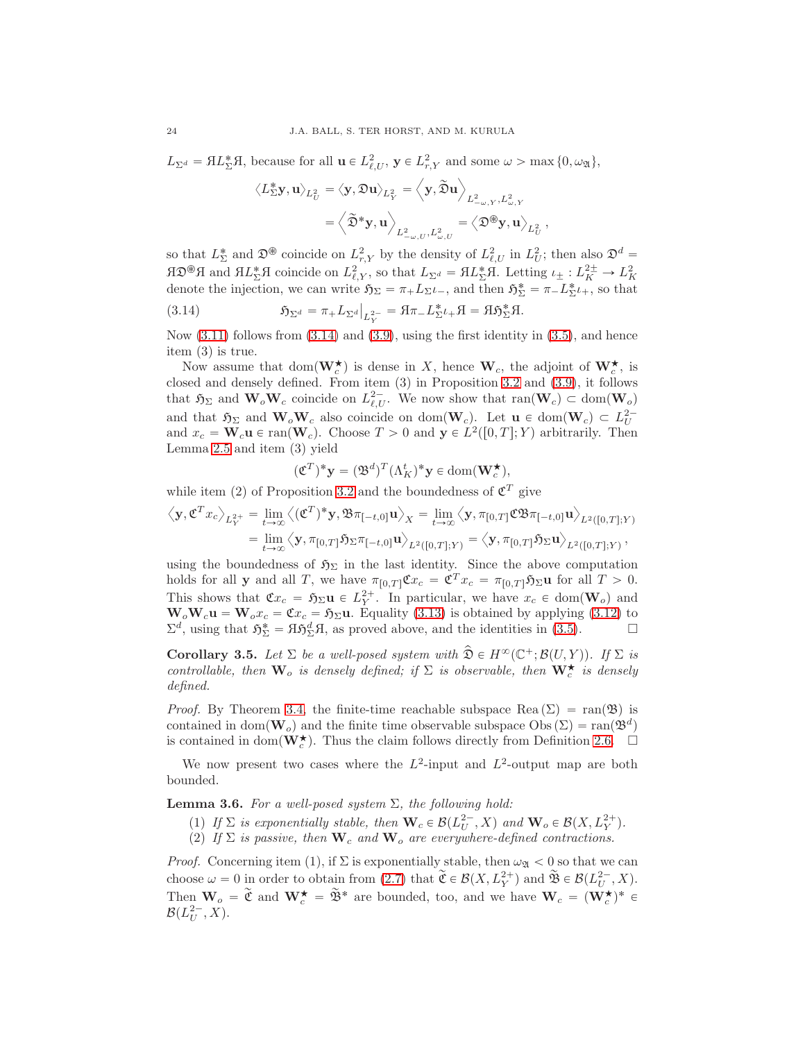$L_{\Sigma^d} = SL_{\Sigma}^* A$ , because for all  $\mathbf{u} \in L^2_{\ell,U}$ ,  $\mathbf{y} \in L^2_{r,Y}$  and some  $\omega > \max\{0, \omega_{\mathfrak{A}}\},$ 

$$
\begin{aligned} \left\langle L^*_{\Sigma} \mathbf{y}, \mathbf{u} \right\rangle_{L^2_U} &= \left\langle \mathbf{y}, \mathfrak{D} \mathbf{u} \right\rangle_{L^2_Y} = \left\langle \mathbf{y}, \widetilde{\mathfrak{D}} \mathbf{u} \right\rangle_{L^2_{-\omega, Y}, L^2_{\omega, Y}} \\ &= \left\langle \widetilde{\mathfrak{D}}^* \mathbf{y}, \mathbf{u} \right\rangle_{L^2_{-\omega, U}, L^2_{\omega, U}} = \left\langle \mathfrak{D}^{\circledast} \mathbf{y}, \mathbf{u} \right\rangle_{L^2_U}, \end{aligned}
$$

so that  $L^*_{\Sigma}$  and  $\mathfrak{D}^{\circledast}$  coincide on  $L^2_{r,Y}$  by the density of  $L^2_{\ell,U}$  in  $L^2_U$ ; then also  $\mathfrak{D}^d$  $\mathfrak{H}\mathfrak{D}^{\circledast} \mathfrak{R}$  and  $\mathfrak{H}L_{\Sigma}^* \mathfrak{R}$  coincide on  $L^2_{\ell,Y}$ , so that  $L_{\Sigma^d} = \mathfrak{H}L_{\Sigma}^* \mathfrak{R}$ . Letting  $\iota_{\pm}: L_K^{2\pm} \to L_K^2$ denote the injection, we can write  $\mathfrak{H}_{\Sigma} = \pi_+ L_{\Sigma} \iota_-,$  and then  $\mathfrak{H}_{\Sigma}^* = \pi_- L_{\Sigma}^* \iota_+,$  so that

<span id="page-23-0"></span>(3.14) 
$$
\mathfrak{H}_{\Sigma^d} = \pi_+ L_{\Sigma^d}|_{L^{2-}_Y} = \mathfrak{H}\pi_- L^*_{\Sigma} \iota_+ \mathfrak{H} = \mathfrak{H} \mathfrak{H}^*_{\Sigma} \mathfrak{H}.
$$

Now  $(3.11)$  follows from  $(3.14)$  and  $(3.9)$ , using the first identity in  $(3.5)$ , and hence item (3) is true.

Now assume that  $\text{dom}(\mathbf{W}_c^{\star})$  is dense in X, hence  $\mathbf{W}_c$ , the adjoint of  $\mathbf{W}_c^{\star}$ , is closed and densely defined. From item (3) in Proposition [3.2](#page-20-1) and [\(3.9\)](#page-22-0), it follows that  $\mathfrak{H}_{\Sigma}$  and  $\mathbf{W}_o \mathbf{W}_c$  coincide on  $L^2_{\ell,U}$ . We now show that  $\text{ran}(\mathbf{W}_c) \subset \text{dom}(\mathbf{W}_o)$ and that  $\mathfrak{H}_{\Sigma}$  and  $\mathbf{W}_o \mathbf{W}_c$  also coincide on dom $(\mathbf{W}_c)$ . Let  $\mathbf{u} \in \text{dom}(\mathbf{W}_c) \subset L_U^{2-}$ and  $x_c = \mathbf{W}_c \mathbf{u} \in \text{ran}(\mathbf{W}_c)$ . Choose  $T > 0$  and  $\mathbf{y} \in L^2([0, T]; Y)$  arbitrarily. Then Lemma [2.5](#page-17-1) and item (3) yield

$$
(\mathfrak{C}^T)^* \mathbf{y} = (\mathfrak{B}^d)^T (\Lambda_K^t)^* \mathbf{y} \in \text{dom}(\mathbf{W}_c^{\star}),
$$

while item (2) of Proposition [3.2](#page-20-1) and the boundedness of  $\mathfrak{C}^T$  give

$$
\begin{aligned}\n\langle \mathbf{y}, \mathfrak{C}^T x_c \rangle_{L^{2+}_Y} &= \lim_{t \to \infty} \left\langle (\mathfrak{C}^T)^* \mathbf{y}, \mathfrak{B} \pi_{[-t,0]} \mathbf{u} \right\rangle_X = \lim_{t \to \infty} \left\langle \mathbf{y}, \pi_{[0,T]} \mathfrak{C} \mathfrak{B} \pi_{[-t,0]} \mathbf{u} \right\rangle_{L^2([0,T];Y)} \\
&= \lim_{t \to \infty} \left\langle \mathbf{y}, \pi_{[0,T]} \mathfrak{H}_\Sigma \pi_{[-t,0]} \mathbf{u} \right\rangle_{L^2([0,T];Y)} = \left\langle \mathbf{y}, \pi_{[0,T]} \mathfrak{H}_\Sigma \mathbf{u} \right\rangle_{L^2([0,T];Y)},\n\end{aligned}
$$

using the boundedness of  $\mathfrak{H}_{\Sigma}$  in the last identity. Since the above computation holds for all **y** and all T, we have  $\pi_{[0,T]} \mathfrak{C} x_c = \mathfrak{C}^T x_c = \pi_{[0,T]} \mathfrak{H}_{\Sigma} \mathbf{u}$  for all  $T > 0$ . This shows that  $\mathfrak{C}x_c = \mathfrak{H}_\Sigma \mathbf{u} \in L_Y^{2+}$ . In particular, we have  $x_c \in \text{dom}(\mathbf{W}_o)$  and  $\mathbf{W}_o \mathbf{W}_c \mathbf{u} = \mathbf{W}_o x_c = \mathfrak{C} x_c = \mathfrak{H}_{\Sigma} \mathbf{u}$ . Equality [\(3.13\)](#page-22-2) is obtained by applying [\(3.12\)](#page-22-3) to  $\Sigma^d$ , using that  $\mathfrak{H}^*_{\Sigma} = \mathfrak{H} \mathfrak{H}^d_{\Sigma} \mathfrak{H}$ , as proved above, and the identities in [\(3.5\)](#page-20-2).

<span id="page-23-2"></span>**Corollary 3.5.** Let  $\Sigma$  be a well-posed system with  $\widehat{\mathfrak{D}} \in H^{\infty}(\mathbb{C}^+;\mathcal{B}(U,Y))$ . If  $\Sigma$  is controllable, then  $\mathbf{W}_o$  is densely defined; if  $\Sigma$  is observable, then  $\mathbf{W}_c^{\star}$  is densely defined.

*Proof.* By Theorem [3.4,](#page-21-2) the finite-time reachable subspace Rea  $(\Sigma)$  = ran $(\mathfrak{B})$  is contained in dom $(\mathbf{W}_o)$  and the finite time observable subspace  $\text{Obs}(\Sigma) = \text{ran}(\mathfrak{B}^d)$ is contained in dom $(\mathbf{W}_c^{\star})$ . Thus the claim follows directly from Definition [2.6.](#page-18-0)  $\Box$ 

We now present two cases where the  $L^2$ -input and  $L^2$ -output map are both bounded.

<span id="page-23-1"></span>**Lemma 3.6.** For a well-posed system  $\Sigma$ , the following hold:

(1) If  $\Sigma$  is exponentially stable, then  $\mathbf{W}_c \in \mathcal{B}(L^{2-}_{U}, X)$  and  $\mathbf{W}_o \in \mathcal{B}(X, L^{2+}_{Y}).$ 

(2) If  $\Sigma$  is passive, then  $\mathbf{W}_c$  and  $\mathbf{W}_o$  are everywhere-defined contractions.

*Proof.* Concerning item (1), if  $\Sigma$  is exponentially stable, then  $\omega_{\mathfrak{A}} < 0$  so that we can choose  $\omega = 0$  in order to obtain from [\(2.7\)](#page-16-1) that  $\widetilde{\mathfrak{C}} \in \mathcal{B}(X, L_Y^{2+})$  and  $\widetilde{\mathfrak{B}} \in \mathcal{B}(L_U^{2-}, X)$ . Then  $\mathbf{W}_o = \tilde{\mathfrak{C}}$  and  $\mathbf{W}_c^{\star} = \tilde{\mathfrak{B}}^*$  are bounded, too, and we have  $\mathbf{W}_c = (\mathbf{W}_c^{\star})^* \in \mathbb{R}$  $\mathcal{B}(L^{2-}_U, X)$ .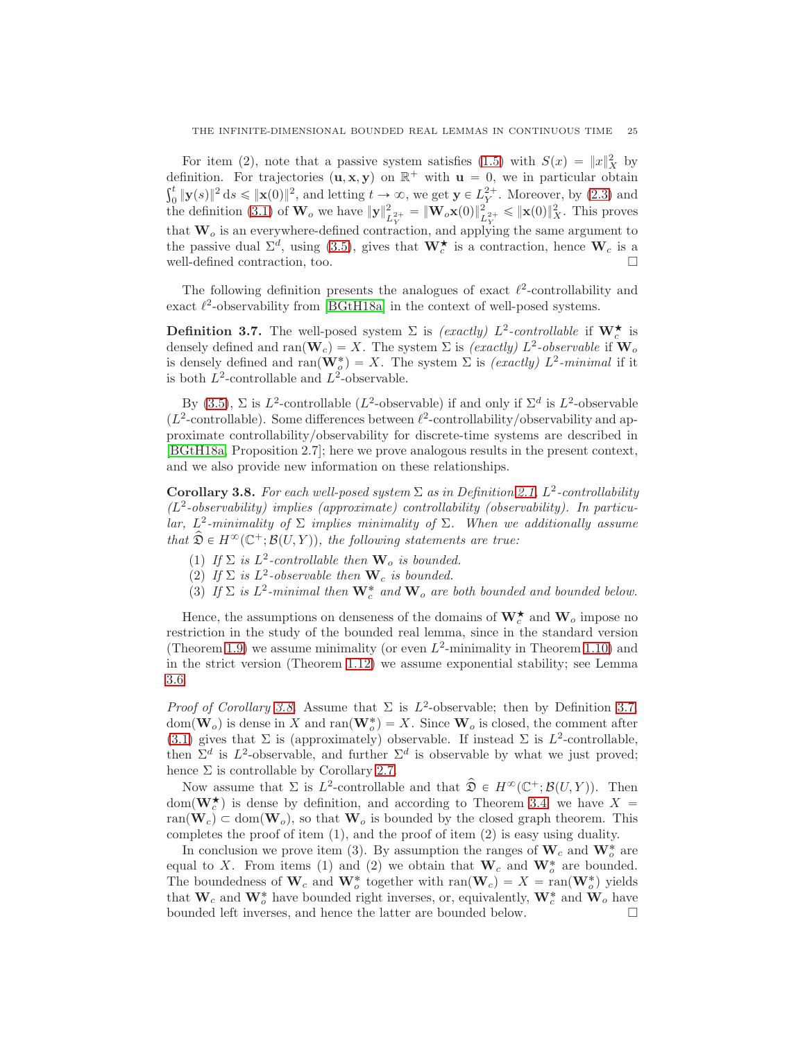For item (2), note that a passive system satisfies [\(1.5\)](#page-2-0) with  $S(x) = ||x||_X^2$  by definition. For trajectories  $(\mathbf{u}, \mathbf{x}, \mathbf{y})$  on  $\mathbb{R}^+$  with  $\mathbf{u} = 0$ , we in particular obtain  $\int_0^t \|\mathbf{y}(s)\|^2 ds \le \|\mathbf{x}(0)\|^2$ , and letting  $t \to \infty$ , we get  $\mathbf{y} \in L^{2+}_Y$ . Moreover, by [\(2.3\)](#page-14-4) and the definition [\(3.1\)](#page-19-3) of  $\mathbf{W}_o$  we have  $\|\mathbf{y}\|_{I}^{2}$  $L_{Y}^{2_{2+}} = \|\mathbf{W}_o \mathbf{x}(0)\|_{L_{Y}^{2+}}^2 \leqslant \|\mathbf{x}(0)\|_{X}^2$ . This proves that  $W<sub>o</sub>$  is an everywhere-defined contraction, and applying the same argument to the passive dual  $\Sigma^d$ , using [\(3.5\)](#page-20-2), gives that  $\mathbf{W}_c^{\star}$  is a contraction, hence  $\mathbf{W}_c$  is a well-defined contraction, too.

The following definition presents the analogues of exact  $\ell^2$ -controllability and exact  $\ell^2$ -observability from [\[BGtH18a\]](#page-59-14) in the context of well-posed systems.

<span id="page-24-0"></span>**Definition 3.7.** The well-posed system  $\Sigma$  is *(exactly)*  $L^2$ -controllable if  $\mathbf{W}_c^{\star}$  is densely defined and ran( $\mathbf{W}_c$ ) = X. The system  $\Sigma$  is *(exactly)*  $L^2$ -observable if  $\mathbf{W}_o$ is densely defined and  $\text{ran}(\mathbf{W}_{\phi}^{*}) = X$ . The system  $\Sigma$  is *(exactly)*  $L^{2}$ -minimal if it is both  $L^2$ -controllable and  $L^2$ -observable.

By [\(3.5\)](#page-20-2),  $\Sigma$  is  $L^2$ -controllable ( $L^2$ -observable) if and only if  $\Sigma^d$  is  $L^2$ -observable  $(L^2$ -controllable). Some differences between  $\ell^2$ -controllability/observability and approximate controllability/observability for discrete-time systems are described in [\[BGtH18a,](#page-59-14) Proposition 2.7]; here we prove analogous results in the present context, and we also provide new information on these relationships.

<span id="page-24-1"></span>**Corollary 3.8.** For each well-posed system  $\Sigma$  as in Definition [2.1,](#page-13-1)  $L^2$ -controllability (L 2 -observability) implies (approximate) controllability (observability). In particular,  $L^2$ -minimality of  $\Sigma$  implies minimality of  $\Sigma$ . When we additionally assume that  $\widehat{\mathfrak{D}} \in H^{\infty}(\mathbb{C}^+; \mathcal{B}(U, Y)),$  the following statements are true:

- (1) If  $\Sigma$  is  $L^2$ -controllable then  $\mathbf{W}_o$  is bounded.
- (2) If  $\Sigma$  is  $L^2$ -observable then  $\mathbf{W}_c$  is bounded.
- (3) If  $\Sigma$  is  $L^2$ -minimal then  $\mathbf{W}_c^*$  and  $\mathbf{W}_o$  are both bounded and bounded below.

Hence, the assumptions on denseness of the domains of  $\mathbf{W}_c^{\star}$  and  $\mathbf{W}_o$  impose no restriction in the study of the bounded real lemma, since in the standard version (Theorem [1.9\)](#page-7-0) we assume minimality (or even  $L^2$ -minimality in Theorem [1.10\)](#page-8-1) and in the strict version (Theorem [1.12\)](#page-9-2) we assume exponential stability; see Lemma [3.6.](#page-23-1)

*Proof of Corollary [3.8.](#page-24-1)* Assume that  $\Sigma$  is  $L^2$ -observable; then by Definition [3.7,](#page-24-0)  $dom(\mathbf{W}_o)$  is dense in X and ran $(\mathbf{W}_o^*) = X$ . Since  $\mathbf{W}_o$  is closed, the comment after [\(3.1\)](#page-19-3) gives that  $\Sigma$  is (approximately) observable. If instead  $\Sigma$  is  $L^2$ -controllable, then  $\Sigma^d$  is  $L^2$ -observable, and further  $\Sigma^d$  is observable by what we just proved; hence  $\Sigma$  is controllable by Corollary [2.7.](#page-18-1)

Now assume that  $\Sigma$  is  $L^2$ -controllable and that  $\widehat{\mathfrak{D}} \in H^\infty(\mathbb{C}^+;\mathcal{B}(U,Y))$ . Then  $dom(\mathbf{W}_{c}^{\star})$  is dense by definition, and according to Theorem [3.4,](#page-21-2) we have  $X =$ ran( $\mathbf{W}_c$ )  $\subset$  dom $(\mathbf{W}_o)$ , so that  $\mathbf{W}_o$  is bounded by the closed graph theorem. This completes the proof of item (1), and the proof of item (2) is easy using duality.

In conclusion we prove item (3). By assumption the ranges of  $\mathbf{W}_c$  and  $\mathbf{W}_o^*$  are equal to X. From items (1) and (2) we obtain that  $\mathbf{W}_c$  and  $\mathbf{W}_o^*$  are bounded. The boundedness of  $\mathbf{W}_c$  and  $\mathbf{W}_o^*$  together with  $\text{ran}(\mathbf{W}_c) = X = \text{ran}(\mathbf{W}_o^*)$  yields that  $\mathbf{W}_c$  and  $\mathbf{W}_o^*$  have bounded right inverses, or, equivalently,  $\mathbf{W}_c^*$  and  $\mathbf{W}_o$  have bounded left inverses, and hence the latter are bounded below.  $\Box$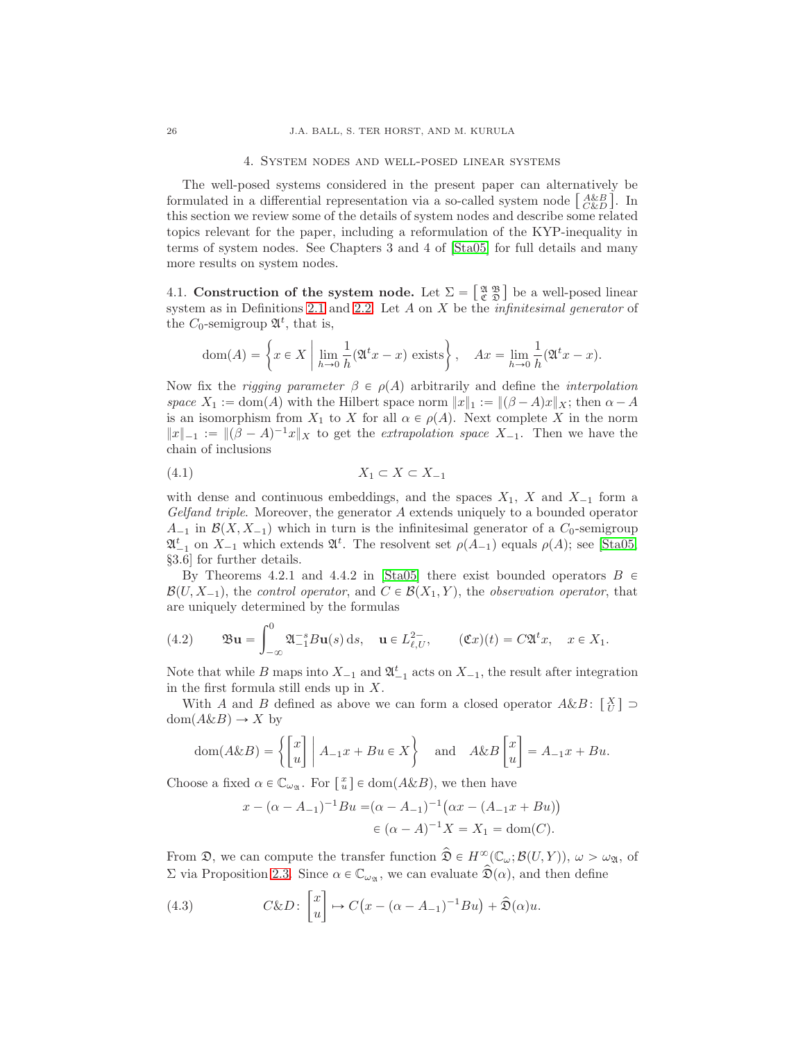### 4. System nodes and well-posed linear systems

<span id="page-25-0"></span>The well-posed systems considered in the present paper can alternatively be formulated in a differential representation via a so-called system node  $\begin{bmatrix} A\&B\\ C\&D \end{bmatrix}$ . In this section we review some of the details of system nodes and describe some related topics relevant for the paper, including a reformulation of the KYP-inequality in terms of system nodes. See Chapters 3 and 4 of [\[Sta05\]](#page-60-4) for full details and many more results on system nodes.

<span id="page-25-1"></span>4.1. Construction of the system node. Let  $\Sigma = \begin{bmatrix} \mathfrak{A} & \mathfrak{B} \\ \mathfrak{C} & \mathfrak{D} \end{bmatrix}$  be a well-posed linear system as in Definitions [2.1](#page-13-1) and [2.2.](#page-14-1) Let  $A$  on  $X$  be the *infinitesimal generator* of the  $C_0$ -semigroup  $\mathfrak{A}^t$ , that is,

dom(A) = 
$$
\left\{ x \in X \mid \lim_{h \to 0} \frac{1}{h} (\mathfrak{A}^t x - x) \text{ exists} \right\}, \quad Ax = \lim_{h \to 0} \frac{1}{h} (\mathfrak{A}^t x - x).
$$

Now fix the *rigging parameter*  $\beta \in \rho(A)$  arbitrarily and define the *interpolation* space  $X_1 := \text{dom}(A)$  with the Hilbert space norm  $||x||_1 := ||(\beta - A)x||_X$ ; then  $\alpha - A$ is an isomorphism from  $X_1$  to X for all  $\alpha \in \rho(A)$ . Next complete X in the norm  $||x||_{-1} := ||(\beta - A)^{-1}x||_X$  to get the *extrapolation space*  $X_{-1}$ . Then we have the chain of inclusions

<span id="page-25-2"></span>
$$
(4.1) \t\t X_1 \subset X \subset X_{-1}
$$

with dense and continuous embeddings, and the spaces  $X_1$ , X and  $X_{-1}$  form a Gelfand triple. Moreover, the generator A extends uniquely to a bounded operator  $A_{-1}$  in  $\mathcal{B}(X, X_{-1})$  which in turn is the infinitesimal generator of a  $C_0$ -semigroup  $\mathfrak{A}_{-1}^t$  on  $X_{-1}$  which extends  $\mathfrak{A}^t$ . The resolvent set  $\rho(A_{-1})$  equals  $\rho(A)$ ; see [\[Sta05,](#page-60-4) §3.6] for further details.

By Theorems 4.2.1 and 4.4.2 in [\[Sta05\]](#page-60-4) there exist bounded operators  $B \in$  $\mathcal{B}(U, X_{-1})$ , the control operator, and  $C \in \mathcal{B}(X_1, Y)$ , the observation operator, that are uniquely determined by the formulas

<span id="page-25-3"></span>(4.2) 
$$
\mathfrak{B}\mathbf{u} = \int_{-\infty}^{0} \mathfrak{A}^{-s}_{-1} B\mathbf{u}(s) \, ds, \quad \mathbf{u} \in L^{2-}_{\ell, U}, \qquad (\mathfrak{C}x)(t) = C\mathfrak{A}^{t}x, \quad x \in X_{1}.
$$

Note that while B maps into  $X_{-1}$  and  $\mathfrak{A}_{-1}^t$  acts on  $X_{-1}$ , the result after integration in the first formula still ends up in X.

With A and B defined as above we can form a closed operator  $A\&B: \begin{bmatrix} X \\ U \end{bmatrix} \supset$  $dom(A\&B) \rightarrow X$  by

$$
\text{dom}(A \& B) = \left\{ \begin{bmatrix} x \\ u \end{bmatrix} \middle| A_{-1}x + Bu \in X \right\} \quad \text{and} \quad A \& B \begin{bmatrix} x \\ u \end{bmatrix} = A_{-1}x + Bu.
$$

Choose a fixed  $\alpha \in \mathbb{C}_{\omega_{\mathfrak{A}}}$ . For  $\left[\begin{smallmatrix} x \\ u \end{smallmatrix}\right] \in \text{dom}(A \& B)$ , we then have

$$
x - (\alpha - A_{-1})^{-1}Bu = (\alpha - A_{-1})^{-1}(\alpha x - (A_{-1}x + Bu))
$$
  

$$
\in (\alpha - A)^{-1}X = X_1 = \text{dom}(C).
$$

From  $\mathfrak{D}$ , we can compute the transfer function  $\widehat{\mathfrak{D}} \in H^{\infty}(\mathbb{C}_{\omega}; \mathcal{B}(U, Y)), \omega > \omega_{\mathfrak{A}}$ , of Σ via Proposition [2.3.](#page-16-0) Since  $\alpha \in \mathbb{C}_{\omega_{\mathfrak{A}}}$ , we can evaluate  $\widehat{\mathfrak{D}}(\alpha)$ , and then define

<span id="page-25-4"></span>(4.3) 
$$
C\&D: \begin{bmatrix} x \\ u \end{bmatrix} \mapsto C\big(x - (\alpha - A_{-1})^{-1}Bu\big) + \widehat{\mathfrak{D}}(\alpha)u.
$$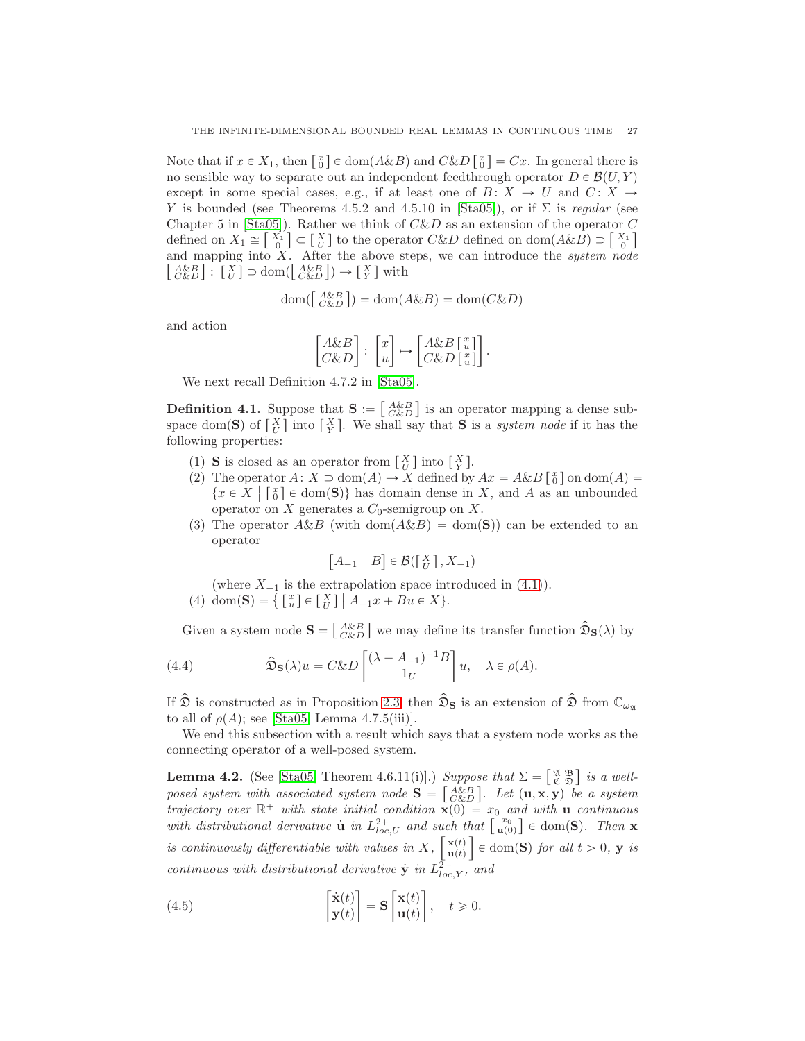Note that if  $x \in X_1$ , then  $\begin{bmatrix} x \\ 0 \end{bmatrix} \in \text{dom}(A \& B)$  and  $C \& D \begin{bmatrix} x \\ 0 \end{bmatrix} = Cx$ . In general there is no sensible way to separate out an independent feedthrough operator  $D \in \mathcal{B}(U, Y)$ except in some special cases, e.g., if at least one of  $B: X \to U$  and  $C: X \to$ Y is bounded (see Theorems 4.5.2 and 4.5.10 in [\[Sta05\]](#page-60-4)), or if  $\Sigma$  is regular (see Chapter 5 in [\[Sta05\]](#page-60-4)). Rather we think of  $C\&D$  as an extension of the operator C defined on  $X_1 \cong \begin{bmatrix} X_1' \\ 0 \end{bmatrix} \subset \begin{bmatrix} X \\ U \end{bmatrix}$  to the operator  $C\&D$  defined on dom $(A\&B) \supset \begin{bmatrix} X_1 \\ 0 \end{bmatrix}$ and mapping into  $X$ . After the above steps, we can introduce the *system node*  $\left[\begin{smallmatrix} A\&B\\ C\&D \end{smallmatrix}\right] : \left[\begin{smallmatrix} X\\ U \end{smallmatrix}\right] \supset \text{dom}(\left[\begin{smallmatrix} A\&B\\ C\&D \end{smallmatrix}\right]) \rightarrow \left[\begin{smallmatrix} X\\ Y \end{smallmatrix}\right]$  with

$$
dom(\begin{bmatrix} A\&B\\ C\&D \end{bmatrix}) = dom(A\&B) = dom(C\&D)
$$

and action

$$
\begin{bmatrix} A \& B \\ C \& D \end{bmatrix} \colon \begin{bmatrix} x \\ u \end{bmatrix} \mapsto \begin{bmatrix} A \& B \begin{bmatrix} x \\ u \end{bmatrix} \\ C \& D \begin{bmatrix} x \\ u \end{bmatrix} \end{bmatrix}.
$$

We next recall Definition 4.7.2 in [\[Sta05\]](#page-60-4).

<span id="page-26-3"></span>**Definition 4.1.** Suppose that  $\mathbf{S} := \begin{bmatrix} A\&B \\ C\&D \end{bmatrix}$  is an operator mapping a dense subspace dom(S) of  $\begin{bmatrix} X \\ U \end{bmatrix}$  into  $\begin{bmatrix} X \\ Y \end{bmatrix}$ . We shall say that S is a *system node* if it has the following properties:

- (1) **S** is closed as an operator from  $\begin{bmatrix} X \\ U \end{bmatrix}$  into  $\begin{bmatrix} X \\ Y \end{bmatrix}$ .
- (2) The operator  $A: X \supset \text{dom}(A) \to X$  defined by  $Ax = A\&B\begin{bmatrix} x \\ 0 \end{bmatrix}$  on dom $(A) =$  ${x \in X \mid \lbrack \begin{smallmatrix} x \\ 0 \end{smallmatrix} \rbrack} \in \text{dom}(S)$  has domain dense in X, and A as an unbounded operator on X generates a  $C_0$ -semigroup on X.
- (3) The operator  $A\&B$  (with  $\text{dom}(A\&B) = \text{dom}(S)$ ) can be extended to an operator

$$
\begin{bmatrix} A_{-1} & B \end{bmatrix} \in \mathcal{B}(\begin{bmatrix} X \\ U \end{bmatrix}, X_{-1})
$$

(where  $X_{-1}$  is the extrapolation space introduced in [\(4.1\)](#page-25-2)).

(4) dom(**S**) =  $\{ [x] \in [X] | A_{-1}x + Bu \in X \}.$ 

<span id="page-26-0"></span>Given a system node  $\mathbf{S} = \begin{bmatrix} A\&B \\ C\&D \end{bmatrix}$  we may define its transfer function  $\widehat{\mathfrak{D}}_{\mathbf{S}}(\lambda)$  by

(4.4) 
$$
\widehat{\mathfrak{D}}_{\mathbf{S}}(\lambda)u = C\&D\begin{bmatrix} (\lambda - A_{-1})^{-1}B \\ 1_U \end{bmatrix} u, \quad \lambda \in \rho(A).
$$

If  $\hat{\mathfrak{D}}$  is constructed as in Proposition [2.3,](#page-16-0) then  $\hat{\mathfrak{D}}_S$  is an extension of  $\hat{\mathfrak{D}}$  from  $\mathbb{C}_{\omega_{\infty}}$ to all of  $\rho(A)$ ; see [\[Sta05,](#page-60-4) Lemma 4.7.5(iii)].

We end this subsection with a result which says that a system node works as the connecting operator of a well-posed system.

<span id="page-26-1"></span>**Lemma 4.2.** (See [\[Sta05,](#page-60-4) Theorem 4.6.11(i)].) Suppose that  $\Sigma = \begin{bmatrix} \mathfrak{A} & \mathfrak{B} \\ \mathfrak{C} & \mathfrak{D} \end{bmatrix}$  is a wellposed system with associated system node  $S = \begin{bmatrix} A\&B \\ C\&D \end{bmatrix}$ . Let  $(u, x, y)$  be a system trajectory over  $\mathbb{R}^+$  with state initial condition  $\mathbf{x}(0) = x_0$  and with u continuous with distributional derivative  $\mathbf{u}$  in  $L^{2+}_{loc,U}$  and such that  $\begin{bmatrix} x_0 \\ \mathbf{u}(0) \end{bmatrix} \in \text{dom}(\mathbf{S})$ . Then **x** is continuously differentiable with values in X,  $\begin{bmatrix} \mathbf{x}(t) \\ \mathbf{u}(t) \end{bmatrix}$  $\mathbf{u}(t)$  $\epsilon$  dom(S) for all  $t > 0$ , y is continuous with distributional derivative  $\dot{y}$  in  $L^{2+}_{loc,Y}$ , and

<span id="page-26-2"></span>(4.5) 
$$
\begin{bmatrix} \dot{\mathbf{x}}(t) \\ \mathbf{y}(t) \end{bmatrix} = \mathbf{S} \begin{bmatrix} \mathbf{x}(t) \\ \mathbf{u}(t) \end{bmatrix}, \quad t \ge 0.
$$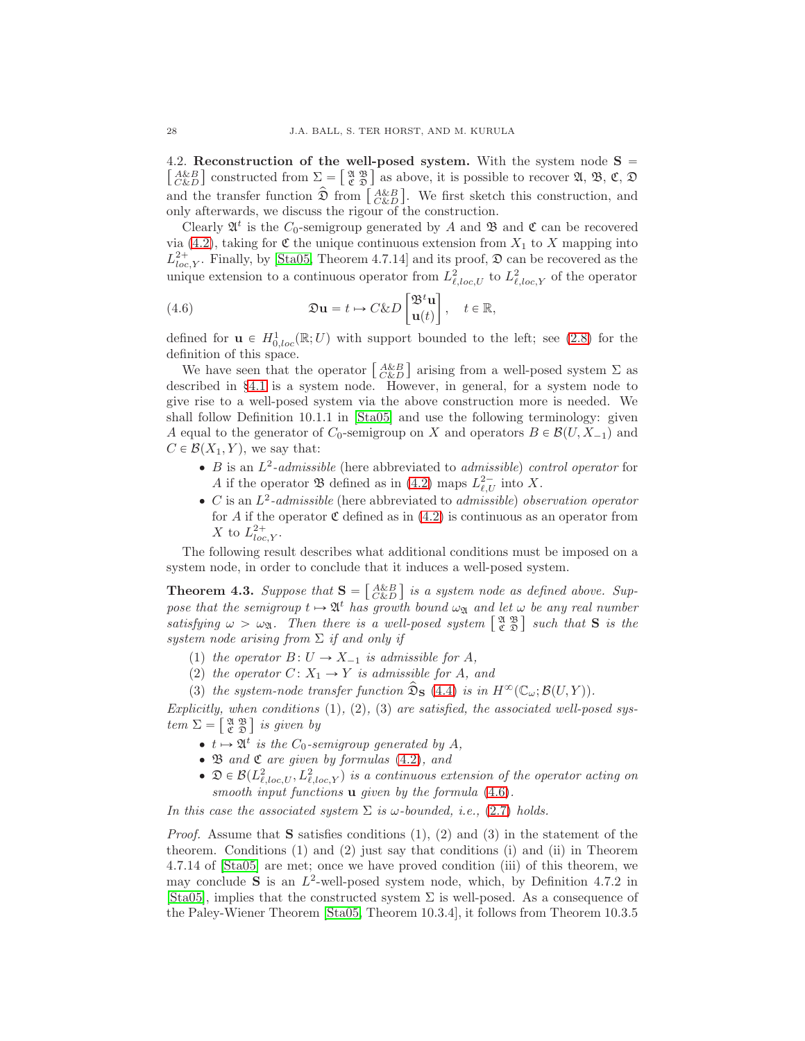<span id="page-27-0"></span>4.2. Reconstruction of the well-posed system. With the system node  $S =$  $\begin{bmatrix} A\&B \\ C\&D \end{bmatrix}$  constructed from  $\Sigma = \begin{bmatrix} \mathfrak{A} & \mathfrak{B} \\ \mathfrak{C} & \mathfrak{D} \end{bmatrix}$  as above, it is possible to recover  $\mathfrak{A}, \mathfrak{B}, \mathfrak{C}, \mathfrak{D}$ and the transfer function  $\hat{\mathfrak{D}}$  from  $\begin{bmatrix} A\& B \\ C\& D \end{bmatrix}$ . We first sketch this construction, and only afterwards, we discuss the rigour of the construction.

Clearly  $\mathfrak{A}^t$  is the  $C_0$ -semigroup generated by A and  $\mathfrak{B}$  and  $\mathfrak{C}$  can be recovered via [\(4.2\)](#page-25-3), taking for  $\mathfrak C$  the unique continuous extension from  $X_1$  to X mapping into  $L^{2+}_{loc,Y}$ . Finally, by [\[Sta05,](#page-60-4) Theorem 4.7.14] and its proof,  $\mathfrak{D}$  can be recovered as the unique extension to a continuous operator from  $L^2_{\ell,loc,U}$  to  $L^2_{\ell,loc,Y}$  of the operator

<span id="page-27-1"></span>(4.6) 
$$
\mathfrak{D}\mathbf{u} = t \mapsto C \& D\begin{bmatrix} \mathfrak{B}^t \mathbf{u} \\ \mathbf{u}(t) \end{bmatrix}, \quad t \in \mathbb{R},
$$

defined for  $\mathbf{u} \in H^1_{0,loc}(\mathbb{R};U)$  with support bounded to the left; see [\(2.8\)](#page-16-2) for the definition of this space.

We have seen that the operator  $\begin{bmatrix} A\&B \\ C\&D \end{bmatrix}$  arising from a well-posed system  $\Sigma$  as described in §[4.1](#page-25-1) is a system node. However, in general, for a system node to give rise to a well-posed system via the above construction more is needed. We shall follow Definition 10.1.1 in [\[Sta05\]](#page-60-4) and use the following terminology: given A equal to the generator of  $C_0$ -semigroup on X and operators  $B \in \mathcal{B}(U, X_{-1})$  and  $C \in \mathcal{B}(X_1, Y)$ , we say that:

- B is an  $L^2$ -admissible (here abbreviated to admissible) control operator for A if the operator  $\mathfrak B$  defined as in [\(4.2\)](#page-25-3) maps  $L^{2-}_{\ell,U}$  into X.
- $\bullet$  *C* is an  $L^2$ -admissible (here abbreviated to admissible) observation operator for A if the operator  $\mathfrak C$  defined as in [\(4.2\)](#page-25-3) is continuous as an operator from X to  $L^{2+}_{loc,Y}$ .

The following result describes what additional conditions must be imposed on a system node, in order to conclude that it induces a well-posed system.

<span id="page-27-2"></span>**Theorem 4.3.** Suppose that  $S = \begin{bmatrix} A\&B \\ C\&D \end{bmatrix}$  is a system node as defined above. Suppose that the semigroup  $t \mapsto \mathfrak{A}^t$  has growth bound  $\omega_{\mathfrak{A}}$  and let  $\omega$  be any real number satisfying  $\omega > \omega_{\mathfrak{A}}$ . Then there is a well-posed system  $\begin{bmatrix} \mathfrak{A} & \mathfrak{B} \\ \mathfrak{C} & \mathfrak{D} \end{bmatrix}$  such that **S** is the system node arising from  $\Sigma$  if and only if

- (1) the operator  $B: U \to X_{-1}$  is admissible for A,
- (2) the operator  $C: X_1 \to Y$  is admissible for A, and
- (3) the system-node transfer function  $\mathfrak{D}_{\mathbf{S}}$  [\(4.4\)](#page-26-0) is in  $H^{\infty}(\mathbb{C}_{\omega}; \mathcal{B}(U, Y))$ .

Explicitly, when conditions  $(1), (2), (3)$  are satisfied, the associated well-posed sys $tem \ \Sigma = \left[ \begin{array}{c} \mathfrak{A} \ \mathfrak{B} \\ \mathfrak{C} \ \mathfrak{D} \end{array} \right]$  is given by

- $t \mapsto \mathfrak{A}^t$  is the  $C_0$ -semigroup generated by A,
- $\bullet$  **B** and  $\mathfrak C$  are given by formulas [\(4.2\)](#page-25-3), and
- $\mathfrak{D} \in \mathcal{B}(L^2_{\ell,loc,U}, L^2_{\ell,loc,Y})$  is a continuous extension of the operator acting on smooth input functions  $\bf{u}$  given by the formula [\(4.6\)](#page-27-1).

In this case the associated system  $\Sigma$  is  $\omega$ -bounded, i.e., [\(2.7\)](#page-16-1) holds.

*Proof.* Assume that S satisfies conditions  $(1)$ ,  $(2)$  and  $(3)$  in the statement of the theorem. Conditions (1) and (2) just say that conditions (i) and (ii) in Theorem 4.7.14 of [\[Sta05\]](#page-60-4) are met; once we have proved condition (iii) of this theorem, we may conclude S is an  $L^2$ -well-posed system node, which, by Definition 4.7.2 in [\[Sta05\]](#page-60-4), implies that the constructed system  $\Sigma$  is well-posed. As a consequence of the Paley-Wiener Theorem [\[Sta05,](#page-60-4) Theorem 10.3.4], it follows from Theorem 10.3.5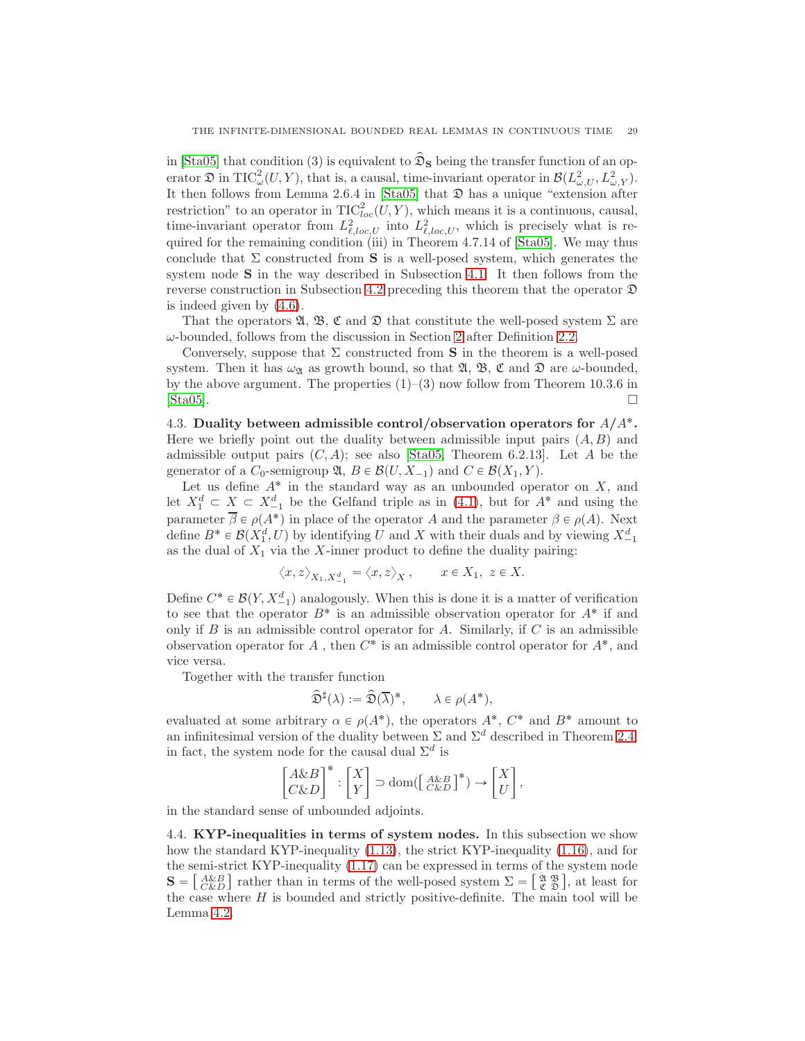in [\[Sta05\]](#page-60-4) that condition (3) is equivalent to  $\hat{\mathfrak{D}}_S$  being the transfer function of an operator  $\mathfrak{D}$  in TIC<sup>2</sup><sub> $\omega$ </sub> $(U, Y)$ , that is, a causal, time-invariant operator in  $\mathcal{B}(L^2_{\omega,U}, L^2_{\omega,Y})$ . It then follows from Lemma 2.6.4 in  $[Sta05]$  that  $\mathfrak D$  has a unique "extension after restriction" to an operator in  $\text{TIC}_{loc}^2(U, Y)$ , which means it is a continuous, causal, time-invariant operator from  $L^2_{\ell,loc,U}$  into  $L^2_{\ell,loc,U}$ , which is precisely what is required for the remaining condition (iii) in Theorem 4.7.14 of [\[Sta05\]](#page-60-4). We may thus conclude that  $\Sigma$  constructed from **S** is a well-posed system, which generates the system node S in the way described in Subsection [4.1.](#page-25-1) It then follows from the reverse construction in Subsection [4.2](#page-27-0) preceding this theorem that the operator  $\mathfrak D$ is indeed given by [\(4.6\)](#page-27-1).

That the operators  $\mathfrak{A}, \mathfrak{B}, \mathfrak{C}$  and  $\mathfrak{D}$  that constitute the well-posed system  $\Sigma$  are  $\omega$ -bounded, follows from the discussion in Section [2](#page-13-0) after Definition [2.2.](#page-14-1)

Conversely, suppose that  $\Sigma$  constructed from **S** in the theorem is a well-posed system. Then it has  $\omega_{\mathfrak{A}}$  as growth bound, so that  $\mathfrak{A}, \mathfrak{B}, \mathfrak{C}$  and  $\mathfrak{D}$  are  $\omega$ -bounded, by the above argument. The properties  $(1)$ – $(3)$  now follow from Theorem 10.3.6 in  $[Sta05]$ .

<span id="page-28-0"></span>4.3. Duality between admissible control/observation operators for  $A/A^*$ . Here we briefly point out the duality between admissible input pairs  $(A, B)$  and admissible output pairs  $(C, A)$ ; see also [\[Sta05,](#page-60-4) Theorem 6.2.13]. Let A be the generator of a  $C_0$ -semigroup  $\mathfrak{A}, B \in \mathcal{B}(U, X_{-1})$  and  $C \in \mathcal{B}(X_1, Y)$ .

Let us define  $A^*$  in the standard way as an unbounded operator on  $X$ , and let  $X_1^d \subset X \subset X_{-1}^d$  be the Gelfand triple as in [\(4.1\)](#page-25-2), but for  $A^*$  and using the parameter  $\overline{\beta} \in \rho(A^*)$  in place of the operator A and the parameter  $\beta \in \rho(A)$ . Next define  $B^* \in \mathcal{B}(X_1^d, U)$  by identifying U and X with their duals and by viewing  $X_{-1}^d$ as the dual of  $X_1$  via the X-inner product to define the duality pairing:

$$
\langle x, z \rangle_{X_1, X_{-1}^d} = \langle x, z \rangle_X, \qquad x \in X_1, \ z \in X.
$$

Define  $C^* \in \mathcal{B}(Y, X_{-1}^d)$  analogously. When this is done it is a matter of verification to see that the operator  $B^*$  is an admissible observation operator for  $A^*$  if and only if  $B$  is an admissible control operator for  $A$ . Similarly, if  $C$  is an admissible observation operator for  $A$ , then  $C^*$  is an admissible control operator for  $A^*$ , and vice versa.

Together with the transfer function

$$
\widehat{\mathfrak{D}}^{\sharp}(\lambda) := \widehat{\mathfrak{D}}(\overline{\lambda})^*, \qquad \lambda \in \rho(A^*),
$$

evaluated at some arbitrary  $\alpha \in \rho(A^*)$ , the operators  $A^*$ ,  $C^*$  and  $B^*$  amount to an infinitesimal version of the duality between  $\Sigma$  and  $\Sigma^d$  described in Theorem [2.4;](#page-17-2) in fact, the system node for the causal dual  $\Sigma^d$  is

$$
\begin{bmatrix} A \& B \\ C \& D \end{bmatrix}^*:\begin{bmatrix} X \\ Y \end{bmatrix} \supset \mathrm{dom}([\begin{array}{c} A \& B \\ C \& D \end{array}]^*) \to \begin{bmatrix} X \\ U \end{bmatrix},
$$

<span id="page-28-1"></span>in the standard sense of unbounded adjoints.

4.4. KYP-inequalities in terms of system nodes. In this subsection we show how the standard KYP-inequality [\(1.13\)](#page-7-1), the strict KYP-inequality [\(1.16\)](#page-9-0), and for the semi-strict KYP-inequality [\(1.17\)](#page-9-1) can be expressed in terms of the system node  $\mathbf{S} = \begin{bmatrix} A\&B \\ C\&D \end{bmatrix}$  rather than in terms of the well-posed system  $\Sigma = \begin{bmatrix} \mathcal{X} & \mathcal{B} \\ \mathfrak{C} & \mathcal{D} \end{bmatrix}$ , at least for the case where H is bounded and strictly positive-definite. The main tool will be Lemma [4.2.](#page-26-1)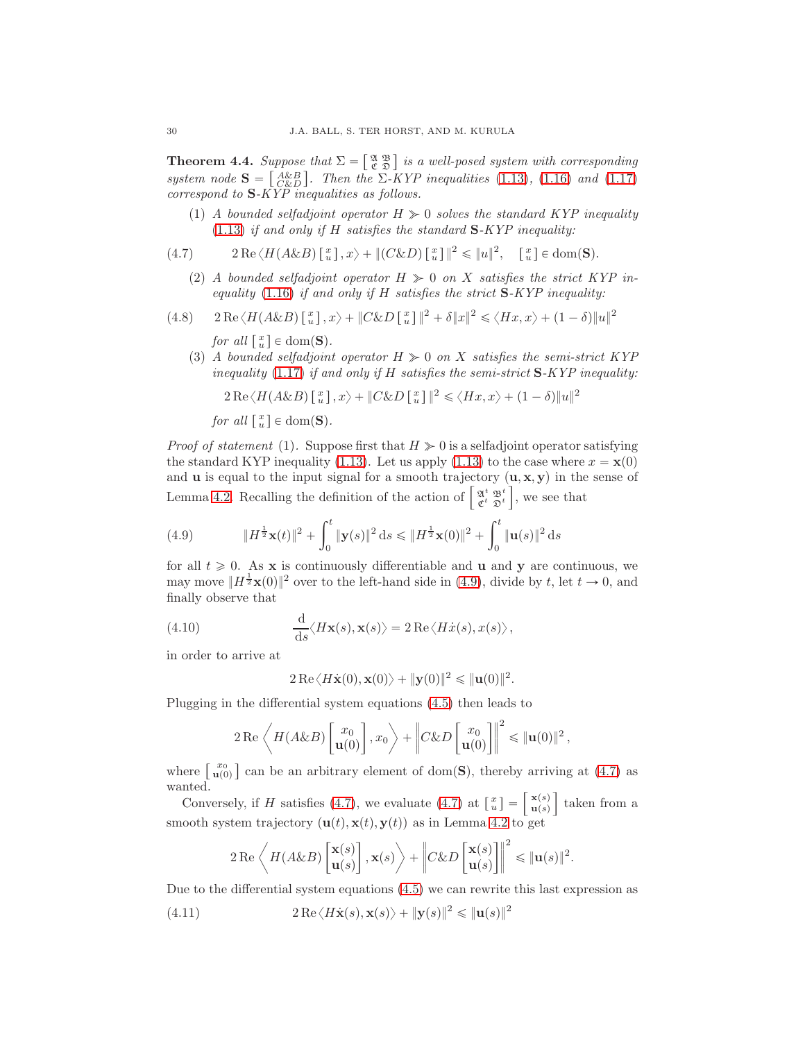**Theorem 4.4.** Suppose that  $\Sigma = \begin{bmatrix} \mathfrak{A} & \mathfrak{B} \\ \mathfrak{C} & \mathfrak{D} \end{bmatrix}$  is a well-posed system with corresponding system node  $S = \begin{bmatrix} A\&B\\ C\&D \end{bmatrix}$ . Then the  $\Sigma$ -KYP inequalities [\(1.13\)](#page-7-1), [\(1.16\)](#page-9-0) and [\(1.17\)](#page-9-1) correspond to S-KYP inequalities as follows.

(1) A bounded selfadjoint operator  $H \gg 0$  solves the standard KYP inequality  $(1.13)$  if and only if H satisfies the standard  $S-KYP$  inequality:

(4.7) 
$$
2 \operatorname{Re} \langle H(A \& B) \left[ \begin{array}{c} x \\ u \end{array} \right], x \rangle + \| (C \& D) \left[ \begin{array}{c} x \\ u \end{array} \right] \|^2 \leq \| u \|^2, \quad [ \begin{array}{c} x \\ u \end{array} ] \in \operatorname{dom}(\mathbf{S}).
$$

<span id="page-29-2"></span>(2) A bounded selfadjoint operator  $H \geq 0$  on X satisfies the strict KYP inequality  $(1.16)$  if and only if H satisfies the strict S-KYP inequality:

(4.8) 
$$
2 \operatorname{Re} \langle H(A \& B) \begin{bmatrix} x \\ u \end{bmatrix}, x \rangle + \| C \& D \begin{bmatrix} x \\ u \end{bmatrix} \|^2 + \delta \| x \|^2 \leq \langle Hx, x \rangle + (1 - \delta) \| u \|^2
$$

<span id="page-29-0"></span>for all  $\left[\begin{array}{c} x \\ u \end{array}\right] \in \text{dom}(\mathbf{S}).$ 

(3) A bounded selfadjoint operator  $H \geq 0$  on X satisfies the semi-strict KYP inequality [\(1.17\)](#page-9-1) if and only if  $H$  satisfies the semi-strict  $S-KYP$  inequality:

$$
2 \operatorname{Re} \langle H(A \& B) \left[ \begin{array}{c} x \\ u \end{array} \right], x \rangle + \| C \& D \left[ \begin{array}{c} x \\ u \end{array} \right] \|^2 \leq \langle Hx, x \rangle + (1 - \delta) \| u \|^2
$$

for all  $\left[\begin{array}{c} x \\ u \end{array}\right] \in \text{dom}(\mathbf{S}).$ 

*Proof of statement* (1). Suppose first that  $H \geq 0$  is a selfadjoint operator satisfying the standard KYP inequality [\(1.13\)](#page-7-1). Let us apply (1.13) to the case where  $x = \mathbf{x}(0)$ and **u** is equal to the input signal for a smooth trajectory  $(u, x, y)$  in the sense of Lemma [4.2.](#page-26-1) Recalling the definition of the action of  $\begin{bmatrix} \mathfrak{A}^t & \mathfrak{B}^t \\ \mathfrak{C}^t & \mathfrak{D}^t \end{bmatrix}$ , we see that

<span id="page-29-1"></span>(4.9) 
$$
||H^{\frac{1}{2}}\mathbf{x}(t)||^2 + \int_0^t ||\mathbf{y}(s)||^2 ds \le ||H^{\frac{1}{2}}\mathbf{x}(0)||^2 + \int_0^t ||\mathbf{u}(s)||^2 ds
$$

for all  $t \geq 0$ . As **x** is continuously differentiable and **u** and **y** are continuous, we may move  $||H^{\frac{1}{2}}\mathbf{x}(0)||^2$  over to the left-hand side in [\(4.9\)](#page-29-1), divide by t, let  $t \to 0$ , and finally observe that

(4.10) 
$$
\frac{\mathrm{d}}{\mathrm{d}s} \langle H\mathbf{x}(s), \mathbf{x}(s) \rangle = 2 \operatorname{Re} \langle H\dot{x}(s), x(s) \rangle,
$$

in order to arrive at

<span id="page-29-3"></span>
$$
2\operatorname{Re}\langle H\dot{\mathbf{x}}(0),\mathbf{x}(0)\rangle+\|\mathbf{y}(0)\|^2\leqslant \|\mathbf{u}(0)\|^2.
$$

Plugging in the differential system equations [\(4.5\)](#page-26-2) then leads to

$$
2 \operatorname{Re} \left\langle H(A \& B) \begin{bmatrix} x_0 \\ \mathbf{u}(0) \end{bmatrix}, x_0 \right\rangle + \left\| C \& D \begin{bmatrix} x_0 \\ \mathbf{u}(0) \end{bmatrix} \right\|^2 \leqslant \|\mathbf{u}(0)\|^2,
$$

where  $\begin{bmatrix} x_0 \\ u(0) \end{bmatrix}$  can be an arbitrary element of dom(S), thereby arriving at [\(4.7\)](#page-29-2) as wanted.

Conversely, if H satisfies [\(4.7\)](#page-29-2), we evaluate (4.7) at  $\begin{bmatrix} x \\ u \end{bmatrix} = \begin{bmatrix} \mathbf{x}(s) \\ \mathbf{u}(s) \end{bmatrix}$  $\mathbf{u}(s)$ ı taken from a smooth system trajectory  $(\mathbf{u}(t), \mathbf{x}(t), \mathbf{y}(t))$  as in Lemma [4.2](#page-26-1) to get

<span id="page-29-4"></span>
$$
2 \operatorname{Re} \left\langle H(A \& B) \begin{bmatrix} \mathbf{x}(s) \\ \mathbf{u}(s) \end{bmatrix}, \mathbf{x}(s) \right\rangle + \left\| C \& D \begin{bmatrix} \mathbf{x}(s) \\ \mathbf{u}(s) \end{bmatrix} \right\|^2 \leqslant \| \mathbf{u}(s) \|^2.
$$

Due to the differential system equations [\(4.5\)](#page-26-2) we can rewrite this last expression as

(4.11) 
$$
2 \operatorname{Re} \langle H\dot{\mathbf{x}}(s), \mathbf{x}(s) \rangle + \|\mathbf{y}(s)\|^2 \leq \|\mathbf{u}(s)\|^2
$$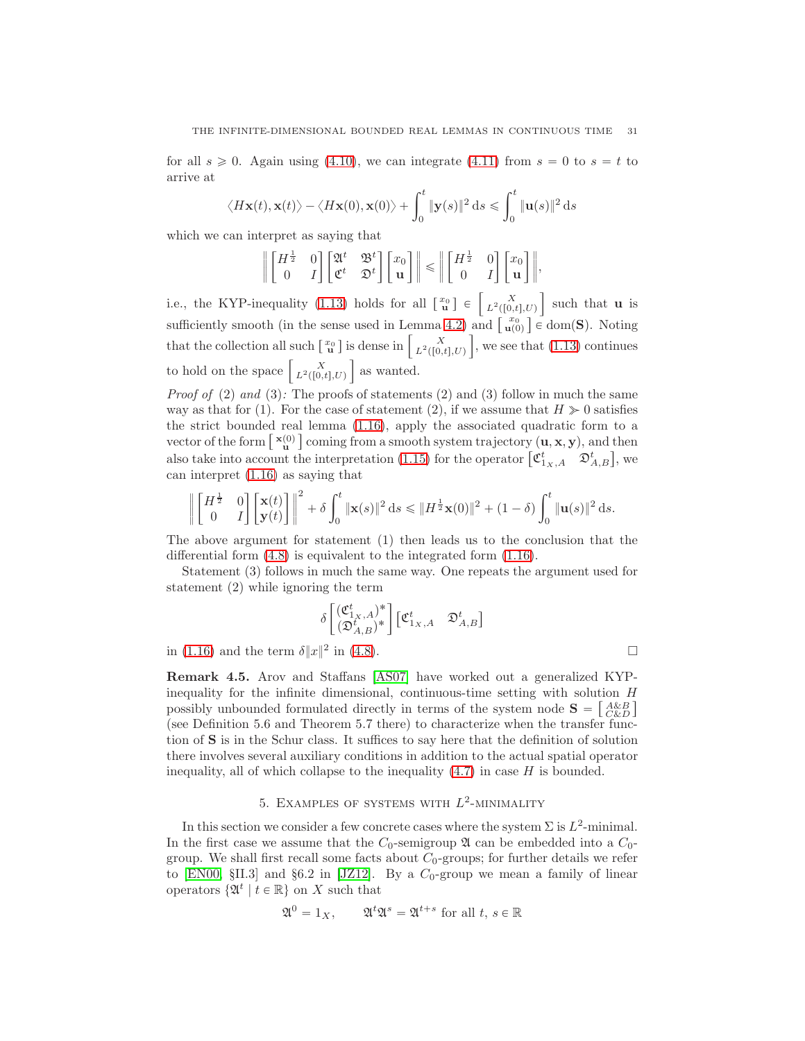for all  $s \geq 0$ . Again using [\(4.10\)](#page-29-3), we can integrate [\(4.11\)](#page-29-4) from  $s = 0$  to  $s = t$  to arrive at

$$
\langle H\mathbf{x}(t), \mathbf{x}(t) \rangle - \langle H\mathbf{x}(0), \mathbf{x}(0) \rangle + \int_0^t \|\mathbf{y}(s)\|^2 ds \le \int_0^t \|\mathbf{u}(s)\|^2 ds
$$

which we can interpret as saying that

$$
\left\| \begin{bmatrix} H^{\frac{1}{2}} & 0 \\ 0 & I \end{bmatrix} \begin{bmatrix} \mathfrak{A}^t & \mathfrak{B}^t \\ \mathfrak{C}^t & \mathfrak{D}^t \end{bmatrix} \begin{bmatrix} x_0 \\ \mathbf{u} \end{bmatrix} \right\| \leq \left\| \begin{bmatrix} H^{\frac{1}{2}} & 0 \\ 0 & I \end{bmatrix} \begin{bmatrix} x_0 \\ \mathbf{u} \end{bmatrix} \right\|,
$$

i.e., the KYP-inequality [\(1.13\)](#page-7-1) holds for all  $\begin{bmatrix} x_0 \\ u \end{bmatrix} \in \begin{bmatrix} X \\ L^2([0,t],U) \end{bmatrix}$  such that **u** is sufficiently smooth (in the sense used in Lemma [4.2\)](#page-26-1) and  $\begin{bmatrix} x_0 \\ u(0) \end{bmatrix} \in \text{dom}(\mathbf{S})$ . Noting that the collection all such  $\begin{bmatrix} x_0 \\ u \end{bmatrix}$  is dense in  $\begin{bmatrix} X \\ L^2([0,t],U) \end{bmatrix}$ , we see that [\(1.13\)](#page-7-1) continues to hold on the space  $\begin{bmatrix} X \\ L^2([0,t],U) \end{bmatrix}$  as wanted.

*Proof of* (2) and (3): The proofs of statements (2) and (3) follow in much the same way as that for (1). For the case of statement (2), if we assume that  $H \gg 0$  satisfies the strict bounded real lemma [\(1.16\)](#page-9-0), apply the associated quadratic form to a vector of the form  $\left[\begin{array}{c} \mathbf{x}(0)\\ \mathbf{u} \end{array}\right]$  coming from a smooth system trajectory  $(\mathbf{u}, \mathbf{x}, \mathbf{y})$ , and then also take into account the interpretation [\(1.15\)](#page-9-3) for the operator  $\begin{bmatrix} \mathfrak{C}^t_{1x,A} & \mathfrak{D}^t_{A,B} \end{bmatrix}$ , we can interpret [\(1.16\)](#page-9-0) as saying that

$$
\left\| \begin{bmatrix} H^{\frac{1}{2}} & 0 \\ 0 & I \end{bmatrix} \begin{bmatrix} \mathbf{x}(t) \\ \mathbf{y}(t) \end{bmatrix} \right\|^2 + \delta \int_0^t \|\mathbf{x}(s)\|^2 \, ds \le \|H^{\frac{1}{2}}\mathbf{x}(0)\|^2 + (1-\delta) \int_0^t \|\mathbf{u}(s)\|^2 \, ds.
$$

The above argument for statement (1) then leads us to the conclusion that the differential form [\(4.8\)](#page-29-0) is equivalent to the integrated form [\(1.16\)](#page-9-0).

Statement (3) follows in much the same way. One repeats the argument used for statement (2) while ignoring the term

$$
\delta \begin{bmatrix} (\mathfrak{C}_{1_X,A}^t)^* \\ (\mathfrak{D}_{A,B}^t)^* \end{bmatrix} [\mathfrak{C}_{1_X,A}^t \quad \mathfrak{D}_{A,B}^t]
$$
  
in (1.16) and the term  $\delta ||x||^2$  in (4.8).

<span id="page-30-1"></span>Remark 4.5. Arov and Staffans [\[AS07\]](#page-59-4) have worked out a generalized KYPinequality for the infinite dimensional, continuous-time setting with solution H possibly unbounded formulated directly in terms of the system node  $\mathbf{S} = \begin{bmatrix} A\&B \\ C\&D \end{bmatrix}$ (see Definition 5.6 and Theorem 5.7 there) to characterize when the transfer function of S is in the Schur class. It suffices to say here that the definition of solution there involves several auxiliary conditions in addition to the actual spatial operator inequality, all of which collapse to the inequality  $(4.7)$  in case  $H$  is bounded.

# 5. EXAMPLES OF SYSTEMS WITH  $L^2$ -MINIMALITY

<span id="page-30-0"></span>In this section we consider a few concrete cases where the system  $\Sigma$  is  $L^2$ -minimal. In the first case we assume that the  $C_0$ -semigroup  $\mathfrak A$  can be embedded into a  $C_0$ group. We shall first recall some facts about  $C_0$ -groups; for further details we refer to [\[EN00,](#page-59-15) §II.3] and §6.2 in [\[JZ12\]](#page-59-16). By a  $C_0$ -group we mean a family of linear operators  $\{\mathfrak{A}^t \mid t \in \mathbb{R}\}$  on X such that

$$
\mathfrak{A}^0 = 1_X, \qquad \mathfrak{A}^t \mathfrak{A}^s = \mathfrak{A}^{t+s} \text{ for all } t, s \in \mathbb{R}
$$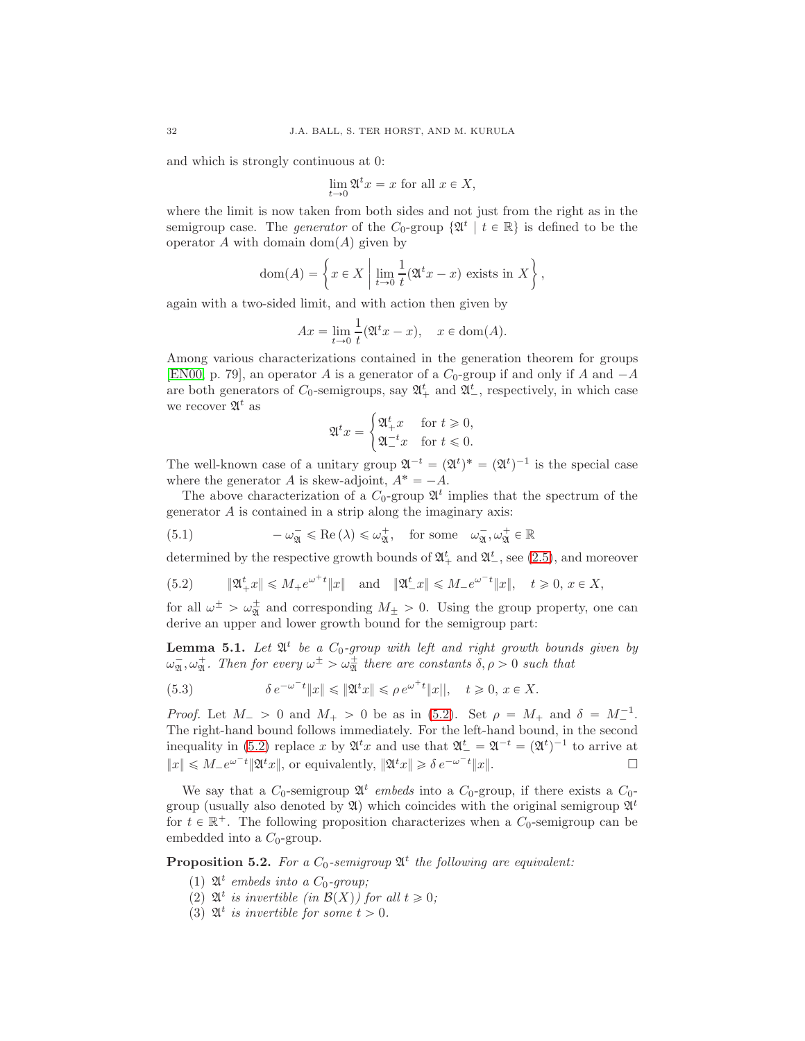and which is strongly continuous at 0:

$$
\lim_{t \to 0} \mathfrak{A}^t x = x \text{ for all } x \in X,
$$

where the limit is now taken from both sides and not just from the right as in the semigroup case. The *generator* of the  $C_0$ -group  $\{\mathfrak{A}^t \mid t \in \mathbb{R}\}$  is defined to be the operator A with domain dom $(A)$  given by

dom(A) = 
$$
\left\{ x \in X \mid \lim_{t \to 0} \frac{1}{t} (\mathfrak{A}^t x - x) \text{ exists in } X \right\},\
$$

again with a two-sided limit, and with action then given by

$$
Ax = \lim_{t \to 0} \frac{1}{t} (\mathfrak{A}^t x - x), \quad x \in \text{dom}(A).
$$

Among various characterizations contained in the generation theorem for groups [\[EN00,](#page-59-15) p. 79], an operator A is a generator of a  $C_0$ -group if and only if A and  $-A$ are both generators of  $C_0$ -semigroups, say  $\mathfrak{A}^t_+$  and  $\mathfrak{A}^t_-$ , respectively, in which case we recover  $\mathfrak{A}^t$  as

$$
\mathfrak{A}^t x = \begin{cases} \mathfrak{A}_+^t x & \text{for } t \geq 0, \\ \mathfrak{A}_-^{-t} x & \text{for } t \leq 0. \end{cases}
$$

The well-known case of a unitary group  $\mathfrak{A}^{-t} = (\mathfrak{A}^t)^* = (\mathfrak{A}^t)^{-1}$  is the special case where the generator A is skew-adjoint,  $A^* = -A$ .

The above characterization of a  $C_0$ -group  $\mathfrak{A}^t$  implies that the spectrum of the generator A is contained in a strip along the imaginary axis:

<span id="page-31-3"></span>(5.1) 
$$
-\omega_{\mathfrak{A}}^- \leq \text{Re}(\lambda) \leq \omega_{\mathfrak{A}}^+, \text{ for some } \omega_{\mathfrak{A}}^-, \omega_{\mathfrak{A}}^+ \in \mathbb{R}
$$

determined by the respective growth bounds of  $\mathfrak{A}^{t}_{+}$  and  $\mathfrak{A}^{t}_{-}$ , see [\(2.5\)](#page-15-1), and moreover

<span id="page-31-1"></span>(5.2) 
$$
\|\mathfrak{A}_{+}^{t} x\| \leq M_{+} e^{\omega^{+} t} \|x\|
$$
 and  $\|\mathfrak{A}_{-}^{t} x\| \leq M_{-} e^{\omega^{-} t} \|x\|$ ,  $t \geq 0, x \in X$ ,

for all  $\omega^{\pm} > \omega_{\mathfrak{A}}^{\pm}$  and corresponding  $M_{\pm} > 0$ . Using the group property, one can derive an upper and lower growth bound for the semigroup part:

**Lemma 5.1.** Let  $\mathfrak{A}^t$  be a  $C_0$ -group with left and right growth bounds given by  $\omega_{\mathfrak{A}}^-, \omega_{\mathfrak{A}}^+$ . Then for every  $\omega^{\pm} > \omega_{\mathfrak{A}}^{\pm}$  there are constants  $\delta, \rho > 0$  such that

<span id="page-31-2"></span>(5.3) 
$$
\delta e^{-\omega^-t} \|x\| \le \|\mathfrak{A}^t x\| \le \rho e^{\omega^+t} \|x\|, \quad t \ge 0, x \in X.
$$

*Proof.* Let  $M_{-} > 0$  and  $M_{+} > 0$  be as in [\(5.2\)](#page-31-1). Set  $\rho = M_{+}$  and  $\delta = M_{-}^{-1}$ . The right-hand bound follows immediately. For the left-hand bound, in the second inequality in [\(5.2\)](#page-31-1) replace x by  $\mathfrak{A}^t$  and use that  $\mathfrak{A}^t_- = \mathfrak{A}^{-t} = (\mathfrak{A}^t)^{-1}$  to arrive at  $||x|| \leq M_{-}e^{\omega^{-}t}||\mathfrak{A}^{t}x||$ , or equivalently,  $||\mathfrak{A}^{t}x|| \geq \delta e^{-\omega^{-}t}||x||$ .

We say that a  $C_0$ -semigroup  $\mathfrak{A}^t$  embeds into a  $C_0$ -group, if there exists a  $C_0$ group (usually also denoted by  $\mathfrak{A}$ ) which coincides with the original semigroup  $\mathfrak{A}^t$ for  $t \in \mathbb{R}^+$ . The following proposition characterizes when a  $C_0$ -semigroup can be embedded into a  $C_0$ -group.

<span id="page-31-0"></span>**Proposition 5.2.** For a  $C_0$ -semigroup  $\mathfrak{A}^t$  the following are equivalent:

- (1)  $\mathfrak{A}^t$  embeds into a  $C_0$ -group;
- (2)  $\mathfrak{A}^t$  is invertible (in  $\mathcal{B}(X)$ ) for all  $t \geq 0$ ;
- (3)  $\mathfrak{A}^t$  is invertible for some  $t > 0$ .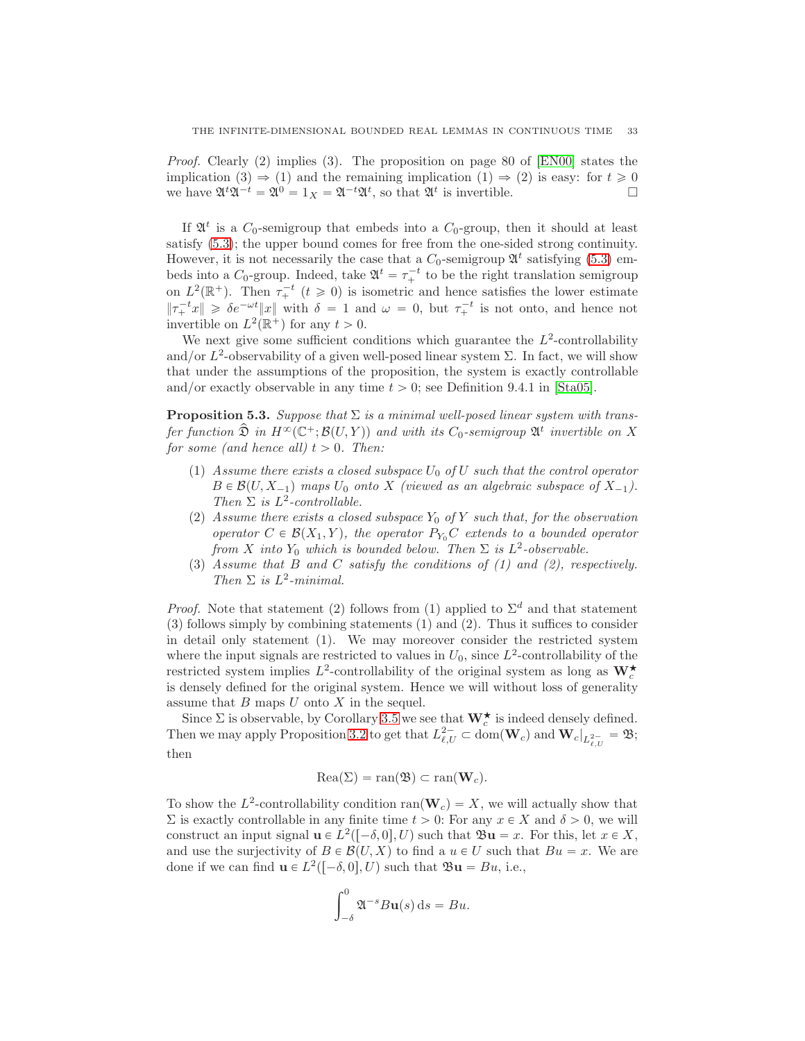Proof. Clearly (2) implies (3). The proposition on page 80 of [\[EN00\]](#page-59-15) states the implication (3)  $\Rightarrow$  (1) and the remaining implication (1)  $\Rightarrow$  (2) is easy: for  $t \ge 0$  we have  $\mathfrak{A}^t \mathfrak{A}^{-t} = \mathfrak{A}^0 = 1_X = \mathfrak{A}^{-t} \mathfrak{A}^t$ , so that  $\mathfrak{A}^t$  is invertible. we have  $\mathfrak{A}^t \mathfrak{A}^{-t} = \mathfrak{A}^0 = 1_X = \mathfrak{A}^{-t} \mathfrak{A}^t$ , so that  $\mathfrak{A}^t$  is invertible.

If  $\mathfrak{A}^t$  is a  $C_0$ -semigroup that embeds into a  $C_0$ -group, then it should at least satisfy [\(5.3\)](#page-31-2); the upper bound comes for free from the one-sided strong continuity. However, it is not necessarily the case that a  $C_0$ -semigroup  $\mathfrak{A}^t$  satisfying [\(5.3\)](#page-31-2) embeds into a  $C_0$ -group. Indeed, take  $\mathfrak{A}^t = \tau_+^{-t}$  to be the right translation semigroup on  $L^2(\mathbb{R}^+)$ . Then  $\tau_+^{-t}$   $(t \ge 0)$  is isometric and hence satisfies the lower estimate  $\|\tau_+^{-t}x\| \geq \delta e^{-\omega t} \|x\|$  with  $\delta = 1$  and  $\omega = 0$ , but  $\tau_+^{-t}$  is not onto, and hence not invertible on  $L^2(\mathbb{R}^+)$  for any  $t > 0$ .

We next give some sufficient conditions which guarantee the  $L^2$ -controllability and/or  $L^2$ -observability of a given well-posed linear system  $\Sigma$ . In fact, we will show that under the assumptions of the proposition, the system is exactly controllable and/or exactly observable in any time  $t > 0$ ; see Definition 9.4.1 in [\[Sta05\]](#page-60-4).

<span id="page-32-0"></span>**Proposition 5.3.** Suppose that  $\Sigma$  is a minimal well-posed linear system with transfer function  $\widehat{\mathfrak{D}}$  in  $H^\infty(\mathbb{C}^+;\mathcal{B}(U,Y))$  and with its  $C_0$ -semigroup  $\mathfrak{A}^t$  invertible on X for some (and hence all)  $t > 0$ . Then:

- (1) Assume there exists a closed subspace  $U_0$  of U such that the control operator  $B \in \mathcal{B}(U, X_{-1})$  maps  $U_0$  onto X (viewed as an algebraic subspace of  $X_{-1}$ ). Then  $\Sigma$  is  $L^2$ -controllable.
- (2) Assume there exists a closed subspace  $Y_0$  of Y such that, for the observation operator  $C \in \mathcal{B}(X_1, Y)$ , the operator  $P_{Y_0}C$  extends to a bounded operator from X into  $Y_0$  which is bounded below. Then  $\Sigma$  is  $L^2$ -observable.
- (3) Assume that B and C satisfy the conditions of (1) and (2), respectively. Then  $\Sigma$  is  $L^2$ -minimal.

*Proof.* Note that statement (2) follows from (1) applied to  $\Sigma^d$  and that statement (3) follows simply by combining statements (1) and (2). Thus it suffices to consider in detail only statement (1). We may moreover consider the restricted system where the input signals are restricted to values in  $U_0$ , since  $L^2$ -controllability of the restricted system implies  $L^2$ -controllability of the original system as long as  $\mathbf{W}_c^{\star}$ is densely defined for the original system. Hence we will without loss of generality assume that  $B$  maps  $U$  onto  $X$  in the sequel.

Since  $\Sigma$  is observable, by Corollary [3.5](#page-23-2) we see that  $\mathbf{W}_c^{\star}$  is indeed densely defined. Then we may apply Proposition [3.2](#page-20-1) to get that  $L^{2-}_{\ell,U} \subset \text{dom}(\mathbf{W}_c)$  and  $\mathbf{W}_c|_{L^{2-}_{\ell,U}} = \mathfrak{B};$ then

$$
\text{Rea}(\Sigma) = \text{ran}(\mathfrak{B}) \subset \text{ran}(\mathbf{W}_c).
$$

To show the  $L^2$ -controllability condition ran $(\mathbf{W}_c) = X$ , we will actually show that  $\Sigma$  is exactly controllable in any finite time  $t > 0$ : For any  $x \in X$  and  $\delta > 0$ , we will construct an input signal  $\mathbf{u} \in L^2([-0,0], U)$  such that  $\mathfrak{B}\mathbf{u} = x$ . For this, let  $x \in X$ , and use the surjectivity of  $B \in \mathcal{B}(U, X)$  to find a  $u \in U$  such that  $Bu = x$ . We are done if we can find  $\mathbf{u} \in L^2([-\delta, 0], U)$  such that  $\mathfrak{B}\mathbf{u} = Bu$ , i.e.,

$$
\int_{-\delta}^{0} \mathfrak{A}^{-s} B \mathbf{u}(s) \, \mathrm{d}s = Bu.
$$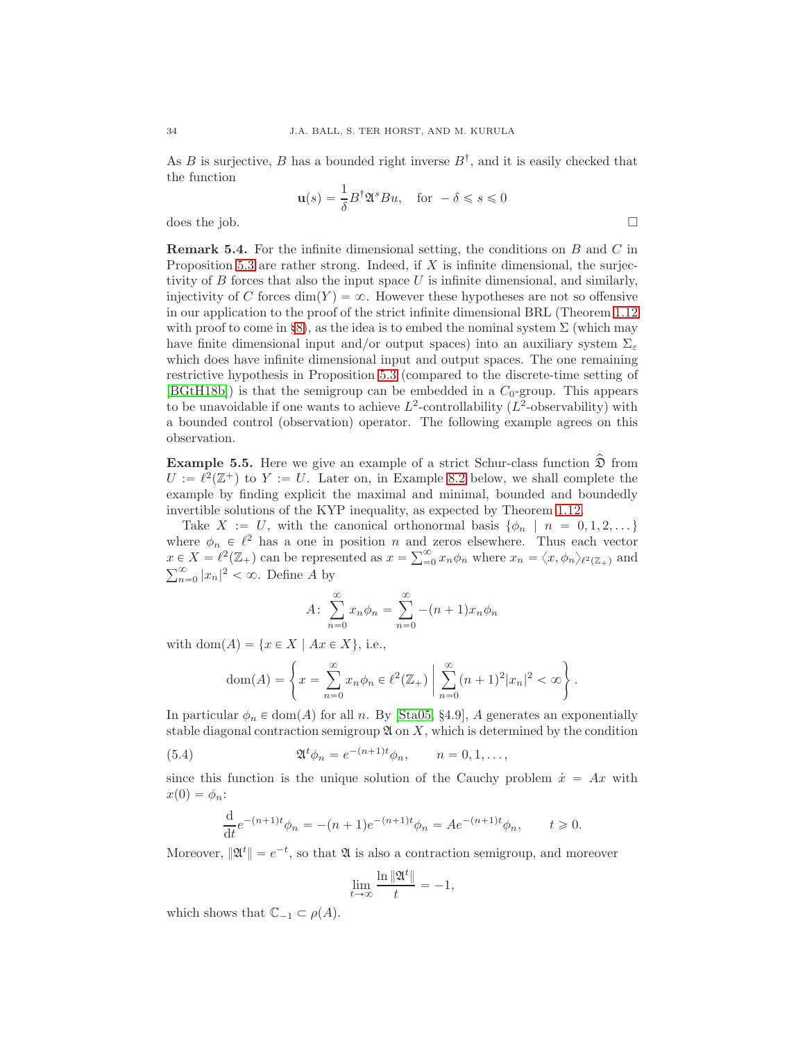As B is surjective, B has a bounded right inverse  $B^{\dagger}$ , and it is easily checked that the function

$$
\mathbf{u}(s) = \frac{1}{\delta} B^{\dagger} \mathfrak{A}^s B u, \quad \text{for } -\delta \leqslant s \leqslant 0
$$
 does the job.

<span id="page-33-2"></span>Remark 5.4. For the infinite dimensional setting, the conditions on B and C in Proposition [5.3](#page-32-0) are rather strong. Indeed, if  $X$  is infinite dimensional, the surjectivity of  $B$  forces that also the input space  $U$  is infinite dimensional, and similarly, injectivity of C forces  $\dim(Y) = \infty$ . However these hypotheses are not so offensive in our application to the proof of the strict infinite dimensional BRL (Theorem [1.12](#page-9-2) with proof to come in §[8\)](#page-48-0), as the idea is to embed the nominal system  $\Sigma$  (which may have finite dimensional input and/or output spaces) into an auxiliary system  $\Sigma_{\varepsilon}$ which does have infinite dimensional input and output spaces. The one remaining restrictive hypothesis in Proposition [5.3](#page-32-0) (compared to the discrete-time setting of  $[BGtH18b]$  is that the semigroup can be embedded in a  $C_0$ -group. This appears to be unavoidable if one wants to achieve  $L^2$ -controllability ( $L^2$ -observability) with a bounded control (observation) operator. The following example agrees on this observation.

<span id="page-33-0"></span>**Example 5.5.** Here we give an example of a strict Schur-class function  $\hat{\mathfrak{D}}$  from  $U := \ell^2(\mathbb{Z}^+)$  to  $Y := U$ . Later on, in Example [8.2](#page-50-0) below, we shall complete the example by finding explicit the maximal and minimal, bounded and boundedly invertible solutions of the KYP inequality, as expected by Theorem [1.12.](#page-9-2)

Take  $X := U$ , with the canonical orthonormal basis  $\{\phi_n \mid n = 0, 1, 2, \ldots\}$ where  $\phi_n \in \ell^2$  has a one in position n and zeros elsewhere. Thus each vector  $x \in X = \ell^2(\mathbb{Z}_+)$  can be represented as  $x = \sum_{n=0}^{\infty} x_n \phi_n$  where  $x_n = \langle x, \phi_n \rangle_{\ell^2(\mathbb{Z}_+)}$  and  $\sum_{n=0}^{\infty} |x_n|^2 < \infty$ . Define A by

$$
A: \sum_{n=0}^{\infty} x_n \phi_n = \sum_{n=0}^{\infty} -(n+1)x_n \phi_n
$$

with dom $(A) = \{x \in X \mid Ax \in X\}$ , i.e.,

dom(A) = 
$$
\left\{x = \sum_{n=0}^{\infty} x_n \phi_n \in \ell^2(\mathbb{Z}_+) \mid \sum_{n=0}^{\infty} (n+1)^2 |x_n|^2 < \infty \right\}.
$$

In particular  $\phi_n \in \text{dom}(A)$  for all n. By [\[Sta05,](#page-60-4) §4.9], A generates an exponentially stable diagonal contraction semigroup  $\mathfrak A$  on X, which is determined by the condition

(5.4) 
$$
\mathfrak{A}^t \phi_n = e^{-(n+1)t} \phi_n, \qquad n = 0, 1, \dots,
$$

since this function is the unique solution of the Cauchy problem  $\dot{x} = Ax$  with  $x(0) = \phi_n$ :

<span id="page-33-1"></span>
$$
\frac{d}{dt}e^{-(n+1)t}\phi_n = -(n+1)e^{-(n+1)t}\phi_n = Ae^{-(n+1)t}\phi_n, \qquad t \ge 0.
$$

Moreover,  $\|\mathfrak{A}^t\| = e^{-t}$ , so that  $\mathfrak A$  is also a contraction semigroup, and moreover

$$
\lim_{t \to \infty} \frac{\ln \|\mathfrak A^t\|}{t} = -1,
$$

which shows that  $\mathbb{C}_{-1} \subset \rho(A)$ .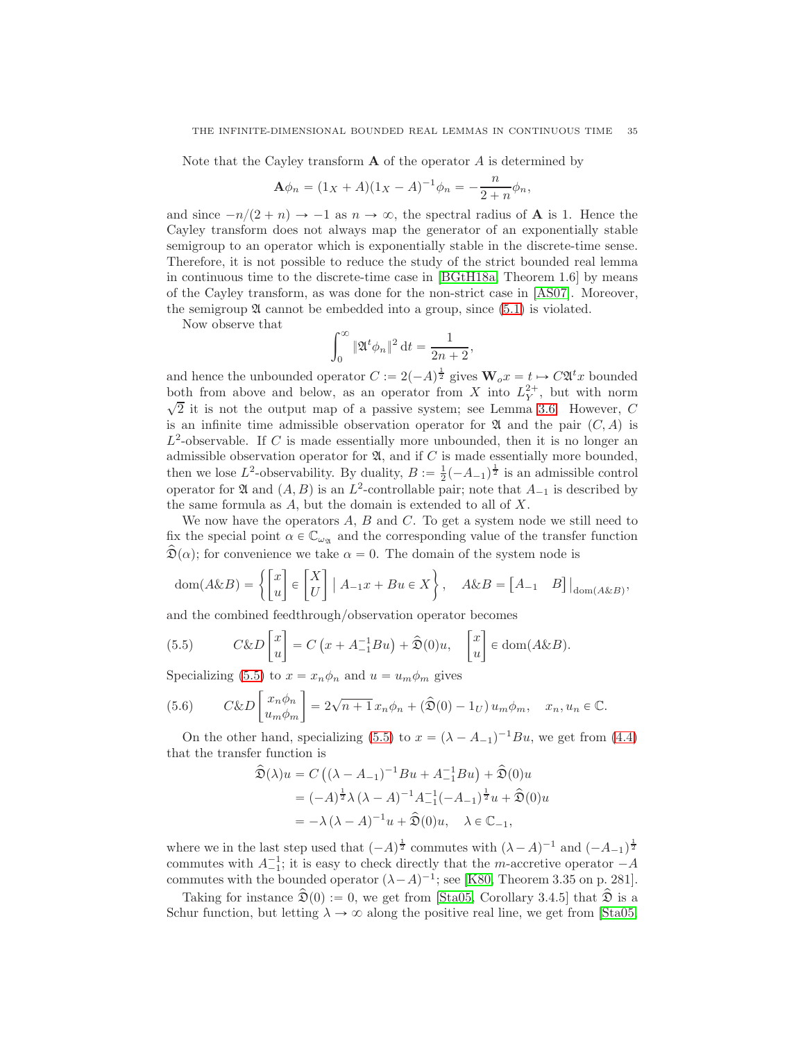Note that the Cayley transform  $\bf{A}$  of the operator  $\bf{A}$  is determined by

$$
\mathbf{A}\phi_n = (1_X + A)(1_X - A)^{-1}\phi_n = -\frac{n}{2+n}\phi_n,
$$

and since  $-n/(2 + n) \rightarrow -1$  as  $n \rightarrow \infty$ , the spectral radius of **A** is 1. Hence the Cayley transform does not always map the generator of an exponentially stable semigroup to an operator which is exponentially stable in the discrete-time sense. Therefore, it is not possible to reduce the study of the strict bounded real lemma in continuous time to the discrete-time case in [\[BGtH18a,](#page-59-14) Theorem 1.6] by means of the Cayley transform, as was done for the non-strict case in [\[AS07\]](#page-59-4). Moreover, the semigroup  $\mathfrak A$  cannot be embedded into a group, since  $(5.1)$  is violated.

Now observe that

$$
\int_0^\infty \|\mathfrak{A}^t \phi_n\|^2 dt = \frac{1}{2n+2},
$$

and hence the unbounded operator  $C := 2(-A)^{\frac{1}{2}}$  gives  $\mathbf{W}_o x = t \mapsto C \mathfrak{A}^t x$  bounded both from above and below, as an operator from X into  $L_Y^{2+}$ , but with norm  $\sqrt{2}$  it is not the output map of a passive system; see Lemma [3.6.](#page-23-1) However, C is an infinite time admissible observation operator for  $\mathfrak A$  and the pair  $(C, A)$  is  $L^2$ -observable. If C is made essentially more unbounded, then it is no longer an admissible observation operator for  $\mathfrak{A}$ , and if C is made essentially more bounded, then we lose  $L^2$ -observability. By duality,  $B := \frac{1}{2}(-A_{-1})^{\frac{1}{2}}$  is an admissible control operator for  $\mathfrak A$  and  $(A, B)$  is an  $L^2$ -controllable pair; note that  $A_{-1}$  is described by the same formula as A, but the domain is extended to all of X.

We now have the operators  $A, B$  and  $C$ . To get a system node we still need to fix the special point  $\alpha \in \mathbb{C}_{\omega_{\mathfrak{A}}}$  and the corresponding value of the transfer function  $\mathfrak{D}(\alpha)$ ; for convenience we take  $\alpha = 0$ . The domain of the system node is

$$
\text{dom}(A \& B) = \left\{ \begin{bmatrix} x \\ u \end{bmatrix} \in \begin{bmatrix} X \\ U \end{bmatrix} \mid A_{-1}x + Bu \in X \right\}, \quad A \& B = \begin{bmatrix} A_{-1} & B \end{bmatrix} \big|_{\text{dom}(A \& B)},
$$

and the combined feedthrough/observation operator becomes

<span id="page-34-0"></span>(5.5) 
$$
C\&D\begin{bmatrix} x \\ u \end{bmatrix} = C\left(x + A_{-1}^{-1}Bu\right) + \hat{\mathfrak{D}}(0)u, \quad \begin{bmatrix} x \\ u \end{bmatrix} \in \text{dom}(A\&B).
$$

Specializing [\(5.5\)](#page-34-0) to  $x = x_n \phi_n$  and  $u = u_m \phi_m$  gives

<span id="page-34-1"></span>(5.6) 
$$
C\&D\begin{bmatrix}x_n\phi_n\\u_m\phi_m\end{bmatrix}=2\sqrt{n+1}\,x_n\phi_n+(\widehat{\mathfrak{D}}(0)-1_U)\,u_m\phi_m,\quad x_n,u_n\in\mathbb{C}.
$$

On the other hand, specializing [\(5.5\)](#page-34-0) to  $x = (\lambda - A_{-1})^{-1}Bu$ , we get from [\(4.4\)](#page-26-0) that the transfer function is

$$
\hat{\mathfrak{D}}(\lambda)u = C ((\lambda - A_{-1})^{-1}Bu + A_{-1}^{-1}Bu) + \hat{\mathfrak{D}}(0)u
$$
  
=  $(-A)^{\frac{1}{2}} \lambda (\lambda - A)^{-1} A_{-1}^{-1} (-A_{-1})^{\frac{1}{2}} u + \hat{\mathfrak{D}}(0)u$   
=  $-\lambda (\lambda - A)^{-1} u + \hat{\mathfrak{D}}(0)u, \quad \lambda \in \mathbb{C}_{-1},$ 

where we in the last step used that  $(-A)^{\frac{1}{2}}$  commutes with  $(\lambda - A)^{-1}$  and  $(-A_{-1})^{\frac{1}{2}}$ commutes with  $A^{-1}_{-1}$ ; it is easy to check directly that the *m*-accretive operator  $-A$ commutes with the bounded operator  $(\lambda - A)^{-1}$ ; see [\[K80,](#page-59-5) Theorem 3.35 on p. 281].

Taking for instance  $\hat{\mathfrak{D}}(0) := 0$ , we get from [\[Sta05,](#page-60-4) Corollary 3.4.5] that  $\hat{\mathfrak{D}}$  is a Schur function, but letting  $\lambda \to \infty$  along the positive real line, we get from [\[Sta05,](#page-60-4)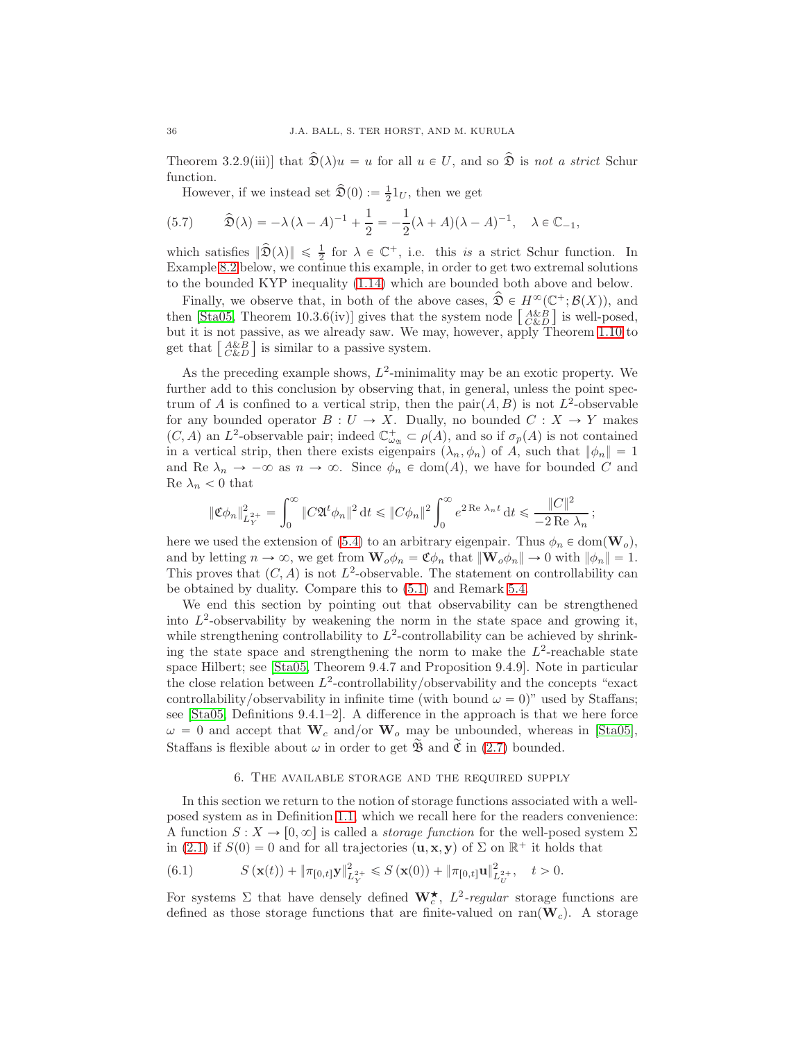Theorem 3.2.9(iii)] that  $\hat{\mathfrak{D}}(\lambda)u = u$  for all  $u \in U$ , and so  $\hat{\mathfrak{D}}$  is not a strict Schur function.

<span id="page-35-2"></span>However, if we instead set  $\widehat{\mathfrak{D}}(0) := \frac{1}{2} \mathfrak{1}_U$ , then we get

(5.7) 
$$
\widehat{\mathfrak{D}}(\lambda) = -\lambda (\lambda - A)^{-1} + \frac{1}{2} = -\frac{1}{2}(\lambda + A)(\lambda - A)^{-1}, \quad \lambda \in \mathbb{C}_{-1},
$$

which satisfies  $\|\hat{\mathfrak{D}}(\lambda)\| \leq \frac{1}{2}$  for  $\lambda \in \mathbb{C}^+$ , i.e. this is a strict Schur function. In Example [8.2](#page-50-0) below, we continue this example, in order to get two extremal solutions to the bounded KYP inequality [\(1.14\)](#page-8-0) which are bounded both above and below.

Finally, we observe that, in both of the above cases,  $\hat{\mathfrak{D}} \in H^{\infty}(\mathbb{C}^{+}; \mathcal{B}(X))$ , and then [\[Sta05,](#page-60-4) Theorem 10.3.6(iv)] gives that the system node  $\begin{bmatrix} A\&B \\ C\&D \end{bmatrix}$  is well-posed, but it is not passive, as we already saw. We may, however, apply Theorem [1.10](#page-8-1) to get that  $\begin{bmatrix} A\&B\\C\&D \end{bmatrix}$  is similar to a passive system.

As the preceding example shows,  $L^2$ -minimality may be an exotic property. We further add to this conclusion by observing that, in general, unless the point spectrum of A is confined to a vertical strip, then the pair $(A, B)$  is not  $L^2$ -observable for any bounded operator  $B: U \to X$ . Dually, no bounded  $C: X \to Y$  makes  $(C, A)$  an  $L^2$ -observable pair; indeed  $\mathbb{C}^+_{\omega_{\mathfrak{A}}} \subset \rho(A)$ , and so if  $\sigma_p(A)$  is not contained in a vertical strip, then there exists eigenpairs  $(\lambda_n, \phi_n)$  of A, such that  $\|\phi_n\| = 1$ and Re  $\lambda_n \to -\infty$  as  $n \to \infty$ . Since  $\phi_n \in \text{dom}(A)$ , we have for bounded C and Re  $\lambda_n < 0$  that

$$
\|\mathfrak{C}\phi_n\|_{L^{2+}_Y}^2=\int_0^\infty \|C\mathfrak{A}^t\phi_n\|^2\, {\rm d} t \leqslant \|C\phi_n\|^2 \int_0^\infty e^{2\operatorname{Re}\lambda_n t}\, {\rm d} t \leqslant \frac{\|C\|^2}{-2\operatorname{Re}\lambda_n}\,;
$$

here we used the extension of [\(5.4\)](#page-33-1) to an arbitrary eigenpair. Thus  $\phi_n \in \text{dom}(\mathbf{W}_o)$ , and by letting  $n \to \infty$ , we get from  $\mathbf{W}_o \phi_n = \mathfrak{C} \phi_n$  that  $\|\mathbf{W}_o \phi_n\| \to 0$  with  $\|\phi_n\| = 1$ . This proves that  $(C, A)$  is not  $L^2$ -observable. The statement on controllability can be obtained by duality. Compare this to [\(5.1\)](#page-31-3) and Remark [5.4.](#page-33-2)

We end this section by pointing out that observability can be strengthened into  $L^2$ -observability by weakening the norm in the state space and growing it, while strengthening controllability to  $L^2$ -controllability can be achieved by shrinking the state space and strengthening the norm to make the  $L^2$ -reachable state space Hilbert; see [\[Sta05,](#page-60-4) Theorem 9.4.7 and Proposition 9.4.9]. Note in particular the close relation between  $L^2$ -controllability/observability and the concepts "exact" controllability/observability in infinite time (with bound  $\omega = 0$ )" used by Staffans; see [\[Sta05,](#page-60-4) Definitions 9.4.1–2]. A difference in the approach is that we here force  $\omega = 0$  and accept that  $W_c$  and/or  $W_o$  may be unbounded, whereas in [\[Sta05\]](#page-60-4), Staffans is flexible about  $\omega$  in order to get  $\widetilde{\mathfrak{B}}$  and  $\widetilde{\mathfrak{C}}$  in [\(2.7\)](#page-16-1) bounded.

# 6. The available storage and the required supply

<span id="page-35-0"></span>In this section we return to the notion of storage functions associated with a wellposed system as in Definition [1.1,](#page-2-1) which we recall here for the readers convenience: A function  $S: X \to [0, \infty]$  is called a *storage function* for the well-posed system  $\Sigma$ in [\(2.1\)](#page-13-1) if  $S(0) = 0$  and for all trajectories  $(\mathbf{u}, \mathbf{x}, \mathbf{y})$  of  $\Sigma$  on  $\mathbb{R}^+$  it holds that

<span id="page-35-1"></span>(6.1) 
$$
S(\mathbf{x}(t)) + \|\pi_{[0,t]} \mathbf{y}\|_{L^{2+}_Y}^2 \leq S(\mathbf{x}(0)) + \|\pi_{[0,t]} \mathbf{u}\|_{L^{2+}_U}^2, \quad t > 0.
$$

For systems  $\Sigma$  that have densely defined  $\mathbf{W}_{c}^{\star}$ ,  $L^{2}$ -regular storage functions are defined as those storage functions that are finite-valued on  $ran(\mathbf{W}_c)$ . A storage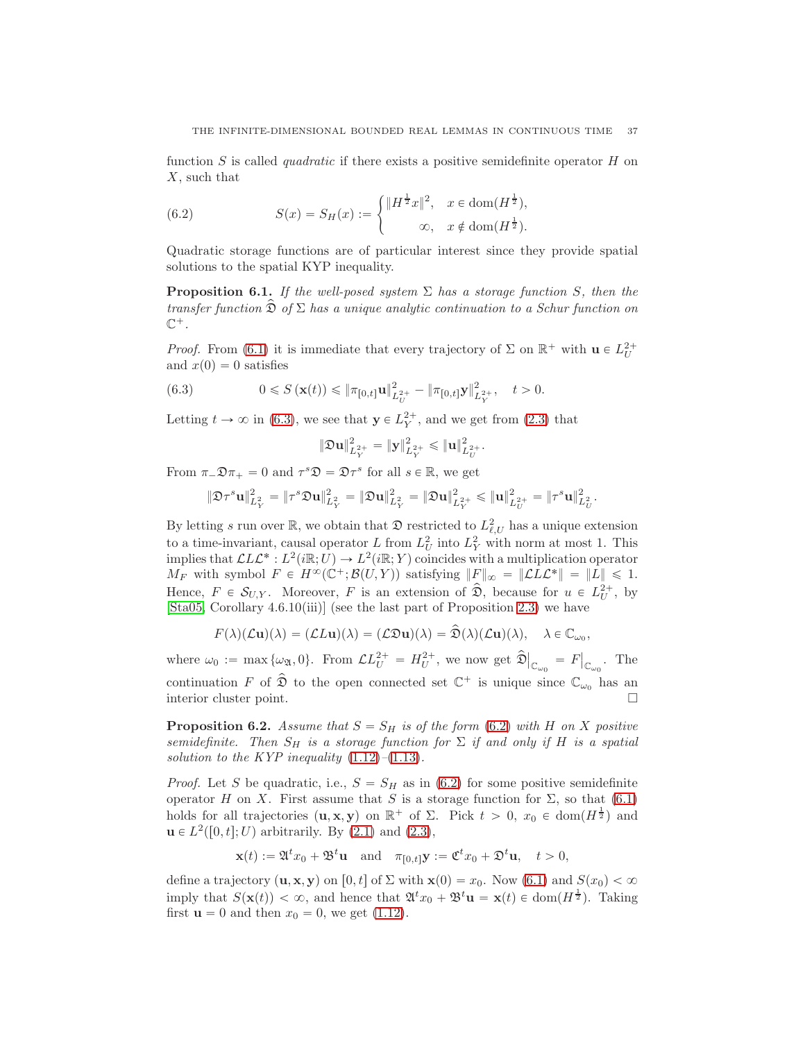function S is called *quadratic* if there exists a positive semidefinite operator  $H$  on X, such that

<span id="page-36-2"></span>(6.2) 
$$
S(x) = S_H(x) := \begin{cases} ||H^{\frac{1}{2}}x||^2, & x \in \text{dom}(H^{\frac{1}{2}}), \\ \infty, & x \notin \text{dom}(H^{\frac{1}{2}}). \end{cases}
$$

Quadratic storage functions are of particular interest since they provide spatial solutions to the spatial KYP inequality.

<span id="page-36-0"></span>**Proposition 6.1.** If the well-posed system  $\Sigma$  has a storage function S, then the transfer function  $\widehat{\mathfrak{D}}$  of  $\Sigma$  has a unique analytic continuation to a Schur function on  $\mathbb{C}^+$ .

*Proof.* From [\(6.1\)](#page-35-1) it is immediate that every trajectory of  $\Sigma$  on  $\mathbb{R}^+$  with  $\mathbf{u} \in L^{2+}_{U}$ and  $x(0) = 0$  satisfies

(6.3) 
$$
0 \leq S(\mathbf{x}(t)) \leq \|\pi_{[0,t]} \mathbf{u}\|_{L^{2+}_U}^2 - \|\pi_{[0,t]} \mathbf{y}\|_{L^{2+}_Y}^2, \quad t > 0.
$$

Letting  $t \to \infty$  in [\(6.3\)](#page-36-1), we see that  $y \in L_Y^{2+}$ , and we get from [\(2.3\)](#page-14-4) that

<span id="page-36-1"></span>
$$
\|\mathfrak D {\mathbf u}\|^2_{L^{2+}_Y} = \|{\mathbf y}\|^2_{L^{2+}_Y} \leqslant \|{\mathbf u}\|^2_{L^{2+}_U}.
$$

From  $\pi_-\mathfrak{D}\pi_+ = 0$  and  $\tau^s \mathfrak{D} = \mathfrak{D}\tau^s$  for all  $s \in \mathbb{R}$ , we get

$$
\|\mathfrak D\tau^s{\mathbf u}\|^2_{L^2_Y}=\|\tau^s\mathfrak D {\mathbf u}\|^2_{L^2_Y}=\|\mathfrak D {\mathbf u}\|^2_{L^2_Y}=\|\mathfrak D {\mathbf u}\|^2_{L^{2+}_Y}\leqslant \|{\mathbf u}\|^2_{L^{2+}_U}=\|\tau^s{\mathbf u}\|^2_{L^2_U}.
$$

By letting s run over R, we obtain that  $\mathfrak{D}$  restricted to  $L^2_{\ell,U}$  has a unique extension to a time-invariant, causal operator L from  $L_U^2$  into  $L_Y^2$  with norm at most 1. This implies that  $\mathcal{L}L\mathcal{L}^*: L^2(i\mathbb{R};U) \to L^2(i\mathbb{R};Y)$  coincides with a multiplication operator  $M_F$  with symbol  $F \in H^{\infty}(\mathbb{C}^+; \mathcal{B}(U, Y))$  satisfying  $||F||_{\infty} = ||\mathcal{L}L\mathcal{L}^*|| = ||L|| \leq 1$ . Hence,  $F \in S_{U,Y}$ . Moreover, F is an extension of  $\hat{\mathfrak{D}}$ , because for  $u \in L^{2+}_U$ , by [\[Sta05,](#page-60-4) Corollary 4.6.10(iii)] (see the last part of Proposition [2.3\)](#page-16-0) we have

$$
F(\lambda)(\mathcal{L}\mathbf{u})(\lambda) = (\mathcal{L}L\mathbf{u})(\lambda) = (\mathcal{L}\mathfrak{D}\mathbf{u})(\lambda) = \widehat{\mathfrak{D}}(\lambda)(\mathcal{L}\mathbf{u})(\lambda), \quad \lambda \in \mathbb{C}_{\omega_0},
$$

where  $\omega_0 := \max{\{\omega_{\mathfrak{A}}, 0\}}$ . From  $\mathcal{L}L_U^{2+} = H_U^{2+}$ , we now get  $\widehat{\mathfrak{D}}|_{\mathbb{C}_{\omega_0}} = F|_{\mathbb{C}_{\omega_0}}$ . The continuation F of  $\hat{\mathfrak{D}}$  to the open connected set  $\mathbb{C}^+$  is unique since  $\mathbb{C}_{\omega_0}$  has an interior cluster point.

<span id="page-36-3"></span>**Proposition 6.2.** Assume that  $S = S_H$  is of the form [\(6.2\)](#page-36-2) with H on X positive semidefinite. Then  $S_H$  is a storage function for  $\Sigma$  if and only if H is a spatial solution to the KYP inequality  $(1.12)$ – $(1.13)$ .

*Proof.* Let S be quadratic, i.e.,  $S = S_H$  as in [\(6.2\)](#page-36-2) for some positive semidefinite operator H on X. First assume that S is a storage function for  $\Sigma$ , so that [\(6.1\)](#page-35-1) holds for all trajectories  $(\mathbf{u}, \mathbf{x}, \mathbf{y})$  on  $\mathbb{R}^+$  of  $\Sigma$ . Pick  $t > 0$ ,  $x_0 \in \text{dom}(H^{\frac{1}{2}})$  and  $\mathbf{u} \in L^2([0, t]; U)$  arbitrarily. By  $(2.1)$  and  $(2.3)$ ,

$$
\mathbf{x}(t) := \mathfrak{A}^t x_0 + \mathfrak{B}^t \mathbf{u} \quad \text{and} \quad \pi_{[0,t]} \mathbf{y} := \mathfrak{C}^t x_0 + \mathfrak{D}^t \mathbf{u}, \quad t > 0,
$$

define a trajectory  $(\mathbf{u}, \mathbf{x}, \mathbf{y})$  on  $[0, t]$  of  $\Sigma$  with  $\mathbf{x}(0) = x_0$ . Now  $(6.1)$  and  $S(x_0) < \infty$ imply that  $S(\mathbf{x}(t)) < \infty$ , and hence that  $\mathfrak{A}^t x_0 + \mathfrak{B}^t \mathbf{u} = \mathbf{x}(t) \in \text{dom}(H^{\frac{1}{2}})$ . Taking first  $\mathbf{u} = 0$  and then  $x_0 = 0$ , we get [\(1.12\)](#page-7-2).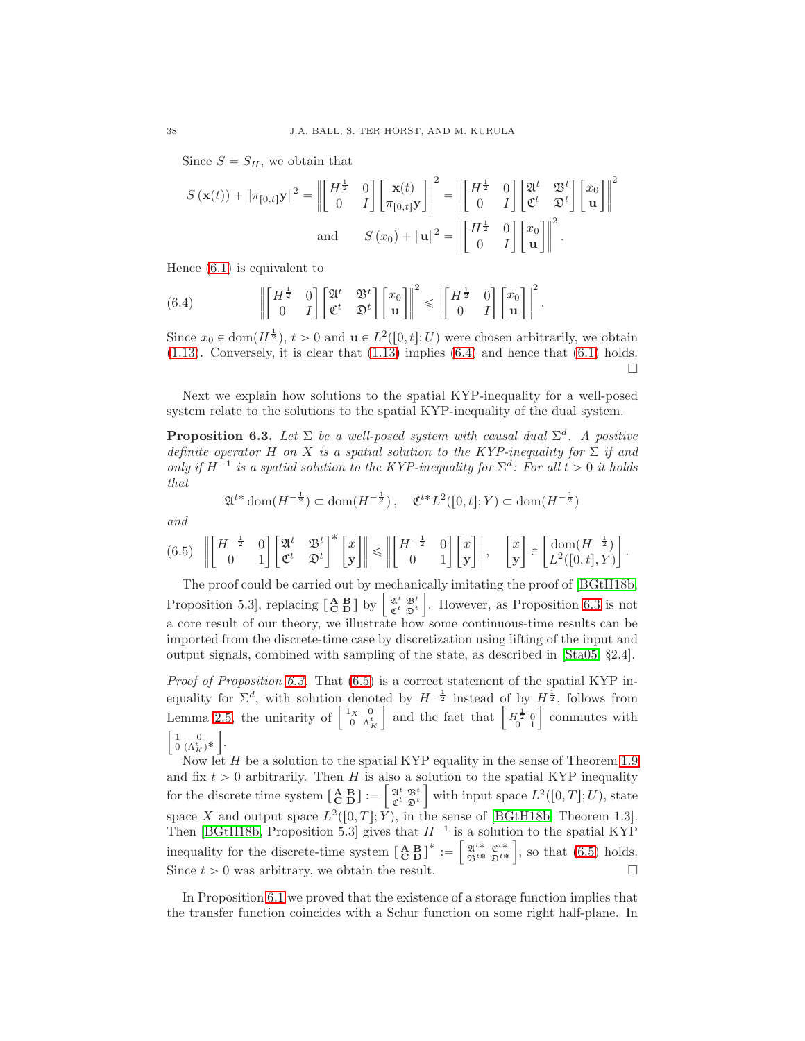Since  $S = S_H$ , we obtain that

$$
S(\mathbf{x}(t)) + \|\pi_{[0,t]}\mathbf{y}\|^2 = \left\| \begin{bmatrix} H^{\frac{1}{2}} & 0 \\ 0 & I \end{bmatrix} \begin{bmatrix} \mathbf{x}(t) \\ \pi_{[0,t]}\mathbf{y} \end{bmatrix} \right\|^2 = \left\| \begin{bmatrix} H^{\frac{1}{2}} & 0 \\ 0 & I \end{bmatrix} \begin{bmatrix} \mathfrak{A}^t & \mathfrak{B}^t \\ \mathfrak{C}^t & \mathfrak{D}^t \end{bmatrix} \begin{bmatrix} x_0 \\ \mathbf{u} \end{bmatrix} \right\|^2
$$
  
and 
$$
S(x_0) + \|\mathbf{u}\|^2 = \left\| \begin{bmatrix} H^{\frac{1}{2}} & 0 \\ 0 & I \end{bmatrix} \begin{bmatrix} x_0 \\ \mathbf{u} \end{bmatrix} \right\|^2.
$$

Hence [\(6.1\)](#page-35-1) is equivalent to

<span id="page-37-0"></span>(6.4) 
$$
\left\| \begin{bmatrix} H^{\frac{1}{2}} & 0 \\ 0 & I \end{bmatrix} \begin{bmatrix} \mathfrak{A}^{t} & \mathfrak{B}^{t} \\ \mathfrak{C}^{t} & \mathfrak{D}^{t} \end{bmatrix} \begin{bmatrix} x_{0} \\ \mathfrak{u} \end{bmatrix} \right\|^{2} \leq \left\| \begin{bmatrix} H^{\frac{1}{2}} & 0 \\ 0 & I \end{bmatrix} \begin{bmatrix} x_{0} \\ \mathfrak{u} \end{bmatrix} \right\|^{2}.
$$

Since  $x_0 \in \text{dom}(H^{\frac{1}{2}}), t > 0$  and  $\mathbf{u} \in L^2([0, t]; U)$  were chosen arbitrarily, we obtain [\(1.13\)](#page-7-1). Conversely, it is clear that [\(1.13\)](#page-7-1) implies [\(6.4\)](#page-37-0) and hence that [\(6.1\)](#page-35-1) holds.  $\Box$ 

Next we explain how solutions to the spatial KYP-inequality for a well-posed system relate to the solutions to the spatial KYP-inequality of the dual system.

<span id="page-37-1"></span>**Proposition 6.3.** Let  $\Sigma$  be a well-posed system with causal dual  $\Sigma<sup>d</sup>$ . A positive definite operator H on X is a spatial solution to the KYP-inequality for  $\Sigma$  if and only if  $H^{-1}$  is a spatial solution to the KYP-inequality for  $\Sigma^d$ : For all  $t > 0$  it holds that

$$
\mathfrak{A}^{t*} \text{dom}(H^{-\frac{1}{2}}) \subset \text{dom}(H^{-\frac{1}{2}}), \quad \mathfrak{C}^{t*} L^2([0,t];Y) \subset \text{dom}(H^{-\frac{1}{2}})
$$

and

<span id="page-37-2"></span>
$$
(6.5)\quad \left\|\begin{bmatrix}H^{-\frac{1}{2}} & 0 \\ 0 & 1\end{bmatrix}\begin{bmatrix}\mathfrak A^t & \mathfrak B^t \\ \mathfrak C^t & \mathfrak D^t\end{bmatrix}^*\begin{bmatrix}x \\ \mathbf y\end{bmatrix}\right\| \leq \left\|\begin{bmatrix}H^{-\frac{1}{2}} & 0 \\ 0 & 1\end{bmatrix}\begin{bmatrix}x \\ \mathbf y\end{bmatrix}\right\|, \quad \begin{bmatrix}x \\ \mathbf y\end{bmatrix} \in \begin{bmatrix}\operatorname{dom}(H^{-\frac{1}{2}}) \\ L^2([0,t],Y)\end{bmatrix}.
$$

The proof could be carried out by mechanically imitating the proof of [\[BGtH18b,](#page-59-6) Proposition 5.3, replacing  $\begin{bmatrix} A & B \\ C & D \end{bmatrix}$  by  $\begin{bmatrix} \mathfrak{A}^t & \mathfrak{B}^t \\ \mathfrak{C}^t & \mathfrak{D}^t \end{bmatrix}$ . However, as Proposition [6.3](#page-37-1) is not a core result of our theory, we illustrate how some continuous-time results can be imported from the discrete-time case by discretization using lifting of the input and output signals, combined with sampling of the state, as described in [\[Sta05,](#page-60-4) §2.4].

*Proof of Proposition [6.3.](#page-37-1)* That  $(6.5)$  is a correct statement of the spatial KYP inequality for  $\Sigma^d$ , with solution denoted by  $H^{-\frac{1}{2}}$  instead of by  $H^{\frac{1}{2}}$ , follows from Lemma [2.5,](#page-17-1) the unitarity of  $\begin{bmatrix} 1_X & 0 \\ 0 & \Lambda_K^t \end{bmatrix}$ and the fact that  $\begin{bmatrix} H^{\frac{1}{2}} & 0 \\ 0 & 1 \end{bmatrix}$  commutes with  $\begin{bmatrix} 1 & 0 \\ 0 & (\Lambda_K^t)^* \end{bmatrix}$ .

Now let  $H$  be a solution to the spatial KYP equality in the sense of Theorem [1.9](#page-7-0) and fix  $t > 0$  arbitrarily. Then H is also a solution to the spatial KYP inequality for the discrete time system  $\begin{bmatrix} A & B \\ C & D \end{bmatrix} := \begin{bmatrix} \mathfrak{A}^t & \mathfrak{B}^t \\ \mathfrak{C}^t & \mathfrak{D}^t \end{bmatrix}$  with input space  $L^2([0,T];U)$ , state space X and output space  $L^2([0,T]; Y)$ , in the sense of [\[BGtH18b,](#page-59-6) Theorem 1.3]. Then [\[BGtH18b,](#page-59-6) Proposition 5.3] gives that  $H^{-1}$  is a solution to the spatial KYP inequality for the discrete-time system  $\begin{bmatrix} A & B \\ C & D \end{bmatrix}^* := \begin{bmatrix} \mathfrak{A}^{t*} & \mathfrak{C}^{t*} \\ \mathfrak{B}^{t*} & \mathfrak{D}^{t*} \end{bmatrix}$ , so that [\(6.5\)](#page-37-2) holds. Since  $t > 0$  was arbitrary, we obtain the result.

In Proposition [6.1](#page-36-0) we proved that the existence of a storage function implies that the transfer function coincides with a Schur function on some right half-plane. In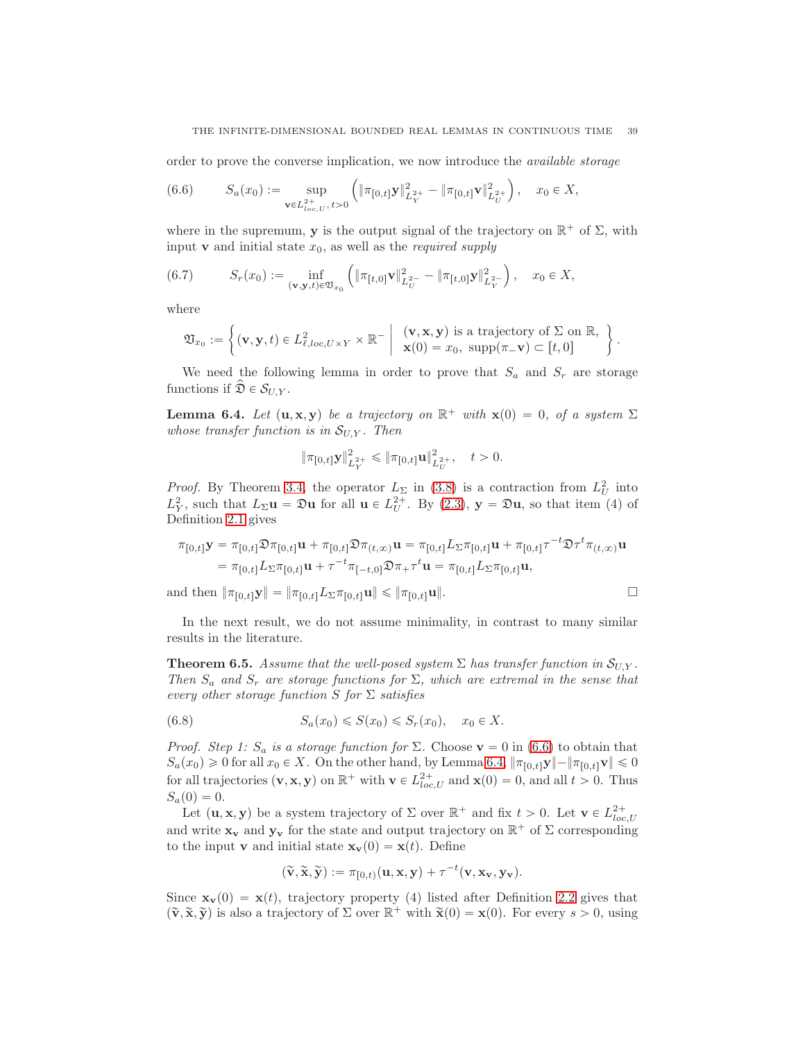order to prove the converse implication, we now introduce the available storage

<span id="page-38-0"></span>(6.6) 
$$
S_a(x_0) := \sup_{\mathbf{v} \in L^{2+}_{loc,U}, t>0} \left( \|\pi_{[0,t]}\mathbf{y}\|_{L^{2+}_Y}^2 - \|\pi_{[0,t]}\mathbf{v}\|_{L^{2+}_U}^2 \right), \quad x_0 \in X,
$$

where in the supremum, y is the output signal of the trajectory on  $\mathbb{R}^+$  of  $\Sigma$ , with input **v** and initial state  $x_0$ , as well as the *required supply* 

<span id="page-38-2"></span>
$$
(6.7) \tSr(x0) := \inf_{(\mathbf{v}, \mathbf{y}, t) \in \mathfrak{V}_{x_0}} \left( \|\pi_{[t,0]}\mathbf{v}\|_{L^{2-}_{U}}^2 - \|\pi_{[t,0]}\mathbf{y}\|_{L^{2-}_{Y}}^2 \right), \quad x_0 \in X,
$$

where

$$
\mathfrak{V}_{x_0} := \left\{ (\mathbf{v}, \mathbf{y}, t) \in L^2_{\ell, loc, U \times Y} \times \mathbb{R}^- \middle| \begin{array}{l} (\mathbf{v}, \mathbf{x}, \mathbf{y}) \text{ is a trajectory of } \Sigma \text{ on } \mathbb{R}, \\ \mathbf{x}(0) = x_0, \text{ supp}(\pi_- \mathbf{v}) \subset [t, 0] \end{array} \right\}.
$$

We need the following lemma in order to prove that  $S_a$  and  $S_r$  are storage functions if  $\mathfrak{D} \in \mathcal{S}_{U,Y}$ .

<span id="page-38-1"></span>**Lemma 6.4.** Let  $(\mathbf{u}, \mathbf{x}, \mathbf{y})$  be a trajectory on  $\mathbb{R}^+$  with  $\mathbf{x}(0) = 0$ , of a system  $\Sigma$ whose transfer function is in  $S_{U,Y}$ . Then

$$
\|\pi_{[0,t]} \mathbf{y}\|_{L^{2+}_Y}^2 \le \|\pi_{[0,t]} \mathbf{u}\|_{L^{2+}_U}^2, \quad t > 0.
$$

*Proof.* By Theorem [3.4,](#page-21-2) the operator  $L_{\Sigma}$  in [\(3.8\)](#page-21-1) is a contraction from  $L_U^2$  into  $L_Y^2$ , such that  $L_\Sigma \mathbf{u} = \mathfrak{D} \mathbf{u}$  for all  $\mathbf{u} \in L_U^{2+}$ . By [\(2.3\)](#page-14-4),  $\mathbf{y} = \mathfrak{D} \mathbf{u}$ , so that item (4) of Definition [2.1](#page-13-1) gives

$$
\pi_{[0,t]} \mathbf{y} = \pi_{[0,t]} \mathfrak{D} \pi_{[0,t]} \mathbf{u} + \pi_{[0,t]} \mathfrak{D} \pi_{(t,\infty)} \mathbf{u} = \pi_{[0,t]} L_{\Sigma} \pi_{[0,t]} \mathbf{u} + \pi_{[0,t]} \tau^{-t} \mathfrak{D} \tau^t \pi_{(t,\infty)} \mathbf{u}
$$
  
=  $\pi_{[0,t]} L_{\Sigma} \pi_{[0,t]} \mathbf{u} + \tau^{-t} \pi_{[-t,0]} \mathfrak{D} \pi_+ \tau^t \mathbf{u} = \pi_{[0,t]} L_{\Sigma} \pi_{[0,t]} \mathbf{u},$ 

and then  $\|\pi_{[0,t]} \mathbf{y}\| = \|\pi_{[0,t]} L_\Sigma \pi_{[0,t]} \mathbf{u}\| \le \|\pi_{[0,t]} \mathbf{u}\|.$ 

In the next result, we do not assume minimality, in contrast to many similar results in the literature.

<span id="page-38-3"></span>**Theorem 6.5.** Assume that the well-posed system  $\Sigma$  has transfer function in  $S_{U,Y}$ . Then  $S_a$  and  $S_r$  are storage functions for  $\Sigma$ , which are extremal in the sense that every other storage function S for  $\Sigma$  satisfies

<span id="page-38-4"></span>(6.8) 
$$
S_a(x_0) \le S(x_0) \le S_r(x_0), \quad x_0 \in X.
$$

*Proof.* Step 1:  $S_a$  is a storage function for  $\Sigma$ . Choose  $\mathbf{v} = 0$  in [\(6.6\)](#page-38-0) to obtain that  $S_a(x_0) \geq 0$  for all  $x_0 \in X$ . On the other hand, by Lemma [6.4,](#page-38-1)  $\|\pi_{[0,t]} \mathbf{y}\| - \|\pi_{[0,t]} \mathbf{v}\| \leq 0$ for all trajectories  $(\mathbf{v}, \mathbf{x}, \mathbf{y})$  on  $\mathbb{R}^+$  with  $\mathbf{v} \in L^{2+}_{loc, U}$  and  $\mathbf{x}(0) = 0$ , and all  $t > 0$ . Thus  $S_a(0) = 0.$ 

Let  $(\mathbf{u}, \mathbf{x}, \mathbf{y})$  be a system trajectory of  $\Sigma$  over  $\mathbb{R}^+$  and fix  $t > 0$ . Let  $\mathbf{v} \in L^{2+}_{loc, U}$ and write  $\mathbf{x}_v$  and  $\mathbf{y}_v$  for the state and output trajectory on  $\mathbb{R}^+$  of  $\Sigma$  corresponding to the input **v** and initial state  $\mathbf{x}_{\mathbf{v}}(0) = \mathbf{x}(t)$ . Define

$$
(\widetilde{\mathbf{v}}, \widetilde{\mathbf{x}}, \widetilde{\mathbf{y}}) := \pi_{[0,t)}(\mathbf{u}, \mathbf{x}, \mathbf{y}) + \tau^{-t}(\mathbf{v}, \mathbf{x}_{\mathbf{v}}, \mathbf{y}_{\mathbf{v}}).
$$

Since  $\mathbf{x}_{\mathbf{v}}(0) = \mathbf{x}(t)$ , trajectory property (4) listed after Definition [2.2](#page-14-1) gives that  $(\tilde{\mathbf{v}}, \tilde{\mathbf{x}}, \tilde{\mathbf{y}})$  is also a trajectory of  $\Sigma$  over  $\mathbb{R}^+$  with  $\tilde{\mathbf{x}}(0) = \mathbf{x}(0)$ . For every  $s > 0$ , using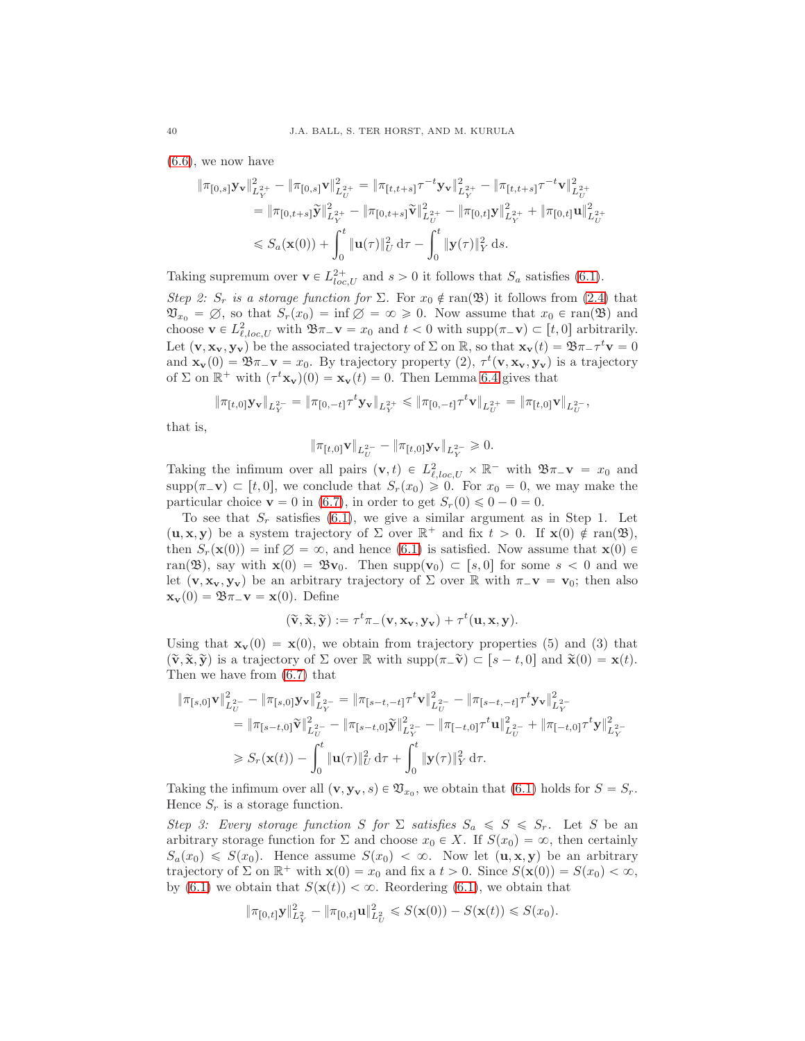$(6.6)$ , we now have

$$
\begin{split} \|\pi_{[0,s]} \mathbf{y}_\mathbf{v}\|_{L^{2+}_Y}^2 - \|\pi_{[0,s]} \mathbf{v}\|_{L^{2+}_U}^2 &= \|\pi_{[t,t+s]} \tau^{-t} \mathbf{y}_\mathbf{v}\|_{L^{2+}_Y}^2 - \|\pi_{[t,t+s]} \tau^{-t} \mathbf{v}\|_{L^{2+}_U}^2 \\ &= \|\pi_{[0,t+s]} \widetilde{\mathbf{y}}\|_{L^{2+}_Y}^2 - \|\pi_{[0,t+s]} \widetilde{\mathbf{v}}\|_{L^{2+}_U}^2 - \|\pi_{[0,t]} \mathbf{y}\|_{L^{2+}_Y}^2 + \|\pi_{[0,t]} \mathbf{u}\|_{L^{2+}_U}^2 \\ &\leq S_a(\mathbf{x}(0)) + \int_0^t \|\mathbf{u}(\tau)\|_U^2 \, \mathrm{d}\tau - \int_0^t \|\mathbf{y}(\tau)\|_Y^2 \, \mathrm{d}s. \end{split}
$$

Taking supremum over  $\mathbf{v} \in L^{2+}_{loc,U}$  and  $s > 0$  it follows that  $S_a$  satisfies [\(6.1\)](#page-35-1).

Step 2:  $S_r$  is a storage function for  $\Sigma$ . For  $x_0 \notin \text{ran}(\mathfrak{B})$  it follows from [\(2.4\)](#page-14-3) that  $\mathfrak{V}_{x_0} = \emptyset$ , so that  $S_r(x_0) = \inf \emptyset = \infty \geq 0$ . Now assume that  $x_0 \in \text{ran}(\mathfrak{B})$  and choose  $\mathbf{v} \in L^2_{\ell,loc,U}$  with  $\mathfrak{B}_{\pi-\mathbf{v}} = x_0$  and  $t < 0$  with  $\text{supp}(\pi-\mathbf{v}) \subset [t,0]$  arbitrarily. Let  $(\mathbf{v}, \mathbf{x}_\mathbf{v}, \mathbf{y}_\mathbf{v})$  be the associated trajectory of  $\Sigma$  on  $\mathbb{R}$ , so that  $\mathbf{x}_\mathbf{v}(t) = \mathfrak{B} \pi_\mathbf{v} \pi_\mathbf{v} = 0$ and  $\mathbf{x}_{\mathbf{v}}(0) = \mathfrak{B}\pi_{-\mathbf{v}} = x_0$ . By trajectory property (2),  $\tau^t(\mathbf{v}, \mathbf{x}_{\mathbf{v}}, \mathbf{y}_{\mathbf{v}})$  is a trajectory of  $\Sigma$  on  $\mathbb{R}^+$  with  $(\tau^t \mathbf{x}_v)(0) = \mathbf{x}_v(t) = 0$ . Then Lemma [6.4](#page-38-1) gives that

$$
\|\pi_{[t,0]} \mathbf{y}_\mathbf{v}\|_{L^{2-}_Y} = \|\pi_{[0,-t]} \tau^t \mathbf{y}_\mathbf{v}\|_{L^{2+}_Y} \le \|\pi_{[0,-t]} \tau^t \mathbf{v}\|_{L^{2+}_U} = \|\pi_{[t,0]} \mathbf{v}\|_{L^{2-}_U},
$$

that is,

$$
\|\pi_{[t,0]}{\bf v}\|_{L^{2-}_U} - \|\pi_{[t,0]}{\bf y}_{\bf v}\|_{L^{2-}_Y} \geq 0.
$$

Taking the infimum over all pairs  $(v, t) \in L^2_{\ell, loc, U} \times \mathbb{R}^-$  with  $\mathfrak{B} \pi_{-\mathbf{V}} = x_0$  and  $\text{supp}(\pi_{\text{-}}\mathbf{v}) \subset [t, 0],$  we conclude that  $S_r(x_0) \geq 0$ . For  $x_0 = 0$ , we may make the particular choice  $\mathbf{v} = 0$  in [\(6.7\)](#page-38-2), in order to get  $S_r(0) \leq 0 - 0 = 0$ .

To see that  $S_r$  satisfies [\(6.1\)](#page-35-1), we give a similar argument as in Step 1. Let  $(\mathbf{u}, \mathbf{x}, \mathbf{y})$  be a system trajectory of  $\Sigma$  over  $\mathbb{R}^+$  and fix  $t > 0$ . If  $\mathbf{x}(0) \notin \text{ran}(\mathfrak{B})$ , then  $S_r(\mathbf{x}(0)) = \inf \emptyset = \infty$ , and hence [\(6.1\)](#page-35-1) is satisfied. Now assume that  $\mathbf{x}(0) \in$ ran( $\mathfrak{B}$ ), say with  $\mathbf{x}(0) = \mathfrak{B}\mathbf{v}_0$ . Then supp $(\mathbf{v}_0) \subset [s, 0]$  for some  $s < 0$  and we let  $(\mathbf{v}, \mathbf{x}_{\mathbf{v}}, \mathbf{y}_{\mathbf{v}})$  be an arbitrary trajectory of  $\Sigma$  over  $\mathbb R$  with  $\pi_*\mathbf{v} = \mathbf{v}_0$ ; then also  $\mathbf{x}_{\mathbf{v}}(0) = \mathfrak{B}\pi_{-\mathbf{v}} = \mathbf{x}(0)$ . Define

$$
(\widetilde{\mathbf{v}}, \widetilde{\mathbf{x}}, \widetilde{\mathbf{y}}) := \tau^t \pi_{-}(\mathbf{v}, \mathbf{x}_{\mathbf{v}}, \mathbf{y}_{\mathbf{v}}) + \tau^t(\mathbf{u}, \mathbf{x}, \mathbf{y}).
$$

Using that  $\mathbf{x}_{\mathbf{v}}(0) = \mathbf{x}(0)$ , we obtain from trajectory properties (5) and (3) that  $(\widetilde{\mathbf{v}}, \widetilde{\mathbf{x}}, \widetilde{\mathbf{v}})$  is a trajectory of  $\Sigma$  over R with supp $(\pi_{-}\widetilde{\mathbf{v}}) \subset [s-t, 0]$  and  $\widetilde{\mathbf{x}}(0) = \mathbf{x}(t)$ . Then we have from [\(6.7\)](#page-38-2) that

$$
\begin{split} \|\pi_{[s,0]} \mathbf{v}\|_{L^{2-}_{U}}^{2} - \|\pi_{[s,0]} \mathbf{y}_{\mathbf{v}}\|_{L^{2-}_{Y}}^{2} &= \|\pi_{[s-t,-t]} \tau^{t} \mathbf{v}\|_{L^{2-}_{U}}^{2} - \|\pi_{[s-t,-t]} \tau^{t} \mathbf{y}_{\mathbf{v}}\|_{L^{2-}_{Y}}^{2} \\ &= \|\pi_{[s-t,0]} \widetilde{\mathbf{v}}\|_{L^{2-}_{U}}^{2} - \|\pi_{[s-t,0]} \widetilde{\mathbf{y}}\|_{L^{2-}_{Y}}^{2} - \|\pi_{[-t,0]} \tau^{t} \mathbf{u}\|_{L^{2-}_{U}}^{2} + \|\pi_{[-t,0]} \tau^{t} \mathbf{y}\|_{L^{2-}_{Y}}^{2} \\ &\geq S_{r}(\mathbf{x}(t)) - \int_{0}^{t} \|\mathbf{u}(\tau)\|_{U}^{2} d\tau + \int_{0}^{t} \|\mathbf{y}(\tau)\|_{Y}^{2} d\tau. \end{split}
$$

Taking the infimum over all  $(\mathbf{v}, \mathbf{y}_{\mathbf{v}}, s) \in \mathfrak{V}_{x_0}$ , we obtain that  $(6.1)$  holds for  $S = S_r$ . Hence  $S_r$  is a storage function.

Step 3: Every storage function S for  $\Sigma$  satisfies  $S_a \leq S \leq S_r$ . Let S be an arbitrary storage function for  $\Sigma$  and choose  $x_0 \in X$ . If  $S(x_0) = \infty$ , then certainly  $S_a(x_0) \leq S(x_0)$ . Hence assume  $S(x_0) < \infty$ . Now let  $(\mathbf{u}, \mathbf{x}, \mathbf{y})$  be an arbitrary trajectory of  $\Sigma$  on  $\mathbb{R}^+$  with  $\mathbf{x}(0) = x_0$  and fix a  $t > 0$ . Since  $S(\mathbf{x}(0)) = S(x_0) < \infty$ , by [\(6.1\)](#page-35-1) we obtain that  $S(\mathbf{x}(t)) < \infty$ . Reordering (6.1), we obtain that

$$
\|\pi_{[0,t]} \mathbf{y}\|_{L^2_Y}^2 - \|\pi_{[0,t]} \mathbf{u}\|_{L^2_U}^2 \leq S(\mathbf{x}(0)) - S(\mathbf{x}(t)) \leq S(x_0).
$$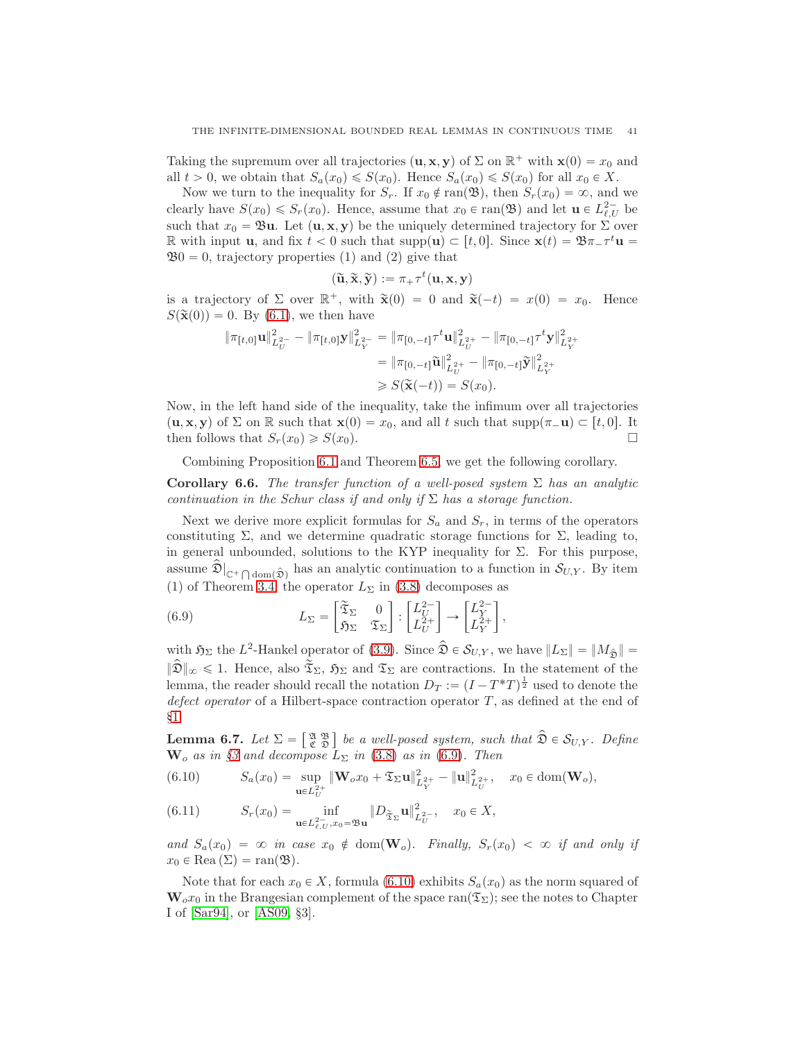Taking the supremum over all trajectories  $(\mathbf{u}, \mathbf{x}, \mathbf{y})$  of  $\Sigma$  on  $\mathbb{R}^+$  with  $\mathbf{x}(0) = x_0$  and all  $t > 0$ , we obtain that  $S_a(x_0) \leq S(x_0)$ . Hence  $S_a(x_0) \leq S(x_0)$  for all  $x_0 \in X$ .

Now we turn to the inequality for  $S_r$ . If  $x_0 \notin \text{ran}(\mathfrak{B})$ , then  $S_r(x_0) = \infty$ , and we clearly have  $S(x_0) \leq S_r(x_0)$ . Hence, assume that  $x_0 \in \text{ran}(\mathfrak{B})$  and let  $\mathbf{u} \in L^2_{\ell,U}$  be such that  $x_0 = \mathfrak{B} \mathbf{u}$ . Let  $(\mathbf{u}, \mathbf{x}, \mathbf{y})$  be the uniquely determined trajectory for  $\Sigma$  over R with input **u**, and fix  $t < 0$  such that  $\text{supp}(\mathbf{u}) \subset [t, 0]$ . Since  $\mathbf{x}(t) = \mathfrak{B}\pi_{-} \tau^{t} \mathbf{u} =$  $\mathfrak{B}0 = 0$ , trajectory properties (1) and (2) give that

$$
(\widetilde{\mathbf{u}}, \widetilde{\mathbf{x}}, \widetilde{\mathbf{y}}) := \pi_+ \tau^t(\mathbf{u}, \mathbf{x}, \mathbf{y})
$$

is a trajectory of  $\Sigma$  over  $\mathbb{R}^+$ , with  $\tilde{\mathbf{x}}(0) = 0$  and  $\tilde{\mathbf{x}}(-t) = x(0) = x_0$ . Hence  $S(\tilde{\mathbf{x}}(0)) = 0$ . By [\(6.1\)](#page-35-1), we then have

$$
\begin{aligned} \|\pi_{[t,0]} \mathbf{u}\|_{L_{U}^{2-}}^2 - \|\pi_{[t,0]} \mathbf{y}\|_{L_{Y}^{2-}}^2 &= \|\pi_{[0,-t]} \tau^t \mathbf{u}\|_{L_{U}^{2+}}^2 - \|\pi_{[0,-t]} \tau^t \mathbf{y}\|_{L_{Y}^{2+}}^2 \\ &= \|\pi_{[0,-t]} \widetilde{\mathbf{u}}\|_{L_{U}^{2+}}^2 - \|\pi_{[0,-t]} \widetilde{\mathbf{y}}\|_{L_{Y}^{2+}}^2 \\ &\geq S(\widetilde{\mathbf{x}}(-t)) = S(x_0). \end{aligned}
$$

Now, in the left hand side of the inequality, take the infimum over all trajectories  $(\mathbf{u}, \mathbf{x}, \mathbf{y})$  of  $\Sigma$  on  $\mathbb{R}$  such that  $\mathbf{x}(0) = x_0$ , and all t such that  $\text{supp}(\pi_{-\mathbf{u}}) \subset [t, 0]$ . It then follows that  $S_n(x_0) \geq S(x_0)$ then follows that  $S_r(x_0) \geq S(x_0)$ .

Combining Proposition [6.1](#page-36-0) and Theorem [6.5,](#page-38-3) we get the following corollary.

Corollary 6.6. The transfer function of a well-posed system  $\Sigma$  has an analytic continuation in the Schur class if and only if  $\Sigma$  has a storage function.

Next we derive more explicit formulas for  $S_a$  and  $S_r$ , in terms of the operators constituting  $\Sigma$ , and we determine quadratic storage functions for  $\Sigma$ , leading to, in general unbounded, solutions to the KYP inequality for  $\Sigma$ . For this purpose, assume  $\mathfrak{D}|_{\mathbb{C}^+\bigcap \text{dom}(\widehat{\mathfrak{D}})}$  has an analytic continuation to a function in  $\mathcal{S}_{U,Y}$ . By item (1) of Theorem [3.4,](#page-21-2) the operator  $L_{\Sigma}$  in [\(3.8\)](#page-21-1) decomposes as

<span id="page-40-0"></span>(6.9) 
$$
L_{\Sigma} = \begin{bmatrix} \widetilde{\mathfrak{T}}_{\Sigma} & 0 \\ \mathfrak{H}_{\Sigma} & \mathfrak{T}_{\Sigma} \end{bmatrix} : \begin{bmatrix} L_{U}^{2-} \\ L_{U}^{2+} \end{bmatrix} \to \begin{bmatrix} L_{Y}^{2-} \\ L_{Y}^{2+} \end{bmatrix},
$$

with  $\mathfrak{H}_{\Sigma}$  the  $L^2$ -Hankel operator of [\(3.9\)](#page-22-0). Since  $\widehat{\mathfrak{D}} \in \mathcal{S}_{U,Y}$ , we have  $||L_{\Sigma}|| = ||M_{\widehat{\mathfrak{D}}}|| =$  $\|\widehat{\mathfrak{D}}\|_{\infty} \leq 1$ . Hence, also  $\widetilde{\mathfrak{T}}_{\Sigma}$ ,  $\mathfrak{H}_{\Sigma}$  and  $\mathfrak{T}_{\Sigma}$  are contractions. In the statement of the lemma, the reader should recall the notation  $D_T := (I - T^*T)^{\frac{1}{2}}$  used to denote the defect operator of a Hilbert-space contraction operator  $T$ , as defined at the end of §[1.](#page-1-0)

<span id="page-40-2"></span>**Lemma 6.7.** Let  $\Sigma = \begin{bmatrix} \mathfrak{A} & \mathfrak{B} \\ \mathfrak{C} & \mathfrak{D} \end{bmatrix}$  be a well-posed system, such that  $\widehat{\mathfrak{D}} \in \mathcal{S}_{U,Y}$ . Define  $\mathbf{W}_o$  as in §[3](#page-19-0) and decompose  $L_\Sigma$  in [\(3.8\)](#page-21-1) as in [\(6.9\)](#page-40-0). Then

<span id="page-40-1"></span>(6.10) 
$$
S_a(x_0) = \sup_{\mathbf{u}\in L_U^{2+}} \|\mathbf{W}_o x_0 + \mathfrak{T}_{\Sigma} \mathbf{u}\|_{L_Y^{2+}}^2 - \|\mathbf{u}\|_{L_U^{2+}}^2, \quad x_0 \in \text{dom}(\mathbf{W}_o),
$$

<span id="page-40-3"></span>(6.11) 
$$
S_r(x_0) = \inf_{\mathbf{u} \in L^2_{\ell, U}, x_0 = \mathfrak{B} \mathbf{u}} \| D_{\widetilde{\mathfrak{T}}_{\Sigma}} \mathbf{u} \|_{L^{2-}_U}^2, \quad x_0 \in X,
$$

and  $S_a(x_0) = \infty$  in case  $x_0 \notin \text{dom}(\mathbf{W}_o)$ . Finally,  $S_r(x_0) < \infty$  if and only if  $x_0 \in \text{Rea}(\Sigma) = \text{ran}(\mathfrak{B}).$ 

Note that for each  $x_0 \in X$ , formula [\(6.10\)](#page-40-1) exhibits  $S_a(x_0)$  as the norm squared of  $\mathbf{W}_{o}x_0$  in the Brangesian complement of the space  $ran(\mathfrak{T}_{\Sigma})$ ; see the notes to Chapter I of [\[Sar94\]](#page-60-13), or [\[AS09,](#page-59-17) §3].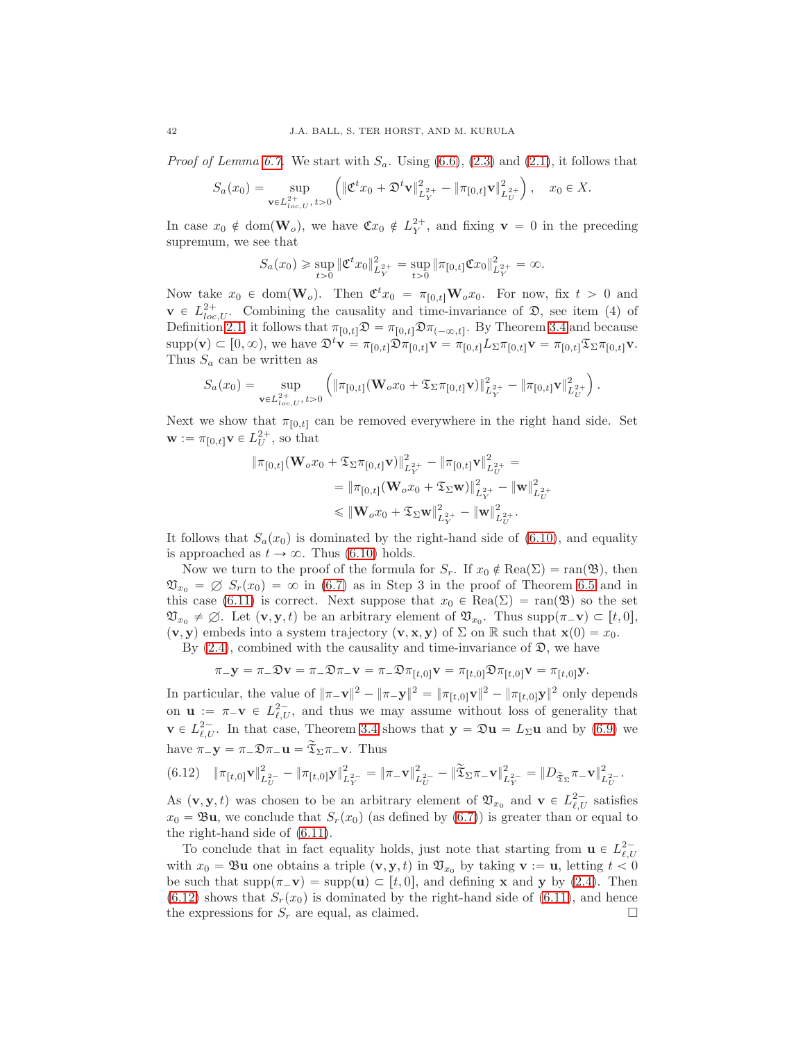*Proof of Lemma [6.7.](#page-40-2)* We start with  $S_a$ . Using [\(6.6\)](#page-38-0), [\(2.3\)](#page-14-4) and [\(2.1\)](#page-14-0), it follows that

$$
S_a(x_0) = \sup_{\mathbf{v} \in L^{2+}_{loc,U}, t>0} \left( \|\mathfrak{C}^t x_0 + \mathfrak{D}^t \mathbf{v}\|_{L^{2+}_Y}^2 - \|\pi_{[0,t]} \mathbf{v}\|_{L^{2+}_U}^2 \right), \quad x_0 \in X.
$$

In case  $x_0 \notin \text{dom}(\mathbf{W}_o)$ , we have  $\mathfrak{C}x_0 \notin L_Y^{2+}$ , and fixing  $\mathbf{v} = 0$  in the preceding supremum, we see that

$$
S_a(x_0) \ge \sup_{t>0} \|\mathfrak{C}^t x_0\|_{L^2_1}^2 = \sup_{t>0} \|\pi_{[0,t]} \mathfrak{C} x_0\|_{L^2_1}^2 = \infty.
$$

Now take  $x_0 \in \text{dom}(\mathbf{W}_o)$ . Then  $\mathfrak{C}^t x_0 = \pi_{[0,t]} \mathbf{W}_o x_0$ . For now, fix  $t > 0$  and  $\mathbf{v} \in L^{2+}_{loc,U}$ . Combining the causality and time-invariance of  $\mathfrak{D}$ , see item (4) of Definition [2.1,](#page-13-1) it follows that  $\pi_{[0,t]} \mathfrak{D} = \pi_{[0,t]} \mathfrak{D} \pi_{(-\infty,t]}$ . By Theorem [3.4](#page-21-2) and because  $\text{supp}(\mathbf{v}) \subset [0, \infty)$ , we have  $\mathfrak{D}^t \mathbf{v} = \pi_{[0,t]} \mathfrak{D} \pi_{[0,t]} \mathbf{v} = \pi_{[0,t]} L_\Sigma \pi_{[0,t]} \mathbf{v} = \pi_{[0,t]} \mathfrak{T}_\Sigma \pi_{[0,t]} \mathbf{v}.$ Thus  $S_a$  can be written as

$$
S_a(x_0) = \sup_{\mathbf{v} \in L_{loc,U}^{2+}, t>0} \left( \|\pi_{[0,t]}(\mathbf{W}_o x_0 + \mathfrak{T}_{\Sigma} \pi_{[0,t]} \mathbf{v})\|_{L^{2+}_Y}^2 - \|\pi_{[0,t]} \mathbf{v}\|_{L^{2+}_U}^2 \right)
$$

.

Next we show that  $\pi_{0,t}$  can be removed everywhere in the right hand side. Set  $\mathbf{w} := \pi_{[0,t]} \mathbf{v} \in L_U^{2+}$ , so that

$$
\|\pi_{[0,t]}(\mathbf{W}_o x_0 + \mathfrak{T}_{\Sigma} \pi_{[0,t]} \mathbf{v})\|_{L^{2+}_Y}^2 - \|\pi_{[0,t]} \mathbf{v}\|_{L^{2+}_U}^2 =
$$
  
\n
$$
= \|\pi_{[0,t]}(\mathbf{W}_o x_0 + \mathfrak{T}_{\Sigma} \mathbf{w})\|_{L^{2+}_Y}^2 - \|\mathbf{w}\|_{L^{2+}_U}^2
$$
  
\n
$$
\leq \|\mathbf{W}_o x_0 + \mathfrak{T}_{\Sigma} \mathbf{w}\|_{L^{2+}_Y}^2 - \|\mathbf{w}\|_{L^{2+}_U}^2.
$$

It follows that  $S_a(x_0)$  is dominated by the right-hand side of [\(6.10\)](#page-40-1), and equality is approached as  $t \to \infty$ . Thus [\(6.10\)](#page-40-1) holds.

Now we turn to the proof of the formula for  $S_r$ . If  $x_0 \notin \text{Rea}(\Sigma) = \text{ran}(\mathfrak{B})$ , then  $\mathfrak{V}_{x_0} = \emptyset$   $S_r(x_0) = \infty$  in [\(6.7\)](#page-38-2) as in Step 3 in the proof of Theorem [6.5](#page-38-3) and in this case [\(6.11\)](#page-40-3) is correct. Next suppose that  $x_0 \in \text{Rea}(\Sigma) = \text{ran}(\mathfrak{B})$  so the set  $\mathfrak{V}_{x_0} \neq \emptyset$ . Let  $(\mathbf{v}, \mathbf{y}, t)$  be an arbitrary element of  $\mathfrak{V}_{x_0}$ . Thus supp $(\pi_{-\mathbf{V}}) \subset [t, 0],$  $(v, y)$  embeds into a system trajectory  $(v, x, y)$  of  $\Sigma$  on R such that  $x(0) = x_0$ .

By  $(2.4)$ , combined with the causality and time-invariance of  $\mathfrak{D}$ , we have

$$
\pi_{-}\mathbf{y} = \pi_{-}\mathfrak{D}\mathbf{v} = \pi_{-}\mathfrak{D}\pi_{-}\mathbf{v} = \pi_{-}\mathfrak{D}\pi_{[t,0]}\mathbf{v} = \pi_{[t,0]}\mathfrak{D}\pi_{[t,0]}\mathbf{v} = \pi_{[t,0]}\mathbf{y}.
$$

In particular, the value of  $\|\pi_{-}\mathbf{v}\|^2 - \|\pi_{-}\mathbf{y}\|^2 = \|\pi_{[t,0]}\mathbf{v}\|^2 - \|\pi_{[t,0]}\mathbf{y}\|^2$  only depends on  $\mathbf{u} := \pi - \mathbf{v} \in L^2_{\ell,U}$ , and thus we may assume without loss of generality that  $\mathbf{v} \in L^2_{\ell,U}$ . In that case, Theorem [3.4](#page-21-2) shows that  $\mathbf{y} = \mathfrak{D}\mathbf{u} = L_{\Sigma}\mathbf{u}$  and by [\(6.9\)](#page-40-0) we have  $\pi_y = \pi_x \mathfrak{D} \pi_x \mathbf{u} = \widetilde{\mathfrak{T}}_{\Sigma} \pi_x \mathbf{v}$ . Thus

<span id="page-41-0"></span>
$$
(6.12)\quad \|\pi_{\llbracket t,0\rrbracket}\mathbf{v}\|^2_{L^2_{U}}-\|\pi_{\llbracket t,0\rrbracket}\mathbf{y}\|^2_{L^2_{Y}}=\|\pi_-\mathbf{v}\|^2_{L^2_{U}}-\|\widetilde{\mathfrak{T}}_{\Sigma}\pi_-\mathbf{v}\|^2_{L^2_{Y}}=\|D_{\widetilde{\mathfrak{T}}_{\Sigma}}\pi_-\mathbf{v}\|^2_{L^2_{U}}.
$$

As  $(\mathbf{v}, \mathbf{y}, t)$  was chosen to be an arbitrary element of  $\mathfrak{V}_{x_0}$  and  $\mathbf{v} \in L^{2-}_{\ell, U}$  satisfies  $x_0 = \mathfrak{B} \mathbf{u}$ , we conclude that  $S_r(x_0)$  (as defined by [\(6.7\)](#page-38-2)) is greater than or equal to the right-hand side of [\(6.11\)](#page-40-3).

To conclude that in fact equality holds, just note that starting from  $\mathbf{u} \in L^{2-}_{\ell,U}$ with  $x_0 = \mathfrak{B} \mathbf{u}$  one obtains a triple  $(\mathbf{v}, \mathbf{y}, t)$  in  $\mathfrak{V}_{x_0}$  by taking  $\mathbf{v} := \mathbf{u}$ , letting  $t < 0$ be such that  $\text{supp}(\pi_{\text{-}}\mathbf{v}) = \text{supp}(\mathbf{u}) \subset [t, 0]$ , and defining **x** and **y** by [\(2.4\)](#page-14-3). Then [\(6.12\)](#page-41-0) shows that  $S_r(x_0)$  is dominated by the right-hand side of [\(6.11\)](#page-40-3), and hence the expressions for  $S_r$  are equal, as claimed. the expressions for  $S_r$  are equal, as claimed.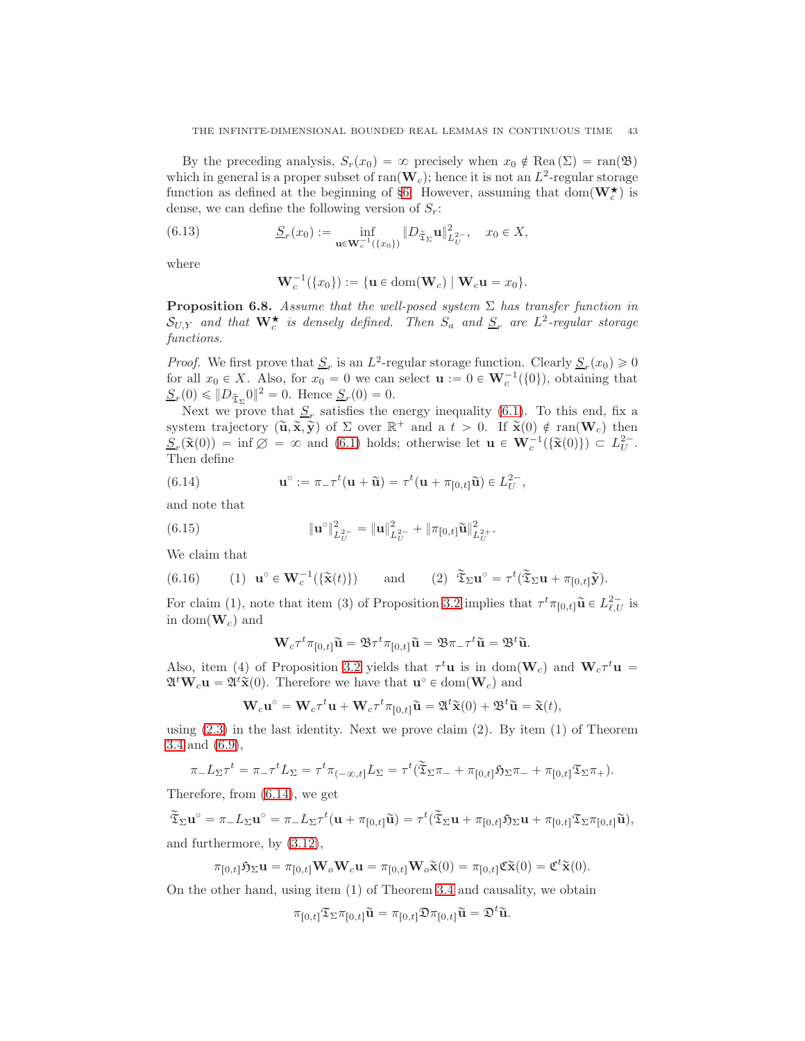By the preceding analysis,  $S_r(x_0) = \infty$  precisely when  $x_0 \notin \text{Rea}(\Sigma) = \text{ran}(\mathfrak{B})$ which in general is a proper subset of ran( $\mathbf{W}_c$ ); hence it is not an  $L^2$ -regular storage function as defined at the beginning of §[6.](#page-35-0) However, assuming that  $dom(\mathbf{W}_c^{\star})$  is dense, we can define the following version of  $S_r$ :

(6.13) 
$$
\underline{S}_r(x_0) := \inf_{\mathbf{u} \in \mathbf{W}_c^{-1}(\{x_0\})} \|D_{\tilde{\mathfrak{T}}_{\Sigma}} \mathbf{u}\|_{L^2}^2, \quad x_0 \in X,
$$

where

<span id="page-42-4"></span>
$$
\mathbf{W}_c^{-1}(\{x_0\}) := \{\mathbf{u} \in \text{dom}(\mathbf{W}_c) \mid \mathbf{W}_c \mathbf{u} = x_0\}.
$$

<span id="page-42-3"></span>**Proposition 6.8.** Assume that the well-posed system  $\Sigma$  has transfer function in  $\mathcal{S}_{U,Y}$  and that  $\mathbf{W}_{c}^{\star}$  is densely defined. Then  $S_a$  and  $\underline{S}_r$  are  $L^2$ -regular storage functions.

*Proof.* We first prove that  $\underline{S}_r$  is an  $L^2$ -regular storage function. Clearly  $\underline{S}_r(x_0) \geq 0$ for all  $x_0 \in X$ . Also, for  $x_0 = 0$  we can select  $\mathbf{u} := 0 \in \mathbf{W}_c^{-1}(\{0\})$ , obtaining that  $S_r(0) \leqslant \|D_{\tilde{\mathfrak{T}}_{\Sigma}}0\|^2 = 0.$  Hence  $S_r(0) = 0.$ 

Next we prove that  $S_r$  satisfies the energy inequality [\(6.1\)](#page-35-1). To this end, fix a system trajectory  $(\widetilde{\mathbf{u}}, \widetilde{\mathbf{x}}, \widetilde{\mathbf{y}})$  of  $\Sigma$  over  $\mathbb{R}^+$  and a  $t > 0$ . If  $\widetilde{\mathbf{x}}(0) \notin \text{ran}(\mathbf{W}_c)$  then  $S_r(\tilde{\mathbf{x}}(0)) = \inf \emptyset = \infty$  and [\(6.1\)](#page-35-1) holds; otherwise let  $\mathbf{u} \in \mathbf{W}_c^{-1}(\{\tilde{\mathbf{x}}(0)\}) \subset L_{U}^{2-}$ . Then define

<span id="page-42-0"></span>(6.14) 
$$
\mathbf{u}^{\circ} := \pi_{-} \tau^{t}(\mathbf{u} + \widetilde{\mathbf{u}}) = \tau^{t}(\mathbf{u} + \pi_{[0,t]}\widetilde{\mathbf{u}}) \in L_{U}^{2-},
$$

and note that

(6.15) 
$$
\|\mathbf{u}^{\circ}\|_{L_{U}^{2-}}^{2} = \|\mathbf{u}\|_{L_{U}^{2-}}^{2} + \|\pi_{[0,t]}\widetilde{\mathbf{u}}\|_{L_{U}^{2+}}^{2}.
$$

We claim that

<span id="page-42-2"></span>(6.16) (1) 
$$
\mathbf{u}^{\circ} \in \mathbf{W}_c^{-1}(\{\tilde{\mathbf{x}}(t)\})
$$
 and (2)  $\tilde{\mathbf{x}}_{\Sigma} \mathbf{u}^{\circ} = \tau^t(\tilde{\mathbf{x}}_{\Sigma} \mathbf{u} + \pi_{[0,t]}\tilde{\mathbf{y}}).$ 

For claim (1), note that item (3) of Proposition [3.2](#page-20-1) implies that  $\tau^t \pi_{[0,t]} \tilde{\mathbf{u}} \in L_{\ell,U}^{2-}$  is in dom $(\mathbf{W}_c)$  and

<span id="page-42-1"></span>
$$
\mathbf{W}_c \tau^t \pi_{[0,t]} \widetilde{\mathbf{u}} = \mathfrak{B} \tau^t \pi_{[0,t]} \widetilde{\mathbf{u}} = \mathfrak{B} \pi_- \tau^t \widetilde{\mathbf{u}} = \mathfrak{B}^t \widetilde{\mathbf{u}}.
$$

Also, item (4) of Proposition [3.2](#page-20-1) yields that  $\tau^t \mathbf{u}$  is in dom $(\mathbf{W}_c)$  and  $\mathbf{W}_c \tau^t \mathbf{u} =$  $\mathfrak{A}^t \mathbf{W}_c \mathbf{u} = \mathfrak{A}^t \tilde{\mathbf{x}}(0)$ . Therefore we have that  $\mathbf{u}^\circ \in \text{dom}(\mathbf{W}_c)$  and

$$
\mathbf{W}_c \mathbf{u}^\circ = \mathbf{W}_c \tau^t \mathbf{u} + \mathbf{W}_c \tau^t \pi_{[0,t]} \widetilde{\mathbf{u}} = \mathfrak{A}^t \widetilde{\mathbf{x}}(0) + \mathfrak{B}^t \widetilde{\mathbf{u}} = \widetilde{\mathbf{x}}(t),
$$

using  $(2.3)$  in the last identity. Next we prove claim  $(2)$ . By item  $(1)$  of Theorem [3.4](#page-21-2) and [\(6.9\)](#page-40-0),

$$
\pi_- L_\Sigma \tau^t = \pi_- \tau^t L_\Sigma = \tau^t \pi_{(-\infty, t]} L_\Sigma = \tau^t (\widetilde{\mathfrak{T}}_\Sigma \pi_- + \pi_{[0, t]} \mathfrak{H}_\Sigma \pi_- + \pi_{[0, t]} \mathfrak{T}_\Sigma \pi_+).
$$

Therefore, from [\(6.14\)](#page-42-0), we get

$$
\widetilde{\mathfrak{T}}_{\Sigma}\mathbf{u}^{\circ} = \pi_{-}L_{\Sigma}\mathbf{u}^{\circ} = \pi_{-}L_{\Sigma}\tau^{t}(\mathbf{u} + \pi_{[0,t]}\widetilde{\mathbf{u}}) = \tau^{t}(\widetilde{\mathfrak{T}}_{\Sigma}\mathbf{u} + \pi_{[0,t]}\mathfrak{H}_{\Sigma}\mathbf{u} + \pi_{[0,t]}\mathfrak{T}_{\Sigma}\pi_{[0,t]}\widetilde{\mathbf{u}}),
$$

and furthermore, by [\(3.12\)](#page-22-3),

$$
\pi_{[0,t]}\mathfrak{H}_{\Sigma}\mathbf{u} = \pi_{[0,t]}\mathbf{W}_o\mathbf{W}_c\mathbf{u} = \pi_{[0,t]}\mathbf{W}_o\widetilde{\mathbf{x}}(0) = \pi_{[0,t]}\mathfrak{C}\widetilde{\mathbf{x}}(0) = \mathfrak{C}^t\widetilde{\mathbf{x}}(0).
$$

On the other hand, using item (1) of Theorem [3.4](#page-21-2) and causality, we obtain

$$
\pi_{[0,t]}\mathfrak{T}_{\Sigma}\pi_{[0,t]}\widetilde{\mathbf{u}} = \pi_{[0,t]}\mathfrak{D}\pi_{[0,t]}\widetilde{\mathbf{u}} = \mathfrak{D}^t\widetilde{\mathbf{u}}.
$$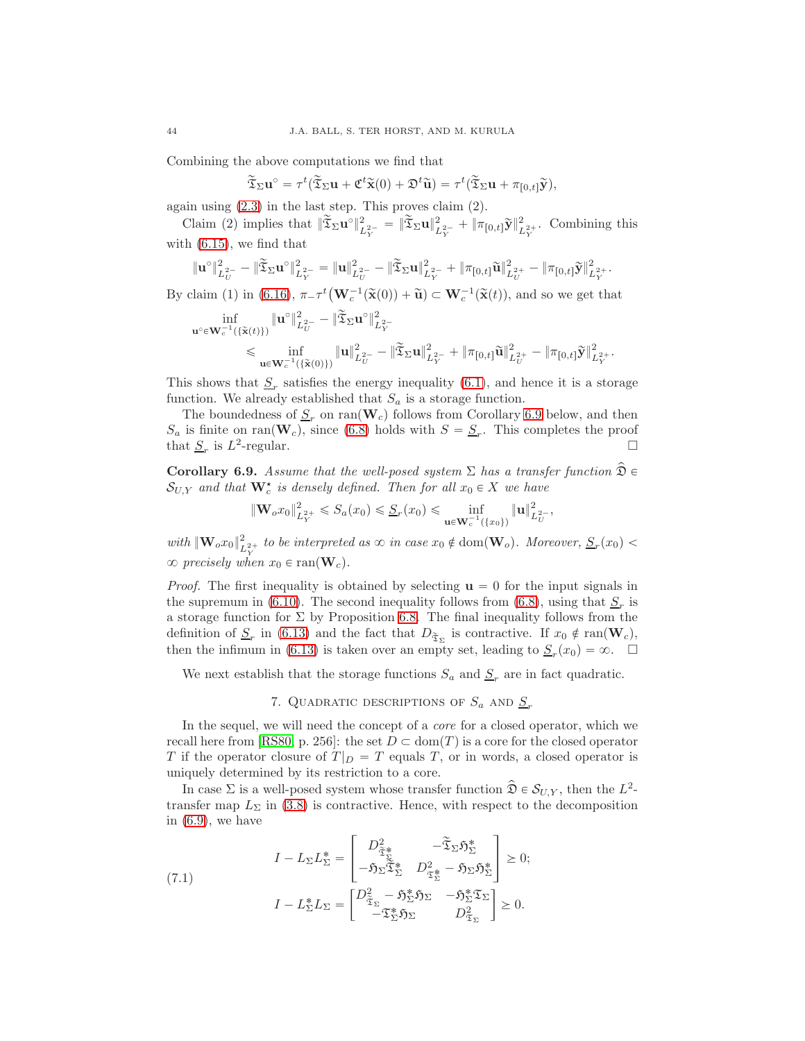Combining the above computations we find that

$$
\widetilde{\mathfrak{T}}_{\Sigma}\mathbf{u}^{\circ} = \tau^{t}(\widetilde{\mathfrak{T}}_{\Sigma}\mathbf{u} + \mathfrak{C}^{t}\widetilde{\mathbf{x}}(0) + \mathfrak{D}^{t}\widetilde{\mathbf{u}}) = \tau^{t}(\widetilde{\mathfrak{T}}_{\Sigma}\mathbf{u} + \pi_{[0,t]}\widetilde{\mathbf{y}}),
$$

again using [\(2.3\)](#page-14-4) in the last step. This proves claim (2).

Claim (2) implies that  $\|\widetilde{\mathfrak{T}}_{\Sigma}\mathbf{u}^{\circ}\|_{I}^{2}$  $\frac{2}{L^{2-}_Y} = \|\widetilde{\mathfrak{T}}_\Sigma \mathbf{u}\|^2_{L^2}$  $\frac{2}{L^{2-}_Y} + \|\pi_{[0,t]} \widetilde{{\mathbf y}}\|^2_{L^2}$  $L_Y^2$ . Combining this with [\(6.15\)](#page-42-1), we find that

$$
\|{\bf u}^\circ\|_{L^{2-}_U}^2-\|\widetilde{\mathfrak{T}}_\Sigma {\bf u}^\circ\|_{L^{2-}_Y}^2=\|{\bf u}\|_{L^{2-}_U}^2-\|\widetilde{\mathfrak{T}}_\Sigma {\bf u}\|_{L^{2-}_Y}^2+\|\pi_{[0,t]}\widetilde{\bf u}\|_{L^{2+}_U}^2-\|\pi_{[0,t]}\widetilde{\bf y}\|_{L^{2+}_Y}^2.
$$

By claim (1) in [\(6.16\)](#page-42-2),  $\pi_{-}\tau^{t}(\mathbf{W}_c^{-1}(\tilde{\mathbf{x}}(0)) + \tilde{\mathbf{u}}) \subset \mathbf{W}_c^{-1}(\tilde{\mathbf{x}}(t))$ , and so we get that

$$
\inf_{\mathbf{u}^{\circ}\in\mathbf{W}_{c}^{-1}(\{\widetilde{\mathbf{x}}(t)\})}\|\mathbf{u}^{\circ}\|_{L_{U}^{2}}^{2} - \|\widetilde{\mathfrak{T}}_{\Sigma}\mathbf{u}^{\circ}\|_{L_{Y}^{2}}^{2}
$$
\n
$$
\leqslant \inf_{\mathbf{u}\in\mathbf{W}_{c}^{-1}(\{\widetilde{\mathbf{x}}(0)\})}\|\mathbf{u}\|_{L_{U}^{2}}^{2} - \|\widetilde{\mathfrak{T}}_{\Sigma}\mathbf{u}\|_{L_{Y}^{2}}^{2} + \|\pi_{[0,t]}\widetilde{\mathbf{u}}\|_{L_{U}^{2}}^{2} + \|\pi_{[0,t]}\widetilde{\mathbf{y}}\|_{L_{Y}^{2}}^{2}.
$$

This shows that  $S_r$  satisfies the energy inequality [\(6.1\)](#page-35-1), and hence it is a storage function. We already established that  $S_a$  is a storage function.

The boundedness of  $S_r$  on ran( $W_c$ ) follows from Corollary [6.9](#page-43-1) below, and then  $S_a$  is finite on ran( $\mathbf{W}_c$ ), since [\(6.8\)](#page-38-4) holds with  $S = S_r$ . This completes the proof that  $\underline{S}_r$  is  $L^2$ -regular.

<span id="page-43-1"></span>Corollary 6.9. Assume that the well-posed system  $\Sigma$  has a transfer function  $\mathfrak{D} \in$  $\mathcal{S}_{U,Y}$  and that  $\mathbf{W}_{c}^{\star}$  is densely defined. Then for all  $x_0 \in X$  we have

$$
\|\mathbf{W}_o x_0\|_{L^{2+}_Y}^2 \le S_a(x_0) \le S_r(x_0) \le \inf_{\mathbf{u}\in \mathbf{W}_c^{-1}(\{x_0\})} \|\mathbf{u}\|_{L^{2-}_U}^2,
$$

with  $\|\mathbf{W}_o x_0\|_L^2$  $\frac{2}{L_{\mathcal{X}}^{2+}}$  to be interpreted as  $\infty$  in case  $x_0 \notin \text{dom}(\mathbf{W}_o)$ . Moreover,  $\underline{S}_r(x_0)$  <  $\infty$  precisely when  $x_0 \in \text{ran}(\mathbf{W}_c)$ .

*Proof.* The first inequality is obtained by selecting  $\mathbf{u} = 0$  for the input signals in the supremum in [\(6.10\)](#page-40-1). The second inequality follows from [\(6.8\)](#page-38-4), using that  $S_r$  is a storage function for  $\Sigma$  by Proposition [6.8.](#page-42-3) The final inequality follows from the definition of  $S_r$  in [\(6.13\)](#page-42-4) and the fact that  $D_{\tilde{\mathfrak{T}}_{\Sigma}}$  is contractive. If  $x_0 \notin \text{ran}(\mathbf{W}_c)$ , then the infimum in [\(6.13\)](#page-42-4) is taken over an empty set, leading to  $S_r(x_0) = \infty$ .  $\Box$ 

<span id="page-43-0"></span>We next establish that the storage functions  $S_a$  and  $S_r$  are in fact quadratic.

# 7. QUADRATIC DESCRIPTIONS OF  $S_a$  AND  $S_r$

In the sequel, we will need the concept of a *core* for a closed operator, which we recall here from [\[RS80,](#page-60-14) p. 256]: the set  $D \subset \text{dom}(T)$  is a core for the closed operator T if the operator closure of  $T|_D = T$  equals T, or in words, a closed operator is uniquely determined by its restriction to a core.

In case  $\Sigma$  is a well-posed system whose transfer function  $\hat{\mathfrak{D}} \in \mathcal{S}_{U,Y}$ , then the  $L^2$ transfer map  $L_{\Sigma}$  in [\(3.8\)](#page-21-1) is contractive. Hence, with respect to the decomposition in  $(6.9)$ , we have

<span id="page-43-2"></span>(7.1)  
\n
$$
I - L_{\Sigma}L_{\Sigma}^{*} = \begin{bmatrix} D_{\tilde{\mathfrak{T}}_{\Sigma}^{*}}^{2} & -\tilde{\mathfrak{T}}_{\Sigma}\mathfrak{H}_{\Sigma}^{*} \\ -\mathfrak{H}_{\Sigma}\tilde{\mathfrak{T}}_{\Sigma}^{*} & D_{\tilde{\mathfrak{T}}_{\Sigma}^{*}}^{2} - \mathfrak{H}_{\Sigma}\mathfrak{H}_{\Sigma}^{*} \end{bmatrix} \geq 0;
$$
\n
$$
I - L_{\Sigma}^{*}L_{\Sigma} = \begin{bmatrix} D_{\tilde{\mathfrak{T}}_{\Sigma}}^{2} - \mathfrak{H}_{\Sigma}^{*}\mathfrak{H}_{\Sigma} & -\mathfrak{H}_{\Sigma}^{*}\mathfrak{T}_{\Sigma} \\ -\mathfrak{T}_{\Sigma}^{*}\mathfrak{H}_{\Sigma} & D_{\tilde{\mathfrak{T}}_{\Sigma}}^{2} \end{bmatrix} \geq 0.
$$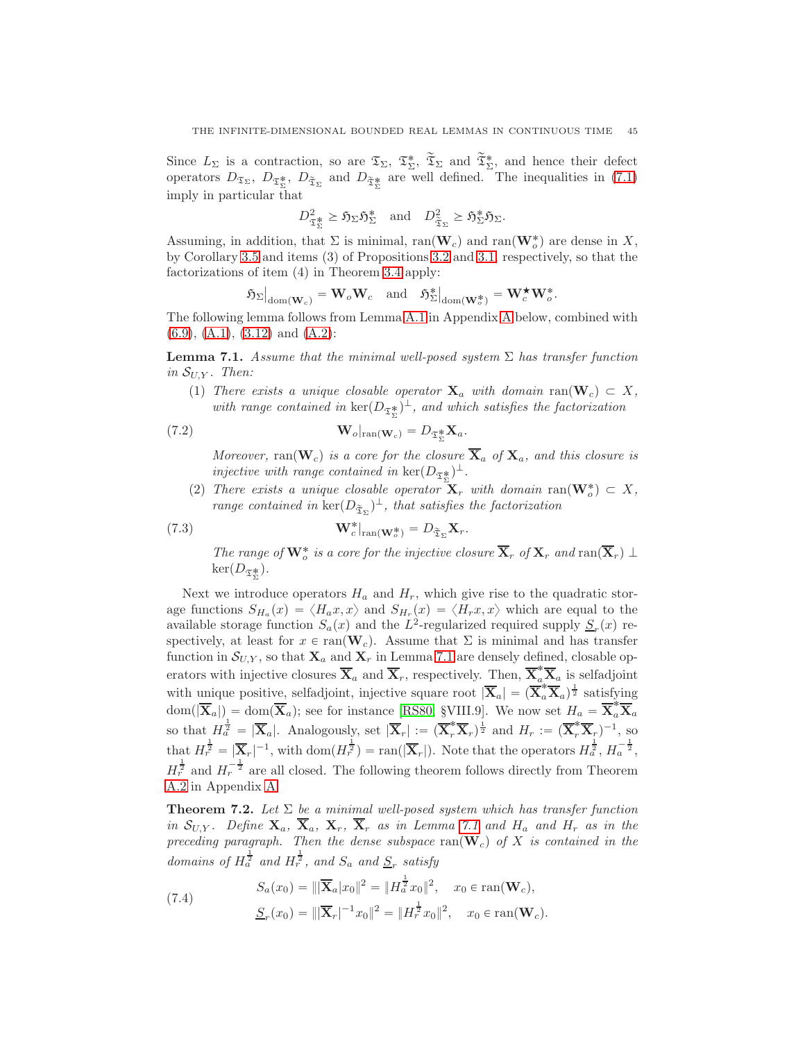Since  $L_{\Sigma}$  is a contraction, so are  $\mathfrak{T}_{\Sigma}$ ,  $\mathfrak{T}_{\Sigma}^*$ ,  $\mathfrak{T}_{\Sigma}$  and  $\mathfrak{T}_{\Sigma}^*$ , and hence their defect operators  $D_{\mathfrak{T}_{\Sigma}}$ ,  $D_{\mathfrak{T}_{\Sigma}}$ ,  $D_{\mathfrak{T}_{\Sigma}}$  and  $D_{\mathfrak{T}_{\Sigma}^*}$  are well defined. The inequalities in [\(7.1\)](#page-43-2) imply in particular that

$$
D_{\tilde{\mathfrak{T}}_{\Sigma}^*}^2 \geq \tilde{\mathfrak{H}}_{\Sigma} \tilde{\mathfrak{H}}_{\Sigma}^* \text{ and } D_{\tilde{\mathfrak{T}}_{\Sigma}}^2 \geq \tilde{\mathfrak{H}}_{\Sigma}^* \tilde{\mathfrak{H}}_{\Sigma}.
$$

Assuming, in addition, that  $\Sigma$  is minimal,  $ran(\mathbf{W}_c)$  and  $ran(\mathbf{W}_o^*)$  are dense in X, by Corollary [3.5](#page-23-2) and items (3) of Propositions [3.2](#page-20-1) and [3.1,](#page-19-4) respectively, so that the factorizations of item (4) in Theorem [3.4](#page-21-2) apply:

$$
\mathfrak{H}_\Sigma\big|_{\mathrm{dom}(\mathbf{W}_c)} = \mathbf{W}_o\mathbf{W}_c \quad \mathrm{and} \quad \mathfrak{H}_\Sigma^*\big|_{\mathrm{dom}(\mathbf{W}_o^*)} = \mathbf{W}_c^\star\mathbf{W}_o^*.
$$

The following lemma follows from Lemma [A.1](#page-61-0) in Appendix [A](#page-60-0) below, combined with [\(6.9\)](#page-40-0), [\(A.1\)](#page-60-15), [\(3.12\)](#page-22-3) and [\(A.2\)](#page-60-16):

<span id="page-44-0"></span>**Lemma 7.1.** Assume that the minimal well-posed system  $\Sigma$  has transfer function in  $S_{U,Y}$ . Then:

(1) There exists a unique closable operator  $X_a$  with domain ran $(\mathbf{W}_c) \subset X$ , with range contained in  $\ker(D_{\mathfrak{T}_{\Sigma}^*})^{\perp}$ , and which satisfies the factorization

(7.2) 
$$
\mathbf{W}_o|_{\text{ran}(\mathbf{W}_c)} = D_{\mathfrak{T}_{\Sigma}^*} \mathbf{X}_a.
$$

Moreover, ran( $\mathbf{W}_c$ ) is a core for the closure  $\overline{\mathbf{X}}_a$  of  $\mathbf{X}_a$ , and this closure is injective with range contained in  $\ker(D_{\mathfrak{T}_{\Sigma}^*})^{\perp}$ .

(2) There exists a unique closable operator  $\mathbf{X}_r$  with domain ran $(\mathbf{W}_o^*) \subset X$ , range contained in  $\ker(D_{\tilde{\mathfrak{T}}_{\Sigma}})^{\perp}$ , that satisfies the factorization

(7.3) 
$$
\mathbf{W}_c^*|_{\text{ran}(\mathbf{W}_c^*)} = D_{\widetilde{\mathfrak{T}}_{\Sigma}} \mathbf{X}_r.
$$

The range of  $\mathbf{W}_o^*$  is a core for the injective closure  $\overline{\mathbf{X}}_r$  of  $\mathbf{X}_r$  and  $\text{ran}(\overline{\mathbf{X}}_r) \perp$  $\ker(D_{\mathfrak{T}_{\Sigma}^*}).$ 

Next we introduce operators  $H_a$  and  $H_r$ , which give rise to the quadratic storage functions  $S_{H_a}(x) = \langle H_a x, x \rangle$  and  $S_{H_r}(x) = \langle H_r x, x \rangle$  which are equal to the available storage function  $S_a(x)$  and the  $L^2$ -regularized required supply  $S_r(x)$  respectively, at least for  $x \in \text{ran}(\mathbf{W}_c)$ . Assume that  $\Sigma$  is minimal and has transfer function in  $\mathcal{S}_{U,Y}$ , so that  $\mathbf{X}_a$  and  $\mathbf{X}_r$  in Lemma [7.1](#page-44-0) are densely defined, closable operators with injective closures  $\overline{\mathbf{X}}_a$  and  $\overline{\mathbf{X}}_r$ , respectively. Then,  $\overline{\mathbf{X}}_a^* \overline{\mathbf{X}}_a$  is selfadjoint with unique positive, selfadjoint, injective square root  $|\overline{\mathbf{X}}_a| = (\overline{\mathbf{X}}_a^* \overline{\mathbf{X}}_a)^{\frac{1}{2}}$  satisfying  $dom(|\overline{\mathbf{X}}_a|) = dom(\overline{\mathbf{X}}_a)$ ; see for instance [\[RS80,](#page-60-14) §VIII.9]. We now set  $H_a = \overline{\mathbf{X}}_a^* \overline{\mathbf{X}}_a$ so that  $H_a^{\frac{1}{2}} = |\overline{\mathbf{X}}_a|$ . Analogously, set  $|\overline{\mathbf{X}}_r| := (\overline{\mathbf{X}}_r^* \overline{\mathbf{X}}_r)^{\frac{1}{2}}$  and  $H_r := (\overline{\mathbf{X}}_r^* \overline{\mathbf{X}}_r)^{-1}$ , so that  $H_r^{\frac{1}{2}} = |\overline{\mathbf{X}}_r|^{-1}$ , with dom $(H_r^{\frac{1}{2}}) = \text{ran}(|\overline{\mathbf{X}}_r|)$ . Note that the operators  $H_a^{\frac{1}{2}}$ ,  $H_a^{-\frac{1}{2}}$ ,  $H_r^{\frac{1}{2}}$  and  $H_r^{-\frac{1}{2}}$  are all closed. The following theorem follows directly from Theorem [A.2](#page-62-0) in Appendix [A.](#page-60-0)

<span id="page-44-1"></span>**Theorem 7.2.** Let  $\Sigma$  be a minimal well-posed system which has transfer function in  $S_{U,Y}$ . Define  $\mathbf{X}_a$ ,  $\overline{\mathbf{X}}_a$ ,  $\mathbf{X}_r$ ,  $\overline{\mathbf{X}}_r$  as in Lemma [7.1](#page-44-0) and  $H_a$  and  $H_r$  as in the preceding paragraph. Then the dense subspace  $ran(\mathbf{W}_c)$  of X is contained in the domains of  $H_a^{\frac{1}{2}}$  and  $H_r^{\frac{1}{2}}$ , and  $S_a$  and  $S_r$  satisfy

<span id="page-44-2"></span>(7.4) 
$$
S_a(x_0) = ||\overline{\mathbf{X}}_a |x_0||^2 = ||H_a^{\frac{1}{2}} x_0||^2, \quad x_0 \in \text{ran}(\mathbf{W}_c),
$$

$$
\underline{S}_r(x_0) = ||\overline{\mathbf{X}}_r|^{-1} x_0||^2 = ||H_r^{\frac{1}{2}} x_0||^2, \quad x_0 \in \text{ran}(\mathbf{W}_c).
$$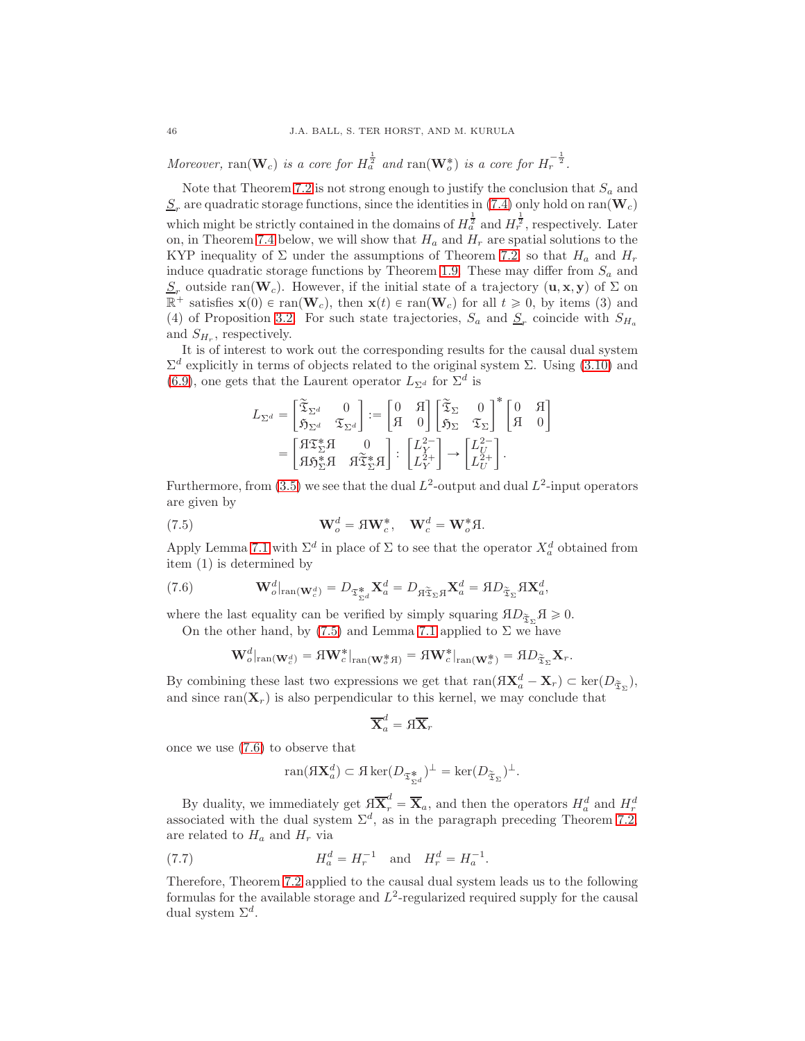Moreover, ran $(\mathbf{W}_c)$  is a core for  $H_a^{\frac{1}{2}}$  and  $\text{ran}(\mathbf{W}_o^*)$  is a core for  $H_r^{-\frac{1}{2}}$ .

Note that Theorem [7.2](#page-44-1) is not strong enough to justify the conclusion that  $S_a$  and  $S_r$  are quadratic storage functions, since the identities in [\(7.4\)](#page-44-2) only hold on ran( $\mathbf{W}_c$ ) which might be strictly contained in the domains of  $H_a^{\frac{1}{2}}$  and  $H_r^{\frac{1}{2}}$ , respectively. Later on, in Theorem [7.4](#page-46-0) below, we will show that  $H_a$  and  $H_r$  are spatial solutions to the KYP inequality of  $\Sigma$  under the assumptions of Theorem [7.2,](#page-44-1) so that  $H_a$  and  $H_r$ induce quadratic storage functions by Theorem [1.9.](#page-7-0) These may differ from  $S_a$  and  $S_r$  outside ran(W<sub>c</sub>). However, if the initial state of a trajectory  $(\mathbf{u}, \mathbf{x}, \mathbf{y})$  of  $\Sigma$  on  $\mathbb{R}^+$  satisfies  $\mathbf{x}(0) \in \text{ran}(\mathbf{W}_c)$ , then  $\mathbf{x}(t) \in \text{ran}(\mathbf{W}_c)$  for all  $t \geq 0$ , by items (3) and (4) of Proposition [3.2.](#page-20-1) For such state trajectories,  $S_a$  and  $S_r$  coincide with  $S_{H_a}$ and  $S_{H_r}$ , respectively.

It is of interest to work out the corresponding results for the causal dual system  $\Sigma^d$  explicitly in terms of objects related to the original system Σ. Using [\(3.10\)](#page-22-4) and [\(6.9\)](#page-40-0), one gets that the Laurent operator  $L_{\Sigma^d}$  for  $\Sigma^d$  is

<span id="page-45-0"></span>
$$
\begin{split} L_{\Sigma^d} &= \begin{bmatrix} \widetilde{\mathfrak{T}}_{\Sigma^d} & 0 \\ \mathfrak{H}_{\Sigma^d} & \mathfrak{T}_{\Sigma^d} \end{bmatrix} := \begin{bmatrix} 0 & \mathfrak{K} \\ \mathfrak{K} & 0 \end{bmatrix} \begin{bmatrix} \widetilde{\mathfrak{T}}_{\Sigma} & 0 \\ \mathfrak{H}_{\Sigma} & \mathfrak{T}_{\Sigma} \end{bmatrix}^* \begin{bmatrix} 0 & \mathfrak{K} \\ \mathfrak{K} & 0 \end{bmatrix} \\ &= \begin{bmatrix} \mathfrak{K} \mathfrak{T}_{\Sigma}^* \mathfrak{K} & 0 \\ \mathfrak{K} \mathfrak{H}_{\Sigma}^* \mathfrak{K} & \mathfrak{K} \widetilde{\mathfrak{K}}_{\Sigma}^* \mathfrak{K} \end{bmatrix} : \begin{bmatrix} L_{Y}^{2-} \\ L_{Y}^{2+} \end{bmatrix} \rightarrow \begin{bmatrix} L_{U}^{2-} \\ L_{U}^{2+} \end{bmatrix}. \end{split}
$$

Furthermore, from [\(3.5\)](#page-20-2) we see that the dual  $L^2$ -output and dual  $L^2$ -input operators are given by

(7.5) 
$$
\mathbf{W}_o^d = A \mathbf{W}_c^*, \quad \mathbf{W}_c^d = \mathbf{W}_o^* A.
$$

Apply Lemma [7.1](#page-44-0) with  $\Sigma^d$  in place of  $\Sigma$  to see that the operator  $X_a^d$  obtained from item (1) is determined by

(7.6) 
$$
\mathbf{W}_o^d|_{\text{ran}(\mathbf{W}_c^d)} = D_{\mathfrak{T}_{\Sigma^d}^*} \mathbf{X}_a^d = D_{\mathfrak{H}_{\Sigma}^* \mathfrak{H}} \mathbf{X}_a^d = \mathfrak{H} D_{\mathfrak{T}_{\Sigma}} \mathfrak{H} \mathbf{X}_a^d,
$$

where the last equality can be verified by simply squaring  $AD_{\tilde{\mathfrak{T}}_{\Sigma}}A \geq 0$ .

On the other hand, by [\(7.5\)](#page-45-0) and Lemma [7.1](#page-44-0) applied to  $\Sigma$  we have

<span id="page-45-1"></span>
$$
\mathbf{W}_o^d|_{\operatorname{ran}(\mathbf{W}_c^d)} = \mathfrak{A}\mathbf{W}_c^*|_{\operatorname{ran}(\mathbf{W}_o^*\mathfrak{A})} = \mathfrak{A}\mathbf{W}_c^*|_{\operatorname{ran}(\mathbf{W}_o^*)} = \mathfrak{A}D_{\widetilde{\mathfrak{T}}_{\Sigma}}\mathbf{X}_r.
$$

By combining these last two expressions we get that  $ran(\mathfrak{K}^d_a - \mathbf{X}_r) \subset \text{ker}(D_{\widetilde{\mathfrak{T}}_{\Sigma}})$ , and since  $ran(\mathbf{X}_r)$  is also perpendicular to this kernel, we may conclude that

$$
\overline{\mathbf{X}}_a^d = A\overline{\mathbf{X}}_r
$$

once we use [\(7.6\)](#page-45-1) to observe that

<span id="page-45-2"></span>
$$
\operatorname{ran}(\mathfrak{K}\mathbf{X}_a^d) \subset \mathfrak{K} \operatorname{ker}(D_{\mathfrak{T}_{\Sigma^d}^*})^\perp = \operatorname{ker}(D_{\widetilde{\mathfrak{T}}_{\Sigma}})^\perp.
$$

By duality, we immediately get  $\mathbf{H}\overline{\mathbf{X}}_r^d = \overline{\mathbf{X}}_a$ , and then the operators  $H_a^d$  and  $H_r^d$  associated with the dual system  $\Sigma^d$ , as in the paragraph preceding Theorem [7.2,](#page-44-1) are related to  $H_a$  and  $H_r$  via

(7.7) 
$$
H_a^d = H_r^{-1} \text{ and } H_r^d = H_a^{-1}.
$$

Therefore, Theorem [7.2](#page-44-1) applied to the causal dual system leads us to the following formulas for the available storage and  $L^2$ -regularized required supply for the causal dual system  $\Sigma^d$ .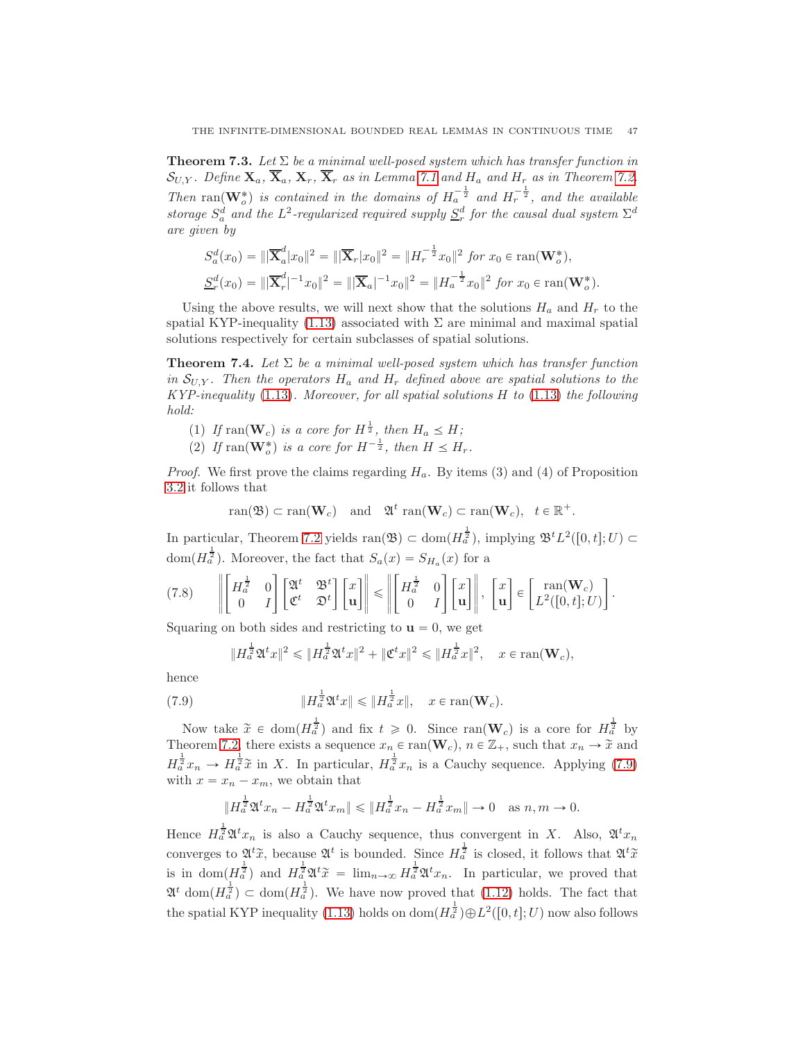**Theorem 7.3.** Let  $\Sigma$  be a minimal well-posed system which has transfer function in  $\mathcal{S}_{U,Y}$ . Define  $\mathbf{X}_a$ ,  $\overline{\mathbf{X}}_a$ ,  $\mathbf{X}_r$ ,  $\overline{\mathbf{X}}_r$  as in Lemma [7.1](#page-44-0) and  $H_a$  and  $H_r$  as in Theorem [7.2.](#page-44-1) Then ran( $\mathbf{W}_o^*$ ) is contained in the domains of  $H_a^{-\frac{1}{2}}$  and  $H_r^{-\frac{1}{2}}$ , and the available storage  $S_a^d$  and the  $L^2$ -regularized required supply  $\underline{S}_r^d$  for the causal dual system  $\Sigma^d$ are given by

$$
S_a^d(x_0) = ||\overline{\mathbf{X}}_a^d |x_0||^2 = ||\overline{\mathbf{X}}_r |x_0||^2 = ||H_r^{-\frac{1}{2}} x_0||^2 \text{ for } x_0 \in \text{ran}(\mathbf{W}_o^*),
$$
  

$$
\underline{S}_r^d(x_0) = ||\overline{\mathbf{X}}_r^d|^{-1} x_0||^2 = ||\overline{\mathbf{X}}_a|^{-1} x_0||^2 = ||H_a^{-\frac{1}{2}} x_0||^2 \text{ for } x_0 \in \text{ran}(\mathbf{W}_o^*).
$$

Using the above results, we will next show that the solutions  $H_a$  and  $H_r$  to the spatial KYP-inequality [\(1.13\)](#page-7-1) associated with  $\Sigma$  are minimal and maximal spatial solutions respectively for certain subclasses of spatial solutions.

<span id="page-46-0"></span>**Theorem 7.4.** Let  $\Sigma$  be a minimal well-posed system which has transfer function in  $S_{U,Y}$ . Then the operators  $H_a$  and  $H_r$  defined above are spatial solutions to the KYP-inequality [\(1.13\)](#page-7-1). Moreover, for all spatial solutions H to [\(1.13\)](#page-7-1) the following hold:

- (1) If  $\text{ran}(\mathbf{W}_c)$  is a core for  $H^{\frac{1}{2}}$ , then  $H_a \leq H$ ;
- (2) If  $\text{ran}(\mathbf{W}_o^*)$  is a core for  $H^{-\frac{1}{2}}$ , then  $H \leq H_r$ .

*Proof.* We first prove the claims regarding  $H_a$ . By items (3) and (4) of Proposition [3.2](#page-20-1) it follows that

$$
\text{ran}(\mathfrak{B}) \subset \text{ran}(\mathbf{W}_c) \quad \text{and} \quad \mathfrak{A}^t \text{ ran}(\mathbf{W}_c) \subset \text{ran}(\mathbf{W}_c), \quad t \in \mathbb{R}^+.
$$

In particular, Theorem [7.2](#page-44-1) yields  $\text{ran}(\mathfrak{B}) \subset \text{dom}(H_a^{\frac{1}{2}})$ , implying  $\mathfrak{B}^t L^2([0, t]; U) \subset$ dom $(H_a^{\frac{1}{2}})$ . Moreover, the fact that  $S_a(x) = S_{H_a}(x)$  for a

<span id="page-46-2"></span>
$$
(7.8) \qquad \left\| \begin{bmatrix} H_a^{\frac{1}{2}} & 0 \\ 0 & I \end{bmatrix} \begin{bmatrix} \mathfrak{A}^t & \mathfrak{B}^t \\ \mathfrak{C}^t & \mathfrak{D}^t \end{bmatrix} \begin{bmatrix} x \\ \mathbf{u} \end{bmatrix} \right\| \leq \left\| \begin{bmatrix} H_a^{\frac{1}{2}} & 0 \\ 0 & I \end{bmatrix} \begin{bmatrix} x \\ \mathbf{u} \end{bmatrix} \right\|, \quad \begin{bmatrix} x \\ \mathbf{u} \end{bmatrix} \in \begin{bmatrix} \text{ran}(\mathbf{W}_c) \\ L^2([0, t]; U) \end{bmatrix}.
$$

Squaring on both sides and restricting to  $\mathbf{u} = 0$ , we get

<span id="page-46-1"></span>
$$
||H_a^{\frac{1}{2}} \mathfrak{A}^t x||^2 \le ||H_a^{\frac{1}{2}} \mathfrak{A}^t x||^2 + ||\mathfrak{C}^t x||^2 \le ||H_a^{\frac{1}{2}} x||^2, \quad x \in \text{ran}(\mathbf{W}_c),
$$

hence

(7.9) 
$$
\|H_a^{\frac{1}{2}} \mathfrak{A}^t x\| \leq \|H_a^{\frac{1}{2}} x\|, \quad x \in \text{ran}(\mathbf{W}_c).
$$

Now take  $\tilde{x} \in \text{dom}(H_a^{\frac{1}{2}})$  and fix  $t \geq 0$ . Since  $\text{ran}(\mathbf{W}_c)$  is a core for  $H_a^{\frac{1}{2}}$  by Theorem [7.2,](#page-44-1) there exists a sequence  $x_n \in \text{ran}(\mathbf{W}_c)$ ,  $n \in \mathbb{Z}_+$ , such that  $x_n \to \tilde{x}$  and  $H_a^{\frac{1}{2}}x_n \to H_a^{\frac{1}{2}}\tilde{x}$  in X. In particular,  $H_a^{\frac{1}{2}}x_n$  is a Cauchy sequence. Applying [\(7.9\)](#page-46-1) with  $x = x_n - x_m$ , we obtain that

$$
\|H_a^{\frac{1}{2}} \mathfrak{A}^t x_n - H_a^{\frac{1}{2}} \mathfrak{A}^t x_m\| \le \|H_a^{\frac{1}{2}} x_n - H_a^{\frac{1}{2}} x_m\| \to 0 \quad \text{as } n, m \to 0.
$$

Hence  $H_a^{\frac{1}{2}} \mathfrak{A}^t x_n$  is also a Cauchy sequence, thus convergent in X. Also,  $\mathfrak{A}^t x_n$ converges to  $\mathfrak{A}^t \widetilde{x}$ , because  $\mathfrak{A}^t$  is bounded. Since  $H_a^{\frac{1}{2}}$  is closed, it follows that  $\mathfrak{A}^t \widetilde{x}$ is in dom $\left(H_a^{\frac{1}{2}}\right)$  and  $H_a^{\frac{1}{2}}\mathfrak{A}^t\tilde{x} = \lim_{n\to\infty} H_a^{\frac{1}{2}}\mathfrak{A}^t x_n$ . In particular, we proved that  $\mathfrak{A}^t$  dom $(H_a^{\frac{1}{2}})$   $\subset$  dom $(H_a^{\frac{1}{2}})$ . We have now proved that [\(1.12\)](#page-7-2) holds. The fact that the spatial KYP inequality [\(1.13\)](#page-7-1) holds on  $\text{dom}(H_a^{\frac{1}{2}}) \oplus L^2([0, t]; U)$  now also follows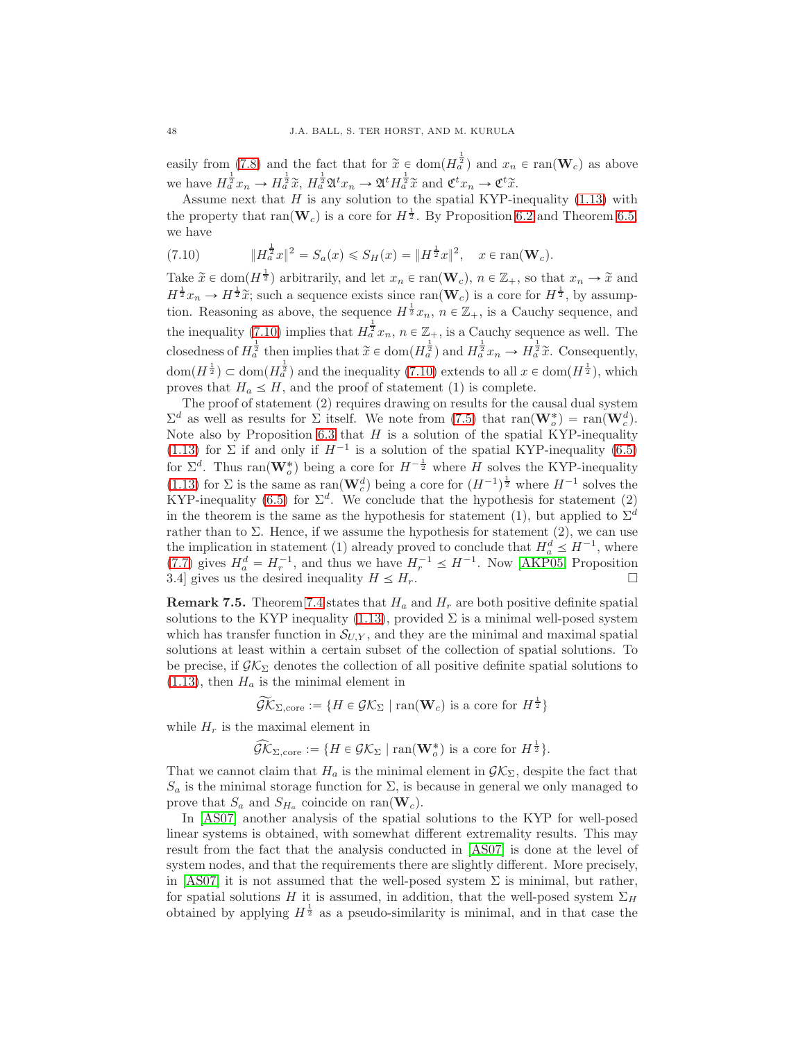easily from [\(7.8\)](#page-46-2) and the fact that for  $\tilde{x} \in \text{dom}(H_a^{\frac{1}{2}})$  and  $x_n \in \text{ran}(\mathbf{W}_c)$  as above we have  $H_a^{\frac{1}{2}}x_n \to H_a^{\frac{1}{2}}\tilde{x}$ ,  $H_a^{\frac{1}{2}}\mathfrak{A}^t x_n \to \mathfrak{A}^t H_a^{\frac{1}{2}}\tilde{x}$  and  $\mathfrak{C}^t x_n \to \mathfrak{C}^t \tilde{x}$ .

Assume next that  $H$  is any solution to the spatial KYP-inequality  $(1.13)$  with the property that  $ran(\mathbf{W}_c)$  is a core for  $H^{\frac{1}{2}}$ . By Proposition [6.2](#page-36-3) and Theorem [6.5,](#page-38-3) we have

<span id="page-47-1"></span>(7.10) 
$$
||H_a^{\frac{1}{2}}x||^2 = S_a(x) \le S_H(x) = ||H^{\frac{1}{2}}x||^2, \quad x \in \text{ran}(\mathbf{W}_c).
$$

Take  $\tilde{x} \in \text{dom}(H^{\frac{1}{2}})$  arbitrarily, and let  $x_n \in \text{ran}(\mathbf{W}_c)$ ,  $n \in \mathbb{Z}_+$ , so that  $x_n \to \tilde{x}$  and  $H^{\frac{1}{2}}x_n \to H^{\frac{1}{2}}\tilde{x}$ ; such a sequence exists since  $\text{ran}(\mathbf{W}_c)$  is a core for  $H^{\frac{1}{2}}$ , by assumption. Reasoning as above, the sequence  $H^{\frac{1}{2}}x_n$ ,  $n \in \mathbb{Z}_+$ , is a Cauchy sequence, and the inequality [\(7.10\)](#page-47-1) implies that  $H_a^{\frac{1}{2}} x_n$ ,  $n \in \mathbb{Z}_+$ , is a Cauchy sequence as well. The closedness of  $H_a^{\frac{1}{2}}$  then implies that  $\tilde{x} \in \text{dom}(H_a^{\frac{1}{2}})$  and  $H_a^{\frac{1}{2}}x_n \to H_a^{\frac{1}{2}}\tilde{x}$ . Consequently,  $dom(H^{\frac{1}{2}}) \subset dom(H^{\frac{1}{2}})$  and the inequality [\(7.10\)](#page-47-1) extends to all  $x \in dom(H^{\frac{1}{2}})$ , which proves that  $H_a \leq H$ , and the proof of statement (1) is complete.

The proof of statement (2) requires drawing on results for the causal dual system  $\Sigma^d$  as well as results for  $\Sigma$  itself. We note from [\(7.5\)](#page-45-0) that  $\text{ran}(\mathbf{W}_o^*) = \text{ran}(\mathbf{W}_c^d)$ . Note also by Proposition [6.3](#page-37-1) that  $H$  is a solution of the spatial KYP-inequality [\(1.13\)](#page-7-1) for  $\Sigma$  if and only if  $H^{-1}$  is a solution of the spatial KYP-inequality [\(6.5\)](#page-37-2) for  $\Sigma^d$ . Thus ran $(\mathbf{W}_o^*)$  being a core for  $H^{-\frac{1}{2}}$  where H solves the KYP-inequality [\(1.13\)](#page-7-1) for  $\Sigma$  is the same as  $\text{ran}(\mathbf{W}_c^d)$  being a core for  $(H^{-1})^{\frac{1}{2}}$  where  $H^{-1}$  solves the KYP-inequality [\(6.5\)](#page-37-2) for  $\Sigma^d$ . We conclude that the hypothesis for statement (2) in the theorem is the same as the hypothesis for statement (1), but applied to  $\Sigma^d$ rather than to  $\Sigma$ . Hence, if we assume the hypothesis for statement (2), we can use the implication in statement (1) already proved to conclude that  $H_a^d \leq H^{-1}$ , where [\(7.7\)](#page-45-2) gives  $H_a^d = H_r^{-1}$ , and thus we have  $H_r^{-1} \leq H^{-1}$ . Now [\[AKP05,](#page-58-4) Proposition 3.4] gives us the desired inequality  $H \leq H_r$ .

<span id="page-47-0"></span>**Remark 7.5.** Theorem [7.4](#page-46-0) states that  $H_a$  and  $H_r$  are both positive definite spatial solutions to the KYP inequality [\(1.13\)](#page-7-1), provided  $\Sigma$  is a minimal well-posed system which has transfer function in  $\mathcal{S}_{U,Y}$ , and they are the minimal and maximal spatial solutions at least within a certain subset of the collection of spatial solutions. To be precise, if  $\mathcal{GK}_{\Sigma}$  denotes the collection of all positive definite spatial solutions to  $(1.13)$ , then  $H_a$  is the minimal element in

$$
\widetilde{\mathcal{GK}}_{\Sigma,\mathrm{core}} := \{ H \in \mathcal{GK}_{\Sigma} \mid \mathrm{ran}(\mathbf{W}_c) \text{ is a core for } H^{\frac{1}{2}} \}
$$

while  $H_r$  is the maximal element in

$$
\widehat{GK}_{\Sigma,\mathrm{core}} := \{ H \in \mathcal{GK}_{\Sigma} \mid \mathrm{ran}(\mathbf{W}_o^*) \text{ is a core for } H^{\frac{1}{2}} \}.
$$

That we cannot claim that  $H_a$  is the minimal element in  $\mathcal{GK}_{\Sigma}$ , despite the fact that  $S_a$  is the minimal storage function for  $\Sigma$ , is because in general we only managed to prove that  $S_a$  and  $S_{H_a}$  coincide on ran( $\mathbf{W}_c$ ).

In [\[AS07\]](#page-59-4) another analysis of the spatial solutions to the KYP for well-posed linear systems is obtained, with somewhat different extremality results. This may result from the fact that the analysis conducted in [\[AS07\]](#page-59-4) is done at the level of system nodes, and that the requirements there are slightly different. More precisely, in [\[AS07\]](#page-59-4) it is not assumed that the well-posed system  $\Sigma$  is minimal, but rather, for spatial solutions H it is assumed, in addition, that the well-posed system  $\Sigma_H$ obtained by applying  $H^{\frac{1}{2}}$  as a pseudo-similarity is minimal, and in that case the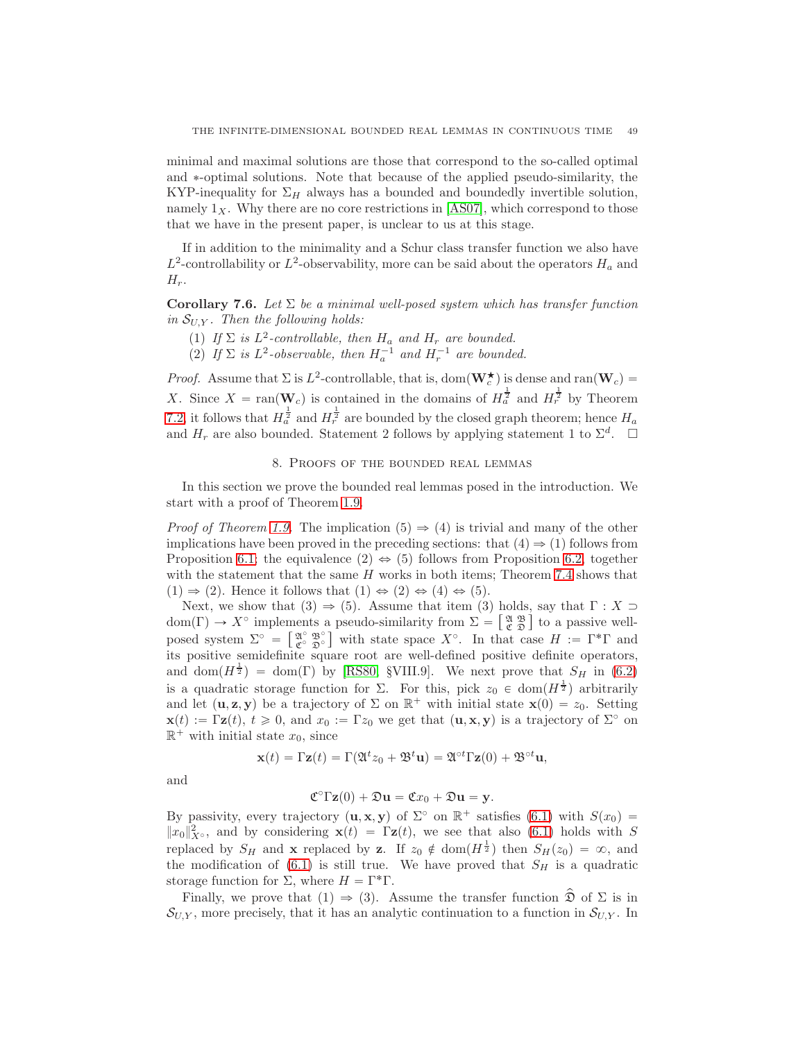minimal and maximal solutions are those that correspond to the so-called optimal and  $*$ -optimal solutions. Note that because of the applied pseudo-similarity, the KYP-inequality for  $\Sigma_H$  always has a bounded and boundedly invertible solution, namely  $1_X$ . Why there are no core restrictions in [\[AS07\]](#page-59-4), which correspond to those that we have in the present paper, is unclear to us at this stage.

If in addition to the minimality and a Schur class transfer function we also have  $L^2$ -controllability or  $L^2$ -observability, more can be said about the operators  $H_a$  and  $H_r$ .

<span id="page-48-1"></span>Corollary 7.6. Let  $\Sigma$  be a minimal well-posed system which has transfer function in  $S_{U,Y}$ . Then the following holds:

- (1) If  $\Sigma$  is  $L^2$ -controllable, then  $H_a$  and  $H_r$  are bounded.
- (2) If  $\Sigma$  is  $L^2$ -observable, then  $H_a^{-1}$  and  $H_r^{-1}$  are bounded.

*Proof.* Assume that  $\Sigma$  is  $L^2$ -controllable, that is, dom $(\mathbf{W}_c^{\star})$  is dense and ran $(\mathbf{W}_c)$  = X. Since  $X = \text{ran}(\mathbf{W}_c)$  is contained in the domains of  $H_a^{\frac{1}{2}}$  and  $H_r^{\frac{1}{2}}$  by Theorem [7.2,](#page-44-1) it follows that  $H_a^{\frac{1}{2}}$  and  $H_r^{\frac{1}{2}}$  are bounded by the closed graph theorem; hence  $H_a$ and  $H_r$  are also bounded. Statement 2 follows by applying statement 1 to  $\Sigma^d$ .  $\Box$ 

## 8. Proofs of the bounded real lemmas

<span id="page-48-0"></span>In this section we prove the bounded real lemmas posed in the introduction. We start with a proof of Theorem [1.9.](#page-7-0)

*Proof of Theorem [1.9.](#page-7-0)* The implication (5)  $\Rightarrow$  (4) is trivial and many of the other implications have been proved in the preceding sections: that  $(4) \Rightarrow (1)$  follows from Proposition [6.1;](#page-36-0) the equivalence  $(2) \Leftrightarrow (5)$  follows from Proposition [6.2,](#page-36-3) together with the statement that the same  $H$  works in both items; Theorem [7.4](#page-46-0) shows that  $(1) \Rightarrow (2)$ . Hence it follows that  $(1) \Leftrightarrow (2) \Leftrightarrow (4) \Leftrightarrow (5)$ .

Next, we show that (3)  $\Rightarrow$  (5). Assume that item (3) holds, say that  $\Gamma : X \supset$  $dom(\Gamma) \to X^{\circ}$  implements a pseudo-similarity from  $\Sigma = \begin{bmatrix} \mathfrak{A} & \mathfrak{B} \\ \mathfrak{C} & \mathfrak{D} \end{bmatrix}$  to a passive wellposed system  $\Sigma^{\circ} = \begin{bmatrix} \mathfrak{A}^{\circ} & \mathfrak{B}^{\circ} \\ \mathfrak{C}^{\circ} & \mathfrak{D}^{\circ} \end{bmatrix}$  with state space  $X^{\circ}$ . In that case  $H := \Gamma^* \Gamma$  and its positive semidefinite square root are well-defined positive definite operators, 1 and dom $(H^{\frac{1}{2}})$  = dom( $\Gamma$ ) by [\[RS80,](#page-60-14) §VIII.9]. We next prove that  $S_H$  in [\(6.2\)](#page-36-2) is a quadratic storage function for  $\Sigma$ . For this, pick  $z_0 \in \text{dom}(H^{\frac{1}{2}})$  arbitrarily and let  $(\mathbf{u}, \mathbf{z}, \mathbf{y})$  be a trajectory of  $\Sigma$  on  $\mathbb{R}^+$  with initial state  $\mathbf{x}(0) = z_0$ . Setting  $\mathbf{x}(t) := \Gamma \mathbf{z}(t), t \geq 0$ , and  $x_0 := \Gamma z_0$  we get that  $(\mathbf{u}, \mathbf{x}, \mathbf{y})$  is a trajectory of  $\Sigma^{\circ}$  on  $\mathbb{R}^+$  with initial state  $x_0$ , since

$$
\mathbf{x}(t) = \Gamma \mathbf{z}(t) = \Gamma(\mathfrak{A}^t z_0 + \mathfrak{B}^t \mathbf{u}) = \mathfrak{A}^{\circ t} \Gamma \mathbf{z}(0) + \mathfrak{B}^{\circ t} \mathbf{u},
$$

and

$$
\mathfrak{C}^{\circ} \Gamma \mathbf{z}(0) + \mathfrak{D} \mathbf{u} = \mathfrak{C} x_0 + \mathfrak{D} \mathbf{u} = \mathbf{y}.
$$

By passivity, every trajectory  $(\mathbf{u}, \mathbf{x}, \mathbf{y})$  of  $\Sigma^{\circ}$  on  $\mathbb{R}^{+}$  satisfies [\(6.1\)](#page-35-1) with  $S(x_0) =$  $||x_0||_{X^{\circ}}^2$ , and by considering  $\mathbf{x}(t) = \Gamma \mathbf{z}(t)$ , we see that also [\(6.1\)](#page-35-1) holds with S replaced by  $S_H$  and **x** replaced by **z**. If  $z_0 \notin \text{dom}(H^{\frac{1}{2}})$  then  $S_H(z_0) = \infty$ , and the modification of  $(6.1)$  is still true. We have proved that  $S_H$  is a quadratic storage function for  $\Sigma$ , where  $H = \Gamma^* \Gamma$ .

Finally, we prove that  $(1) \Rightarrow (3)$ . Assume the transfer function  $\hat{\mathfrak{D}}$  of  $\Sigma$  is in  $\mathcal{S}_{U,Y}$ , more precisely, that it has an analytic continuation to a function in  $\mathcal{S}_{U,Y}$ . In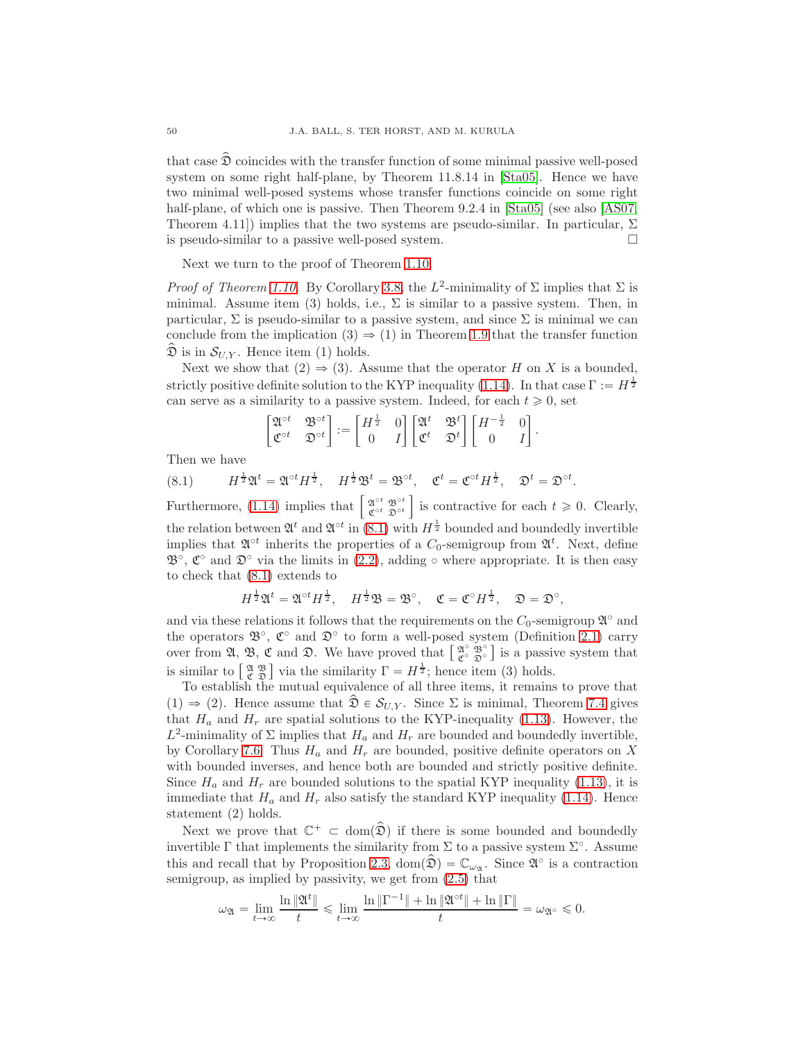that case  $\hat{D}$  coincides with the transfer function of some minimal passive well-posed system on some right half-plane, by Theorem 11.8.14 in [\[Sta05\]](#page-60-4). Hence we have two minimal well-posed systems whose transfer functions coincide on some right half-plane, of which one is passive. Then Theorem 9.2.4 in [\[Sta05\]](#page-60-4) (see also [\[AS07,](#page-59-4) Theorem 4.11) implies that the two systems are pseudo-similar. In particular,  $\Sigma$ is pseudo-similar to a passive well-posed system.

Next we turn to the proof of Theorem [1.10.](#page-8-1)

*Proof of Theorem [1.10.](#page-8-1)* By Corollary [3.8,](#page-24-1) the  $L^2$ -minimality of  $\Sigma$  implies that  $\Sigma$  is minimal. Assume item (3) holds, i.e.,  $\Sigma$  is similar to a passive system. Then, in particular,  $\Sigma$  is pseudo-similar to a passive system, and since  $\Sigma$  is minimal we can conclude from the implication (3)  $\Rightarrow$  (1) in Theorem [1.9](#page-7-0) that the transfer function  $\mathfrak D$  is in  $\mathcal S_{U,Y}$ . Hence item (1) holds.

Next we show that  $(2) \Rightarrow (3)$ . Assume that the operator H on X is a bounded, strictly positive definite solution to the KYP inequality [\(1.14\)](#page-8-0). In that case  $\Gamma := H^{\frac{1}{2}}$ can serve as a similarity to a passive system. Indeed, for each  $t \geq 0$ , set

$$
\begin{bmatrix} \mathfrak{A}^{\circ t} & \mathfrak{B}^{\circ t} \\ \mathfrak{C}^{\circ t} & \mathfrak{D}^{\circ t} \end{bmatrix} := \begin{bmatrix} H^{\frac{1}{2}} & 0 \\ 0 & I \end{bmatrix} \begin{bmatrix} \mathfrak{A}^{t} & \mathfrak{B}^{t} \\ \mathfrak{C}^{t} & \mathfrak{D}^{t} \end{bmatrix} \begin{bmatrix} H^{-\frac{1}{2}} & 0 \\ 0 & I \end{bmatrix}.
$$

Then we have

<span id="page-49-0"></span> $(8.1)$  $\frac{1}{2}\mathfrak{A}^t = \mathfrak{A}^{\circ t}H^{\frac{1}{2}}, \quad H^{\frac{1}{2}}\mathfrak{B}^t = \mathfrak{B}^{\circ t}, \quad \mathfrak{C}^t = \mathfrak{C}^{\circ t}H^{\frac{1}{2}}, \quad \mathfrak{D}^t = \mathfrak{D}^{\circ t}.$ 

Furthermore, [\(1.14\)](#page-8-0) implies that  $\begin{bmatrix} \mathfrak{A}^{\text{ot}} & \mathfrak{B}^{\text{ot}} \\ \mathfrak{C}^{\text{ot}} & \mathfrak{D}^{\text{ot}} \end{bmatrix}$  is contractive for each  $t \geq 0$ . Clearly, the relation between  $\mathfrak{A}^t$  and  $\mathfrak{A}^{\circ t}$  in [\(8.1\)](#page-49-0) with  $H^{\frac{1}{2}}$  bounded and boundedly invertible implies that  $\mathfrak{A}^{\circ t}$  inherits the properties of a  $C_0$ -semigroup from  $\mathfrak{A}^t$ . Next, define  $\mathfrak{B}^{\circ}$ ,  $\mathfrak{C}^{\circ}$  and  $\mathfrak{D}^{\circ}$  via the limits in [\(2.2\)](#page-14-2), adding  $\circ$  where appropriate. It is then easy to check that [\(8.1\)](#page-49-0) extends to

$$
H^{\frac{1}{2}}\mathfrak{A}^{t}=\mathfrak{A}^{\circ t}H^{\frac{1}{2}},\quad H^{\frac{1}{2}}\mathfrak{B}=\mathfrak{B}^{\circ},\quad \mathfrak{C}=\mathfrak{C}^{\circ}H^{\frac{1}{2}},\quad \mathfrak{D}=\mathfrak{D}^{\circ},
$$

and via these relations it follows that the requirements on the  $C_0$ -semigroup  $\mathfrak{A}^\circ$  and the operators  $\mathfrak{B}^{\circ}$ ,  $\mathfrak{C}^{\circ}$  and  $\mathfrak{D}^{\circ}$  to form a well-posed system (Definition [2.1\)](#page-13-1) carry over from  $\mathfrak{A}, \mathfrak{B}, \mathfrak{C}$  and  $\mathfrak{D}$ . We have proved that  $\left[\begin{smallmatrix}\mathfrak{A}^{\circ} & \mathfrak{B}^{\circ} \\ \mathfrak{C}^{\circ} & \mathfrak{D}^{\circ}\end{smallmatrix}\right]$  is a passive system that is similar to  $\left[\begin{array}{c} \mathfrak{A} & \mathfrak{B} \\ \mathfrak{C} & \mathfrak{D} \end{array}\right]$  via the similarity  $\Gamma = H^{\frac{1}{2}}$ ; hence item (3) holds.

To establish the mutual equivalence of all three items, it remains to prove that  $(1) \Rightarrow (2)$ . Hence assume that  $\hat{\mathfrak{D}} \in \mathcal{S}_{U,Y}$ . Since  $\Sigma$  is minimal, Theorem [7.4](#page-46-0) gives that  $H_a$  and  $H_r$  are spatial solutions to the KYP-inequality [\(1.13\)](#page-7-1). However, the  $L^2$ -minimality of  $\Sigma$  implies that  $H_a$  and  $H_r$  are bounded and boundedly invertible, by Corollary [7.6.](#page-48-1) Thus  $H_a$  and  $H_r$  are bounded, positive definite operators on X with bounded inverses, and hence both are bounded and strictly positive definite. Since  $H_a$  and  $H_r$  are bounded solutions to the spatial KYP inequality [\(1.13\)](#page-7-1), it is immediate that  $H_a$  and  $H_r$  also satisfy the standard KYP inequality [\(1.14\)](#page-8-0). Hence statement (2) holds.

Next we prove that  $\mathbb{C}^+ \subset \text{dom}(\widehat{\mathfrak{D}})$  if there is some bounded and boundedly invertible  $\Gamma$  that implements the similarity from  $\Sigma$  to a passive system  $\Sigma^{\circ}$ . Assume this and recall that by Proposition [2.3,](#page-16-0)  $dom(\hat{\mathfrak{D}}) = \mathbb{C}_{\omega_{\mathfrak{A}}}$ . Since  $\mathfrak{A}^{\circ}$  is a contraction semigroup, as implied by passivity, we get from [\(2.5\)](#page-15-1) that

$$
\omega_{\mathfrak{A}} = \lim_{t \to \infty} \frac{\ln \|\mathfrak{A}^t\|}{t} \leqslant \lim_{t \to \infty} \frac{\ln \|\Gamma^{-1}\| + \ln \|\mathfrak{A}^{ot}\| + \ln \|\Gamma\|}{t} = \omega_{\mathfrak{A}^\circ} \leqslant 0.
$$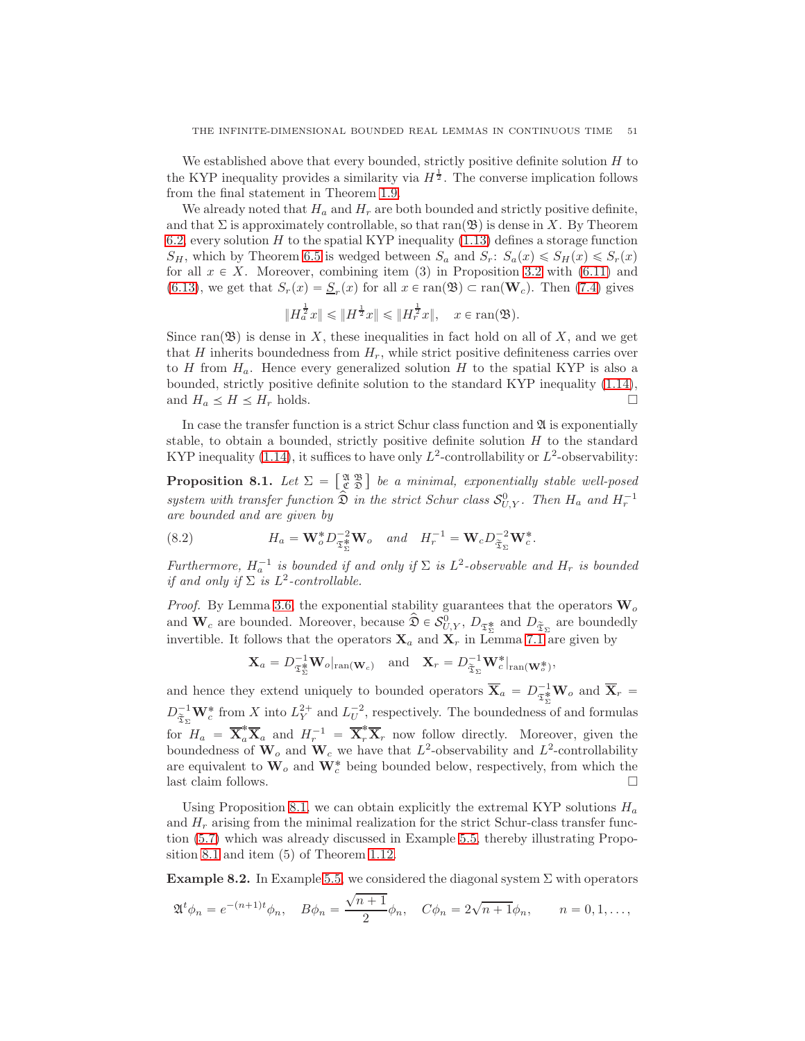We established above that every bounded, strictly positive definite solution  $H$  to the KYP inequality provides a similarity via  $H^{\frac{1}{2}}$ . The converse implication follows from the final statement in Theorem [1.9.](#page-7-0)

We already noted that  $H_a$  and  $H_r$  are both bounded and strictly positive definite, and that  $\Sigma$  is approximately controllable, so that ran( $\mathfrak{B}$ ) is dense in X. By Theorem [6.2,](#page-36-3) every solution  $H$  to the spatial KYP inequality  $(1.13)$  defines a storage function  $S_H$ , which by Theorem [6.5](#page-38-3) is wedged between  $S_a$  and  $S_r$ :  $S_a(x) \leq S_H(x) \leq S_r(x)$ for all  $x \in X$ . Moreover, combining item (3) in Proposition [3.2](#page-20-1) with [\(6.11\)](#page-40-3) and [\(6.13\)](#page-42-4), we get that  $S_r(x) = \underline{S}_r(x)$  for all  $x \in \text{ran}(\mathfrak{B}) \subset \text{ran}(\mathbf{W}_c)$ . Then [\(7.4\)](#page-44-2) gives

$$
||H_a^{\frac{1}{2}}x|| \leq ||H^{\frac{1}{2}}x|| \leq ||H_r^{\frac{1}{2}}x||, \quad x \in \text{ran}(\mathfrak{B}).
$$

Since ran( $\mathfrak{B}$ ) is dense in X, these inequalities in fact hold on all of X, and we get that H inherits boundedness from  $H_r$ , while strict positive definiteness carries over to  $H$  from  $H_a$ . Hence every generalized solution  $H$  to the spatial KYP is also a bounded, strictly positive definite solution to the standard KYP inequality [\(1.14\)](#page-8-0), and  $H_a \leq H \leq H_r$  holds.

In case the transfer function is a strict Schur class function and  $\mathfrak A$  is exponentially stable, to obtain a bounded, strictly positive definite solution  $H$  to the standard KYP inequality [\(1.14\)](#page-8-0), it suffices to have only  $L^2$ -controllability or  $L^2$ -observability:

<span id="page-50-1"></span>**Proposition 8.1.** Let  $\Sigma = \begin{bmatrix} \mathfrak{A} & \mathfrak{B} \\ \mathfrak{C} & \mathfrak{D} \end{bmatrix}$  be a minimal, exponentially stable well-posed system with transfer function  $\hat{\mathfrak{D}}$  in the strict Schur class  $\mathcal{S}^0_{U,Y}$ . Then  $H_a$  and  $H_r^{-1}$ are bounded and are given by

<span id="page-50-2"></span>(8.2) 
$$
H_a = \mathbf{W}_o^* D_{\mathfrak{T}_\Sigma^*}^{-2} \mathbf{W}_o \quad and \quad H_r^{-1} = \mathbf{W}_c D_{\widetilde{\mathfrak{T}}_\Sigma}^{-2} \mathbf{W}_c^*.
$$

Furthermore,  $H_a^{-1}$  is bounded if and only if  $\Sigma$  is  $L^2$ -observable and  $H_r$  is bounded if and only if  $\Sigma$  is  $L^2$ -controllable.

*Proof.* By Lemma [3.6,](#page-23-1) the exponential stability guarantees that the operators  $\mathbf{W}_o$ and  $\mathbf{W}_c$  are bounded. Moreover, because  $\widehat{\mathfrak{D}} \in \mathcal{S}_{U,Y}^0$ ,  $D_{\mathfrak{T}_{\Sigma}^*}$  and  $D_{\widetilde{\mathfrak{T}}_{\Sigma}}$  are boundedly invertible. It follows that the operators  $X_a$  and  $X_r$  in Lemma [7.1](#page-44-0) are given by

$$
\mathbf{X}_a = D_{\mathfrak{T}_{\Sigma}^*}^{-1} \mathbf{W}_o|_{\text{ran}(\mathbf{W}_c)} \quad \text{and} \quad \mathbf{X}_r = D_{\widetilde{\mathfrak{T}}_{\Sigma}}^{-1} \mathbf{W}_c^*|_{\text{ran}(\mathbf{W}_o^*)},
$$

and hence they extend uniquely to bounded operators  $\overline{X}_a = D_{\mathfrak{T}_{\Sigma}}^{-1} W_o$  and  $\overline{X}_r =$  $D_{\tilde{\mathfrak{T}}_{\Sigma}}^{-1} \mathbf{W}_{c}^{*}$  from X into  $L_{Y}^{2+}$  and  $L_{U}^{-2}$ , respectively. The boundedness of and formulas for  $H_a = \overline{\mathbf{X}}_a^* \overline{\mathbf{X}}_a$  and  $H_r^{-1} = \overline{\mathbf{X}}_r^* \overline{\mathbf{X}}_r$  now follow directly. Moreover, given the boundedness of  $\mathbf{W}_o$  and  $\mathbf{W}_c$  we have that  $L^2$ -observability and  $L^2$ -controllability are equivalent to  $\mathbf{W}_o$  and  $\mathbf{W}_c^*$  being bounded below, respectively, from which the last claim follows.  $\Box$ 

Using Proposition [8.1,](#page-50-1) we can obtain explicitly the extremal KYP solutions  $H_a$ and  $H_r$  arising from the minimal realization for the strict Schur-class transfer function [\(5.7\)](#page-35-2) which was already discussed in Example [5.5,](#page-33-0) thereby illustrating Proposition [8.1](#page-50-1) and item (5) of Theorem [1.12.](#page-9-2)

<span id="page-50-0"></span>**Example 8.2.** In Example [5.5,](#page-33-0) we considered the diagonal system  $\Sigma$  with operators

$$
\mathfrak{A}^t \phi_n = e^{-(n+1)t} \phi_n, \quad B\phi_n = \frac{\sqrt{n+1}}{2} \phi_n, \quad C\phi_n = 2\sqrt{n+1} \phi_n, \qquad n = 0, 1, \dots,
$$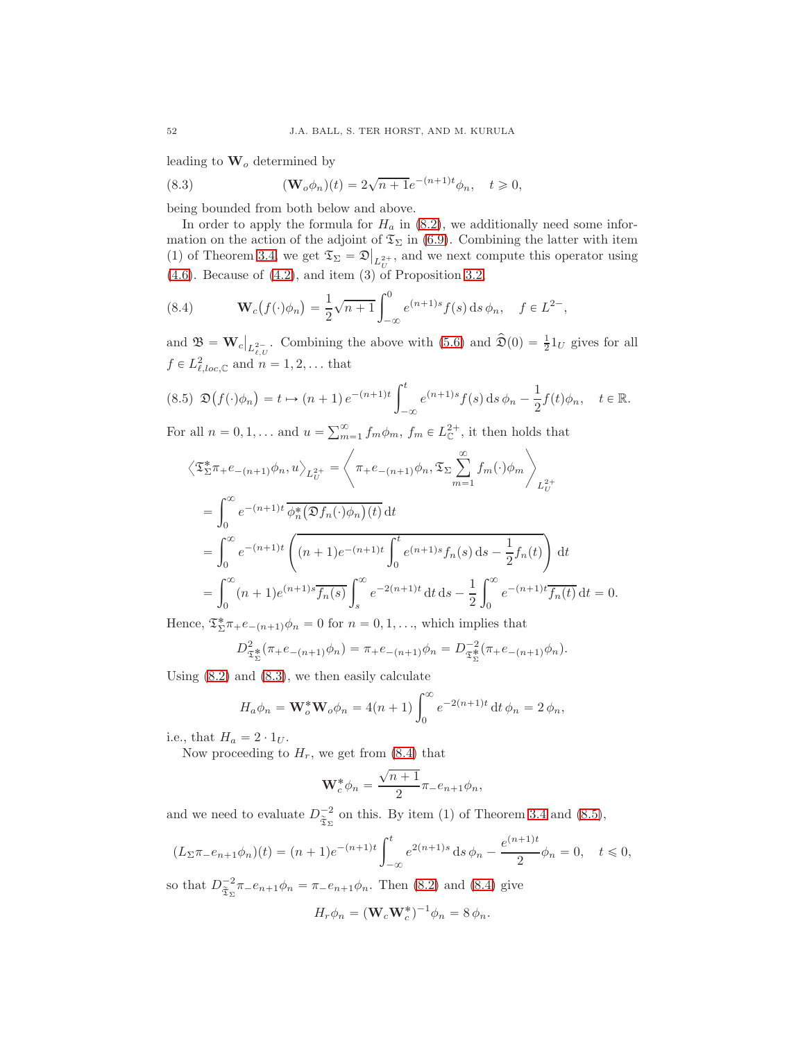leading to  $\mathbf{W}_o$  determined by

<span id="page-51-0"></span>(8.3) 
$$
(\mathbf{W}_o \phi_n)(t) = 2\sqrt{n+1}e^{-(n+1)t} \phi_n, \quad t \ge 0,
$$

being bounded from both below and above.

In order to apply the formula for  $H_a$  in [\(8.2\)](#page-50-2), we additionally need some information on the action of the adjoint of  $\mathfrak{T}_{\Sigma}$  in [\(6.9\)](#page-40-0). Combining the latter with item (1) of Theorem [3.4,](#page-21-2) we get  $\mathfrak{T}_{\Sigma} = \mathfrak{D}|_{L_{U}^{2+}}$ , and we next compute this operator using [\(4.6\)](#page-27-1). Because of [\(4.2\)](#page-25-3), and item (3) of Proposition [3.2,](#page-20-1)

<span id="page-51-1"></span>(8.4) 
$$
\mathbf{W}_c(f(\cdot)\phi_n) = \frac{1}{2}\sqrt{n+1} \int_{-\infty}^0 e^{(n+1)s} f(s) \, ds \, \phi_n, \quad f \in L^{2-},
$$

and  $\mathfrak{B} = \mathbf{W}_c \big|_{L^2_{\ell,U}}$ . Combining the above with  $(5.6)$  and  $\widehat{\mathfrak{D}}(0) = \frac{1}{2} \mathbb{1}_U$  gives for all  $f \in L^2_{\ell, loc, \mathbb{C}}$  and  $n = 1, 2, \dots$  that

<span id="page-51-2"></span>
$$
(8.5)\ \mathfrak{D}\big(f(\cdot)\phi_n\big)=t\mapsto (n+1)\,e^{-(n+1)t}\int_{-\infty}^t e^{(n+1)s}f(s)\,\mathrm{d}s\,\phi_n-\frac{1}{2}f(t)\phi_n,\quad t\in\mathbb{R}.
$$

For all  $n = 0, 1, ...$  and  $u = \sum_{m=1}^{\infty} f_m \phi_m$ ,  $f_m \in L^{2+}_{\mathbb{C}}$ , it then holds that

$$
\begin{split}\n\left\langle \mathfrak{T}_{\Sigma}^{*} \pi_{+} e_{-(n+1)} \phi_{n}, u \right\rangle_{L_{U}^{2+}} &= \left\langle \pi_{+} e_{-(n+1)} \phi_{n}, \mathfrak{T}_{\Sigma} \sum_{m=1}^{\infty} f_{m}(\cdot) \phi_{m} \right\rangle_{L_{U}^{2+}} \\
&= \int_{0}^{\infty} e^{-(n+1)t} \overline{\phi_{n}^{*} (\mathfrak{D} f_{n}(\cdot) \phi_{n})}(t)} dt \\
&= \int_{0}^{\infty} e^{-(n+1)t} \left( \overline{(n+1)e^{-(n+1)t}} \int_{0}^{t} e^{(n+1)s} f_{n}(s) ds - \frac{1}{2} f_{n}(t) \right) dt \\
&= \int_{0}^{\infty} (n+1)e^{(n+1)s} \overline{f_{n}(s)} \int_{s}^{\infty} e^{-2(n+1)t} dt ds - \frac{1}{2} \int_{0}^{\infty} e^{-(n+1)t} \overline{f_{n}(t)} dt = 0.\n\end{split}
$$

Hence,  $\mathfrak{T}_{\Sigma}^* \pi_+ e_{-(n+1)} \phi_n = 0$  for  $n = 0, 1, \dots$ , which implies that

$$
D_{\mathfrak{T}_{\Sigma}^{*}}^{2}(\pi_{+}e_{-(n+1)}\phi_{n})=\pi_{+}e_{-(n+1)}\phi_{n}=D_{\mathfrak{T}_{\Sigma}^{*}}^{-2}(\pi_{+}e_{-(n+1)}\phi_{n}).
$$

Using [\(8.2\)](#page-50-2) and [\(8.3\)](#page-51-0), we then easily calculate

$$
H_a \phi_n = \mathbf{W}_o^* \mathbf{W}_o \phi_n = 4(n+1) \int_0^\infty e^{-2(n+1)t} dt \phi_n = 2 \phi_n,
$$

i.e., that  $H_a = 2 \cdot 1_U$ .

Now proceeding to  $H_r$ , we get from [\(8.4\)](#page-51-1) that

$$
\mathbf{W}_c^* \phi_n = \frac{\sqrt{n+1}}{2} \pi_- e_{n+1} \phi_n,
$$

and we need to evaluate  $D_{\tilde{\sigma}}^{-2}$  $\frac{-2}{3}$  on this. By item (1) of Theorem [3.4](#page-21-2) and [\(8.5\)](#page-51-2),

$$
(L_{\Sigma}\pi_{-}e_{n+1}\phi_{n})(t)=(n+1)e^{-(n+1)t}\int_{-\infty}^{t}e^{2(n+1)s}ds\,\phi_{n}-\frac{e^{(n+1)t}}{2}\phi_{n}=0,\quad t\leq 0,
$$

so that  $D_{\tilde{\mathfrak{T}}_{\Sigma}}^{-2}\pi_{-}e_{n+1}\phi_{n} = \pi_{-}e_{n+1}\phi_{n}$ . Then [\(8.2\)](#page-50-2) and [\(8.4\)](#page-51-1) give

$$
H_r \phi_n = (\mathbf{W}_c \mathbf{W}_c^*)^{-1} \phi_n = 8 \phi_n.
$$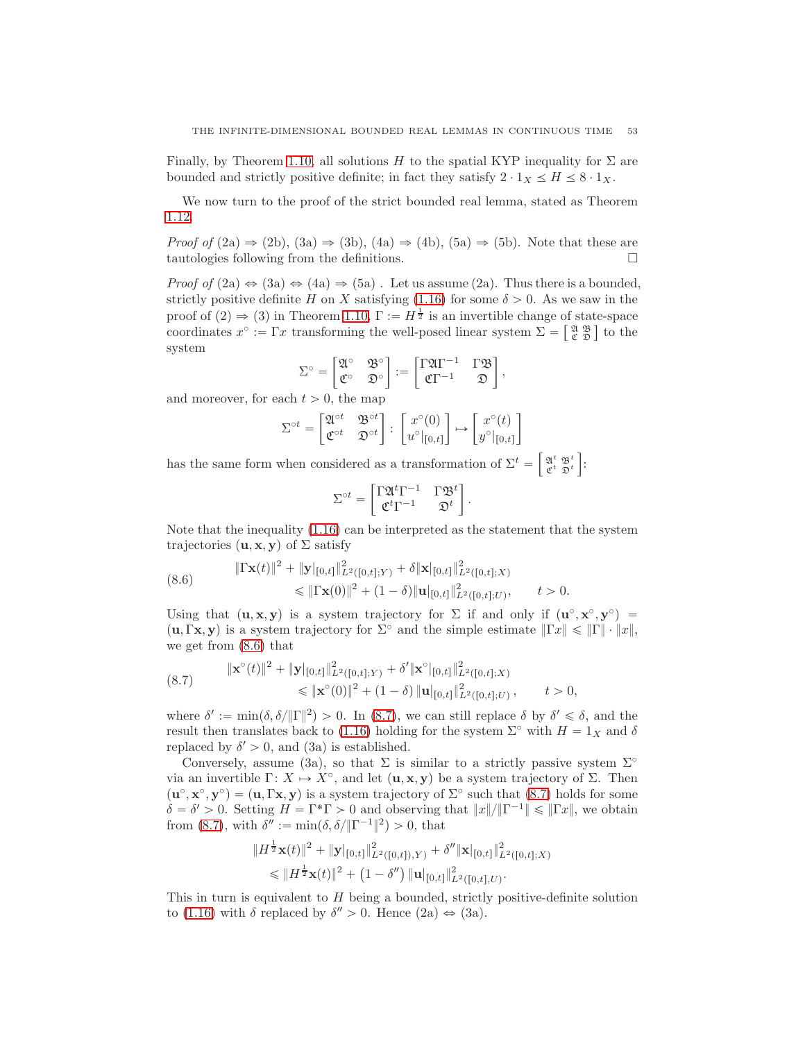Finally, by Theorem [1.10,](#page-8-1) all solutions H to the spatial KYP inequality for  $\Sigma$  are bounded and strictly positive definite; in fact they satisfy  $2 \cdot 1_X \leq H \leq 8 \cdot 1_X$ .

We now turn to the proof of the strict bounded real lemma, stated as Theorem [1.12.](#page-9-2)

*Proof of* (2a)  $\Rightarrow$  (2b), (3a)  $\Rightarrow$  (3b), (4a)  $\Rightarrow$  (4b), (5a)  $\Rightarrow$  (5b). Note that these are tautologies following from the definitions. tautologies following from the definitions.

*Proof of*  $(2a) \Leftrightarrow (3a) \Leftrightarrow (4a) \Rightarrow (5a)$ . Let us assume  $(2a)$ . Thus there is a bounded, strictly positive definite H on X satisfying [\(1.16\)](#page-9-0) for some  $\delta > 0$ . As we saw in the proof of  $(2) \Rightarrow (3)$  in Theorem [1.10,](#page-8-1)  $\Gamma := H^{\frac{1}{2}}$  is an invertible change of state-space coordinates  $x^{\circ} := \Gamma x$  transforming the well-posed linear system  $\Sigma = \begin{bmatrix} \mathfrak{A} & \mathfrak{B} \\ \mathfrak{C} & \mathfrak{D} \end{bmatrix}$  to the system

$$
\Sigma^{\circ} = \begin{bmatrix} \mathfrak{A}^{\circ} & \mathfrak{B}^{\circ} \\ \mathfrak{C}^{\circ} & \mathfrak{D}^{\circ} \end{bmatrix} := \begin{bmatrix} \Gamma \mathfrak{A} \Gamma^{-1} & \Gamma \mathfrak{B} \\ \mathfrak{C} \Gamma^{-1} & \mathfrak{D} \end{bmatrix},
$$

and moreover, for each  $t > 0$ , the map

$$
\Sigma^{\circ t} = \begin{bmatrix} \mathfrak A^{\circ t} & \mathfrak B^{\circ t} \\ \mathfrak C^{\circ t} & \mathfrak D^{\circ t} \end{bmatrix} \colon \begin{bmatrix} x^{\circ}(0) \\ u^{\circ}|_{[0,t]} \end{bmatrix} \mapsto \begin{bmatrix} x^{\circ}(t) \\ y^{\circ}|_{[0,t]} \end{bmatrix}
$$

has the same form when considered as a transformation of  $\Sigma^t = \begin{bmatrix} \mathfrak{A}^t & \mathfrak{B}^t \\ \mathfrak{C}^t & \mathfrak{D}^t \end{bmatrix}$ .

$$
\Sigma^{\circ t} = \begin{bmatrix} \Gamma \mathfrak A^t \Gamma^{-1} & \Gamma \mathfrak B^t \\ \mathfrak C^t \Gamma^{-1} & \mathfrak D^t \end{bmatrix}.
$$

Note that the inequality [\(1.16\)](#page-9-0) can be interpreted as the statement that the system trajectories  $(\mathbf{u}, \mathbf{x}, \mathbf{y})$  of  $\Sigma$  satisfy

<span id="page-52-0"></span>(8.6) }Γxptq}<sup>2</sup> ` }y|r0,ts} 2 <sup>L</sup>2pr0,ts;<sup>Y</sup> <sup>q</sup> ` δ}x|r0,ts} 2 L2pr0,ts;Xq ď }Γxp0q}<sup>2</sup> ` p<sup>1</sup> ´ <sup>δ</sup>q}u|r0,ts} 2 L2pr0,ts;Uq , t ą 0.

Using that  $(\mathbf{u}, \mathbf{x}, \mathbf{y})$  is a system trajectory for  $\Sigma$  if and only if  $(\mathbf{u}^{\circ}, \mathbf{x}^{\circ}, \mathbf{y}^{\circ})$  =  $(\mathbf{u}, \Gamma \mathbf{x}, \mathbf{y})$  is a system trajectory for  $\Sigma^{\circ}$  and the simple estimate  $\|\Gamma x\| \leq \|\Gamma\| \cdot \|x\|$ , we get from [\(8.6\)](#page-52-0) that

<span id="page-52-1"></span>
$$
(8.7) \t\t\t\t\|\mathbf{x}^{\circ}(t)\|^{2} + \|\mathbf{y}\|_{[0,t]} \|\mathbf{L}^{2}([0,t];Y) + \delta' \|\mathbf{x}^{\circ}\|_{[0,t]} \|\mathbf{L}^{2}([0,t];X) \leq \|\mathbf{x}^{\circ}(0)\|^{2} + (1-\delta) \|\mathbf{u}\|_{[0,t]} \|\mathbf{L}^{2}([0,t];U), \t\t\t t > 0,
$$

where  $\delta' := \min(\delta, \delta/||\Gamma||^2) > 0$ . In [\(8.7\)](#page-52-1), we can still replace  $\delta$  by  $\delta' \leq \delta$ , and the result then translates back to [\(1.16\)](#page-9-0) holding for the system  $\Sigma^{\circ}$  with  $H = 1_X$  and  $\delta$ replaced by  $\delta' > 0$ , and (3a) is established.

Conversely, assume (3a), so that  $\Sigma$  is similar to a strictly passive system  $\Sigma^{\circ}$ via an invertible  $\Gamma: X \mapsto X^{\circ}$ , and let  $(\mathbf{u}, \mathbf{x}, \mathbf{y})$  be a system trajectory of  $\Sigma$ . Then  $(\mathbf{u}^{\circ}, \mathbf{x}^{\circ}, \mathbf{y}^{\circ}) = (\mathbf{u}, \Gamma \mathbf{x}, \mathbf{y})$  is a system trajectory of  $\Sigma^{\circ}$  such that  $(8.7)$  holds for some  $\delta = \delta' > 0$ . Setting  $H = \Gamma^* \Gamma > 0$  and observing that  $||x||/||\Gamma^{-1}|| \le ||\Gamma x||$ , we obtain from [\(8.7\)](#page-52-1), with  $\delta'':=\min(\delta, \delta/\Vert \Gamma^{-1} \Vert^2) > 0$ , that

$$
||H^{\frac{1}{2}}\mathbf{x}(t)||^2 + \|\mathbf{y}|_{[0,t]}||^2_{L^2([0,t]),Y} + \delta'' \|\mathbf{x}|_{[0,t]}||^2_{L^2([0,t];X)}
$$
  
\$\leqslant ||H^{\frac{1}{2}}\mathbf{x}(t)||^2 + (1 - \delta'') ||\mathbf{u}|\_{[0,t]}||^2\_{L^2([0,t],U)}.

This in turn is equivalent to H being a bounded, strictly positive-definite solution to [\(1.16\)](#page-9-0) with  $\delta$  replaced by  $\delta'' > 0$ . Hence (2a)  $\Leftrightarrow$  (3a).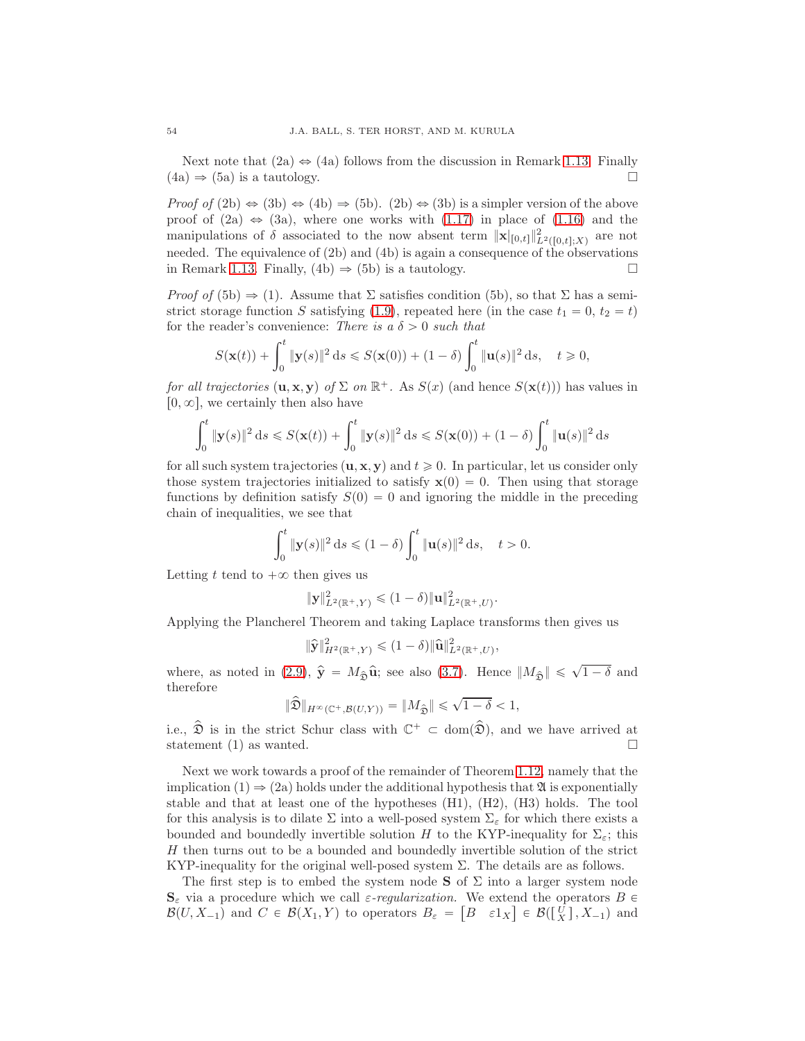Next note that  $(2a) \Leftrightarrow (4a)$  follows from the discussion in Remark [1.13.](#page-10-0) Finally  $a) \Rightarrow (5a)$  is a tautology.  $(4a) \Rightarrow (5a)$  is a tautology.

*Proof of* (2b)  $\Leftrightarrow$  (3b)  $\Leftrightarrow$  (4b)  $\Rightarrow$  (5b). (2b)  $\Leftrightarrow$  (3b) is a simpler version of the above proof of (2a)  $\Leftrightarrow$  (3a), where one works with [\(1.17\)](#page-9-1) in place of [\(1.16\)](#page-9-0) and the manipulations of  $\delta$  associated to the now absent term  $||\mathbf{x}||_{[0,t]} ||_{L^2([0,t];X)}^2$  are not needed. The equivalence of (2b) and (4b) is again a consequence of the observations in Remark [1.13.](#page-10-0) Finally, (4b)  $\Rightarrow$  (5b) is a tautology.

*Proof of* (5b)  $\Rightarrow$  (1). Assume that  $\Sigma$  satisfies condition (5b), so that  $\Sigma$  has a semi-strict storage function S satisfying [\(1.9\)](#page-4-3), repeated here (in the case  $t_1 = 0, t_2 = t$ ) for the reader's convenience: There is a  $\delta > 0$  such that

$$
S(\mathbf{x}(t)) + \int_0^t \|\mathbf{y}(s)\|^2 ds \le S(\mathbf{x}(0)) + (1 - \delta) \int_0^t \|\mathbf{u}(s)\|^2 ds, \quad t \ge 0,
$$

for all trajectories  $(\mathbf{u}, \mathbf{x}, \mathbf{y})$  of  $\Sigma$  on  $\mathbb{R}^+$ . As  $S(x)$  (and hence  $S(\mathbf{x}(t))$ ) has values in  $[0, \infty]$ , we certainly then also have

$$
\int_0^t \|\mathbf{y}(s)\|^2 ds \leq S(\mathbf{x}(t)) + \int_0^t \|\mathbf{y}(s)\|^2 ds \leq S(\mathbf{x}(0)) + (1 - \delta) \int_0^t \|\mathbf{u}(s)\|^2 ds
$$

for all such system trajectories  $(\mathbf{u}, \mathbf{x}, \mathbf{y})$  and  $t \ge 0$ . In particular, let us consider only those system trajectories initialized to satisfy  $\mathbf{x}(0) = 0$ . Then using that storage functions by definition satisfy  $S(0) = 0$  and ignoring the middle in the preceding chain of inequalities, we see that

$$
\int_0^t \|\mathbf{y}(s)\|^2 \, \mathrm{d}s \le (1-\delta) \int_0^t \|\mathbf{u}(s)\|^2 \, \mathrm{d}s, \quad t > 0.
$$

Letting t tend to  $+\infty$  then gives us

$$
\|\mathbf{y}\|_{L^2(\mathbb{R}^+,Y)}^2 \leq (1-\delta) \|\mathbf{u}\|_{L^2(\mathbb{R}^+,U)}^2.
$$

Applying the Plancherel Theorem and taking Laplace transforms then gives us

$$
\|\hat{\mathbf{y}}\|_{H^2(\mathbb{R}^+,Y)}^2 \leq (1-\delta)\|\hat{\mathbf{u}}\|_{L^2(\mathbb{R}^+,U)}^2,
$$

where, as noted in [\(2.9\)](#page-16-3),  $\hat{\mathbf{y}} = M_{\hat{\mathbf{y}}} \hat{\mathbf{u}}$ ; see also [\(3.7\)](#page-21-3). Hence  $||M_{\hat{\mathbf{y}}}|| \le \sqrt{1-\delta}$  and therefore

$$
\|\widehat{\mathfrak{D}}\|_{H^\infty(\mathbb{C}^+, \mathcal{B}(U,Y))}=\|M_{\widehat{\mathfrak{D}}}\|\leqslant \sqrt{1-\delta}<1,
$$

i.e.,  $\widehat{\mathfrak{D}}$  is in the strict Schur class with  $\mathbb{C}^+ \subset \text{dom}(\widehat{\mathfrak{D}})$ , and we have arrived at statement (1) as wanted.  $\square$ 

Next we work towards a proof of the remainder of Theorem [1.12,](#page-9-2) namely that the implication  $(1) \Rightarrow (2a)$  holds under the additional hypothesis that  $\mathfrak A$  is exponentially stable and that at least one of the hypotheses (H1), (H2), (H3) holds. The tool for this analysis is to dilate  $\Sigma$  into a well-posed system  $\Sigma_{\varepsilon}$  for which there exists a bounded and boundedly invertible solution H to the KYP-inequality for  $\Sigma_{\varepsilon}$ ; this H then turns out to be a bounded and boundedly invertible solution of the strict KYP-inequality for the original well-posed system Σ. The details are as follows.

The first step is to embed the system node  $S$  of  $\Sigma$  into a larger system node  $S_{\varepsilon}$  via a procedure which we call  $\varepsilon$ -regularization. We extend the operators  $B \in$  $\mathcal{B}(U, X_{-1})$  and  $C \in \mathcal{B}(X_1, Y)$  to operators  $B_{\varepsilon} = [B \varepsilon 1_X] \in \mathcal{B}([\frac{U}{X}], X_{-1})$  and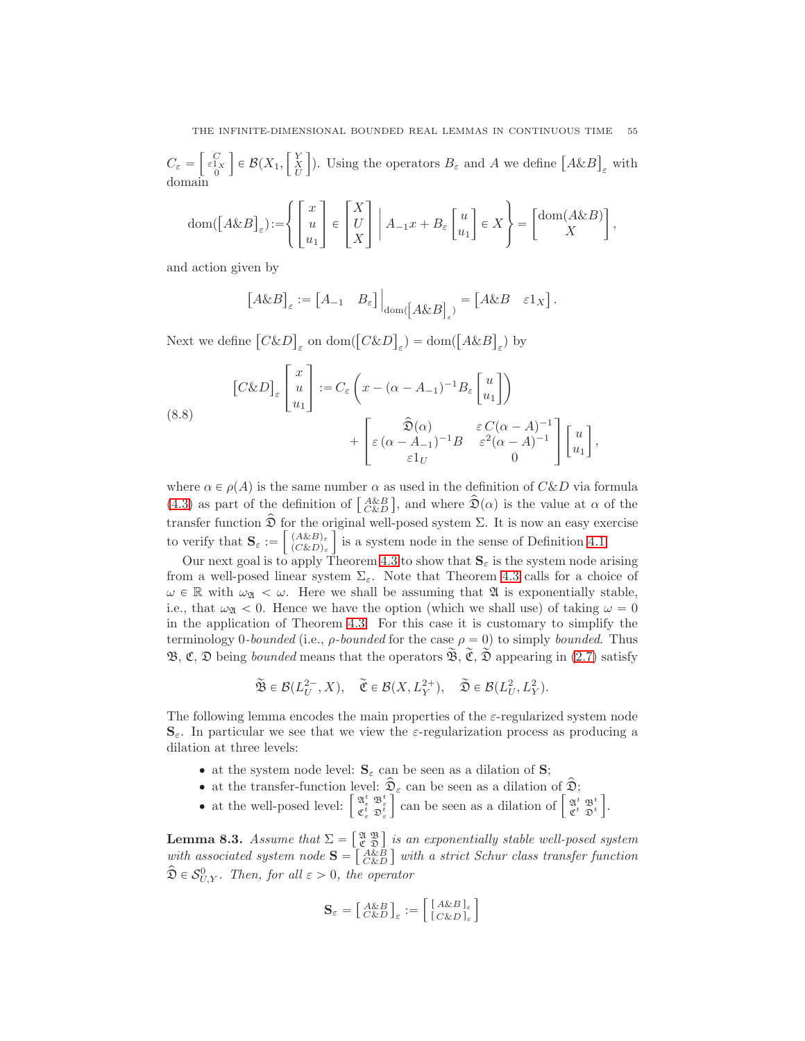$C_\varepsilon = \left[\begin{smallmatrix} C \\ \varepsilon 1_X \\ 0 \end{smallmatrix}\right]$  $\Big] \in \mathcal{B}(X_1, \Big[\begin{smallmatrix} Y \\ X \\ U \end{smallmatrix}\Big]$ ). Using the operators  $B_{\varepsilon}$  and A we define  $[A\&B]_{\varepsilon}$  with domain

$$
\text{dom}(\begin{bmatrix} A \& B \end{bmatrix}_{\varepsilon}) \mathop{:=}\nolimits \left\{\begin{bmatrix} x \\ u \\ u_1 \end{bmatrix} \in \begin{bmatrix} X \\ U \\ X \end{bmatrix} \middle| \ A_{-1}x + B_{\varepsilon}\begin{bmatrix} u \\ u_1 \end{bmatrix} \in X \right\} = \begin{bmatrix} \text{dom}(A \& B) \\ X \end{bmatrix},
$$

and action given by

$$
\left[A \& B \right]_{\varepsilon} := \begin{bmatrix} A_{-1} & B_{\varepsilon} \end{bmatrix} \Big|_{\text{dom}(\begin{bmatrix} A \& B \end{bmatrix}_{\varepsilon})} = \begin{bmatrix} A \& B & \varepsilon 1_X \end{bmatrix}.
$$

Next we define  $\left[C\&D\right]_{\varepsilon}$  on  $\text{dom}(\left[C\&D\right]_{\varepsilon}) = \text{dom}(\left[A\&B\right]_{\varepsilon})$  by

<span id="page-54-0"></span>(8.8)  

$$
\begin{aligned} \left[C\&D\right]_{\varepsilon} \begin{bmatrix} x \\ u \\ u_1 \end{bmatrix} &:= C_{\varepsilon} \left(x - (\alpha - A_{-1})^{-1} B_{\varepsilon} \begin{bmatrix} u \\ u_1 \end{bmatrix}\right) \\ &+ \begin{bmatrix} \widehat{\mathfrak{D}}(\alpha) & \varepsilon C(\alpha - A)^{-1} \\ \varepsilon (\alpha - A_{-1})^{-1} B & \varepsilon^2 (\alpha - A)^{-1} \\ \varepsilon 1_U & 0 \end{bmatrix} \begin{bmatrix} u \\ u_1 \end{bmatrix}, \end{aligned}
$$

where  $\alpha \in \rho(A)$  is the same number  $\alpha$  as used in the definition of  $C\&D$  via formula [\(4.3\)](#page-25-4) as part of the definition of  $\begin{bmatrix} A\&B \\ C\&D \end{bmatrix}$ , and where  $\hat{\mathfrak{D}}(\alpha)$  is the value at  $\alpha$  of the transfer function  $\widehat{\mathfrak{D}}$  for the original well-posed system  $\Sigma$ . It is now an easy exercise to verify that  $\mathbf{S}_{\varepsilon} := \begin{bmatrix} (A\& B)_{\varepsilon} \\ (C\& D)_{\varepsilon} \end{bmatrix}$  $(C\&D)_{\varepsilon}$ ı is a system node in the sense of Definition [4.1.](#page-26-3)

Our next goal is to apply Theorem [4.3](#page-27-2) to show that  $S_{\varepsilon}$  is the system node arising from a well-posed linear system  $\Sigma_{\varepsilon}$ . Note that Theorem [4.3](#page-27-2) calls for a choice of  $\omega \in \mathbb{R}$  with  $\omega_{\mathfrak{A}} < \omega$ . Here we shall be assuming that  $\mathfrak{A}$  is exponentially stable, i.e., that  $\omega_{\mathfrak{A}} < 0$ . Hence we have the option (which we shall use) of taking  $\omega = 0$ in the application of Theorem [4.3.](#page-27-2) For this case it is customary to simplify the terminology 0-bounded (i.e.,  $\rho$ -bounded for the case  $\rho = 0$ ) to simply bounded. Thus  $\mathfrak{B}, \mathfrak{C}, \mathfrak{D}$  being bounded means that the operators  $\mathfrak{B}, \mathfrak{C}, \mathfrak{D}$  appearing in [\(2.7\)](#page-16-1) satisfy

$$
\widetilde{\mathfrak{B}} \in \mathcal{B}(L^{2-}_U,X), \quad \widetilde{\mathfrak{C}} \in \mathcal{B}(X,L^{2+}_Y), \quad \widetilde{\mathfrak{D}} \in \mathcal{B}(L^{2}_U,L^{2}_Y).
$$

The following lemma encodes the main properties of the  $\varepsilon$ -regularized system node  $S_{\varepsilon}$ . In particular we see that we view the  $\varepsilon$ -regularization process as producing a dilation at three levels:

- at the system node level:  $S_{\varepsilon}$  can be seen as a dilation of S;
- at the transfer-function level:  $\mathcal{D}_{\varepsilon}$  can be seen as a dilation of  $\mathcal{D}_{\varepsilon}$ ;
- at the well-posed level:  $\left[ \begin{smallmatrix} \mathfrak A_\epsilon^t & \mathfrak B_\varepsilon^t \\ \mathfrak C_\varepsilon^t & \mathfrak D_\varepsilon^t \end{smallmatrix} \right]$ can be seen as a dilation of  $\begin{bmatrix} \mathfrak{A}^t & \mathfrak{B}^t \\ \mathfrak{C}^t & \mathfrak{D}^t \end{bmatrix}$ .

<span id="page-54-1"></span>**Lemma 8.3.** Assume that  $\Sigma = \begin{bmatrix} \mathfrak{A} & \mathfrak{B} \\ \mathfrak{C} & \mathfrak{D} \end{bmatrix}$  is an exponentially stable well-posed system with associated system node  $\mathbf{S} = \begin{bmatrix} A\&\overrightarrow{B} \\ C\&D \end{bmatrix}$  with a strict Schur class transfer function  $\widehat{\mathfrak{D}} \in \mathcal{S}_{U,Y}^0$ . Then, for all  $\varepsilon > 0$ , the operator

$$
\mathbf{S}_{\varepsilon}=\left[\begin{smallmatrix}A\& B\\C\& D\end{smallmatrix}\right]_{\varepsilon}:=\left[\begin{smallmatrix}\left[A\& B\right]_{\varepsilon}\\ \left[C\& D\right]_{\varepsilon}\end{smallmatrix}\right]
$$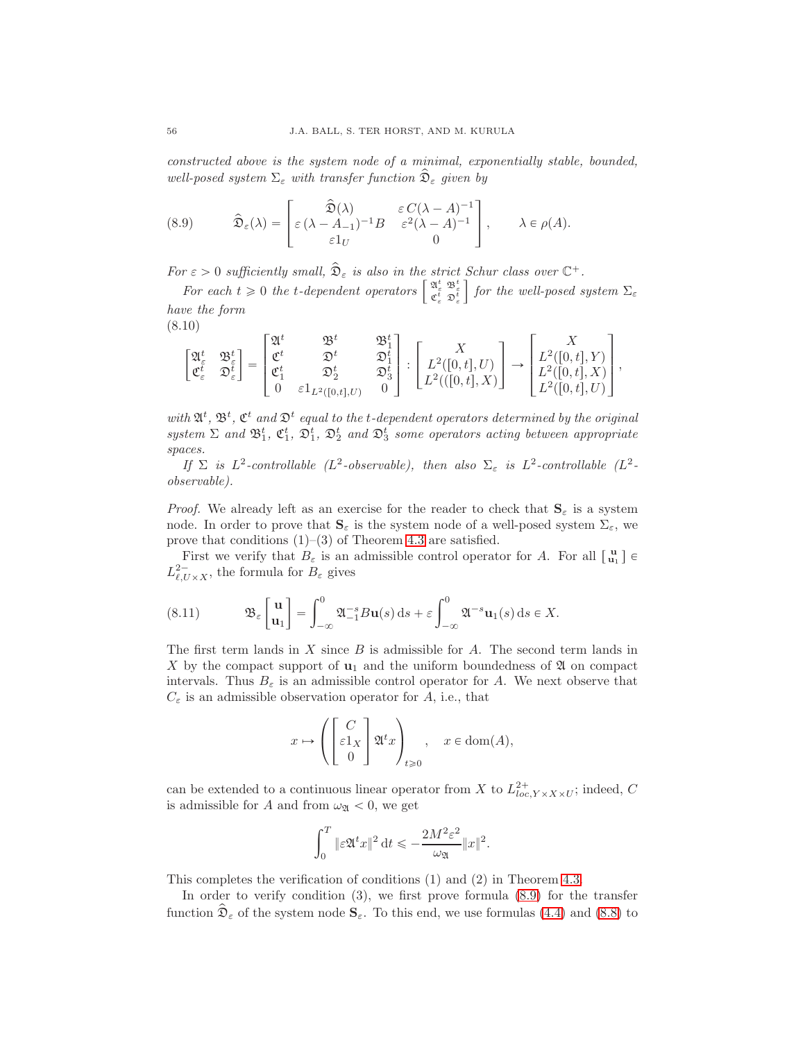constructed above is the system node of a minimal, exponentially stable, bounded, well-posed system  $\Sigma_{\varepsilon}$  with transfer function  $\widehat{\mathfrak{D}}_{\varepsilon}$  given by

<span id="page-55-0"></span>(8.9) 
$$
\widehat{\mathfrak{D}}_{\varepsilon}(\lambda) = \begin{bmatrix} \widehat{\mathfrak{D}}(\lambda) & \varepsilon C(\lambda - A)^{-1} \\ \varepsilon (\lambda - A_{-1})^{-1} B & \varepsilon^{2} (\lambda - A)^{-1} \\ \varepsilon 1_{U} & 0 \end{bmatrix}, \quad \lambda \in \rho(A).
$$

For  $\varepsilon > 0$  sufficiently small,  $\widehat{\mathfrak{D}}_{\varepsilon}$  is also in the strict Schur class over  $\mathbb{C}^+$ .

For each  $t \geq 0$  the t-dependent operators  $\begin{bmatrix} \mathfrak{A}^t_{\varepsilon} & \mathfrak{B}^t_{\varepsilon} \\ \mathfrak{C}^t_{\varepsilon} & \mathfrak{D}^t_{\varepsilon} \end{bmatrix}$  $\int$  for the well-posed system  $\Sigma_{\varepsilon}$ have the form

(8.10)

<span id="page-55-1"></span>
$$
\begin{bmatrix} \mathfrak A_\varepsilon^t & \mathfrak B_\varepsilon^t \\ \mathfrak C_\varepsilon^t & \mathfrak D_\varepsilon^t \end{bmatrix} = \begin{bmatrix} \mathfrak A^t & \mathfrak B^t & \mathfrak B_1^t \\ \mathfrak C_1^t & \mathfrak D_2^t & \mathfrak D_3^t \\ \mathfrak C_1^t & \mathfrak D_2^t & \mathfrak D_3^t \\ 0 & \varepsilon 1_{L^2([0,t],U)} & 0 \end{bmatrix} \colon \begin{bmatrix} X \\ L^2([0,t],U) \\ L^2([0,t],X) \end{bmatrix} \to \begin{bmatrix} X \\ L^2([0,t],Y) \\ L^2([0,t],X) \\ L^2([0,t],U) \end{bmatrix},
$$

with  $\mathfrak{A}^t$ ,  $\mathfrak{B}^t$ ,  $\mathfrak{C}^t$  and  $\mathfrak{D}^t$  equal to the t-dependent operators determined by the original system  $\Sigma$  and  $\mathfrak{B}_1^t$ ,  $\mathfrak{C}_1^t$ ,  $\mathfrak{D}_2^t$  and  $\mathfrak{D}_3^t$  some operators acting between appropriate spaces.

If  $\Sigma$  is  $L^2$ -controllable ( $L^2$ -observable), then also  $\Sigma_{\varepsilon}$  is  $L^2$ -controllable ( $L^2$ observable).

*Proof.* We already left as an exercise for the reader to check that  $S_{\varepsilon}$  is a system node. In order to prove that  $S_{\varepsilon}$  is the system node of a well-posed system  $\Sigma_{\varepsilon}$ , we prove that conditions  $(1)$ – $(3)$  of Theorem [4.3](#page-27-2) are satisfied.

First we verify that  $B_{\varepsilon}$  is an admissible control operator for A. For all  $\begin{bmatrix} \mathbf{u} \\ \mathbf{u}_1 \end{bmatrix} \in$  $L^{2-}_{\ell, U \times X}$ , the formula for  $B_{\varepsilon}$  gives

<span id="page-55-2"></span>(8.11) 
$$
\mathfrak{B}_{\varepsilon}\left[\mathbf{u}_{1}\right] = \int_{-\infty}^{0} \mathfrak{A}_{-1}^{-s} B \mathbf{u}(s) \, \mathrm{d}s + \varepsilon \int_{-\infty}^{0} \mathfrak{A}^{-s} \mathbf{u}_{1}(s) \, \mathrm{d}s \in X.
$$

The first term lands in  $X$  since  $B$  is admissible for  $A$ . The second term lands in X by the compact support of  $\mathbf{u}_1$  and the uniform boundedness of  $\mathfrak A$  on compact intervals. Thus  $B_{\varepsilon}$  is an admissible control operator for A. We next observe that  $C_{\varepsilon}$  is an admissible observation operator for A, i.e., that

$$
x \mapsto \left( \begin{bmatrix} C \\ \varepsilon 1_X \\ 0 \end{bmatrix} \mathfrak A^t x \right)_{t \geq 0}, \quad x \in \text{dom}(A),
$$

can be extended to a continuous linear operator from X to  $L^{2+}_{loc,Y\times X\times U}$ ; indeed, C is admissible for A and from  $\omega_{\mathfrak{A}} < 0$ , we get

$$
\int_0^T \|\varepsilon \mathfrak A^t x\|^2 \,\mathrm d t \leqslant -\frac{2M^2\varepsilon^2}{\omega_\mathfrak A}\|x\|^2.
$$

This completes the verification of conditions (1) and (2) in Theorem [4.3.](#page-27-2)

In order to verify condition  $(3)$ , we first prove formula  $(8.9)$  for the transfer function  $\mathfrak{D}_{\varepsilon}$  of the system node  $\mathbf{S}_{\varepsilon}$ . To this end, we use formulas [\(4.4\)](#page-26-0) and [\(8.8\)](#page-54-0) to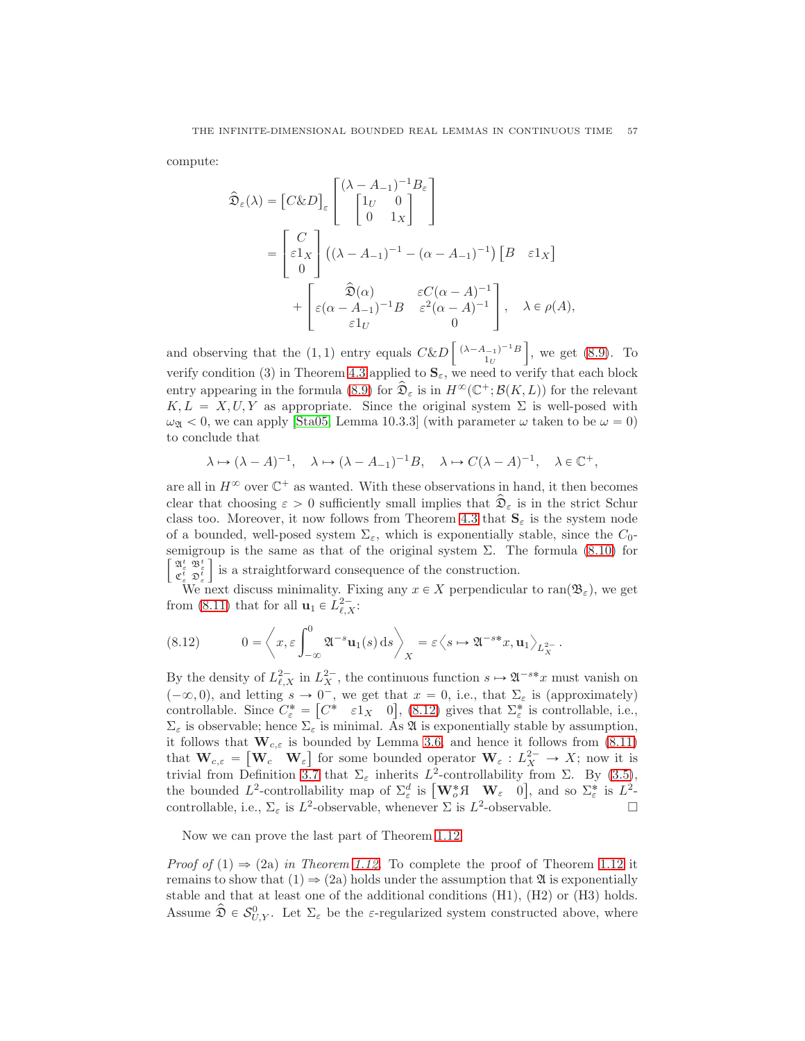compute:

$$
\hat{\mathfrak{D}}_{\varepsilon}(\lambda) = \begin{bmatrix} C\&D \end{bmatrix}_{\varepsilon} \begin{bmatrix} (\lambda - A_{-1})^{-1}B_{\varepsilon} \\ \begin{bmatrix} 1_U & 0 \\ 0 & 1_X \end{bmatrix} \end{bmatrix}
$$

$$
= \begin{bmatrix} C \\ \varepsilon 1_X \\ 0 \end{bmatrix} ((\lambda - A_{-1})^{-1} - (\alpha - A_{-1})^{-1}) \begin{bmatrix} B & \varepsilon 1_X \end{bmatrix}
$$

$$
+ \begin{bmatrix} \hat{\mathfrak{D}}(\alpha) & \varepsilon C(\alpha - A)^{-1} \\ \varepsilon (\alpha - A_{-1})^{-1}B & \varepsilon^2 (\alpha - A)^{-1} \\ \varepsilon 1_U & 0 \end{bmatrix}, \quad \lambda \in \rho(A),
$$

and observing that the (1, 1) entry equals  $C&D\left[\frac{(\lambda - A_{-1})^{-1}B}{1_U}\right]$  $1_U$ ı , we get [\(8.9\)](#page-55-0). To verify condition (3) in Theorem [4.3](#page-27-2) applied to  $S_{\varepsilon}$ , we need to verify that each block entry appearing in the formula [\(8.9\)](#page-55-0) for  $\widehat{\mathfrak{D}}_{\varepsilon}$  is in  $H^{\infty}(\mathbb{C}^+;\mathcal{B}(K,L))$  for the relevant  $K, L = X, U, Y$  as appropriate. Since the original system  $\Sigma$  is well-posed with  $\omega_{\mathfrak{A}} < 0$ , we can apply [\[Sta05,](#page-60-4) Lemma 10.3.3] (with parameter  $\omega$  taken to be  $\omega = 0$ ) to conclude that

$$
\lambda \mapsto (\lambda - A)^{-1}, \quad \lambda \mapsto (\lambda - A_{-1})^{-1}B, \quad \lambda \mapsto C(\lambda - A)^{-1}, \quad \lambda \in \mathbb{C}^+,
$$

are all in  $H^\infty$  over  $\mathbb{C}^+$  as wanted. With these observations in hand, it then becomes clear that choosing  $\varepsilon > 0$  sufficiently small implies that  $\mathfrak{D}_{\varepsilon}$  is in the strict Schur class too. Moreover, it now follows from Theorem [4.3](#page-27-2) that  $S_{\varepsilon}$  is the system node of a bounded, well-posed system  $\Sigma_{\varepsilon}$ , which is exponentially stable, since the  $C_0$ semigroup is the same as that of the original system  $\Sigma$ . The formula [\(8.10\)](#page-55-1) for  $\left[ \begin{smallmatrix} \mathfrak A_\varepsilon^t & \mathfrak B_\varepsilon^t \\ \mathfrak C_\varepsilon^t & \mathfrak D_\varepsilon^t \end{smallmatrix} \right]$ ı is a straightforward consequence of the construction.

We next discuss minimality. Fixing any  $x \in X$  perpendicular to ran $(\mathfrak{B}_{\varepsilon})$ , we get from [\(8.11\)](#page-55-2) that for all  $\mathbf{u}_1 \in L^2_{\ell, X}$ :

<span id="page-56-0"></span>(8.12) 
$$
0 = \left\langle x, \varepsilon \int_{-\infty}^{0} \mathfrak{A}^{-s} \mathbf{u}_1(s) \, ds \right\rangle_X = \varepsilon \left\langle s \mapsto \mathfrak{A}^{-s*} x, \mathbf{u}_1 \right\rangle_{L_X^{2-}}.
$$

By the density of  $L_{\ell,X}^{2-}$  in  $L_X^{2-}$ , the continuous function  $s \mapsto \mathfrak{A}^{-s*}x$  must vanish on  $(-\infty, 0)$ , and letting  $s \to 0^-$ , we get that  $x = 0$ , i.e., that  $\Sigma_\varepsilon$  is (approximately) controllable. Since  $C_{\varepsilon}^* = \begin{bmatrix} C^* & \varepsilon 1_X & 0 \end{bmatrix}$ , [\(8.12\)](#page-56-0) gives that  $\Sigma_{\varepsilon}^*$  is controllable, i.e.,  $\Sigma_{\varepsilon}$  is observable; hence  $\Sigma_{\varepsilon}$  is minimal. As  $\mathfrak A$  is exponentially stable by assumption, it follows that  $\mathbf{W}_{c,\varepsilon}$  is bounded by Lemma [3.6,](#page-23-1) and hence it follows from [\(8.11\)](#page-55-2) that  $\mathbf{W}_{c,\varepsilon} = \begin{bmatrix} \mathbf{W}_c & \mathbf{W}_{\varepsilon} \end{bmatrix}$  for some bounded operator  $\mathbf{W}_{\varepsilon}: L_X^{2-} \to X$ ; now it is trivial from Definition [3.7](#page-24-0) that  $\Sigma_{\varepsilon}$  inherits  $L^2$ -controllability from Σ. By [\(3.5\)](#page-20-2), the bounded  $L^2$ -controllability map of  $\Sigma_{\varepsilon}^d$  is  $\left[\mathbf{W}_o^*\mathbf{H} \quad \mathbf{W}_{\varepsilon} \quad 0\right]$ , and so  $\Sigma_{\varepsilon}^*$  is  $L^2$ controllable, i.e.,  $\Sigma_{\varepsilon}$  is  $L^2$ -observable, whenever  $\Sigma$  is  $L^2$ -observable.

Now we can prove the last part of Theorem [1.12.](#page-9-2)

*Proof of* (1)  $\Rightarrow$  (2a) in Theorem [1.12.](#page-9-2) To complete the proof of Theorem [1.12](#page-9-2) it remains to show that  $(1) \Rightarrow (2a)$  holds under the assumption that  $\mathfrak A$  is exponentially stable and that at least one of the additional conditions (H1), (H2) or (H3) holds. Assume  $\hat{\mathfrak{D}} \in \mathcal{S}_{U,Y}^0$ . Let  $\Sigma_{\varepsilon}$  be the  $\varepsilon$ -regularized system constructed above, where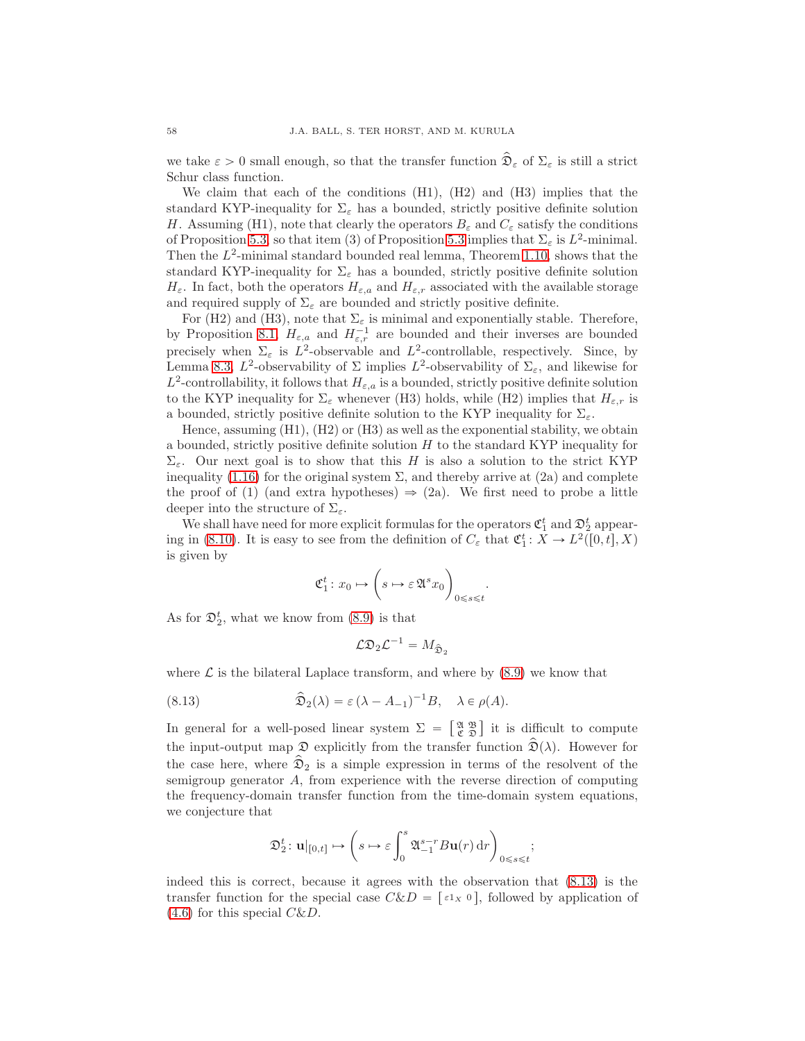we take  $\varepsilon > 0$  small enough, so that the transfer function  $\hat{\mathfrak{D}}_{\varepsilon}$  of  $\Sigma_{\varepsilon}$  is still a strict Schur class function.

We claim that each of the conditions (H1), (H2) and (H3) implies that the standard KYP-inequality for  $\Sigma_{\varepsilon}$  has a bounded, strictly positive definite solution H. Assuming (H1), note that clearly the operators  $B_{\varepsilon}$  and  $C_{\varepsilon}$  satisfy the conditions of Proposition [5.3,](#page-32-0) so that item (3) of Proposition [5.3](#page-32-0) implies that  $\Sigma_{\varepsilon}$  is  $L^2$ -minimal. Then the  $L^2$ -minimal standard bounded real lemma, Theorem [1.10,](#page-8-1) shows that the standard KYP-inequality for  $\Sigma_{\varepsilon}$  has a bounded, strictly positive definite solution  $H_{\varepsilon}$ . In fact, both the operators  $H_{\varepsilon,a}$  and  $H_{\varepsilon,r}$  associated with the available storage and required supply of  $\Sigma_{\varepsilon}$  are bounded and strictly positive definite.

For (H2) and (H3), note that  $\Sigma_{\varepsilon}$  is minimal and exponentially stable. Therefore, by Proposition [8.1,](#page-50-1)  $H_{\varepsilon,a}$  and  $H_{\varepsilon,r}^{-1}$  are bounded and their inverses are bounded precisely when  $\Sigma_{\varepsilon}$  is  $L^2$ -observable and  $L^2$ -controllable, respectively. Since, by Lemma [8.3,](#page-54-1)  $L^2$ -observability of  $\Sigma$  implies  $L^2$ -observability of  $\Sigma_{\varepsilon}$ , and likewise for  $L^2$ -controllability, it follows that  $H_{\varepsilon,a}$  is a bounded, strictly positive definite solution to the KYP inequality for  $\Sigma_{\varepsilon}$  whenever (H3) holds, while (H2) implies that  $H_{\varepsilon,r}$  is a bounded, strictly positive definite solution to the KYP inequality for  $\Sigma_{\varepsilon}$ .

Hence, assuming  $(H1)$ ,  $(H2)$  or  $(H3)$  as well as the exponential stability, we obtain a bounded, strictly positive definite solution  $H$  to the standard KYP inequality for  $\Sigma_{\varepsilon}$ . Our next goal is to show that this H is also a solution to the strict KYP inequality [\(1.16\)](#page-9-0) for the original system  $\Sigma$ , and thereby arrive at (2a) and complete the proof of (1) (and extra hypotheses)  $\Rightarrow$  (2a). We first need to probe a little deeper into the structure of  $\Sigma_{\varepsilon}$ .

We shall have need for more explicit formulas for the operators  ${\mathfrak C}_1^t$  and  ${\mathfrak D}_2^t$  appear-ing in [\(8.10\)](#page-55-1). It is easy to see from the definition of  $C_{\varepsilon}$  that  $\mathfrak{C}_1^t: X \to L^2([0, t], X)$ is given by

$$
\mathfrak{C}_1^t \colon x_0 \mapsto \left(s \mapsto \varepsilon \, \mathfrak{A}^s x_0\right)_{0\leqslant s\leqslant t}.
$$

As for  $\mathfrak{D}_2^t$ , what we know from [\(8.9\)](#page-55-0) is that

<span id="page-57-0"></span>
$$
\mathcal{L}\mathfrak{D}_2 \mathcal{L}^{-1} = M_{\widehat{\mathfrak{D}}_2}
$$

where  $\mathcal L$  is the bilateral Laplace transform, and where by  $(8.9)$  we know that

(8.13) 
$$
\widehat{\mathfrak{D}}_2(\lambda) = \varepsilon (\lambda - A_{-1})^{-1} B, \quad \lambda \in \rho(A).
$$

In general for a well-posed linear system  $\Sigma = \begin{bmatrix} \mathfrak{A} & \mathfrak{B} \\ \mathfrak{C} & \mathfrak{D} \end{bmatrix}$  it is difficult to compute the input-output map  $\mathfrak D$  explicitly from the transfer function  $\widehat{\mathfrak D}(\lambda)$ . However for the case here, where  $\mathfrak{D}_2$  is a simple expression in terms of the resolvent of the semigroup generator A, from experience with the reverse direction of computing the frequency-domain transfer function from the time-domain system equations, we conjecture that

$$
\mathfrak{D}_2^t \colon \mathbf{u}|_{[0,t]} \mapsto \left(s \mapsto \varepsilon \int_0^s \mathfrak{A}_{-1}^{s-r} B \mathbf{u}(r) \, dr\right)_{0 \leq s \leq t};
$$

indeed this is correct, because it agrees with the observation that [\(8.13\)](#page-57-0) is the transfer function for the special case  $C\&D = [\epsilon 1_X, 0]$ , followed by application of  $(4.6)$  for this special  $C\&D$ .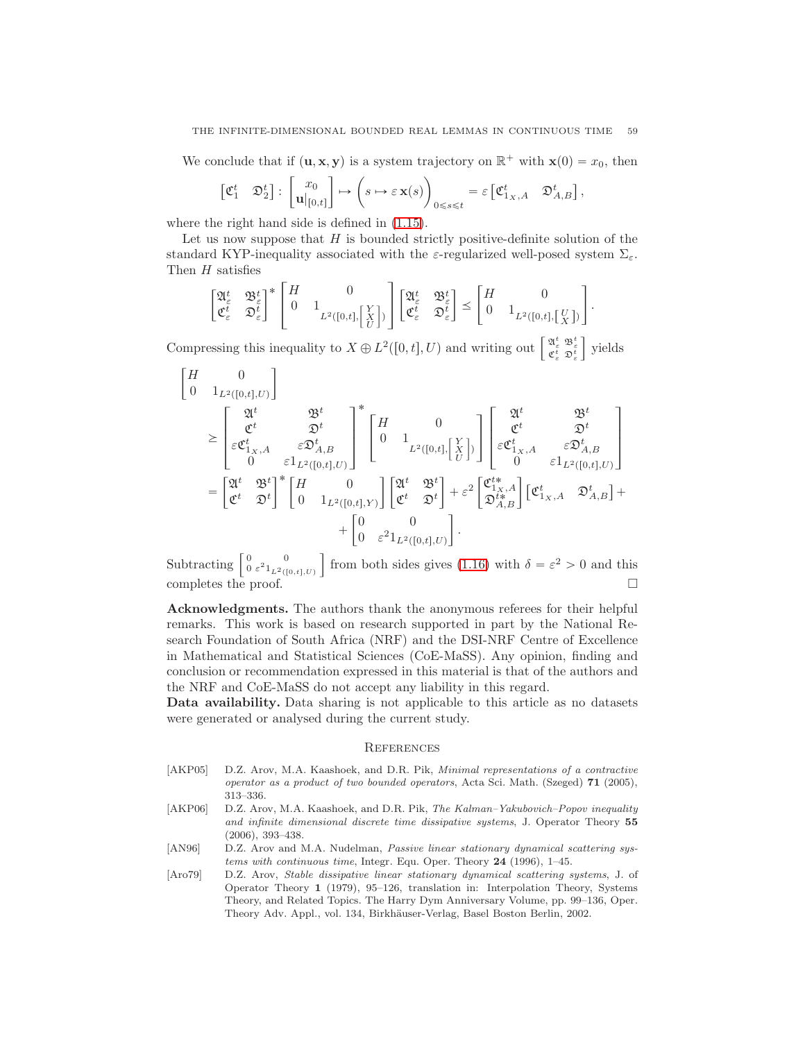We conclude that if  $(\mathbf{u}, \mathbf{x}, \mathbf{y})$  is a system trajectory on  $\mathbb{R}^+$  with  $\mathbf{x}(0) = x_0$ , then

$$
\begin{bmatrix} \mathfrak C^t_1 & \mathfrak D^t_2 \end{bmatrix} \colon \begin{bmatrix} x_0 \\ \mathbf u|_{[0,t]} \end{bmatrix} \mapsto \left( s \mapsto \varepsilon \mathbf x(s) \right)_{0 \leq s \leq t} = \varepsilon \begin{bmatrix} \mathfrak C^t_{1_X, A} & \mathfrak D^t_{A,B} \end{bmatrix},
$$

where the right hand side is defined in [\(1.15\)](#page-9-3).

Let us now suppose that  $H$  is bounded strictly positive-definite solution of the standard KYP-inequality associated with the  $\varepsilon$ -regularized well-posed system  $\Sigma_{\varepsilon}$ . Then  $H$  satisfies

$$
\begin{bmatrix} \mathfrak A_\varepsilon^t & \mathfrak B_\varepsilon^t \\ \mathfrak C_\varepsilon^t & \mathfrak D_\varepsilon^t \end{bmatrix}^* \begin{bmatrix} H & 0 \\ 0 & 1_{L^2([0,t],\left[\frac{Y}{U}\right])} \\ & ^{L^2([0,t],\left[\frac{Y}{U}\right])} \end{bmatrix} \begin{bmatrix} \mathfrak A_\varepsilon^t & \mathfrak B_\varepsilon^t \\ \mathfrak C_\varepsilon^t & \mathfrak D_\varepsilon^t \end{bmatrix} \preceq \begin{bmatrix} H & 0 \\ 0 & 1_{L^2([0,t],\left[\frac{U}{X}\right])} \end{bmatrix}
$$

.

Compressing this inequality to  $X \oplus L^2([0,t],U)$  and writing out  $\begin{bmatrix} \mathfrak{A}_\varepsilon^t & \mathfrak{B}_\varepsilon^t \\ \mathfrak{C}_\varepsilon^t & \mathfrak{D}_\varepsilon^t \end{bmatrix}$ ı yields

$$
\begin{aligned} &\begin{bmatrix} H & 0 \\ 0 & 1_{L^2([0,t],U)} \end{bmatrix} \\ &\geq \begin{bmatrix} \mathfrak A^t & \mathfrak B^t \\ \mathfrak C^t_{1_X,A} & \varepsilon \mathfrak D^t_{A,B} \\ 0 & \varepsilon 1_{L^2([0,t],U)} \end{bmatrix}^* \begin{bmatrix} H & 0 \\ 0 & 1_{L^2([0,t],\left[\begin{matrix} Y \\ X \\ U\end{matrix}\right]}) \end{bmatrix} \begin{bmatrix} \mathfrak A^t & \mathfrak B^t \\ \varepsilon \mathfrak C^t_{1_X,A} & \varepsilon \mathfrak D^t_{A,B} \\ 0 & \varepsilon 1_{L^2([0,t],U)} \end{bmatrix} \\ &= \begin{bmatrix} \mathfrak A^t & \mathfrak B^t \\ \mathfrak C^t & \mathfrak D^t \end{bmatrix}^* \begin{bmatrix} H & 0 \\ 0 & 1_{L^2([0,t],Y)} \end{bmatrix} \begin{bmatrix} \mathfrak A^t & \mathfrak B^t \\ \mathfrak C^t & \mathfrak D^t \end{bmatrix} + \varepsilon^2 \begin{bmatrix} \mathfrak C^t_{1_X,A} \\ \mathfrak D^{t*}_{A,B} \end{bmatrix} \begin{bmatrix} \mathfrak C^t_{1_X,A} & \mathfrak D^t_{A,B} \end{bmatrix} + \\ &+ \begin{bmatrix} 0 & 0 \\ 0 & \varepsilon^2 1_{L^2([0,t],U)} \end{bmatrix}. \end{aligned}
$$

Subtracting  $\begin{bmatrix} 0 & 0 \\ 0 & \varepsilon^2 1_{L^2([0,t],U)} \end{bmatrix}$ from both sides gives [\(1.16\)](#page-9-0) with  $\delta = \varepsilon^2 > 0$  and this completes the proof.  $\Box$ 

Acknowledgments. The authors thank the anonymous referees for their helpful remarks. This work is based on research supported in part by the National Research Foundation of South Africa (NRF) and the DSI-NRF Centre of Excellence in Mathematical and Statistical Sciences (CoE-MaSS). Any opinion, finding and conclusion or recommendation expressed in this material is that of the authors and the NRF and CoE-MaSS do not accept any liability in this regard.

Data availability. Data sharing is not applicable to this article as no datasets were generated or analysed during the current study.

### <span id="page-58-0"></span>**REFERENCES**

- <span id="page-58-4"></span>[AKP05] D.Z. Arov, M.A. Kaashoek, and D.R. Pik, *Minimal representations of a contractive operator as a product of two bounded operators*, Acta Sci. Math. (Szeged) 71 (2005), 313–336.
- <span id="page-58-2"></span>[AKP06] D.Z. Arov, M.A. Kaashoek, and D.R. Pik, *The Kalman–Yakubovich–Popov inequality and infinite dimensional discrete time dissipative systems*, J. Operator Theory 55 (2006), 393–438.
- <span id="page-58-3"></span>[AN96] D.Z. Arov and M.A. Nudelman, *Passive linear stationary dynamical scattering systems with continuous time*, Integr. Equ. Oper. Theory 24 (1996), 1–45.
- <span id="page-58-1"></span>[Aro79] D.Z. Arov, *Stable dissipative linear stationary dynamical scattering systems*, J. of Operator Theory 1 (1979), 95–126, translation in: Interpolation Theory, Systems Theory, and Related Topics. The Harry Dym Anniversary Volume, pp. 99–136, Oper. Theory Adv. Appl., vol. 134, Birkhäuser-Verlag, Basel Boston Berlin, 2002.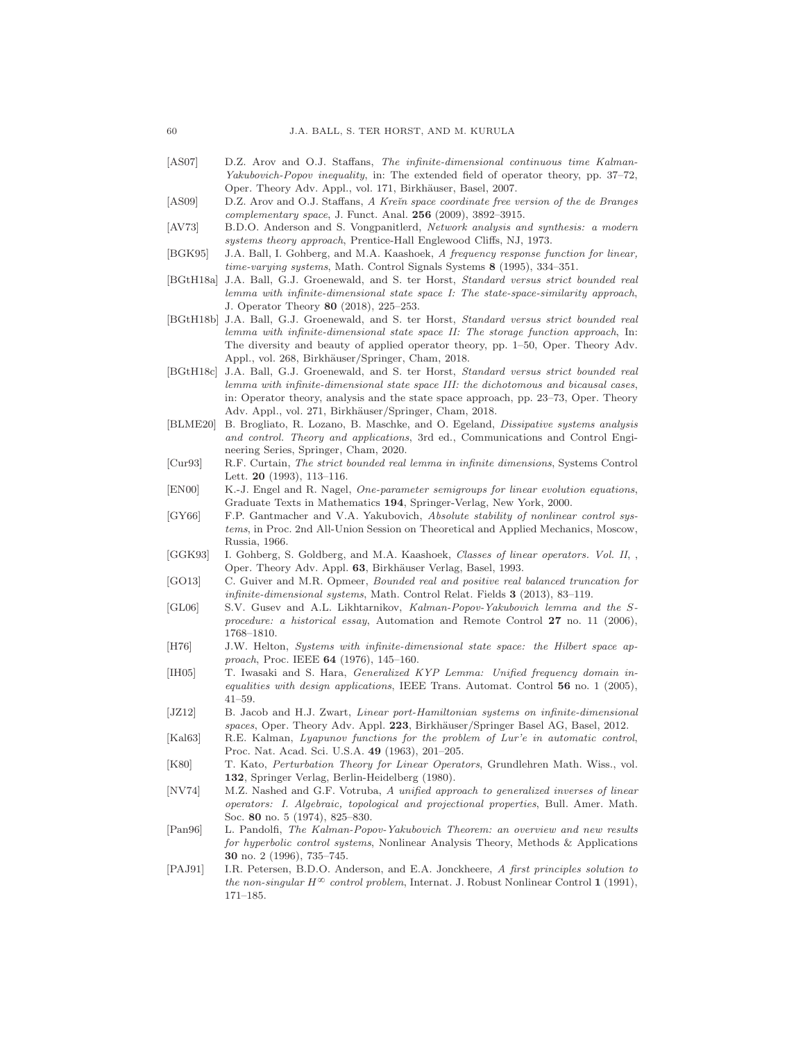- <span id="page-59-4"></span>[AS07] D.Z. Arov and O.J. Staffans, *The infinite-dimensional continuous time Kalman-Yakubovich-Popov inequality*, in: The extended field of operator theory, pp. 37–72, Oper. Theory Adv. Appl., vol. 171, Birkhäuser, Basel, 2007.
- <span id="page-59-17"></span>[AS09] D.Z. Arov and O.J. Staffans, *A Kreïn space coordinate free version of the de Branges complementary space*, J. Funct. Anal. 256 (2009), 3892–3915.
- <span id="page-59-2"></span>[AV73] B.D.O. Anderson and S. Vongpanitlerd, *Network analysis and synthesis: a modern systems theory approach*, Prentice-Hall Englewood Cliffs, NJ, 1973.
- <span id="page-59-1"></span>[BGK95] J.A. Ball, I. Gohberg, and M.A. Kaashoek, *A frequency response function for linear, time-varying systems*, Math. Control Signals Systems 8 (1995), 334–351.
- <span id="page-59-14"></span>[BGtH18a] J.A. Ball, G.J. Groenewald, and S. ter Horst, *Standard versus strict bounded real lemma with infinite-dimensional state space I: The state-space-similarity approach*, J. Operator Theory 80 (2018), 225–253.
- <span id="page-59-6"></span>[BGtH18b] J.A. Ball, G.J. Groenewald, and S. ter Horst, *Standard versus strict bounded real lemma with infinite-dimensional state space II: The storage function approach*, In: The diversity and beauty of applied operator theory, pp. 1–50, Oper. Theory Adv. Appl., vol. 268, Birkhäuser/Springer, Cham, 2018.
- <span id="page-59-13"></span>[BGtH18c] J.A. Ball, G.J. Groenewald, and S. ter Horst, *Standard versus strict bounded real lemma with infinite-dimensional state space III: the dichotomous and bicausal cases*, in: Operator theory, analysis and the state space approach, pp. 23–73, Oper. Theory Adv. Appl., vol. 271, Birkhäuser/Springer, Cham, 2018.
- [BLME20] B. Brogliato, R. Lozano, B. Maschke, and O. Egeland, *Dissipative systems analysis and control. Theory and applications*, 3rd ed., Communications and Control Engineering Series, Springer, Cham, 2020.
- <span id="page-59-8"></span>[Cur93] R.F. Curtain, *The strict bounded real lemma in infinite dimensions*, Systems Control Lett. 20 (1993), 113–116.
- <span id="page-59-15"></span>[EN00] K.-J. Engel and R. Nagel, *One-parameter semigroups for linear evolution equations*, Graduate Texts in Mathematics 194, Springer-Verlag, New York, 2000.
- <span id="page-59-11"></span>[GY66] F.P. Gantmacher and V.A. Yakubovich, *Absolute stability of nonlinear control systems*, in Proc. 2nd All-Union Session on Theoretical and Applied Mechanics, Moscow, Russia, 1966.
- <span id="page-59-19"></span>[GGK93] I. Gohberg, S. Goldberg, and M.A. Kaashoek, *Classes of linear operators. Vol. II*, , Oper. Theory Adv. Appl. 63, Birkhäuser Verlag, Basel, 1993.
- <span id="page-59-12"></span>[GO13] C. Guiver and M.R. Opmeer, *Bounded real and positive real balanced truncation for infinite-dimensional systems*, Math. Control Relat. Fields 3 (2013), 83–119.
- <span id="page-59-9"></span>[GL06] S.V. Gusev and A.L. Likhtarnikov, *Kalman-Popov-Yakubovich lemma and the* S*procedure: a historical essay*, Automation and Remote Control 27 no. 11 (2006), 1768–1810.
- [H76] J.W. Helton, *Systems with infinite-dimensional state space: the Hilbert space approach*, Proc. IEEE 64 (1976), 145–160.
- <span id="page-59-10"></span>[IH05] T. Iwasaki and S. Hara, *Generalized KYP Lemma: Unified frequency domain inequalities with design applications*, IEEE Trans. Automat. Control 56 no. 1 (2005), 41–59.
- <span id="page-59-16"></span>[JZ12] B. Jacob and H.J. Zwart, *Linear port-Hamiltonian systems on infinite-dimensional spaces*, Oper. Theory Adv. Appl. 223, Birkh¨auser/Springer Basel AG, Basel, 2012.
- <span id="page-59-0"></span>[Kal63] R.E. Kalman, *Lyapunov functions for the problem of Lur'e in automatic control*, Proc. Nat. Acad. Sci. U.S.A. 49 (1963), 201–205.
- <span id="page-59-5"></span>[K80] T. Kato, *Perturbation Theory for Linear Operators*, Grundlehren Math. Wiss., vol. 132, Springer Verlag, Berlin-Heidelberg (1980).
- <span id="page-59-18"></span>[NV74] M.Z. Nashed and G.F. Votruba, *A unified approach to generalized inverses of linear operators: I. Algebraic, topological and projectional properties*, Bull. Amer. Math. Soc. 80 no. 5 (1974), 825–830.
- <span id="page-59-7"></span>[Pan96] L. Pandolfi, *The Kalman-Popov-Yakubovich Theorem: an overview and new results for hyperbolic control systems*, Nonlinear Analysis Theory, Methods & Applications 30 no. 2 (1996), 735–745.
- <span id="page-59-3"></span>[PAJ91] I.R. Petersen, B.D.O. Anderson, and E.A. Jonckheere, *A first principles solution to the non-singular*  $H^{\infty}$  *control problem*, Internat. J. Robust Nonlinear Control 1 (1991), 171–185.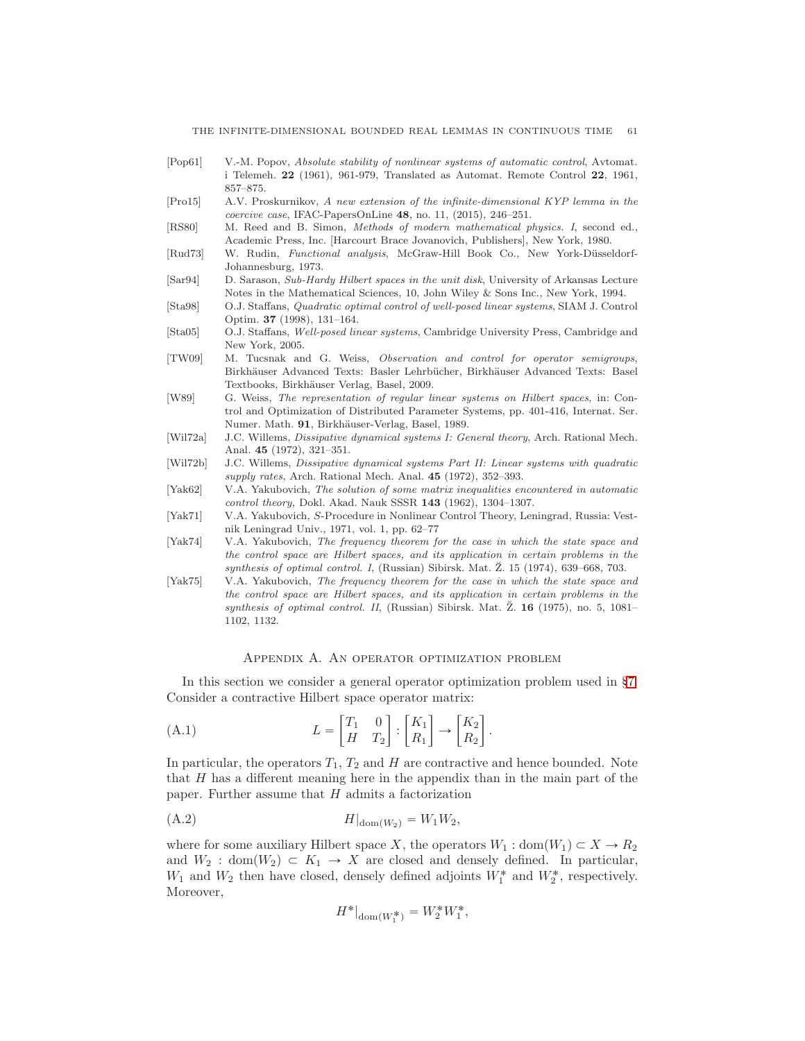- <span id="page-60-2"></span>[Pop61] V.-M. Popov, *Absolute stability of nonlinear systems of automatic control*, Avtomat. i Telemeh. 22 (1961), 961-979, Translated as Automat. Remote Control 22, 1961, 857–875.
- <span id="page-60-10"></span>[Pro15] A.V. Proskurnikov, *A new extension of the infinite-dimensional KYP lemma in the coercive case*, IFAC-PapersOnLine 48, no. 11, (2015), 246–251.
- <span id="page-60-14"></span>[RS80] M. Reed and B. Simon, *Methods of modern mathematical physics. I*, second ed., Academic Press, Inc. [Harcourt Brace Jovanovich, Publishers], New York, 1980.
- <span id="page-60-12"></span>[Rud73] W. Rudin, *Functional analysis*, McGraw-Hill Book Co., New York-Düsseldorf-Johannesburg, 1973.
- <span id="page-60-13"></span>[Sar94] D. Sarason, *Sub-Hardy Hilbert spaces in the unit disk*, University of Arkansas Lecture Notes in the Mathematical Sciences, 10, John Wiley & Sons Inc., New York, 1994.
- <span id="page-60-9"></span>[Sta98] O.J. Staffans, *Quadratic optimal control of well-posed linear systems*, SIAM J. Control Optim. 37 (1998), 131–164.
- <span id="page-60-4"></span>[Sta05] O.J. Staffans, *Well-posed linear systems*, Cambridge University Press, Cambridge and New York, 2005.
- <span id="page-60-11"></span>[TW09] M. Tucsnak and G. Weiss, *Observation and control for operator semigroups*, Birkhäuser Advanced Texts: Basler Lehrbücher, Birkhäuser Advanced Texts: Basel Textbooks, Birkhäuser Verlag, Basel, 2009.
- [W89] G. Weiss, *The representation of regular linear systems on Hilbert spaces*, in: Control and Optimization of Distributed Parameter Systems, pp. 401-416, Internat. Ser. Numer. Math. 91, Birkhäuser-Verlag, Basel, 1989.
- <span id="page-60-3"></span>[Wil72a] J.C. Willems, *Dissipative dynamical systems I: General theory*, Arch. Rational Mech. Anal. 45 (1972), 321–351.
- <span id="page-60-5"></span>[Wil72b] J.C. Willems, *Dissipative dynamical systems Part II: Linear systems with quadratic supply rates*, Arch. Rational Mech. Anal. 45 (1972), 352–393.
- <span id="page-60-1"></span>[Yak62] V.A. Yakubovich, *The solution of some matrix inequalities encountered in automatic control theory,* Dokl. Akad. Nauk SSSR 143 (1962), 1304–1307.
- <span id="page-60-8"></span>[Yak71] V.A. Yakubovich, S-Procedure in Nonlinear Control Theory, Leningrad, Russia: Vestnik Leningrad Univ., 1971, vol. 1, pp. 62–77
- <span id="page-60-6"></span>[Yak74] V.A. Yakubovich, *The frequency theorem for the case in which the state space and the control space are Hilbert spaces, and its application in certain problems in the synthesis of optimal control. I*, (Russian) Sibirsk. Mat.  $\tilde{Z}$ . 15 (1974), 639–668, 703.
- <span id="page-60-7"></span>[Yak75] V.A. Yakubovich, *The frequency theorem for the case in which the state space and the control space are Hilbert spaces, and its application in certain problems in the synthesis of optimal control. II*, (Russian) Sibirsk. Mat.  $\check{Z}$ . **16** (1975), no. 5, 1081– 1102, 1132.

#### <span id="page-60-15"></span>Appendix A. An operator optimization problem

<span id="page-60-0"></span>In this section we consider a general operator optimization problem used in §[7.](#page-43-0) Consider a contractive Hilbert space operator matrix:

(A.1) 
$$
L = \begin{bmatrix} T_1 & 0 \\ H & T_2 \end{bmatrix} : \begin{bmatrix} K_1 \\ R_1 \end{bmatrix} \rightarrow \begin{bmatrix} K_2 \\ R_2 \end{bmatrix}.
$$

In particular, the operators  $T_1, T_2$  and H are contractive and hence bounded. Note that H has a different meaning here in the appendix than in the main part of the paper. Further assume that  $H$  admits a factorization

(A.2) 
$$
H|_{\text{dom}(W_2)} = W_1 W_2,
$$

where for some auxiliary Hilbert space X, the operators  $W_1 : dom(W_1) \subset X \to R_2$ and  $W_2$ : dom $(W_2) \subset K_1 \to X$  are closed and densely defined. In particular,  $W_1$  and  $W_2$  then have closed, densely defined adjoints  $W_1^*$  and  $W_2^*$ , respectively. Moreover,

<span id="page-60-16"></span>
$$
H^*|_{\text{dom}(W_1^*)} = W_2^* W_1^*,
$$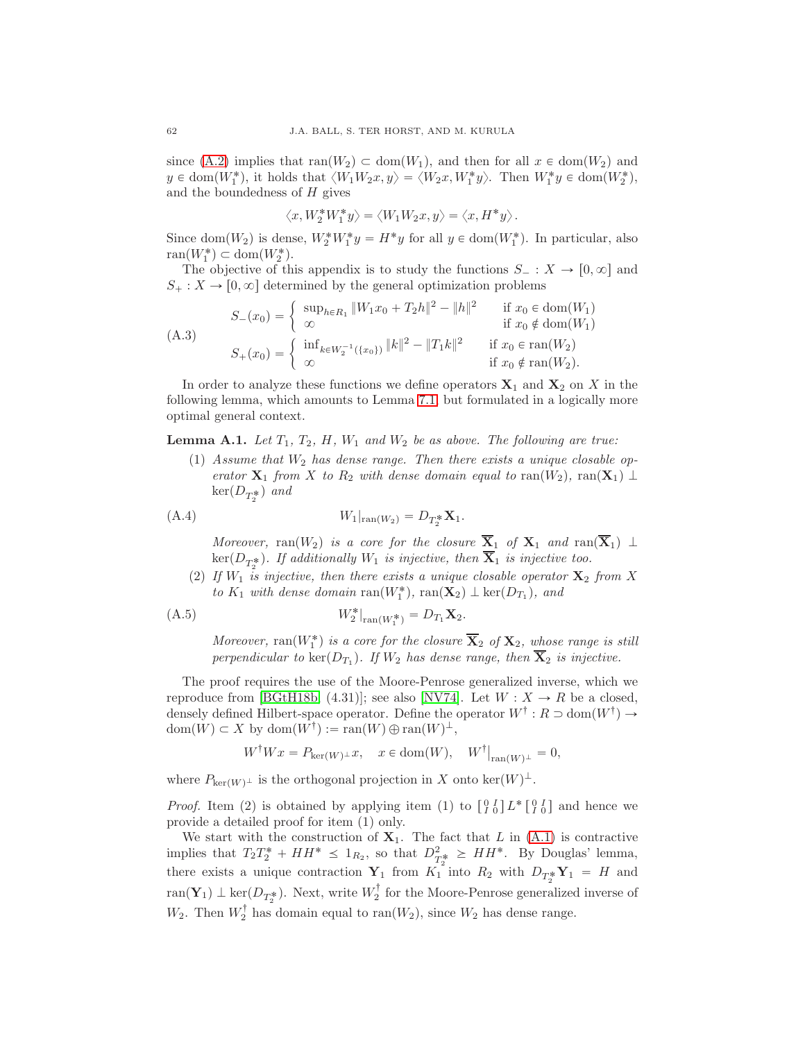since [\(A.2\)](#page-60-16) implies that ran $(W_2) \subset \text{dom}(W_1)$ , and then for all  $x \in \text{dom}(W_2)$  and  $y \in \text{dom}(W_1^*)$ , it holds that  $\langle W_1 W_2 x, y \rangle = \langle W_2 x, W_1^* y \rangle$ . Then  $W_1^* y \in \text{dom}(W_2^*)$ , and the boundedness of  $H$  gives

$$
\langle x, W_2^* W_1^* y \rangle = \langle W_1 W_2 x, y \rangle = \langle x, H^* y \rangle.
$$

Since dom $(W_2)$  is dense,  $W_2^* W_1^* y = H^* y$  for all  $y \in \text{dom}(W_1^*)$ . In particular, also ran $(W_1^*) \subset \text{dom}(W_2^*)$ .

The objective of this appendix is to study the functions  $S_- : X \to [0, \infty]$  and  $S_+ : X \to [0, \infty]$  determined by the general optimization problems

<span id="page-61-1"></span>
$$
S_{-}(x_{0}) = \begin{cases} \sup_{h \in R_{1}} \|W_{1}x_{0} + T_{2}h\|^{2} - \|h\|^{2} & \text{if } x_{0} \in \text{dom}(W_{1}) \\ \infty & \text{if } x_{0} \notin \text{dom}(W_{1}) \\ S_{+}(x_{0}) = \begin{cases} \inf_{k \in W_{2}^{-1}(\{x_{0}\})} \|k\|^{2} - \|T_{1}k\|^{2} & \text{if } x_{0} \in \text{ran}(W_{2}) \\ \infty & \text{if } x_{0} \notin \text{ran}(W_{2}). \end{cases}
$$

In order to analyze these functions we define operators  $X_1$  and  $X_2$  on X in the following lemma, which amounts to Lemma [7.1,](#page-44-0) but formulated in a logically more optimal general context.

<span id="page-61-0"></span>**Lemma A.1.** Let  $T_1$ ,  $T_2$ ,  $H$ ,  $W_1$  and  $W_2$  be as above. The following are true:

(1) Assume that  $W_2$  has dense range. Then there exists a unique closable operator  $\mathbf{X}_1$  from X to  $R_2$  with dense domain equal to ran $(W_2)$ , ran $(\mathbf{X}_1) \perp$  $\ker(D_{T_2^*})$  and

(A.4) 
$$
W_1|_{\text{ran}(W_2)} = D_{T_2^*} \mathbf{X}_1.
$$

Moreover, ran $(W_2)$  is a core for the closure  $\overline{X}_1$  of  $X_1$  and ran $(\overline{X}_1) \perp$  $\ker(D_{T_2^*})$ . If additionally  $W_1$  is injective, then  $\mathbf{X}_1$  is injective too.

(2) If  $W_1$  is injective, then there exists a unique closable operator  $\mathbf{X}_2$  from X to  $K_1$  with dense domain ran $(W_1^*)$ , ran $(\mathbf{X}_2) \perp \ker(D_{T_1})$ , and

(A.5) 
$$
W_2^*|_{\text{ran}(W_1^*)} = D_{T_1} \mathbf{X}_2.
$$

<span id="page-61-2"></span>Moreover,  $ran(W_1^*)$  is a core for the closure  $\overline{X}_2$  of  $X_2$ , whose range is still perpendicular to  $\text{ker}(D_{T_1})$ . If  $W_2$  has dense range, then  $\mathbf{X}_2$  is injective.

The proof requires the use of the Moore-Penrose generalized inverse, which we reproduce from [\[BGtH18b,](#page-59-6) (4.31)]; see also [\[NV74\]](#page-59-18). Let  $W: X \to R$  be a closed, densely defined Hilbert-space operator. Define the operator  $W^{\dagger}$ :  $R \supset \text{dom}(W^{\dagger}) \rightarrow$  $dom(W) \subset X$  by  $dom(W^{\dagger}) := ran(W) \oplus ran(W)^{\perp},$ 

$$
W^{\dagger}Wx = P_{\ker(W)^{\perp}}x, \quad x \in \text{dom}(W), \quad W^{\dagger}|_{\text{ran}(W)^{\perp}} = 0,
$$

where  $P_{\text{ker}(W)^{\perp}}$  is the orthogonal projection in X onto  $\text{ker}(W)^{\perp}$ .

*Proof.* Item (2) is obtained by applying item (1) to  $\begin{bmatrix} 0 & I \\ I & 0 \end{bmatrix} L^* \begin{bmatrix} 0 & I \\ I & 0 \end{bmatrix}$  and hence we provide a detailed proof for item (1) only.

We start with the construction of  $X_1$ . The fact that L in  $(A.1)$  is contractive implies that  $T_2T_2^* + HH^* \leq 1_{R_2}$ , so that  $D_{T_2^*}^* \geq HH^*$ . By Douglas' lemma, there exists a unique contraction  $\mathbf{Y}_1$  from  $K_1$  into  $R_2$  with  $D_{T_2^*}\mathbf{Y}_1 = H$  and ran $(\mathbf{Y}_1) \perp \ker(D_{T_2^*})$ . Next, write  $W_2^{\dagger}$  for the Moore-Penrose generalized inverse of  $W_2$ . Then  $W_2^{\dagger}$  has domain equal to ran( $W_2$ ), since  $W_2$  has dense range.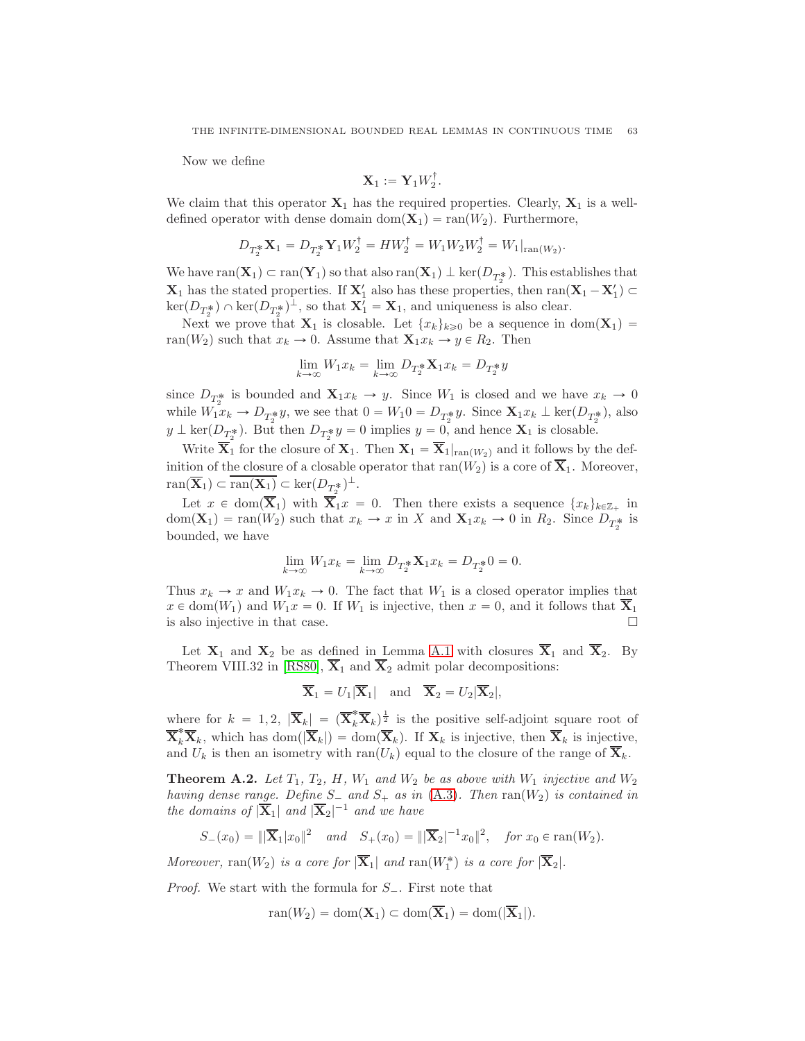Now we define

$$
\mathbf{X}_1 := \mathbf{Y}_1 W_2^{\dagger}.
$$

We claim that this operator  $X_1$  has the required properties. Clearly,  $X_1$  is a welldefined operator with dense domain dom $(X_1) = \text{ran}(W_2)$ . Furthermore,

$$
D_{T_2^*} \mathbf{X}_1 = D_{T_2^*} \mathbf{Y}_1 W_2^{\dagger} = H W_2^{\dagger} = W_1 W_2 W_2^{\dagger} = W_1|_{\text{ran}(W_2)}.
$$

We have  $ran(\mathbf{X}_1) \subset ran(\mathbf{Y}_1)$  so that also  $ran(\mathbf{X}_1) \perp ker(D_{T_2^*})$ . This establishes that  $X_1$  has the stated properties. If  $X'_1$  also has these properties, then  $ran(X_1 - X'_1) \subset$  $\ker(D_{T_2^*}) \cap \ker(D_{T_2^*})^{\perp}$ , so that  $\mathbf{X}'_1 = \mathbf{X}_1$ , and uniqueness is also clear.

Next we prove that  $X_1$  is closable. Let  $\{x_k\}_{k\geqslant 0}$  be a sequence in dom $(X_1)$  = ran( $W_2$ ) such that  $x_k \to 0$ . Assume that  $\mathbf{X}_1 x_k \to y \in R_2$ . Then

$$
\lim_{k \to \infty} W_1 x_k = \lim_{k \to \infty} D_{T_2^*} \mathbf{X}_1 x_k = D_{T_2^*} y
$$

since  $D_{T_2^*}$  is bounded and  $\mathbf{X}_1 x_k \to y$ . Since  $W_1$  is closed and we have  $x_k \to 0$ while  $W_1x_k \to D_{T_2^*}y$ , we see that  $0 = W_10 = D_{T_2^*}y$ . Since  $\mathbf{X}_1x_k \perp \text{ker}(D_{T_2^*})$ , also  $y \perp \ker(D_{T_2^*})$ . But then  $D_{T_2^*}y = 0$  implies  $y = 0$ , and hence  $\mathbf{X}_1$  is closable.

Write  $\overline{X}_1$  for the closure of  $X_1$ . Then  $X_1 = \overline{X}_1|_{ran(W_2)}$  and it follows by the definition of the closure of a closable operator that  $ran(W_2)$  is a core of  $\overline{X}_1$ . Moreover,  $ran(\overline{\mathbf{X}}_1) \subset \overline{ran(\mathbf{X}_1)} \subset \text{ker}(D_{T_2^*})^{\perp}.$ 

Let  $x \in \text{dom}(\overline{\mathbf{X}}_1)$  with  $\overline{\mathbf{X}}_1x = 0$ . Then there exists a sequence  $\{x_k\}_{k\in\mathbb{Z}_+}$  in  $dom(\mathbf{X}_1) = ran(W_2)$  such that  $x_k \to x$  in X and  $\mathbf{X}_1 x_k \to 0$  in  $R_2$ . Since  $D_{T_2^*}$  is bounded, we have

$$
\lim_{k \to \infty} W_1 x_k = \lim_{k \to \infty} D_{T_2^*} \mathbf{X}_1 x_k = D_{T_2^*} 0 = 0.
$$

Thus  $x_k \to x$  and  $W_1x_k \to 0$ . The fact that  $W_1$  is a closed operator implies that  $x \in \text{dom}(W_1)$  and  $W_1x = 0$ . If  $W_1$  is injective, then  $x = 0$ , and it follows that  $\mathbf{X}_1$ is also injective in that case.

Let  $X_1$  and  $X_2$  be as defined in Lemma [A.1](#page-61-0) with closures  $\overline{X}_1$  and  $\overline{X}_2$ . By Theorem VIII.32 in [\[RS80\]](#page-60-14),  $\overline{X}_1$  and  $\overline{X}_2$  admit polar decompositions:

$$
\overline{\mathbf{X}}_1 = U_1 |\overline{\mathbf{X}}_1|
$$
 and  $\overline{\mathbf{X}}_2 = U_2 |\overline{\mathbf{X}}_2|$ ,

where for  $k = 1, 2, |\overline{\mathbf{X}}_k| = (\overline{\mathbf{X}}_k^* \overline{\mathbf{X}}_k)^{\frac{1}{2}}$  is the positive self-adjoint square root of  $\overline{\mathbf{X}}_k^* \overline{\mathbf{X}}_k$ , which has dom $(|\overline{\mathbf{X}}_k|) = \text{dom}(\overline{\mathbf{X}}_k)$ . If  $\mathbf{X}_k$  is injective, then  $\overline{\mathbf{X}}_k$  is injective, and  $U_k$  is then an isometry with ran $(U_k)$  equal to the closure of the range of  $\mathbf{X}_k$ .

<span id="page-62-0"></span>**Theorem A.2.** Let  $T_1$ ,  $T_2$ ,  $H$ ,  $W_1$  and  $W_2$  be as above with  $W_1$  injective and  $W_2$ having dense range. Define  $S_-$  and  $S_+$  as in [\(A.3\)](#page-61-1). Then ran( $W_2$ ) is contained in the domains of  $|\mathbf{\overline{X}}_1|$  and  $|\mathbf{\overline{X}}_2|^{-1}$  and we have

$$
S_{-}(x_0) = ||\overline{\mathbf{X}}_1|x_0||^2 \quad and \quad S_{+}(x_0) = ||\overline{\mathbf{X}}_2|^{-1}x_0||^2, \quad \text{for } x_0 \in \text{ran}(W_2).
$$

Moreover,  $ran(W_2)$  is a core for  $|\overline{X}_1|$  and  $ran(W_1^*)$  is a core for  $|\overline{X}_2|$ .

*Proof.* We start with the formula for  $S_{-}$ . First note that

$$
ran(W_2) = dom(\mathbf{X}_1) \subset dom(\mathbf{X}_1) = dom(|\mathbf{X}_1|).
$$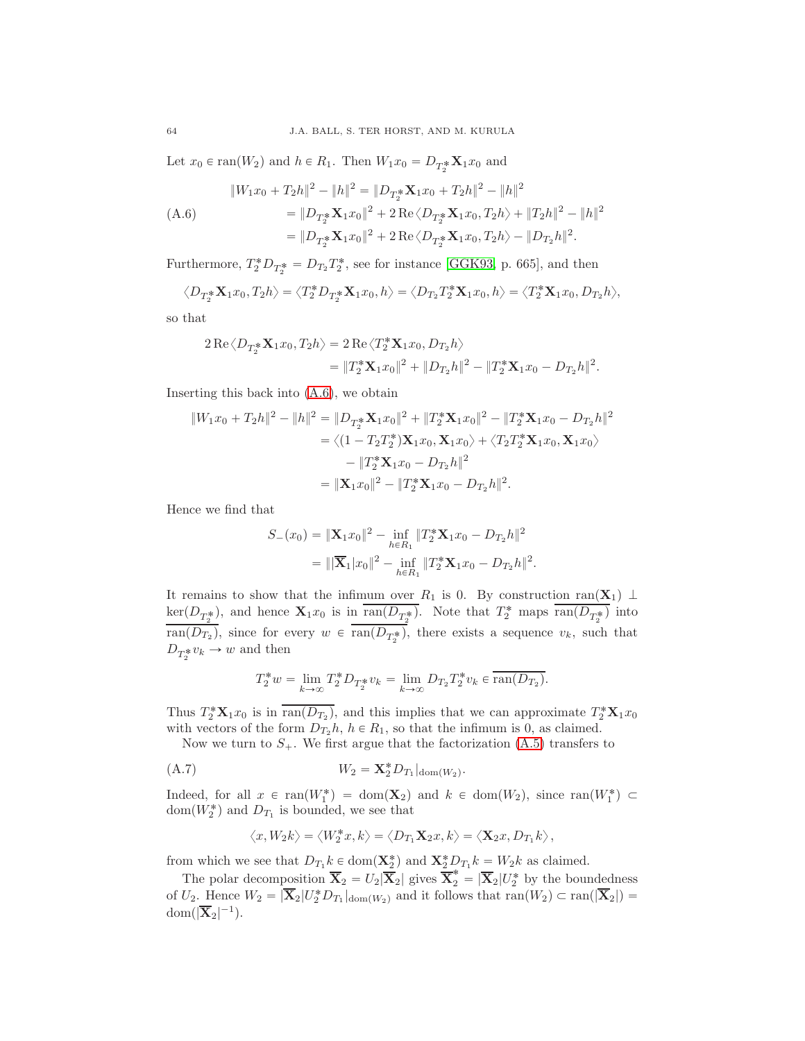Let  $x_0 \in \text{ran}(W_2)$  and  $h \in R_1$ . Then  $W_1x_0 = D_{T_2^*}\mathbf{X}_1x_0$  and

<span id="page-63-0"></span>
$$
||W_1x_0 + T_2h||^2 - ||h||^2 = ||D_{T_2^*}\mathbf{X}_1x_0 + T_2h||^2 - ||h||^2
$$
  
(A.6)  

$$
= ||D_{T_2^*}\mathbf{X}_1x_0||^2 + 2\operatorname{Re}\langle D_{T_2^*}\mathbf{X}_1x_0, T_2h\rangle + ||T_2h||^2 - ||h||^2
$$
  

$$
= ||D_{T_2^*}\mathbf{X}_1x_0||^2 + 2\operatorname{Re}\langle D_{T_2^*}\mathbf{X}_1x_0, T_2h\rangle - ||D_{T_2}h||^2.
$$

Furthermore,  $T_2^* D_{T_2^*} = D_{T_2} T_2^*$ , see for instance [\[GGK93,](#page-59-19) p. 665], and then

$$
\langle D_{T_2^*}\mathbf{X}_1x_0,T_2h\rangle=\langle T_2^*D_{T_2^*}\mathbf{X}_1x_0,h\rangle=\langle D_{T_2}T_2^*\mathbf{X}_1x_0,h\rangle=\langle T_2^*\mathbf{X}_1x_0,D_{T_2}h\rangle,
$$

so that

$$
2 \operatorname{Re} \langle D_{T_2^*} \mathbf{X}_1 x_0, T_2 h \rangle = 2 \operatorname{Re} \langle T_2^* \mathbf{X}_1 x_0, D_{T_2} h \rangle
$$
  
=  $||T_2^* \mathbf{X}_1 x_0||^2 + ||D_{T_2} h||^2 - ||T_2^* \mathbf{X}_1 x_0 - D_{T_2} h||^2$ .

Inserting this back into [\(A.6\)](#page-63-0), we obtain

$$
||W_1x_0 + T_2h||^2 - ||h||^2 = ||D_{T_2^*}\mathbf{X}_1x_0||^2 + ||T_2^*\mathbf{X}_1x_0||^2 - ||T_2^*\mathbf{X}_1x_0 - D_{T_2}h||^2
$$
  
=  $\langle (1 - T_2T_2^*)\mathbf{X}_1x_0, \mathbf{X}_1x_0 \rangle + \langle T_2T_2^*\mathbf{X}_1x_0, \mathbf{X}_1x_0 \rangle$   
-  $||T_2^*\mathbf{X}_1x_0 - D_{T_2}h||^2$   
=  $||\mathbf{X}_1x_0||^2 - ||T_2^*\mathbf{X}_1x_0 - D_{T_2}h||^2$ .

Hence we find that

$$
S_{-}(x_{0}) = \|\mathbf{X}_{1}x_{0}\|^{2} - \inf_{h \in R_{1}} \|T_{2}^{*}\mathbf{X}_{1}x_{0} - D_{T_{2}}h\|^{2}
$$
  
=\|\overline{\mathbf{X}}\_{1}|x\_{0}\|^{2} - \inf\_{h \in R\_{1}} \|T\_{2}^{\*}\mathbf{X}\_{1}x\_{0} - D\_{T\_{2}}h\|^{2}.

It remains to show that the infimum over  $R_1$  is 0. By construction  $ran(\mathbf{X}_1) \perp$  $\ker(D_{T_2^*})$ , and hence  $\mathbf{X}_1 x_0$  is in  $\overline{\text{ran}(D_{T_2^*})}$ . Note that  $T_2^*$  maps  $\overline{\text{ran}(D_{T_2^*})}$  into ran $(D_{T_2})$ , since for every  $w \in \text{ran}(D_{T_2^*})$ , there exists a sequence  $v_k$ , such that  $D_{T_2^*}v_k \to w$  and then

$$
T_2^* w = \lim_{k \to \infty} T_2^* D_{T_2^*} v_k = \lim_{k \to \infty} D_{T_2} T_2^* v_k \in \overline{\text{ran}(D_{T_2})}.
$$

Thus  $T_2^* \mathbf{X}_1 x_0$  is in  $\overline{\text{ran}(D_{T_2})}$ , and this implies that we can approximate  $T_2^* \mathbf{X}_1 x_0$ with vectors of the form  $D_{T_2}h$ ,  $h \in R_1$ , so that the infimum is 0, as claimed.

Now we turn to  $S_+$ . We first argue that the factorization  $(A.5)$  transfers to

(A.7) 
$$
W_2 = \mathbf{X}_2^* D_{T_1}|_{\text{dom}(W_2)}.
$$

Indeed, for all  $x \in \text{ran}(W_1^*) = \text{dom}(\mathbf{X}_2)$  and  $k \in \text{dom}(W_2)$ , since  $\text{ran}(W_1^*) \subset$ dom $(W_2^*)$  and  $D_{T_1}$  is bounded, we see that

<span id="page-63-1"></span>
$$
\left\langle x,W_2k\right\rangle =\left\langle W_2^*x,k\right\rangle =\left\langle D_{T_1}\mathbf{X}_2x,k\right\rangle =\left\langle \mathbf{X}_2x,D_{T_1}k\right\rangle ,
$$

from which we see that  $D_{T_1} k \in \text{dom}(\mathbf{X}_2^*)$  and  $\mathbf{X}_2^* D_{T_1} k = W_2 k$  as claimed.

The polar decomposition  $\overline{\mathbf{X}}_2 = U_2 |\overline{\mathbf{X}}_2|$  gives  $\overline{\mathbf{X}}_2^* = |\overline{\mathbf{X}}_2| U_2^*$  by the boundedness of  $U_2$ . Hence  $W_2 = |\mathbf{\overline{X}}_2| U_2^* D_{T_1}|_{\text{dom}(W_2)}$  and it follows that  $\text{ran}(W_2) \subset \text{ran}(|\mathbf{\overline{X}}_2|)$  $dom(|\overline{\mathbf{X}}_2|^{-1}).$